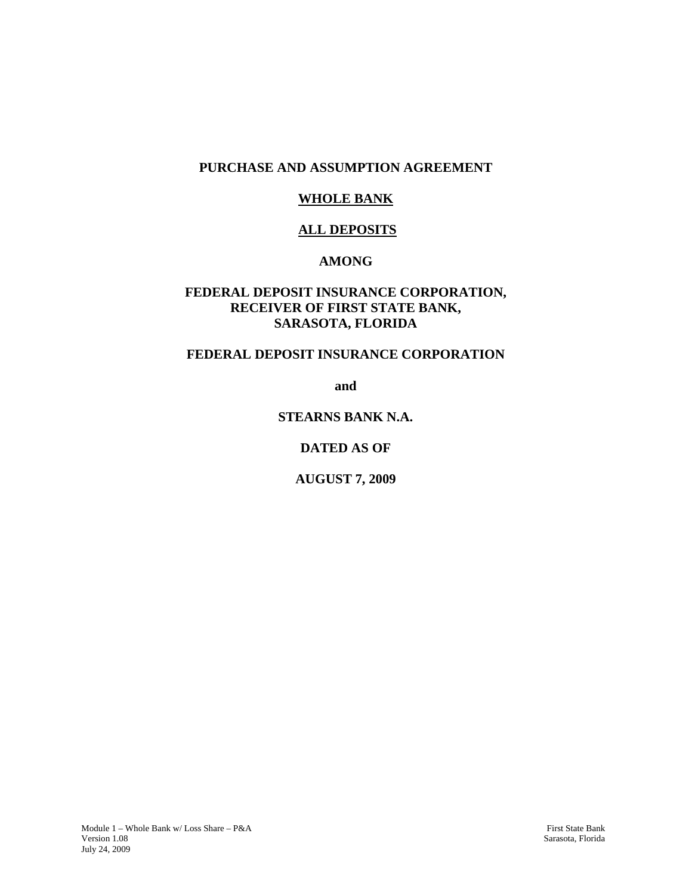## **PURCHASE AND ASSUMPTION AGREEMENT**

## **WHOLE BANK**

## **ALL DEPOSITS**

## **AMONG**

## **FEDERAL DEPOSIT INSURANCE CORPORATION, RECEIVER OF FIRST STATE BANK, SARASOTA, FLORIDA**

### **FEDERAL DEPOSIT INSURANCE CORPORATION**

**and** 

**STEARNS BANK N.A.<br>DATED AS OF<br>AUGUST 7, 2009** 

**DATED AS OF**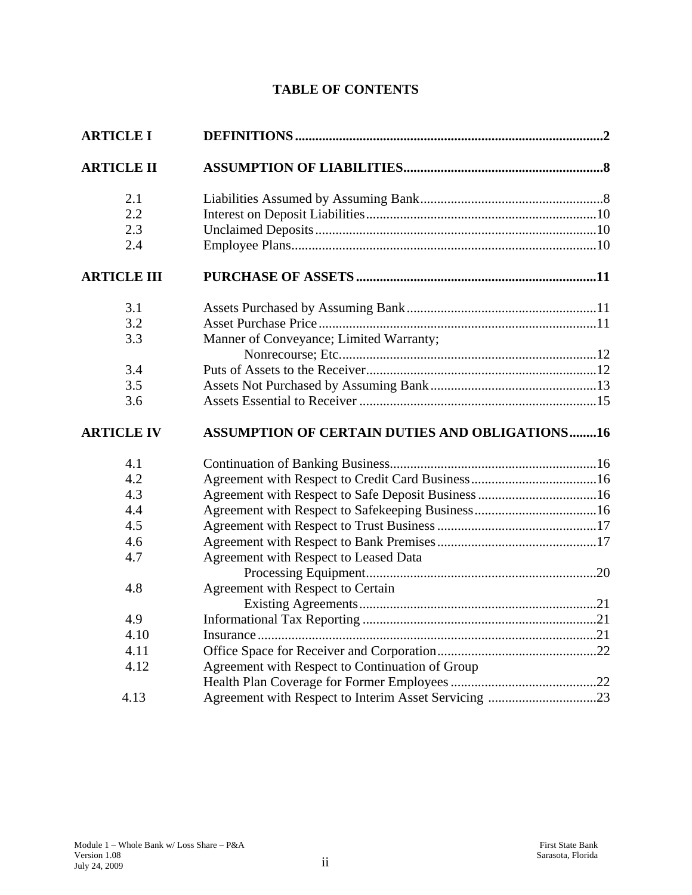# **TABLE OF CONTENTS**

| <b>TABLE OF CONTENTS</b> |                                                       |  |  |  |
|--------------------------|-------------------------------------------------------|--|--|--|
| <b>ARTICLE I</b>         |                                                       |  |  |  |
| <b>ARTICLE II</b>        |                                                       |  |  |  |
| 2.1                      |                                                       |  |  |  |
| 2.2                      |                                                       |  |  |  |
| 2.3                      |                                                       |  |  |  |
| 2.4                      |                                                       |  |  |  |
| <b>ARTICLE III</b>       |                                                       |  |  |  |
| 3.1                      |                                                       |  |  |  |
| 3.2                      |                                                       |  |  |  |
| 3.3                      | Manner of Conveyance; Limited Warranty;               |  |  |  |
|                          |                                                       |  |  |  |
| 3.4                      |                                                       |  |  |  |
| 3.5                      |                                                       |  |  |  |
| 3.6                      |                                                       |  |  |  |
| <b>ARTICLE IV</b>        | <b>ASSUMPTION OF CERTAIN DUTIES AND OBLIGATIONS16</b> |  |  |  |
| 4.1                      |                                                       |  |  |  |
| 4.2                      |                                                       |  |  |  |
| 4.3                      |                                                       |  |  |  |
| 4.4                      |                                                       |  |  |  |
| 4.5                      |                                                       |  |  |  |
| 4.6                      |                                                       |  |  |  |
| 4.7                      | Agreement with Respect to Leased Data                 |  |  |  |
|                          |                                                       |  |  |  |
| 4.8                      | Agreement with Respect to Certain                     |  |  |  |
|                          |                                                       |  |  |  |
| 4.9                      |                                                       |  |  |  |
| 4.10                     |                                                       |  |  |  |
| 4.11                     |                                                       |  |  |  |
| 4.12                     | Agreement with Respect to Continuation of Group       |  |  |  |
|                          |                                                       |  |  |  |
| 4.13                     |                                                       |  |  |  |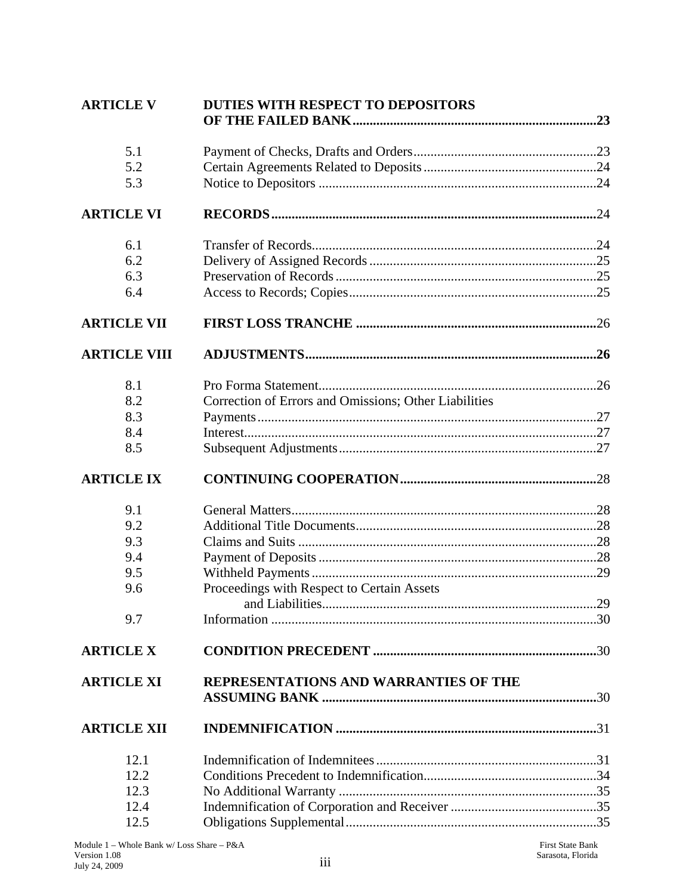| <b>ARTICLE V</b>    | DUTIES WITH RESPECT TO DEPOSITORS                     |  |
|---------------------|-------------------------------------------------------|--|
|                     |                                                       |  |
| 5.1                 |                                                       |  |
| 5.2                 |                                                       |  |
| 5.3                 |                                                       |  |
|                     |                                                       |  |
| <b>ARTICLE VI</b>   |                                                       |  |
| 6.1                 |                                                       |  |
| 6.2                 |                                                       |  |
| 6.3                 |                                                       |  |
| 6.4                 |                                                       |  |
| <b>ARTICLE VII</b>  |                                                       |  |
| <b>ARTICLE VIII</b> |                                                       |  |
| 8.1                 |                                                       |  |
| 8.2                 | Correction of Errors and Omissions; Other Liabilities |  |
| 8.3                 |                                                       |  |
| 8.4                 |                                                       |  |
| 8.5                 |                                                       |  |
| <b>ARTICLE IX</b>   |                                                       |  |
| 9.1                 |                                                       |  |
| 9.2                 |                                                       |  |
| 9.3                 |                                                       |  |
| 9.4                 |                                                       |  |
| 9.5                 |                                                       |  |
| 9.6                 | Proceedings with Respect to Certain Assets            |  |
|                     |                                                       |  |
| 9.7                 |                                                       |  |
| <b>ARTICLE X</b>    |                                                       |  |
| <b>ARTICLE XI</b>   | <b>REPRESENTATIONS AND WARRANTIES OF THE</b>          |  |
| <b>ARTICLE XII</b>  |                                                       |  |
| 12.1                |                                                       |  |
| 12.2                |                                                       |  |
| 12.3                |                                                       |  |
| 12.4                |                                                       |  |
| 12.5                |                                                       |  |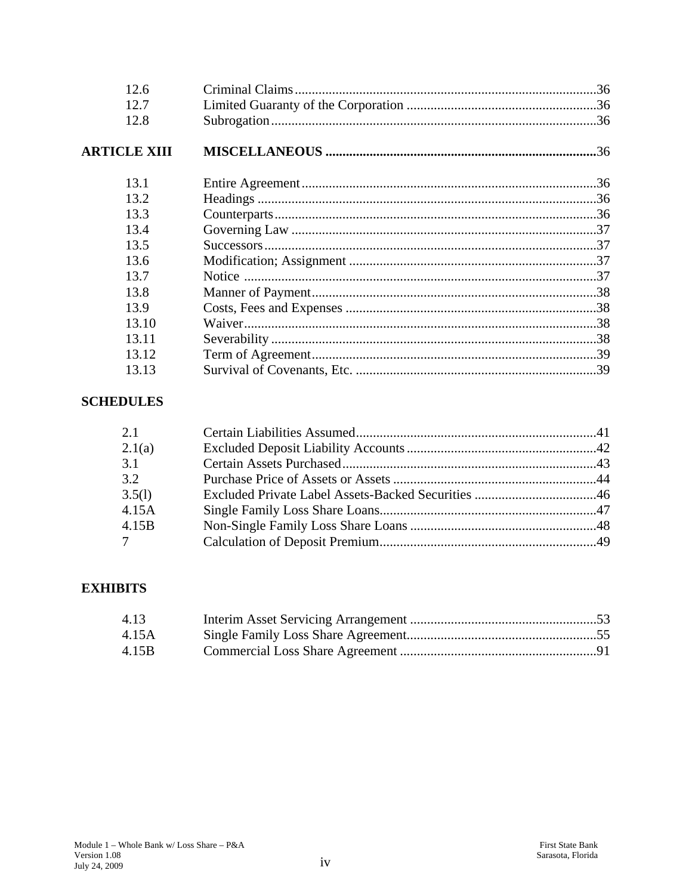| 12.6                |  |
|---------------------|--|
| 12.7                |  |
| 12.8                |  |
| <b>ARTICLE XIII</b> |  |
| 13.1                |  |
| 13.2                |  |
| 13.3                |  |
| 13.4                |  |
| 13.5                |  |
| 13.6                |  |
| 13.7                |  |
| 13.8                |  |
| 13.9                |  |
| 13.10               |  |
| 13.11               |  |
| 13.12               |  |
| 13.13               |  |
|                     |  |

# **SCHEDULES**

| 2.1    |  |
|--------|--|
| 2.1(a) |  |
| 3.1    |  |
| 3.2    |  |
| 3.5(l) |  |
| 4.15A  |  |
| 4.15B  |  |
| 7      |  |
|        |  |

# **EXHIBITS**

| 4.13  |  |
|-------|--|
| 4.15A |  |
| 4.15B |  |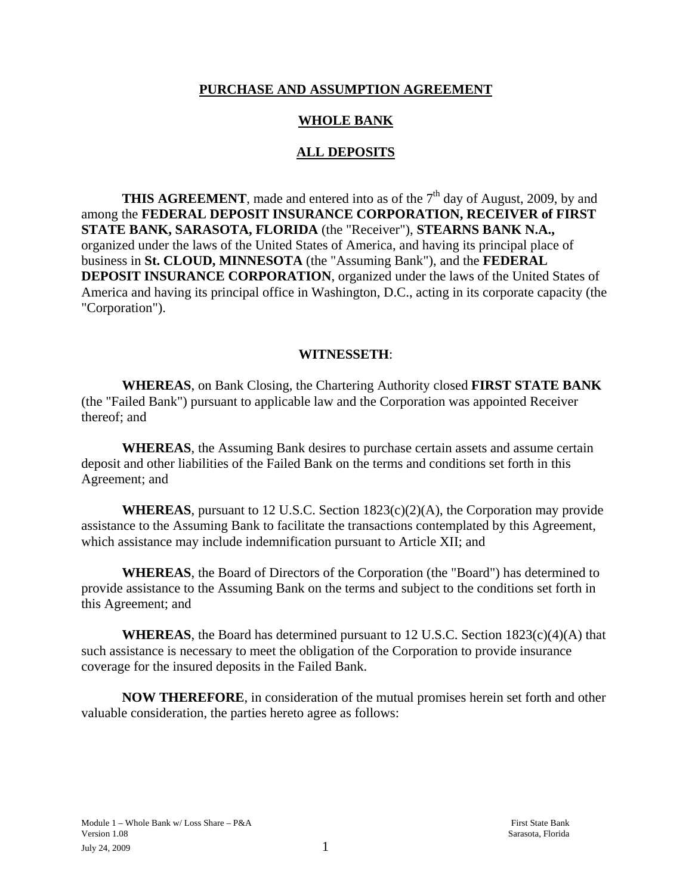#### **PURCHASE AND ASSUMPTION AGREEMENT**

# **WHOLE BANK**

# **ALL DEPOSITS**

**THIS AGREEMENT**, made and entered into as of the  $7<sup>th</sup>$  day of August, 2009, by and among the **FEDERAL DEPOSIT INSURANCE CORPORATION, RECEIVER of FIRST STATE BANK, SARASOTA, FLORIDA** (the "Receiver"), **STEARNS BANK N.A.,**  organized under the laws of the United States of America, and having its principal place of business in **St. CLOUD, MINNESOTA** (the "Assuming Bank"), and the **FEDERAL DEPOSIT INSURANCE CORPORATION**, organized under the laws of the United States of America and having its principal office in Washington, D.C., acting in its corporate capacity (the "Corporation").

### **WITNESSETH**:

**WHEREAS**, on Bank Closing, the Chartering Authority closed **FIRST STATE BANK**  (the "Failed Bank") pursuant to applicable law and the Corporation was appointed Receiver thereof; and

 **WHEREAS**, the Assuming Bank desires to purchase certain assets and assume certain deposit and other liabilities of the Failed Bank on the terms and conditions set forth in this Agreement; and

**WHEREAS**, pursuant to 12 U.S.C. Section 1823(c)(2)(A), the Corporation may provide assistance to the Assuming Bank to facilitate the transactions contemplated by this Agreement, which assistance may include indemnification pursuant to Article XII; and

**WHEREAS**, the Board of Directors of the Corporation (the "Board") has determined to provide assistance to the Assuming Bank on the terms and subject to the conditions set forth in this Agreement; and

**WHEREAS**, the Board has determined pursuant to 12 U.S.C. Section  $1823(c)(4)(A)$  that such assistance is necessary to meet the obligation of the Corporation to provide insurance coverage for the insured deposits in the Failed Bank.

 **NOW THEREFORE**, in consideration of the mutual promises herein set forth and other valuable consideration, the parties hereto agree as follows: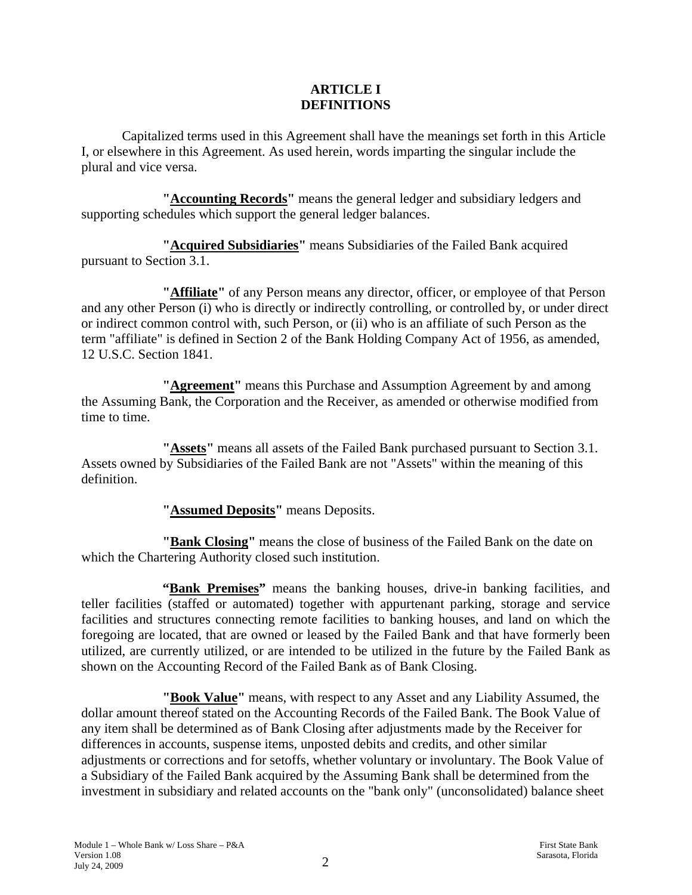## <span id="page-5-0"></span>  **DEFINITIONSARTICLE I**

Capitalized terms used in this Agreement shall have the meanings set forth in this Article I, or elsewhere in this Agreement. As used herein, words imparting the singular include the plural and vice versa.

**"Accounting Records"** means the general ledger and subsidiary ledgers and supporting schedules which support the general ledger balances.

**"Acquired Subsidiaries"** means Subsidiaries of the Failed Bank acquired pursuant to Section 3.1.

**"Affiliate"** of any Person means any director, officer, or employee of that Person and any other Person (i) who is directly or indirectly controlling, or controlled by, or under direct or indirect common control with, such Person, or (ii) who is an affiliate of such Person as the term "affiliate" is defined in Section 2 of the Bank Holding Company Act of 1956, as amended, 12 U.S.C. Section 1841.

**"Agreement"** means this Purchase and Assumption Agreement by and among the Assuming Bank, the Corporation and the Receiver, as amended or otherwise modified from time to time.

**"Assets"** means all assets of the Failed Bank purchased pursuant to Section 3.1. Assets owned by Subsidiaries of the Failed Bank are not "Assets" within the meaning of this definition.

**"Assumed Deposits"** means Deposits.

**"Bank Closing"** means the close of business of the Failed Bank on the date on which the Chartering Authority closed such institution.

**"Bank Premises"** means the banking houses, drive-in banking facilities, and teller facilities (staffed or automated) together with appurtenant parking, storage and service facilities and structures connecting remote facilities to banking houses, and land on which the foregoing are located, that are owned or leased by the Failed Bank and that have formerly been utilized, are currently utilized, or are intended to be utilized in the future by the Failed Bank as shown on the Accounting Record of the Failed Bank as of Bank Closing.

**"Book Value"** means, with respect to any Asset and any Liability Assumed, the dollar amount thereof stated on the Accounting Records of the Failed Bank. The Book Value of any item shall be determined as of Bank Closing after adjustments made by the Receiver for differences in accounts, suspense items, unposted debits and credits, and other similar adjustments or corrections and for setoffs, whether voluntary or involuntary. The Book Value of a Subsidiary of the Failed Bank acquired by the Assuming Bank shall be determined from the investment in subsidiary and related accounts on the "bank only" (unconsolidated) balance sheet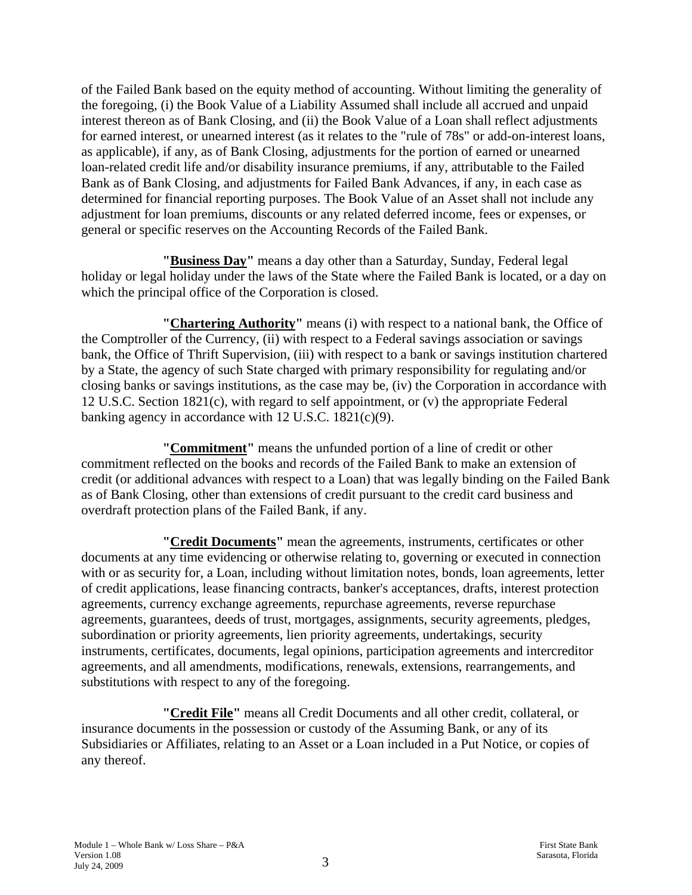<span id="page-6-0"></span>of the Failed Bank based on the equity method of accounting. Without limiting the generality of the foregoing, (i) the Book Value of a Liability Assumed shall include all accrued and unpaid interest thereon as of Bank Closing, and (ii) the Book Value of a Loan shall reflect adjustments for earned interest, or unearned interest (as it relates to the "rule of 78s" or add-on-interest loans, as applicable), if any, as of Bank Closing, adjustments for the portion of earned or unearned loan-related credit life and/or disability insurance premiums, if any, attributable to the Failed Bank as of Bank Closing, and adjustments for Failed Bank Advances, if any, in each case as determined for financial reporting purposes. The Book Value of an Asset shall not include any adjustment for loan premiums, discounts or any related deferred income, fees or expenses, or general or specific reserves on the Accounting Records of the Failed Bank.

**"Business Day"** means a day other than a Saturday, Sunday, Federal legal holiday or legal holiday under the laws of the State where the Failed Bank is located, or a day on which the principal office of the Corporation is closed.

**"Chartering Authority"** means (i) with respect to a national bank, the Office of the Comptroller of the Currency, (ii) with respect to a Federal savings association or savings bank, the Office of Thrift Supervision, (iii) with respect to a bank or savings institution chartered by a State, the agency of such State charged with primary responsibility for regulating and/or closing banks or savings institutions, as the case may be, (iv) the Corporation in accordance with 12 U.S.C. Section 1821(c), with regard to self appointment, or (v) the appropriate Federal banking agency in accordance with 12 U.S.C. 1821(c)(9).

**"Commitment"** means the unfunded portion of a line of credit or other commitment reflected on the books and records of the Failed Bank to make an extension of credit (or additional advances with respect to a Loan) that was legally binding on the Failed Bank as of Bank Closing, other than extensions of credit pursuant to the credit card business and overdraft protection plans of the Failed Bank, if any.

**"Credit Documents"** mean the agreements, instruments, certificates or other documents at any time evidencing or otherwise relating to, governing or executed in connection with or as security for, a Loan, including without limitation notes, bonds, loan agreements, letter of credit applications, lease financing contracts, banker's acceptances, drafts, interest protection agreements, currency exchange agreements, repurchase agreements, reverse repurchase agreements, guarantees, deeds of trust, mortgages, assignments, security agreements, pledges, subordination or priority agreements, lien priority agreements, undertakings, security instruments, certificates, documents, legal opinions, participation agreements and intercreditor agreements, and all amendments, modifications, renewals, extensions, rearrangements, and substitutions with respect to any of the foregoing.

**"Credit File"** means all Credit Documents and all other credit, collateral, or insurance documents in the possession or custody of the Assuming Bank, or any of its Subsidiaries or Affiliates, relating to an Asset or a Loan included in a Put Notice, or copies of any thereof.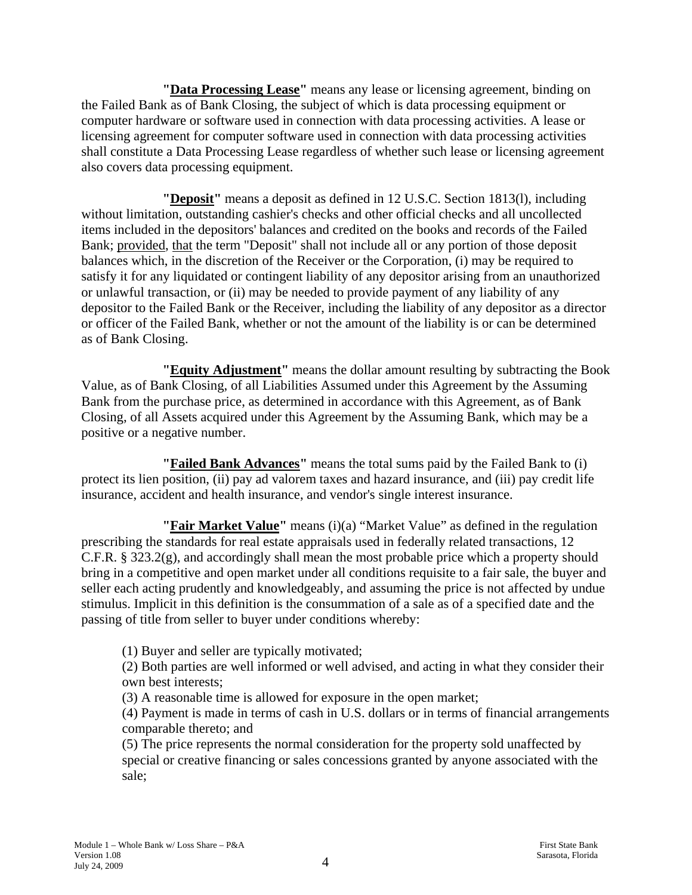<span id="page-7-0"></span> **"Data Processing Lease"** means any lease or licensing agreement, binding on the Failed Bank as of Bank Closing, the subject of which is data processing equipment or computer hardware or software used in connection with data processing activities. A lease or licensing agreement for computer software used in connection with data processing activities shall constitute a Data Processing Lease regardless of whether such lease or licensing agreement also covers data processing equipment.

**"Deposit"** means a deposit as defined in 12 U.S.C. Section 1813(l), including without limitation, outstanding cashier's checks and other official checks and all uncollected items included in the depositors' balances and credited on the books and records of the Failed Bank; provided, that the term "Deposit" shall not include all or any portion of those deposit balances which, in the discretion of the Receiver or the Corporation, (i) may be required to satisfy it for any liquidated or contingent liability of any depositor arising from an unauthorized or unlawful transaction, or (ii) may be needed to provide payment of any liability of any depositor to the Failed Bank or the Receiver, including the liability of any depositor as a director or officer of the Failed Bank, whether or not the amount of the liability is or can be determined as of Bank Closing.

**"Equity Adjustment"** means the dollar amount resulting by subtracting the Book Value, as of Bank Closing, of all Liabilities Assumed under this Agreement by the Assuming Bank from the purchase price, as determined in accordance with this Agreement, as of Bank Closing, of all Assets acquired under this Agreement by the Assuming Bank, which may be a positive or a negative number.

**"Failed Bank Advances"** means the total sums paid by the Failed Bank to (i) protect its lien position, (ii) pay ad valorem taxes and hazard insurance, and (iii) pay credit life insurance, accident and health insurance, and vendor's single interest insurance.

**"Fair Market Value"** means (i)(a) "Market Value" as defined in the regulation prescribing the standards for real estate appraisals used in federally related transactions, 12 C.F.R. § 323.2(g), and accordingly shall mean the most probable price which a property should bring in a competitive and open market under all conditions requisite to a fair sale, the buyer and seller each acting prudently and knowledgeably, and assuming the price is not affected by undue stimulus. Implicit in this definition is the consummation of a sale as of a specified date and the passing of title from seller to buyer under conditions whereby:

(1) Buyer and seller are typically motivated;

(2) Both parties are well informed or well advised, and acting in what they consider their own best interests;

(3) A reasonable time is allowed for exposure in the open market;

(4) Payment is made in terms of cash in U.S. dollars or in terms of financial arrangements comparable thereto; and

(5) The price represents the normal consideration for the property sold unaffected by special or creative financing or sales concessions granted by anyone associated with the sale;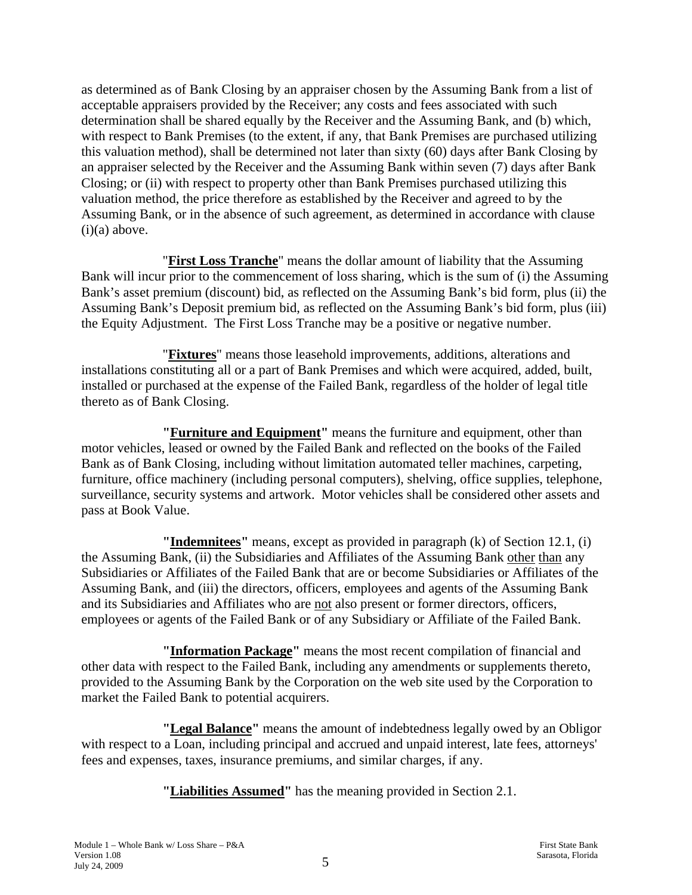as determined as of Bank Closing by an appraiser chosen by the Assuming Bank from a list of acceptable appraisers provided by the Receiver; any costs and fees associated with such determination shall be shared equally by the Receiver and the Assuming Bank, and (b) which, with respect to Bank Premises (to the extent, if any, that Bank Premises are purchased utilizing this valuation method), shall be determined not later than sixty (60) days after Bank Closing by an appraiser selected by the Receiver and the Assuming Bank within seven (7) days after Bank Closing; or (ii) with respect to property other than Bank Premises purchased utilizing this valuation method, the price therefore as established by the Receiver and agreed to by the Assuming Bank, or in the absence of such agreement, as determined in accordance with clause  $(i)(a)$  above.

"**First Loss Tranche**" means the dollar amount of liability that the Assuming Bank will incur prior to the commencement of loss sharing, which is the sum of (i) the Assuming Bank's asset premium (discount) bid, as reflected on the Assuming Bank's bid form, plus (ii) the Assuming Bank's Deposit premium bid, as reflected on the Assuming Bank's bid form, plus (iii) the Equity Adjustment. The First Loss Tranche may be a positive or negative number.

"**Fixtures**" means those leasehold improvements, additions, alterations and installations constituting all or a part of Bank Premises and which were acquired, added, built, installed or purchased at the expense of the Failed Bank, regardless of the holder of legal title thereto as of Bank Closing.

**"Furniture and Equipment"** means the furniture and equipment, other than motor vehicles, leased or owned by the Failed Bank and reflected on the books of the Failed Bank as of Bank Closing, including without limitation automated teller machines, carpeting, furniture, office machinery (including personal computers), shelving, office supplies, telephone, surveillance, security systems and artwork. Motor vehicles shall be considered other assets and pass at Book Value.

**"Indemnitees"** means, except as provided in paragraph (k) of Section 12.1, (i) the Assuming Bank, (ii) the Subsidiaries and Affiliates of the Assuming Bank other than any Subsidiaries or Affiliates of the Failed Bank that are or become Subsidiaries or Affiliates of the Assuming Bank, and (iii) the directors, officers, employees and agents of the Assuming Bank and its Subsidiaries and Affiliates who are not also present or former directors, officers, employees or agents of the Failed Bank or of any Subsidiary or Affiliate of the Failed Bank.

**"Information Package"** means the most recent compilation of financial and other data with respect to the Failed Bank, including any amendments or supplements thereto, provided to the Assuming Bank by the Corporation on the web site used by the Corporation to market the Failed Bank to potential acquirers.

**"Legal Balance"** means the amount of indebtedness legally owed by an Obligor with respect to a Loan, including principal and accrued and unpaid interest, late fees, attorneys' fees and expenses, taxes, insurance premiums, and similar charges, if any.

 **"Liabilities Assumed"** has the meaning provided in Section 2.1.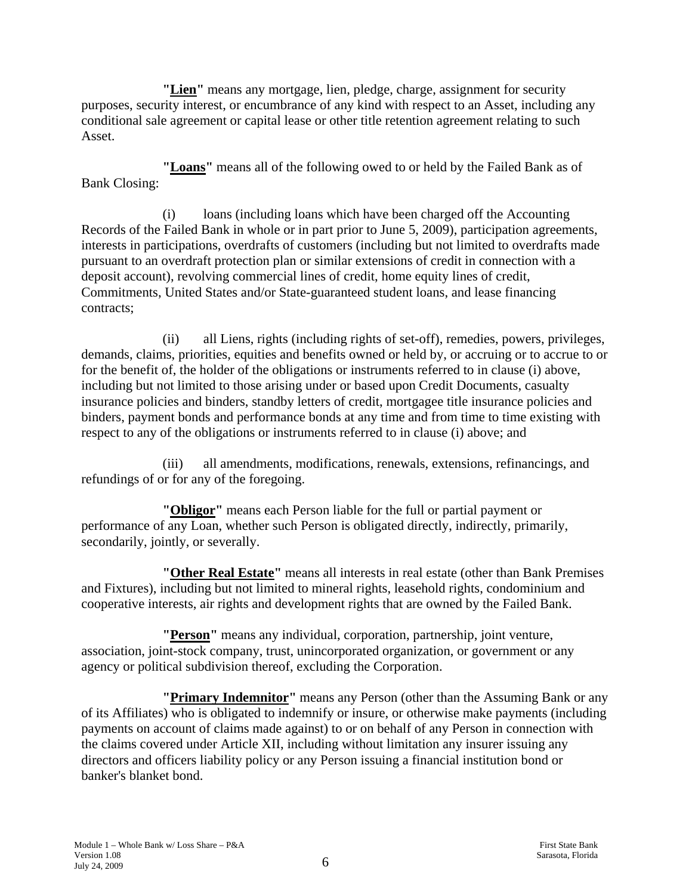**"Lien"** means any mortgage, lien, pledge, charge, assignment for security purposes, security interest, or encumbrance of any kind with respect to an Asset, including any conditional sale agreement or capital lease or other title retention agreement relating to such Asset.

**"Loans"** means all of the following owed to or held by the Failed Bank as of Bank Closing:

(i) loans (including loans which have been charged off the Accounting Records of the Failed Bank in whole or in part prior to June 5, 2009), participation agreements, interests in participations, overdrafts of customers (including but not limited to overdrafts made pursuant to an overdraft protection plan or similar extensions of credit in connection with a deposit account), revolving commercial lines of credit, home equity lines of credit, Commitments, United States and/or State-guaranteed student loans, and lease financing contracts;

(ii) all Liens, rights (including rights of set-off), remedies, powers, privileges, demands, claims, priorities, equities and benefits owned or held by, or accruing or to accrue to or for the benefit of, the holder of the obligations or instruments referred to in clause (i) above, including but not limited to those arising under or based upon Credit Documents, casualty insurance policies and binders, standby letters of credit, mortgagee title insurance policies and binders, payment bonds and performance bonds at any time and from time to time existing with respect to any of the obligations or instruments referred to in clause (i) above; and

(iii) all amendments, modifications, renewals, extensions, refinancings, and refundings of or for any of the foregoing.

**"Obligor"** means each Person liable for the full or partial payment or performance of any Loan, whether such Person is obligated directly, indirectly, primarily, secondarily, jointly, or severally.

**"Other Real Estate"** means all interests in real estate (other than Bank Premises and Fixtures), including but not limited to mineral rights, leasehold rights, condominium and cooperative interests, air rights and development rights that are owned by the Failed Bank.

**"Person"** means any individual, corporation, partnership, joint venture, association, joint-stock company, trust, unincorporated organization, or government or any agency or political subdivision thereof, excluding the Corporation.

**"Primary Indemnitor"** means any Person (other than the Assuming Bank or any of its Affiliates) who is obligated to indemnify or insure, or otherwise make payments (including payments on account of claims made against) to or on behalf of any Person in connection with the claims covered under Article XII, including without limitation any insurer issuing any directors and officers liability policy or any Person issuing a financial institution bond or banker's blanket bond.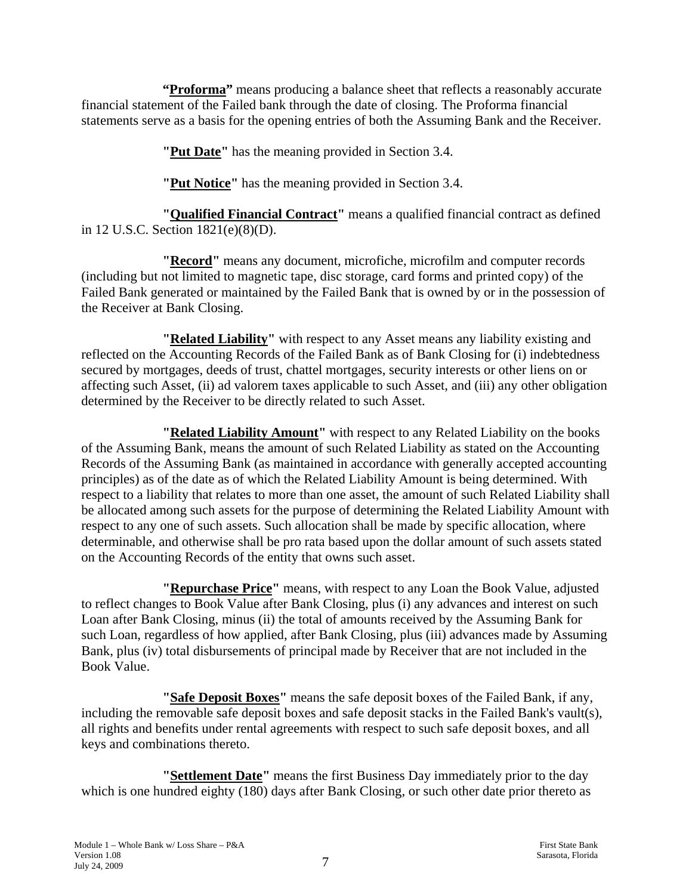**"Proforma"** means producing a balance sheet that reflects a reasonably accurate financial statement of the Failed bank through the date of closing. The Proforma financial statements serve as a basis for the opening entries of both the Assuming Bank and the Receiver.

**"Put Date"** has the meaning provided in Section 3.4.

**"Put Notice"** has the meaning provided in Section 3.4.

**"Qualified Financial Contract"** means a qualified financial contract as defined in 12 U.S.C. Section 1821(e)(8)(D).

**"Record"** means any document, microfiche, microfilm and computer records (including but not limited to magnetic tape, disc storage, card forms and printed copy) of the Failed Bank generated or maintained by the Failed Bank that is owned by or in the possession of the Receiver at Bank Closing.

**"Related Liability"** with respect to any Asset means any liability existing and reflected on the Accounting Records of the Failed Bank as of Bank Closing for (i) indebtedness secured by mortgages, deeds of trust, chattel mortgages, security interests or other liens on or affecting such Asset, (ii) ad valorem taxes applicable to such Asset, and (iii) any other obligation determined by the Receiver to be directly related to such Asset.

**"Related Liability Amount"** with respect to any Related Liability on the books of the Assuming Bank, means the amount of such Related Liability as stated on the Accounting Records of the Assuming Bank (as maintained in accordance with generally accepted accounting principles) as of the date as of which the Related Liability Amount is being determined. With respect to a liability that relates to more than one asset, the amount of such Related Liability shall be allocated among such assets for the purpose of determining the Related Liability Amount with respect to any one of such assets. Such allocation shall be made by specific allocation, where determinable, and otherwise shall be pro rata based upon the dollar amount of such assets stated on the Accounting Records of the entity that owns such asset.

 **"Repurchase Price"** means, with respect to any Loan the Book Value, adjusted to reflect changes to Book Value after Bank Closing, plus (i) any advances and interest on such Loan after Bank Closing, minus (ii) the total of amounts received by the Assuming Bank for such Loan, regardless of how applied, after Bank Closing, plus (iii) advances made by Assuming Bank, plus (iv) total disbursements of principal made by Receiver that are not included in the Book Value.

**"Safe Deposit Boxes"** means the safe deposit boxes of the Failed Bank, if any, including the removable safe deposit boxes and safe deposit stacks in the Failed Bank's vault(s), all rights and benefits under rental agreements with respect to such safe deposit boxes, and all keys and combinations thereto.

**"Settlement Date"** means the first Business Day immediately prior to the day which is one hundred eighty (180) days after Bank Closing, or such other date prior thereto as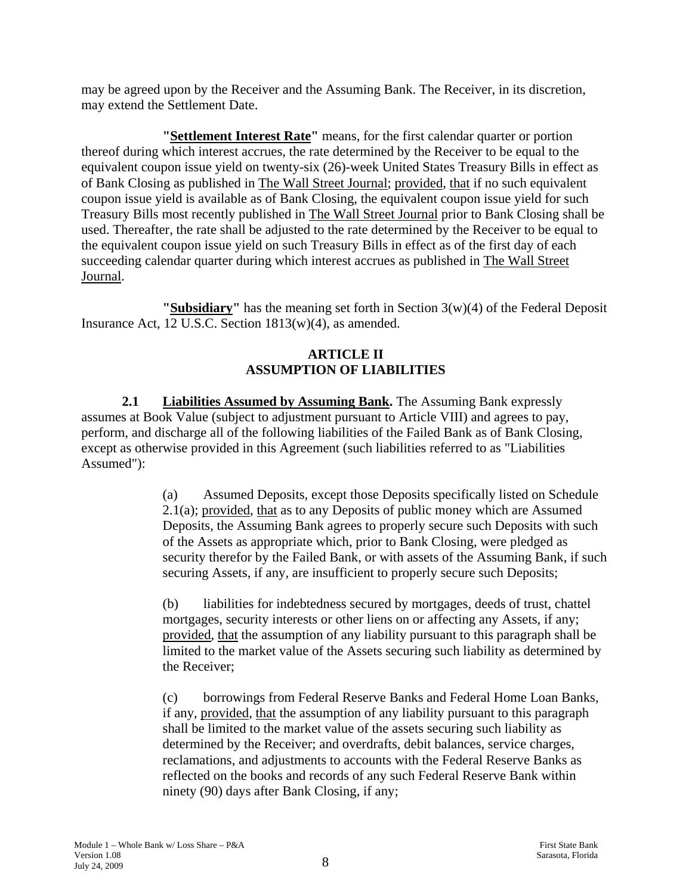may be agreed upon by the Receiver and the Assuming Bank. The Receiver, in its discretion, may extend the Settlement Date.

**"Settlement Interest Rate"** means, for the first calendar quarter or portion thereof during which interest accrues, the rate determined by the Receiver to be equal to the equivalent coupon issue yield on twenty-six (26)-week United States Treasury Bills in effect as of Bank Closing as published in The Wall Street Journal; provided, that if no such equivalent coupon issue yield is available as of Bank Closing, the equivalent coupon issue yield for such Treasury Bills most recently published in The Wall Street Journal prior to Bank Closing shall be used. Thereafter, the rate shall be adjusted to the rate determined by the Receiver to be equal to the equivalent coupon issue yield on such Treasury Bills in effect as of the first day of each succeeding calendar quarter during which interest accrues as published in The Wall Street Journal.

**"Subsidiary"** has the meaning set forth in Section 3(w)(4) of the Federal Deposit Insurance Act, 12 U.S.C. Section 1813(w)(4), as amended.

# **ARTICLE II ASSUMPTION OF LIABILITIES**

 **2.1 Liabilities Assumed by Assuming Bank.** The Assuming Bank expressly assumes at Book Value (subject to adjustment pursuant to Article VIII) and agrees to pay, perform, and discharge all of the following liabilities of the Failed Bank as of Bank Closing, except as otherwise provided in this Agreement (such liabilities referred to as "Liabilities Assumed"):

> (a) Assumed Deposits, except those Deposits specifically listed on Schedule 2.1(a); provided, that as to any Deposits of public money which are Assumed Deposits, the Assuming Bank agrees to properly secure such Deposits with such of the Assets as appropriate which, prior to Bank Closing, were pledged as security therefor by the Failed Bank, or with assets of the Assuming Bank, if such securing Assets, if any, are insufficient to properly secure such Deposits;

(b) liabilities for indebtedness secured by mortgages, deeds of trust, chattel mortgages, security interests or other liens on or affecting any Assets, if any; provided, that the assumption of any liability pursuant to this paragraph shall be limited to the market value of the Assets securing such liability as determined by the Receiver;

(c) borrowings from Federal Reserve Banks and Federal Home Loan Banks, if any, provided, that the assumption of any liability pursuant to this paragraph shall be limited to the market value of the assets securing such liability as determined by the Receiver; and overdrafts, debit balances, service charges, reclamations, and adjustments to accounts with the Federal Reserve Banks as reflected on the books and records of any such Federal Reserve Bank within ninety (90) days after Bank Closing, if any;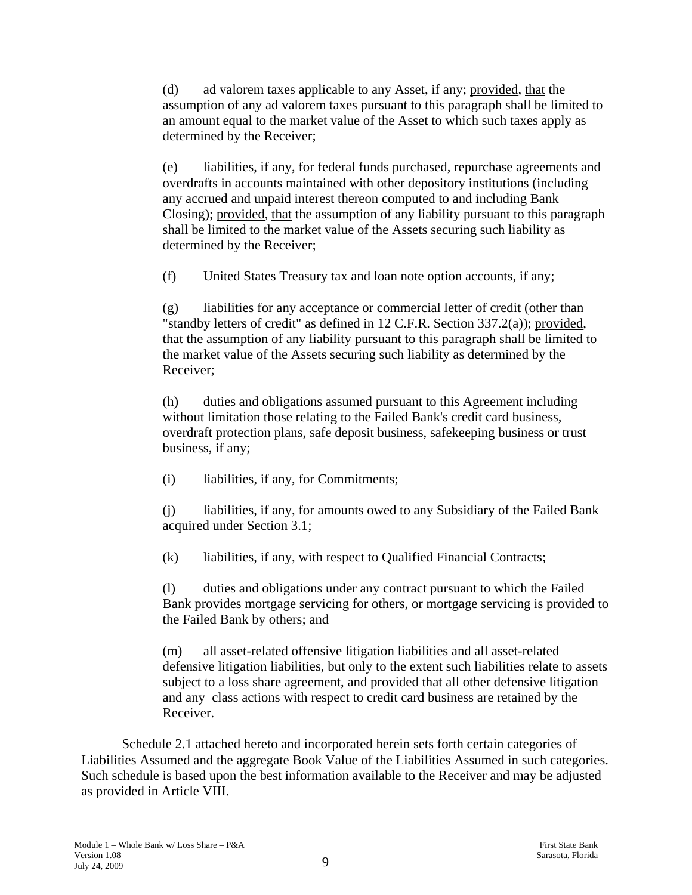(d) ad valorem taxes applicable to any Asset, if any; provided, that the assumption of any ad valorem taxes pursuant to this paragraph shall be limited to an amount equal to the market value of the Asset to which such taxes apply as determined by the Receiver;

(e) liabilities, if any, for federal funds purchased, repurchase agreements and overdrafts in accounts maintained with other depository institutions (including any accrued and unpaid interest thereon computed to and including Bank Closing); provided, that the assumption of any liability pursuant to this paragraph shall be limited to the market value of the Assets securing such liability as determined by the Receiver;

(f) United States Treasury tax and loan note option accounts, if any;

(g) liabilities for any acceptance or commercial letter of credit (other than "standby letters of credit" as defined in 12 C.F.R. Section 337.2(a)); provided, that the assumption of any liability pursuant to this paragraph shall be limited to the market value of the Assets securing such liability as determined by the Receiver;

(h) duties and obligations assumed pursuant to this Agreement including without limitation those relating to the Failed Bank's credit card business, overdraft protection plans, safe deposit business, safekeeping business or trust business, if any;

(i) liabilities, if any, for Commitments;

(j) liabilities, if any, for amounts owed to any Subsidiary of the Failed Bank acquired under Section 3.1;

(k) liabilities, if any, with respect to Qualified Financial Contracts;

(l) duties and obligations under any contract pursuant to which the Failed Bank provides mortgage servicing for others, or mortgage servicing is provided to the Failed Bank by others; and

(m) all asset-related offensive litigation liabilities and all asset-related defensive litigation liabilities, but only to the extent such liabilities relate to assets subject to a loss share agreement, and provided that all other defensive litigation and any class actions with respect to credit card business are retained by the Receiver.

Schedule 2.1 attached hereto and incorporated herein sets forth certain categories of Liabilities Assumed and the aggregate Book Value of the Liabilities Assumed in such categories. Such schedule is based upon the best information available to the Receiver and may be adjusted as provided in Article VIII.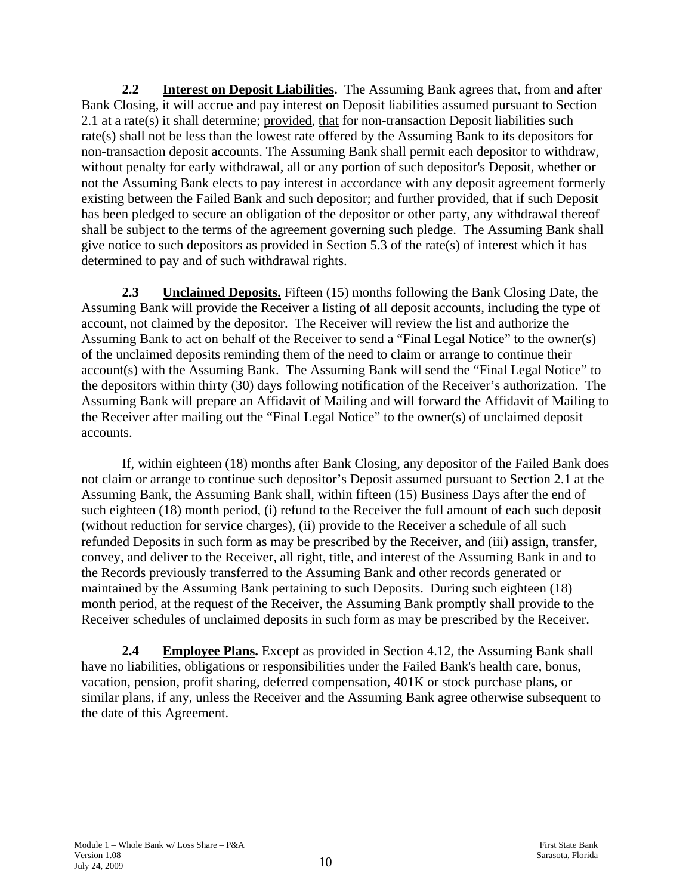**2.2** Interest on Deposit Liabilities. The Assuming Bank agrees that, from and after Bank Closing, it will accrue and pay interest on Deposit liabilities assumed pursuant to Section 2.1 at a rate(s) it shall determine; provided, that for non-transaction Deposit liabilities such rate(s) shall not be less than the lowest rate offered by the Assuming Bank to its depositors for non-transaction deposit accounts. The Assuming Bank shall permit each depositor to withdraw, without penalty for early withdrawal, all or any portion of such depositor's Deposit, whether or not the Assuming Bank elects to pay interest in accordance with any deposit agreement formerly existing between the Failed Bank and such depositor; and further provided, that if such Deposit has been pledged to secure an obligation of the depositor or other party, any withdrawal thereof shall be subject to the terms of the agreement governing such pledge. The Assuming Bank shall give notice to such depositors as provided in Section 5.3 of the rate(s) of interest which it has determined to pay and of such withdrawal rights.

**2.3 Unclaimed Deposits.** Fifteen (15) months following the Bank Closing Date, the Assuming Bank will provide the Receiver a listing of all deposit accounts, including the type of account, not claimed by the depositor. The Receiver will review the list and authorize the Assuming Bank to act on behalf of the Receiver to send a "Final Legal Notice" to the owner(s) of the unclaimed deposits reminding them of the need to claim or arrange to continue their account(s) with the Assuming Bank. The Assuming Bank will send the "Final Legal Notice" to the depositors within thirty (30) days following notification of the Receiver's authorization. The Assuming Bank will prepare an Affidavit of Mailing and will forward the Affidavit of Mailing to the Receiver after mailing out the "Final Legal Notice" to the owner(s) of unclaimed deposit accounts.

If, within eighteen (18) months after Bank Closing, any depositor of the Failed Bank does not claim or arrange to continue such depositor's Deposit assumed pursuant to Section 2.1 at the Assuming Bank, the Assuming Bank shall, within fifteen (15) Business Days after the end of such eighteen (18) month period, (i) refund to the Receiver the full amount of each such deposit (without reduction for service charges), (ii) provide to the Receiver a schedule of all such refunded Deposits in such form as may be prescribed by the Receiver, and (iii) assign, transfer, convey, and deliver to the Receiver, all right, title, and interest of the Assuming Bank in and to the Records previously transferred to the Assuming Bank and other records generated or maintained by the Assuming Bank pertaining to such Deposits. During such eighteen (18) month period, at the request of the Receiver, the Assuming Bank promptly shall provide to the Receiver schedules of unclaimed deposits in such form as may be prescribed by the Receiver.

**2.4 Employee Plans.** Except as provided in Section 4.12, the Assuming Bank shall have no liabilities, obligations or responsibilities under the Failed Bank's health care, bonus, vacation, pension, profit sharing, deferred compensation, 401K or stock purchase plans, or similar plans, if any, unless the Receiver and the Assuming Bank agree otherwise subsequent to the date of this Agreement.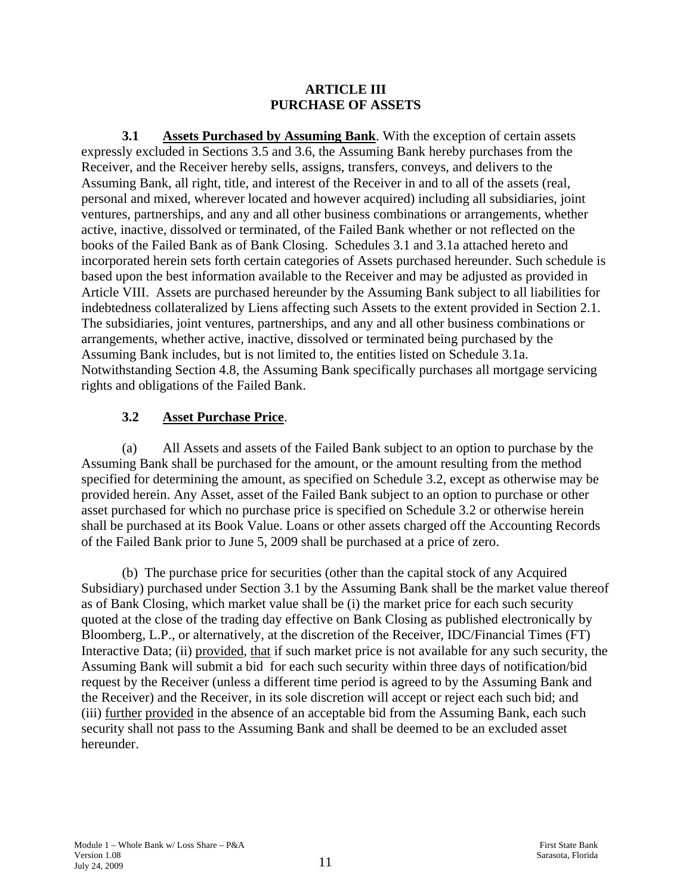#### **ARTICLE III PURCHASE OF ASSETS**

Assuming Bank includes, but is not limited to, the entities listed on Schedule 3.1a. **3.1** Assets Purchased by Assuming Bank. With the exception of certain assets expressly excluded in Sections 3.5 and 3.6, the Assuming Bank hereby purchases from the Receiver, and the Receiver hereby sells, assigns, transfers, conveys, and delivers to the Assuming Bank, all right, title, and interest of the Receiver in and to all of the assets (real, personal and mixed, wherever located and however acquired) including all subsidiaries, joint ventures, partnerships, and any and all other business combinations or arrangements, whether active, inactive, dissolved or terminated, of the Failed Bank whether or not reflected on the books of the Failed Bank as of Bank Closing. Schedules 3.1 and 3.1a attached hereto and incorporated herein sets forth certain categories of Assets purchased hereunder. Such schedule is based upon the best information available to the Receiver and may be adjusted as provided in Article VIII. Assets are purchased hereunder by the Assuming Bank subject to all liabilities for indebtedness collateralized by Liens affecting such Assets to the extent provided in Section 2.1. The subsidiaries, joint ventures, partnerships, and any and all other business combinations or arrangements, whether active, inactive, dissolved or terminated being purchased by the Notwithstanding Section 4.8, the Assuming Bank specifically purchases all mortgage servicing rights and obligations of the Failed Bank.

# **3.2 Asset Purchase Price**.

(a) All Assets and assets of the Failed Bank subject to an option to purchase by the Assuming Bank shall be purchased for the amount, or the amount resulting from the method specified for determining the amount, as specified on Schedule 3.2, except as otherwise may be provided herein. Any Asset, asset of the Failed Bank subject to an option to purchase or other asset purchased for which no purchase price is specified on Schedule 3.2 or otherwise herein shall be purchased at its Book Value. Loans or other assets charged off the Accounting Records of the Failed Bank prior to June 5, 2009 shall be purchased at a price of zero.

(b) The purchase price for securities (other than the capital stock of any Acquired Subsidiary) purchased under Section 3.1 by the Assuming Bank shall be the market value thereof as of Bank Closing, which market value shall be (i) the market price for each such security quoted at the close of the trading day effective on Bank Closing as published electronically by Bloomberg, L.P., or alternatively, at the discretion of the Receiver, IDC/Financial Times (FT) Interactive Data; (ii) provided, that if such market price is not available for any such security, the Assuming Bank will submit a bid for each such security within three days of notification/bid request by the Receiver (unless a different time period is agreed to by the Assuming Bank and the Receiver) and the Receiver, in its sole discretion will accept or reject each such bid; and (iii) further provided in the absence of an acceptable bid from the Assuming Bank, each such security shall not pass to the Assuming Bank and shall be deemed to be an excluded asset hereunder.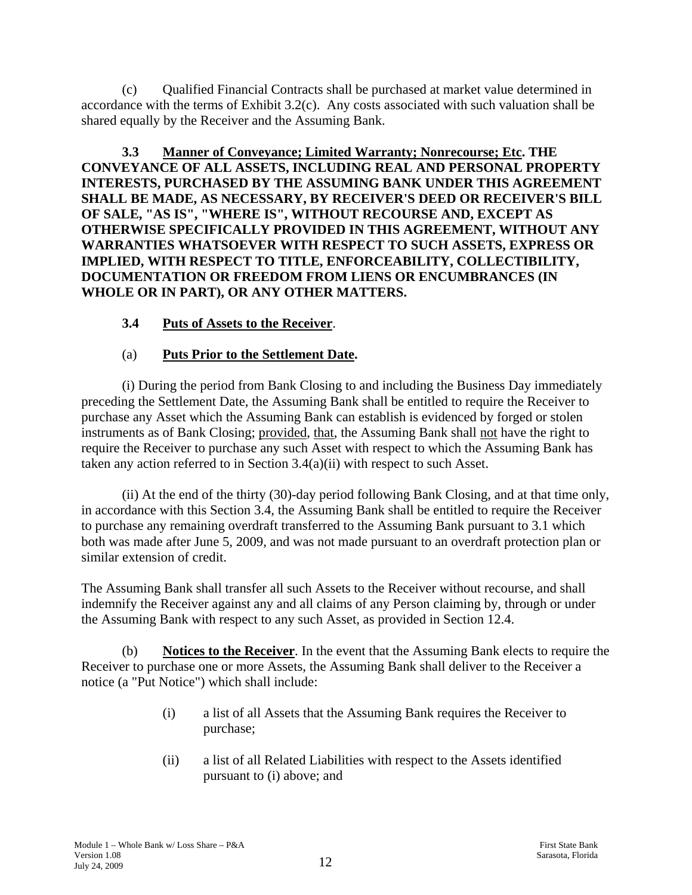(c) Qualified Financial Contracts shall be purchased at market value determined in accordance with the terms of Exhibit 3.2(c). Any costs associated with such valuation shall be shared equally by the Receiver and the Assuming Bank.

**3.3 Manner of Conveyance; Limited Warranty; Nonrecourse; Etc. THE CONVEYANCE OF ALL ASSETS, INCLUDING REAL AND PERSONAL PROPERTY INTERESTS, PURCHASED BY THE ASSUMING BANK UNDER THIS AGREEMENT SHALL BE MADE, AS NECESSARY, BY RECEIVER'S DEED OR RECEIVER'S BILL OF SALE, "AS IS", "WHERE IS", WITHOUT RECOURSE AND, EXCEPT AS OTHERWISE SPECIFICALLY PROVIDED IN THIS AGREEMENT, WITHOUT ANY WARRANTIES WHATSOEVER WITH RESPECT TO SUCH ASSETS, EXPRESS OR IMPLIED, WITH RESPECT TO TITLE, ENFORCEABILITY, COLLECTIBILITY, DOCUMENTATION OR FREEDOM FROM LIENS OR ENCUMBRANCES (IN WHOLE OR IN PART), OR ANY OTHER MATTERS.** 

#### $3.4$ Puts of Assets to the Receiver.

# (a) **Puts Prior to the Settlement Date.**

(i) During the period from Bank Closing to and including the Business Day immediately preceding the Settlement Date, the Assuming Bank shall be entitled to require the Receiver to purchase any Asset which the Assuming Bank can establish is evidenced by forged or stolen instruments as of Bank Closing; provided, that, the Assuming Bank shall not have the right to require the Receiver to purchase any such Asset with respect to which the Assuming Bank has taken any action referred to in Section 3.4(a)(ii) with respect to such Asset.

(ii) At the end of the thirty (30)-day period following Bank Closing, and at that time only, in accordance with this Section 3.4, the Assuming Bank shall be entitled to require the Receiver to purchase any remaining overdraft transferred to the Assuming Bank pursuant to 3.1 which both was made after June 5, 2009, and was not made pursuant to an overdraft protection plan or similar extension of credit.

The Assuming Bank shall transfer all such Assets to the Receiver without recourse, and shall indemnify the Receiver against any and all claims of any Person claiming by, through or under the Assuming Bank with respect to any such Asset, as provided in Section 12.4.

(b) **Notices to the Receiver**. In the event that the Assuming Bank elects to require the Receiver to purchase one or more Assets, the Assuming Bank shall deliver to the Receiver a notice (a "Put Notice") which shall include:

- $(i)$ a list of all Assets that the Assuming Bank requires the Receiver to purchase;
- $(ii)$ a list of all Related Liabilities with respect to the Assets identified pursuant to (i) above; and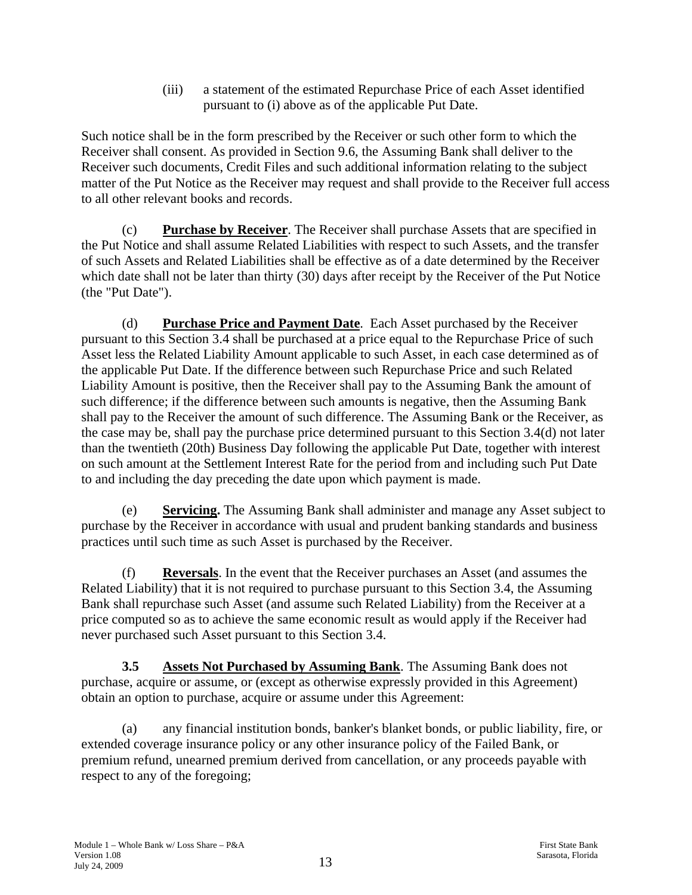(iii) a statement of the estimated Repurchase Price of each Asset identified pursuant to (i) above as of the applicable Put Date.

Such notice shall be in the form prescribed by the Receiver or such other form to which the Receiver shall consent. As provided in Section 9.6, the Assuming Bank shall deliver to the Receiver such documents, Credit Files and such additional information relating to the subject matter of the Put Notice as the Receiver may request and shall provide to the Receiver full access to all other relevant books and records.

(c) **Purchase by Receiver**. The Receiver shall purchase Assets that are specified in the Put Notice and shall assume Related Liabilities with respect to such Assets, and the transfer of such Assets and Related Liabilities shall be effective as of a date determined by the Receiver which date shall not be later than thirty (30) days after receipt by the Receiver of the Put Notice (the "Put Date").

(d) **Purchase Price and Payment Date**. Each Asset purchased by the Receiver pursuant to this Section 3.4 shall be purchased at a price equal to the Repurchase Price of such Asset less the Related Liability Amount applicable to such Asset, in each case determined as of the applicable Put Date. If the difference between such Repurchase Price and such Related Liability Amount is positive, then the Receiver shall pay to the Assuming Bank the amount of such difference; if the difference between such amounts is negative, then the Assuming Bank shall pay to the Receiver the amount of such difference. The Assuming Bank or the Receiver, as the case may be, shall pay the purchase price determined pursuant to this Section 3.4(d) not later than the twentieth (20th) Business Day following the applicable Put Date, together with interest on such amount at the Settlement Interest Rate for the period from and including such Put Date to and including the day preceding the date upon which payment is made.

(e) **Servicing.** The Assuming Bank shall administer and manage any Asset subject to purchase by the Receiver in accordance with usual and prudent banking standards and business practices until such time as such Asset is purchased by the Receiver.

(f) **Reversals**. In the event that the Receiver purchases an Asset (and assumes the Related Liability) that it is not required to purchase pursuant to this Section 3.4, the Assuming Bank shall repurchase such Asset (and assume such Related Liability) from the Receiver at a price computed so as to achieve the same economic result as would apply if the Receiver had never purchased such Asset pursuant to this Section 3.4.

**3.5 Assets Not Purchased by Assuming Bank**. The Assuming Bank does not purchase, acquire or assume, or (except as otherwise expressly provided in this Agreement) obtain an option to purchase, acquire or assume under this Agreement:

(a) any financial institution bonds, banker's blanket bonds, or public liability, fire, or extended coverage insurance policy or any other insurance policy of the Failed Bank, or premium refund, unearned premium derived from cancellation, or any proceeds payable with respect to any of the foregoing;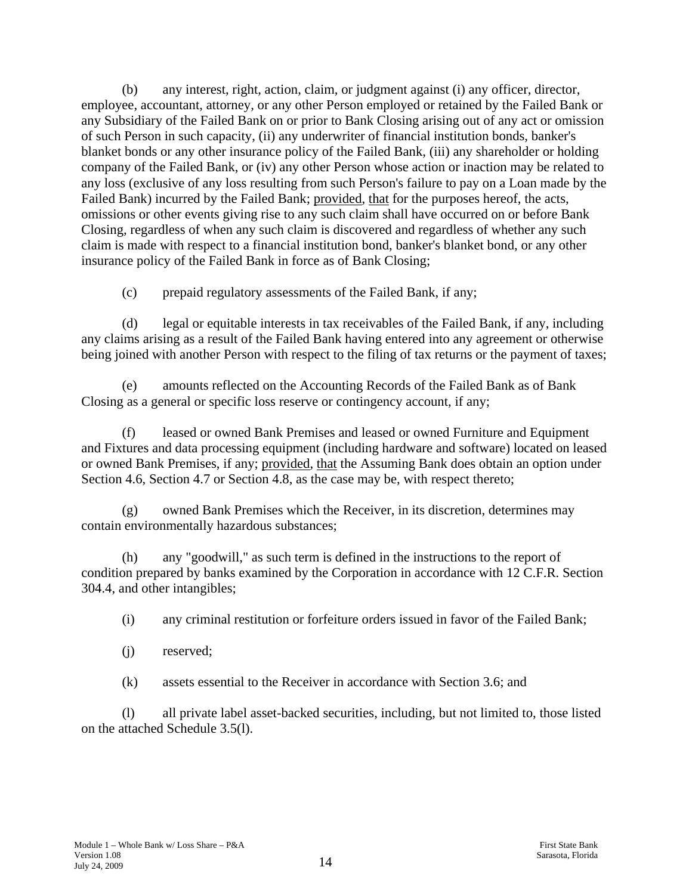(b) any interest, right, action, claim, or judgment against (i) any officer, director, employee, accountant, attorney, or any other Person employed or retained by the Failed Bank or any Subsidiary of the Failed Bank on or prior to Bank Closing arising out of any act or omission of such Person in such capacity, (ii) any underwriter of financial institution bonds, banker's blanket bonds or any other insurance policy of the Failed Bank, (iii) any shareholder or holding company of the Failed Bank, or (iv) any other Person whose action or inaction may be related to any loss (exclusive of any loss resulting from such Person's failure to pay on a Loan made by the Failed Bank) incurred by the Failed Bank; provided, that for the purposes hereof, the acts, omissions or other events giving rise to any such claim shall have occurred on or before Bank Closing, regardless of when any such claim is discovered and regardless of whether any such claim is made with respect to a financial institution bond, banker's blanket bond, or any other insurance policy of the Failed Bank in force as of Bank Closing;

(c) prepaid regulatory assessments of the Failed Bank, if any;

(d) legal or equitable interests in tax receivables of the Failed Bank, if any, including any claims arising as a result of the Failed Bank having entered into any agreement or otherwise being joined with another Person with respect to the filing of tax returns or the payment of taxes;

(e) amounts reflected on the Accounting Records of the Failed Bank as of Bank Closing as a general or specific loss reserve or contingency account, if any;

(f) leased or owned Bank Premises and leased or owned Furniture and Equipment and Fixtures and data processing equipment (including hardware and software) located on leased or owned Bank Premises, if any; provided, that the Assuming Bank does obtain an option under Section 4.6, Section 4.7 or Section 4.8, as the case may be, with respect thereto;

(g) owned Bank Premises which the Receiver, in its discretion, determines may contain environmentally hazardous substances;

(h) any "goodwill," as such term is defined in the instructions to the report of condition prepared by banks examined by the Corporation in accordance with 12 C.F.R. Section 304.4, and other intangibles;

(i) any criminal restitution or forfeiture orders issued in favor of the Failed Bank;

(j) reserved;

(k) assets essential to the Receiver in accordance with Section 3.6; and

(l) all private label asset-backed securities, including, but not limited to, those listed on the attached Schedule 3.5(l).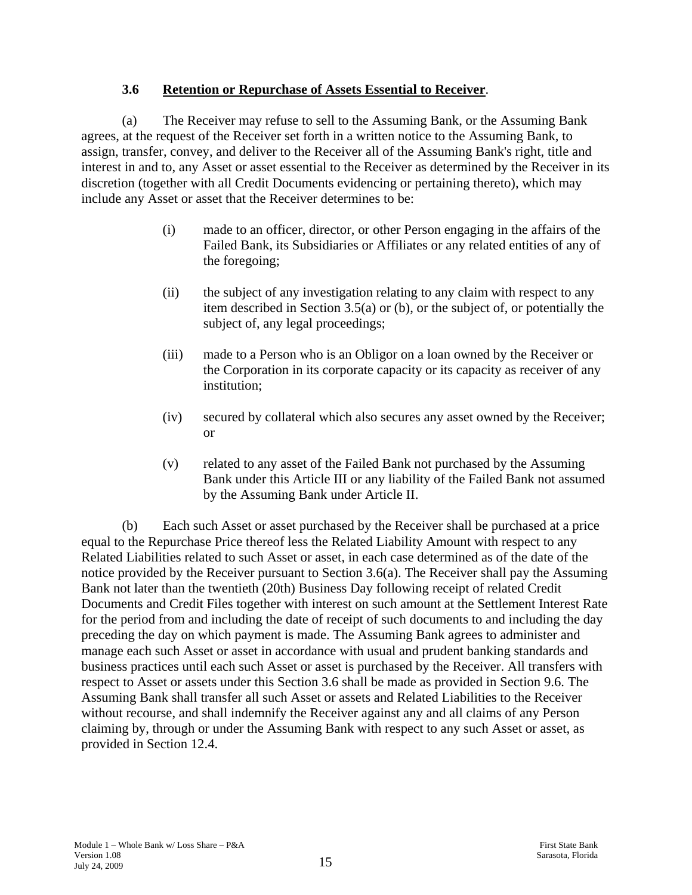#### 3.6  **3.6Retention or Repurchase of Assets Essential to Receiver**.

(a) The Receiver may refuse to sell to the Assuming Bank, or the Assuming Bank agrees, at the request of the Receiver set forth in a written notice to the Assuming Bank, to assign, transfer, convey, and deliver to the Receiver all of the Assuming Bank's right, title and interest in and to, any Asset or asset essential to the Receiver as determined by the Receiver in its discretion (together with all Credit Documents evidencing or pertaining thereto), which may include any Asset or asset that the Receiver determines to be:

- (i) made to an officer, director, or other Person engaging in the affairs of the Failed Bank, its Subsidiaries or Affiliates or any related entities of any of the foregoing;
- (ii) the subject of any investigation relating to any claim with respect to any item described in Section 3.5(a) or (b), or the subject of, or potentially the subject of, any legal proceedings;
- (iii) made to a Person who is an Obligor on a loan owned by the Receiver or the Corporation in its corporate capacity or its capacity as receiver of any institution;
- (iv) secured by collateral which also secures any asset owned by the Receiver; or
- $(v)$ related to any asset of the Failed Bank not purchased by the Assuming Bank under this Article III or any liability of the Failed Bank not assumed by the Assuming Bank under Article II.

(b) Each such Asset or asset purchased by the Receiver shall be purchased at a price equal to the Repurchase Price thereof less the Related Liability Amount with respect to any Related Liabilities related to such Asset or asset, in each case determined as of the date of the notice provided by the Receiver pursuant to Section 3.6(a). The Receiver shall pay the Assuming Bank not later than the twentieth (20th) Business Day following receipt of related Credit Documents and Credit Files together with interest on such amount at the Settlement Interest Rate for the period from and including the date of receipt of such documents to and including the day preceding the day on which payment is made. The Assuming Bank agrees to administer and manage each such Asset or asset in accordance with usual and prudent banking standards and business practices until each such Asset or asset is purchased by the Receiver. All transfers with respect to Asset or assets under this Section 3.6 shall be made as provided in Section 9.6. The Assuming Bank shall transfer all such Asset or assets and Related Liabilities to the Receiver without recourse, and shall indemnify the Receiver against any and all claims of any Person claiming by, through or under the Assuming Bank with respect to any such Asset or asset, as provided in Section 12.4.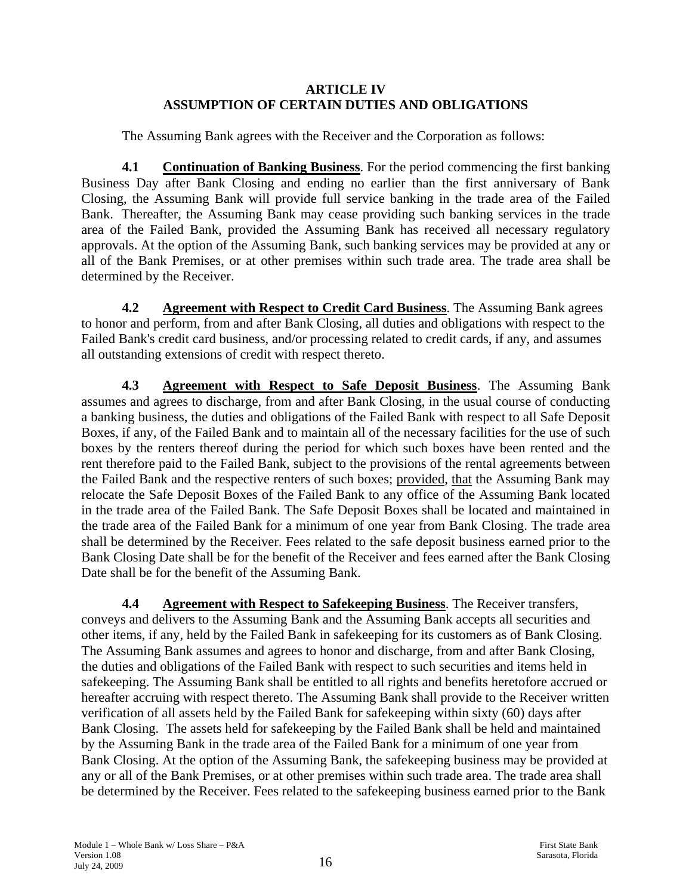### **ASSUMPTION OF CERTAIN DUTIES AND OBLIGATIONS ARTICLE IV**

The Assuming Bank agrees with the Receiver and the Corporation as follows:

**4.1** Continuation of Banking Business. For the period commencing the first banking Business Day after Bank Closing and ending no earlier than the first anniversary of Bank Closing, the Assuming Bank will provide full service banking in the trade area of the Failed Bank. Thereafter, the Assuming Bank may cease providing such banking services in the trade area of the Failed Bank, provided the Assuming Bank has received all necessary regulatory approvals. At the option of the Assuming Bank, such banking services may be provided at any or all of the Bank Premises, or at other premises within such trade area. The trade area shall be determined by the Receiver.

**4.2 Agreement with Respect to Credit Card Business**. The Assuming Bank agrees to honor and perform, from and after Bank Closing, all duties and obligations with respect to the Failed Bank's credit card business, and/or processing related to credit cards, if any, and assumes all outstanding extensions of credit with respect thereto.

**4.3 Agreement with Respect to Safe Deposit Business**. The Assuming Bank assumes and agrees to discharge, from and after Bank Closing, in the usual course of conducting a banking business, the duties and obligations of the Failed Bank with respect to all Safe Deposit Boxes, if any, of the Failed Bank and to maintain all of the necessary facilities for the use of such boxes by the renters thereof during the period for which such boxes have been rented and the rent therefore paid to the Failed Bank, subject to the provisions of the rental agreements between the Failed Bank and the respective renters of such boxes; provided, that the Assuming Bank may relocate the Safe Deposit Boxes of the Failed Bank to any office of the Assuming Bank located in the trade area of the Failed Bank. The Safe Deposit Boxes shall be located and maintained in the trade area of the Failed Bank for a minimum of one year from Bank Closing. The trade area shall be determined by the Receiver. Fees related to the safe deposit business earned prior to the Bank Closing Date shall be for the benefit of the Receiver and fees earned after the Bank Closing Date shall be for the benefit of the Assuming Bank.

**4.4 Agreement with Respect to Safekeeping Business**. The Receiver transfers, conveys and delivers to the Assuming Bank and the Assuming Bank accepts all securities and other items, if any, held by the Failed Bank in safekeeping for its customers as of Bank Closing. The Assuming Bank assumes and agrees to honor and discharge, from and after Bank Closing, the duties and obligations of the Failed Bank with respect to such securities and items held in safekeeping. The Assuming Bank shall be entitled to all rights and benefits heretofore accrued or hereafter accruing with respect thereto. The Assuming Bank shall provide to the Receiver written verification of all assets held by the Failed Bank for safekeeping within sixty (60) days after Bank Closing. The assets held for safekeeping by the Failed Bank shall be held and maintained by the Assuming Bank in the trade area of the Failed Bank for a minimum of one year from Bank Closing. At the option of the Assuming Bank, the safekeeping business may be provided at any or all of the Bank Premises, or at other premises within such trade area. The trade area shall be determined by the Receiver. Fees related to the safekeeping business earned prior to the Bank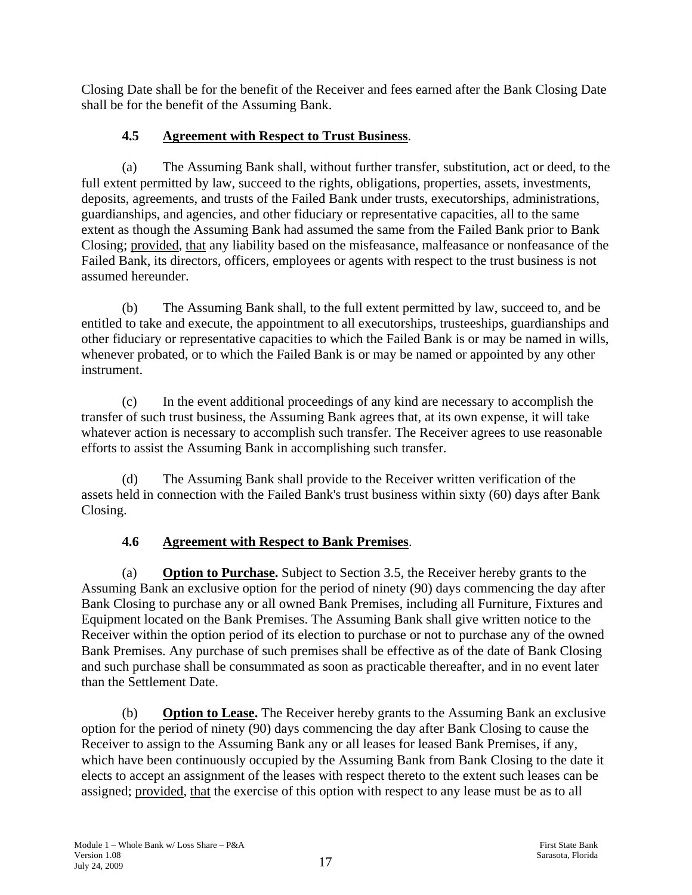Closing Date shall be for the benefit of the Receiver and fees earned after the Bank Closing Date shall be for the benefit of the Assuming Bank.

# **4.5 Agreement with Respect to Trust Business**.

(a) The Assuming Bank shall, without further transfer, substitution, act or deed, to the full extent permitted by law, succeed to the rights, obligations, properties, assets, investments, deposits, agreements, and trusts of the Failed Bank under trusts, executorships, administrations, guardianships, and agencies, and other fiduciary or representative capacities, all to the same extent as though the Assuming Bank had assumed the same from the Failed Bank prior to Bank Closing; provided, that any liability based on the misfeasance, malfeasance or nonfeasance of the Failed Bank, its directors, officers, employees or agents with respect to the trust business is not assumed hereunder.

(b) The Assuming Bank shall, to the full extent permitted by law, succeed to, and be entitled to take and execute, the appointment to all executorships, trusteeships, guardianships and other fiduciary or representative capacities to which the Failed Bank is or may be named in wills, whenever probated, or to which the Failed Bank is or may be named or appointed by any other instrument.

(c) In the event additional proceedings of any kind are necessary to accomplish the transfer of such trust business, the Assuming Bank agrees that, at its own expense, it will take whatever action is necessary to accomplish such transfer. The Receiver agrees to use reasonable efforts to assist the Assuming Bank in accomplishing such transfer.

(d) The Assuming Bank shall provide to the Receiver written verification of the assets held in connection with the Failed Bank's trust business within sixty (60) days after Bank Closing.

# **4.6 Agreement with Respect to Bank Premises**.

(a) **Option to Purchase.** Subject to Section 3.5, the Receiver hereby grants to the Assuming Bank an exclusive option for the period of ninety (90) days commencing the day after Bank Closing to purchase any or all owned Bank Premises, including all Furniture, Fixtures and Equipment located on the Bank Premises. The Assuming Bank shall give written notice to the Receiver within the option period of its election to purchase or not to purchase any of the owned Bank Premises. Any purchase of such premises shall be effective as of the date of Bank Closing and such purchase shall be consummated as soon as practicable thereafter, and in no event later than the Settlement Date.

(b) **Option to Lease.** The Receiver hereby grants to the Assuming Bank an exclusive option for the period of ninety (90) days commencing the day after Bank Closing to cause the Receiver to assign to the Assuming Bank any or all leases for leased Bank Premises, if any, which have been continuously occupied by the Assuming Bank from Bank Closing to the date it elects to accept an assignment of the leases with respect thereto to the extent such leases can be assigned; provided, that the exercise of this option with respect to any lease must be as to all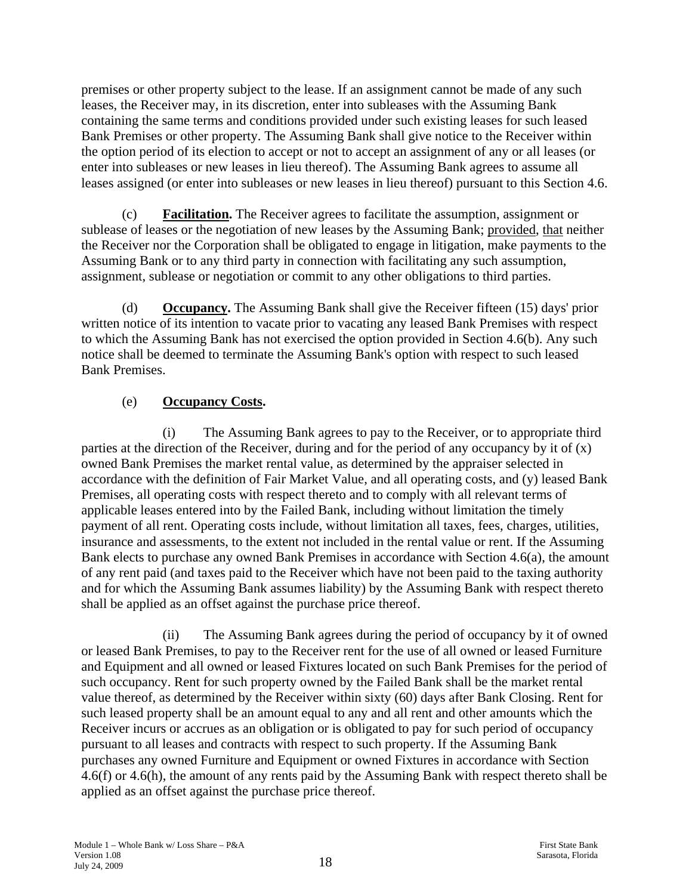premises or other property subject to the lease. If an assignment cannot be made of any such leases, the Receiver may, in its discretion, enter into subleases with the Assuming Bank containing the same terms and conditions provided under such existing leases for such leased Bank Premises or other property. The Assuming Bank shall give notice to the Receiver within the option period of its election to accept or not to accept an assignment of any or all leases (or enter into subleases or new leases in lieu thereof). The Assuming Bank agrees to assume all leases assigned (or enter into subleases or new leases in lieu thereof) pursuant to this Section 4.6.

(c) **Facilitation.** The Receiver agrees to facilitate the assumption, assignment or sublease of leases or the negotiation of new leases by the Assuming Bank; provided, that neither the Receiver nor the Corporation shall be obligated to engage in litigation, make payments to the Assuming Bank or to any third party in connection with facilitating any such assumption, assignment, sublease or negotiation or commit to any other obligations to third parties.

(d) **Occupancy.** The Assuming Bank shall give the Receiver fifteen (15) days' prior written notice of its intention to vacate prior to vacating any leased Bank Premises with respect to which the Assuming Bank has not exercised the option provided in Section 4.6(b). Any such notice shall be deemed to terminate the Assuming Bank's option with respect to such leased Bank Premises.

# (e) **Occupancy Costs.**

(i) The Assuming Bank agrees to pay to the Receiver, or to appropriate third parties at the direction of the Receiver, during and for the period of any occupancy by it of (x) owned Bank Premises the market rental value, as determined by the appraiser selected in accordance with the definition of Fair Market Value, and all operating costs, and (y) leased Bank Premises, all operating costs with respect thereto and to comply with all relevant terms of applicable leases entered into by the Failed Bank, including without limitation the timely payment of all rent. Operating costs include, without limitation all taxes, fees, charges, utilities, insurance and assessments, to the extent not included in the rental value or rent. If the Assuming Bank elects to purchase any owned Bank Premises in accordance with Section 4.6(a), the amount of any rent paid (and taxes paid to the Receiver which have not been paid to the taxing authority and for which the Assuming Bank assumes liability) by the Assuming Bank with respect thereto shall be applied as an offset against the purchase price thereof.

(ii) The Assuming Bank agrees during the period of occupancy by it of owned or leased Bank Premises, to pay to the Receiver rent for the use of all owned or leased Furniture and Equipment and all owned or leased Fixtures located on such Bank Premises for the period of such occupancy. Rent for such property owned by the Failed Bank shall be the market rental value thereof, as determined by the Receiver within sixty (60) days after Bank Closing. Rent for such leased property shall be an amount equal to any and all rent and other amounts which the Receiver incurs or accrues as an obligation or is obligated to pay for such period of occupancy pursuant to all leases and contracts with respect to such property. If the Assuming Bank purchases any owned Furniture and Equipment or owned Fixtures in accordance with Section 4.6(f) or 4.6(h), the amount of any rents paid by the Assuming Bank with respect thereto shall be applied as an offset against the purchase price thereof.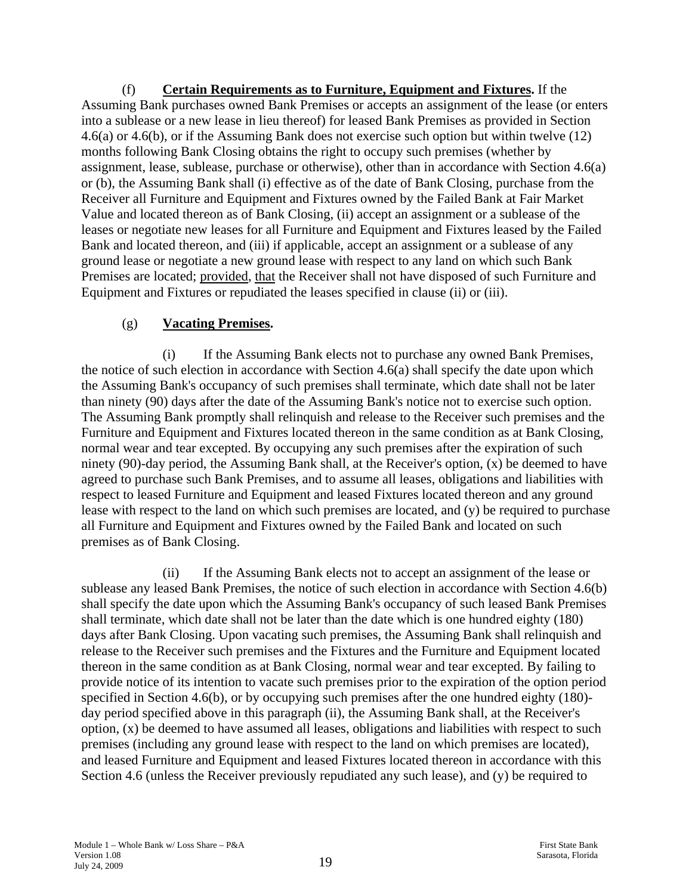(f) **Certain Requirements as to Furniture, Equipment and Fixtures.** If the Assuming Bank purchases owned Bank Premises or accepts an assignment of the lease (or enters into a sublease or a new lease in lieu thereof) for leased Bank Premises as provided in Section 4.6(a) or 4.6(b), or if the Assuming Bank does not exercise such option but within twelve (12) months following Bank Closing obtains the right to occupy such premises (whether by assignment, lease, sublease, purchase or otherwise), other than in accordance with Section 4.6(a) or (b), the Assuming Bank shall (i) effective as of the date of Bank Closing, purchase from the Receiver all Furniture and Equipment and Fixtures owned by the Failed Bank at Fair Market Value and located thereon as of Bank Closing, (ii) accept an assignment or a sublease of the leases or negotiate new leases for all Furniture and Equipment and Fixtures leased by the Failed Bank and located thereon, and (iii) if applicable, accept an assignment or a sublease of any ground lease or negotiate a new ground lease with respect to any land on which such Bank Premises are located; provided, that the Receiver shall not have disposed of such Furniture and Equipment and Fixtures or repudiated the leases specified in clause (ii) or (iii).

# (g) **Vacating Premises.**

(i) If the Assuming Bank elects not to purchase any owned Bank Premises, the notice of such election in accordance with Section 4.6(a) shall specify the date upon which the Assuming Bank's occupancy of such premises shall terminate, which date shall not be later than ninety (90) days after the date of the Assuming Bank's notice not to exercise such option. The Assuming Bank promptly shall relinquish and release to the Receiver such premises and the Furniture and Equipment and Fixtures located thereon in the same condition as at Bank Closing, normal wear and tear excepted. By occupying any such premises after the expiration of such ninety (90)-day period, the Assuming Bank shall, at the Receiver's option, (x) be deemed to have agreed to purchase such Bank Premises, and to assume all leases, obligations and liabilities with respect to leased Furniture and Equipment and leased Fixtures located thereon and any ground lease with respect to the land on which such premises are located, and (y) be required to purchase all Furniture and Equipment and Fixtures owned by the Failed Bank and located on such premises as of Bank Closing.

(ii) If the Assuming Bank elects not to accept an assignment of the lease or sublease any leased Bank Premises, the notice of such election in accordance with Section 4.6(b) shall specify the date upon which the Assuming Bank's occupancy of such leased Bank Premises shall terminate, which date shall not be later than the date which is one hundred eighty (180) days after Bank Closing. Upon vacating such premises, the Assuming Bank shall relinquish and release to the Receiver such premises and the Fixtures and the Furniture and Equipment located thereon in the same condition as at Bank Closing, normal wear and tear excepted. By failing to provide notice of its intention to vacate such premises prior to the expiration of the option period specified in Section 4.6(b), or by occupying such premises after the one hundred eighty (180) day period specified above in this paragraph (ii), the Assuming Bank shall, at the Receiver's option, (x) be deemed to have assumed all leases, obligations and liabilities with respect to such premises (including any ground lease with respect to the land on which premises are located), and leased Furniture and Equipment and leased Fixtures located thereon in accordance with this Section 4.6 (unless the Receiver previously repudiated any such lease), and (y) be required to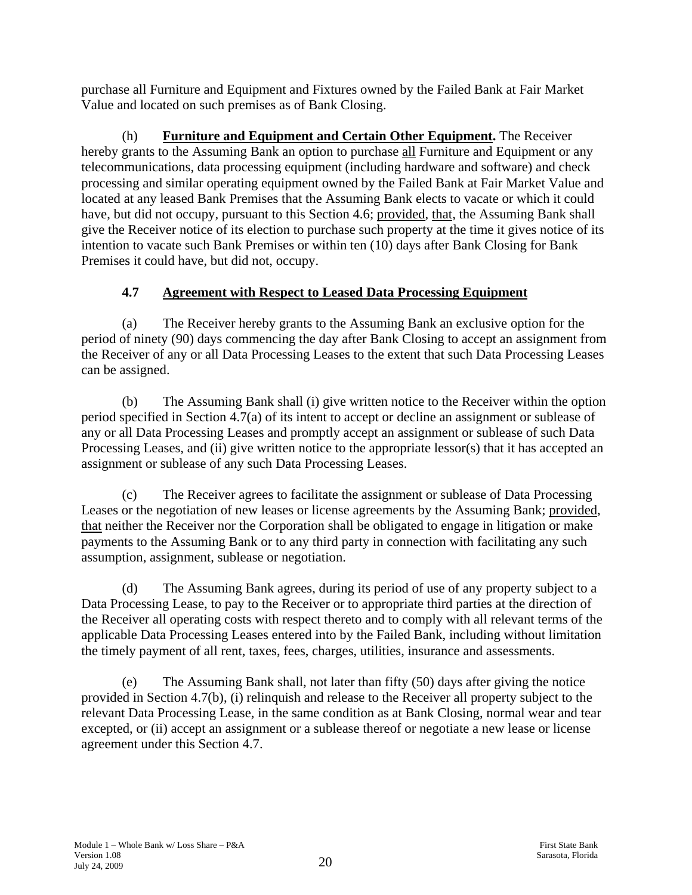purchase all Furniture and Equipment and Fixtures owned by the Failed Bank at Fair Market Value and located on such premises as of Bank Closing.

(h) **Furniture and Equipment and Certain Other Equipment.** The Receiver hereby grants to the Assuming Bank an option to purchase all Furniture and Equipment or any telecommunications, data processing equipment (including hardware and software) and check processing and similar operating equipment owned by the Failed Bank at Fair Market Value and located at any leased Bank Premises that the Assuming Bank elects to vacate or which it could have, but did not occupy, pursuant to this Section 4.6; provided, that, the Assuming Bank shall give the Receiver notice of its election to purchase such property at the time it gives notice of its intention to vacate such Bank Premises or within ten (10) days after Bank Closing for Bank Premises it could have, but did not, occupy.

# **4.7 Agreement with Respect to Leased Data Processing Equipment**

(a) The Receiver hereby grants to the Assuming Bank an exclusive option for the period of ninety (90) days commencing the day after Bank Closing to accept an assignment from the Receiver of any or all Data Processing Leases to the extent that such Data Processing Leases can be assigned.

(b) The Assuming Bank shall (i) give written notice to the Receiver within the option period specified in Section 4.7(a) of its intent to accept or decline an assignment or sublease of any or all Data Processing Leases and promptly accept an assignment or sublease of such Data Processing Leases, and (ii) give written notice to the appropriate lessor(s) that it has accepted an assignment or sublease of any such Data Processing Leases.

(c) The Receiver agrees to facilitate the assignment or sublease of Data Processing Leases or the negotiation of new leases or license agreements by the Assuming Bank; provided, that neither the Receiver nor the Corporation shall be obligated to engage in litigation or make payments to the Assuming Bank or to any third party in connection with facilitating any such assumption, assignment, sublease or negotiation.

(d) The Assuming Bank agrees, during its period of use of any property subject to a Data Processing Lease, to pay to the Receiver or to appropriate third parties at the direction of the Receiver all operating costs with respect thereto and to comply with all relevant terms of the applicable Data Processing Leases entered into by the Failed Bank, including without limitation the timely payment of all rent, taxes, fees, charges, utilities, insurance and assessments.

(e) The Assuming Bank shall, not later than fifty (50) days after giving the notice provided in Section 4.7(b), (i) relinquish and release to the Receiver all property subject to the relevant Data Processing Lease, in the same condition as at Bank Closing, normal wear and tear excepted, or (ii) accept an assignment or a sublease thereof or negotiate a new lease or license agreement under this Section 4.7.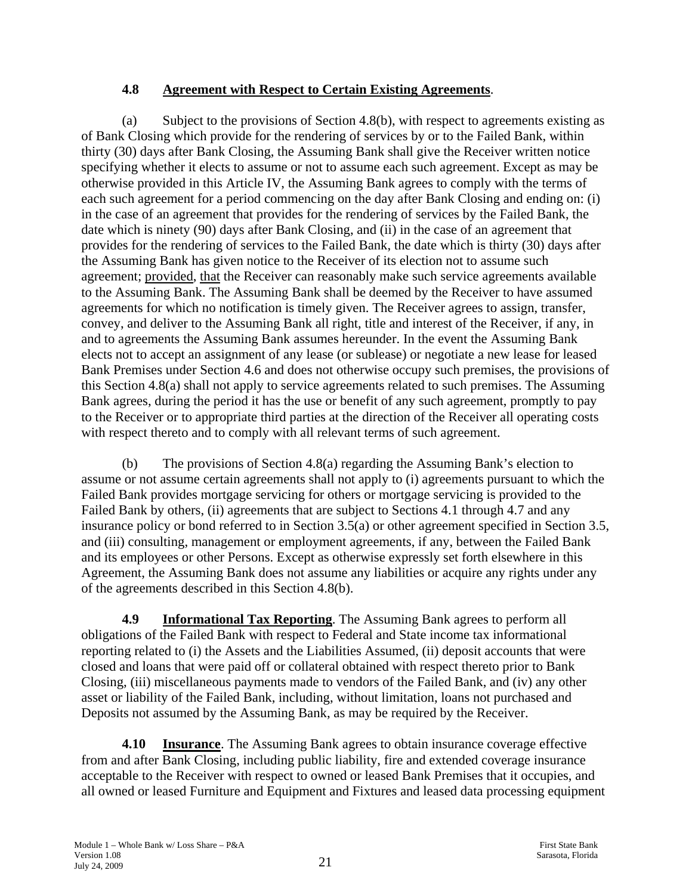# **4.8 Agreement with Respect to Certain Existing Agreements**.

(a) Subject to the provisions of Section 4.8(b), with respect to agreements existing as of Bank Closing which provide for the rendering of services by or to the Failed Bank, within thirty (30) days after Bank Closing, the Assuming Bank shall give the Receiver written notice specifying whether it elects to assume or not to assume each such agreement. Except as may be otherwise provided in this Article IV, the Assuming Bank agrees to comply with the terms of each such agreement for a period commencing on the day after Bank Closing and ending on: (i) in the case of an agreement that provides for the rendering of services by the Failed Bank, the date which is ninety (90) days after Bank Closing, and (ii) in the case of an agreement that provides for the rendering of services to the Failed Bank, the date which is thirty (30) days after the Assuming Bank has given notice to the Receiver of its election not to assume such agreement; provided, that the Receiver can reasonably make such service agreements available to the Assuming Bank. The Assuming Bank shall be deemed by the Receiver to have assumed agreements for which no notification is timely given. The Receiver agrees to assign, transfer, convey, and deliver to the Assuming Bank all right, title and interest of the Receiver, if any, in and to agreements the Assuming Bank assumes hereunder. In the event the Assuming Bank elects not to accept an assignment of any lease (or sublease) or negotiate a new lease for leased Bank Premises under Section 4.6 and does not otherwise occupy such premises, the provisions of this Section 4.8(a) shall not apply to service agreements related to such premises. The Assuming Bank agrees, during the period it has the use or benefit of any such agreement, promptly to pay to the Receiver or to appropriate third parties at the direction of the Receiver all operating costs with respect thereto and to comply with all relevant terms of such agreement.

(b) The provisions of Section 4.8(a) regarding the Assuming Bank's election to assume or not assume certain agreements shall not apply to (i) agreements pursuant to which the Failed Bank provides mortgage servicing for others or mortgage servicing is provided to the Failed Bank by others, (ii) agreements that are subject to Sections 4.1 through 4.7 and any insurance policy or bond referred to in Section 3.5(a) or other agreement specified in Section 3.5, and (iii) consulting, management or employment agreements, if any, between the Failed Bank and its employees or other Persons. Except as otherwise expressly set forth elsewhere in this Agreement, the Assuming Bank does not assume any liabilities or acquire any rights under any of the agreements described in this Section 4.8(b).

**4.9 Informational Tax Reporting**. The Assuming Bank agrees to perform all obligations of the Failed Bank with respect to Federal and State income tax informational reporting related to (i) the Assets and the Liabilities Assumed, (ii) deposit accounts that were closed and loans that were paid off or collateral obtained with respect thereto prior to Bank Closing, (iii) miscellaneous payments made to vendors of the Failed Bank, and (iv) any other asset or liability of the Failed Bank, including, without limitation, loans not purchased and Deposits not assumed by the Assuming Bank, as may be required by the Receiver.

**4.10 Insurance**. The Assuming Bank agrees to obtain insurance coverage effective from and after Bank Closing, including public liability, fire and extended coverage insurance acceptable to the Receiver with respect to owned or leased Bank Premises that it occupies, and all owned or leased Furniture and Equipment and Fixtures and leased data processing equipment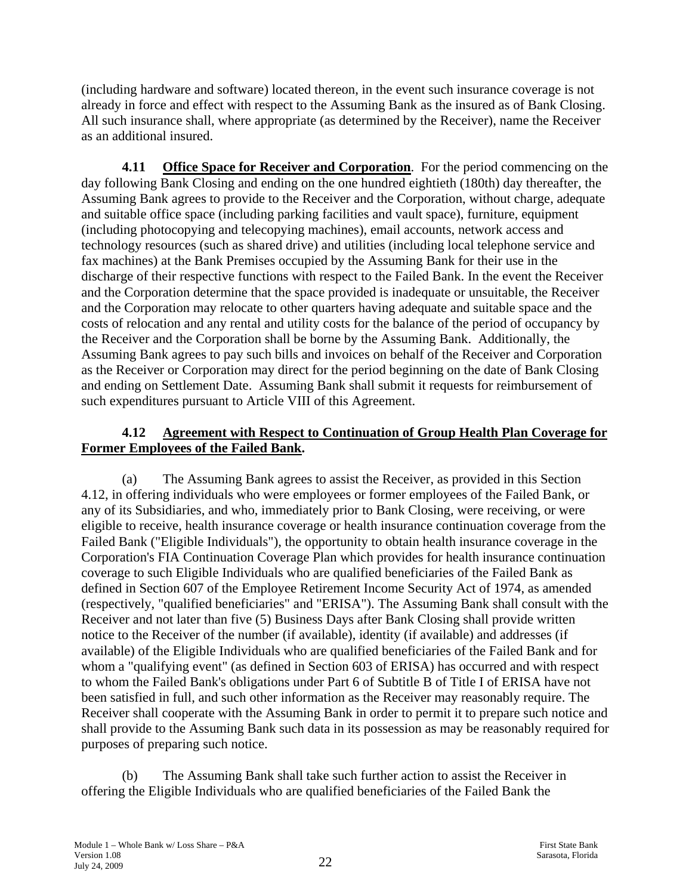(including hardware and software) located thereon, in the event such insurance coverage is not already in force and effect with respect to the Assuming Bank as the insured as of Bank Closing. All such insurance shall, where appropriate (as determined by the Receiver), name the Receiver as an additional insured.

**4.11** Office Space for Receiver and Corporation. For the period commencing on the day following Bank Closing and ending on the one hundred eightieth (180th) day thereafter, the Assuming Bank agrees to provide to the Receiver and the Corporation, without charge, adequate and suitable office space (including parking facilities and vault space), furniture, equipment (including photocopying and telecopying machines), email accounts, network access and technology resources (such as shared drive) and utilities (including local telephone service and fax machines) at the Bank Premises occupied by the Assuming Bank for their use in the discharge of their respective functions with respect to the Failed Bank. In the event the Receiver and the Corporation determine that the space provided is inadequate or unsuitable, the Receiver and the Corporation may relocate to other quarters having adequate and suitable space and the costs of relocation and any rental and utility costs for the balance of the period of occupancy by the Receiver and the Corporation shall be borne by the Assuming Bank. Additionally, the Assuming Bank agrees to pay such bills and invoices on behalf of the Receiver and Corporation as the Receiver or Corporation may direct for the period beginning on the date of Bank Closing and ending on Settlement Date. Assuming Bank shall submit it requests for reimbursement of such expenditures pursuant to Article VIII of this Agreement.

# **4.12 Agreement with Respect to Continuation of Group Health Plan Coverage for Former Employees of the Failed Bank.**

(a) The Assuming Bank agrees to assist the Receiver, as provided in this Section 4.12, in offering individuals who were employees or former employees of the Failed Bank, or any of its Subsidiaries, and who, immediately prior to Bank Closing, were receiving, or were eligible to receive, health insurance coverage or health insurance continuation coverage from the Failed Bank ("Eligible Individuals"), the opportunity to obtain health insurance coverage in the Corporation's FIA Continuation Coverage Plan which provides for health insurance continuation coverage to such Eligible Individuals who are qualified beneficiaries of the Failed Bank as defined in Section 607 of the Employee Retirement Income Security Act of 1974, as amended (respectively, "qualified beneficiaries" and "ERISA"). The Assuming Bank shall consult with the Receiver and not later than five (5) Business Days after Bank Closing shall provide written notice to the Receiver of the number (if available), identity (if available) and addresses (if available) of the Eligible Individuals who are qualified beneficiaries of the Failed Bank and for whom a "qualifying event" (as defined in Section 603 of ERISA) has occurred and with respect to whom the Failed Bank's obligations under Part 6 of Subtitle B of Title I of ERISA have not been satisfied in full, and such other information as the Receiver may reasonably require. The Receiver shall cooperate with the Assuming Bank in order to permit it to prepare such notice and shall provide to the Assuming Bank such data in its possession as may be reasonably required for purposes of preparing such notice.

(b) The Assuming Bank shall take such further action to assist the Receiver in offering the Eligible Individuals who are qualified beneficiaries of the Failed Bank the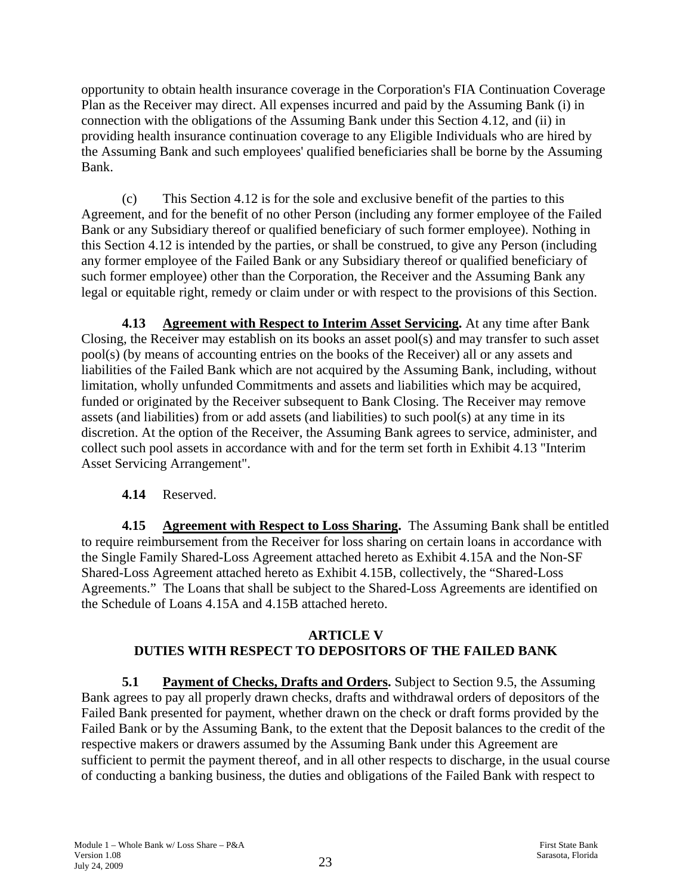opportunity to obtain health insurance coverage in the Corporation's FIA Continuation Coverage Plan as the Receiver may direct. All expenses incurred and paid by the Assuming Bank (i) in connection with the obligations of the Assuming Bank under this Section 4.12, and (ii) in providing health insurance continuation coverage to any Eligible Individuals who are hired by the Assuming Bank and such employees' qualified beneficiaries shall be borne by the Assuming Bank.

(c) This Section 4.12 is for the sole and exclusive benefit of the parties to this Agreement, and for the benefit of no other Person (including any former employee of the Failed Bank or any Subsidiary thereof or qualified beneficiary of such former employee). Nothing in this Section 4.12 is intended by the parties, or shall be construed, to give any Person (including any former employee of the Failed Bank or any Subsidiary thereof or qualified beneficiary of such former employee) other than the Corporation, the Receiver and the Assuming Bank any legal or equitable right, remedy or claim under or with respect to the provisions of this Section.

**4.13 Agreement with Respect to Interim Asset Servicing.** At any time after Bank Closing, the Receiver may establish on its books an asset pool(s) and may transfer to such asset pool(s) (by means of accounting entries on the books of the Receiver) all or any assets and liabilities of the Failed Bank which are not acquired by the Assuming Bank, including, without limitation, wholly unfunded Commitments and assets and liabilities which may be acquired, funded or originated by the Receiver subsequent to Bank Closing. The Receiver may remove assets (and liabilities) from or add assets (and liabilities) to such pool(s) at any time in its discretion. At the option of the Receiver, the Assuming Bank agrees to service, administer, and collect such pool assets in accordance with and for the term set forth in Exhibit 4.13 "Interim Asset Servicing Arrangement".

# **4.14** Reserved.

**4.15 Agreement with Respect to Loss Sharing.** The Assuming Bank shall be entitled to require reimbursement from the Receiver for loss sharing on certain loans in accordance with the Single Family Shared-Loss Agreement attached hereto as Exhibit 4.15A and the Non-SF Shared-Loss Agreement attached hereto as Exhibit 4.15B, collectively, the "Shared-Loss Agreements." The Loans that shall be subject to the Shared-Loss Agreements are identified on the Schedule of Loans 4.15A and 4.15B attached hereto.

## **ARTICLE V DUTIES WITH RESPECT TO DEPOSITORS OF THE FAILED BANK**

 **5.1 Payment of Checks, Drafts and Orders.** Subject to Section 9.5, the Assuming Bank agrees to pay all properly drawn checks, drafts and withdrawal orders of depositors of the Failed Bank presented for payment, whether drawn on the check or draft forms provided by the Failed Bank or by the Assuming Bank, to the extent that the Deposit balances to the credit of the respective makers or drawers assumed by the Assuming Bank under this Agreement are sufficient to permit the payment thereof, and in all other respects to discharge, in the usual course of conducting a banking business, the duties and obligations of the Failed Bank with respect to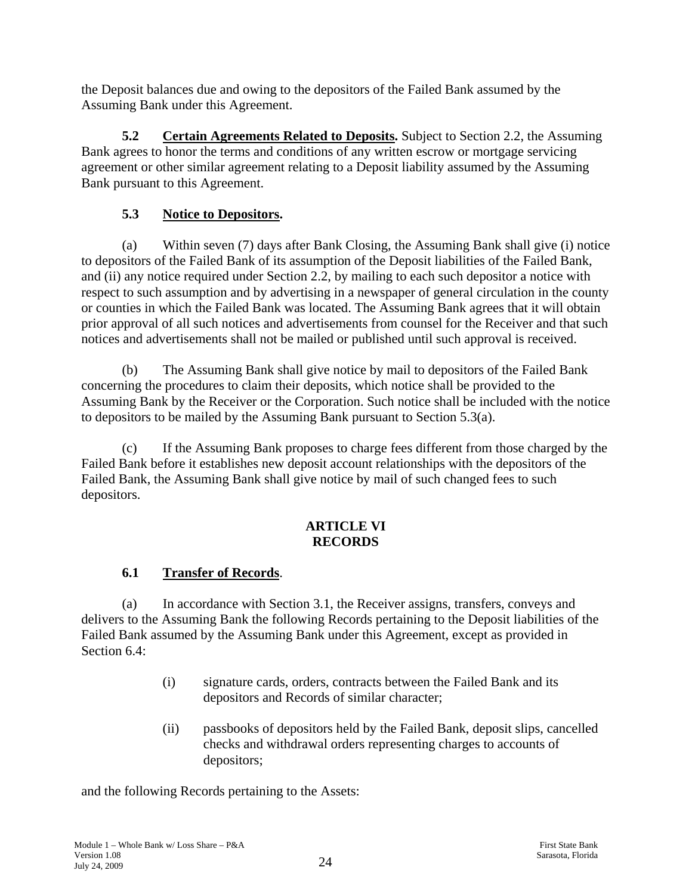the Deposit balances due and owing to the depositors of the Failed Bank assumed by the Assuming Bank under this Agreement.

**5.2** Certain Agreements Related to Deposits. Subject to Section 2.2, the Assuming Bank agrees to honor the terms and conditions of any written escrow or mortgage servicing agreement or other similar agreement relating to a Deposit liability assumed by the Assuming Bank pursuant to this Agreement.

#### $5.3$ **Notice to Depositors.**

(a) Within seven (7) days after Bank Closing, the Assuming Bank shall give (i) notice to depositors of the Failed Bank of its assumption of the Deposit liabilities of the Failed Bank, and (ii) any notice required under Section 2.2, by mailing to each such depositor a notice with respect to such assumption and by advertising in a newspaper of general circulation in the county or counties in which the Failed Bank was located. The Assuming Bank agrees that it will obtain prior approval of all such notices and advertisements from counsel for the Receiver and that such notices and advertisements shall not be mailed or published until such approval is received.

(b) The Assuming Bank shall give notice by mail to depositors of the Failed Bank concerning the procedures to claim their deposits, which notice shall be provided to the Assuming Bank by the Receiver or the Corporation. Such notice shall be included with the notice to depositors to be mailed by the Assuming Bank pursuant to Section 5.3(a).

(c) If the Assuming Bank proposes to charge fees different from those charged by the Failed Bank before it establishes new deposit account relationships with the depositors of the Failed Bank, the Assuming Bank shall give notice by mail of such changed fees to such depositors.

## **ARTICLE VI RECORDS**

#### 6.1 **Transfer of Records.**

(a) In accordance with Section 3.1, the Receiver assigns, transfers, conveys and delivers to the Assuming Bank the following Records pertaining to the Deposit liabilities of the Failed Bank assumed by the Assuming Bank under this Agreement, except as provided in Section 6.4:

- (i) signature cards, orders, contracts between the Failed Bank and its depositors and Records of similar character;
- (ii) passbooks of depositors held by the Failed Bank, deposit slips, cancelled checks and withdrawal orders representing charges to accounts of depositors;

and the following Records pertaining to the Assets: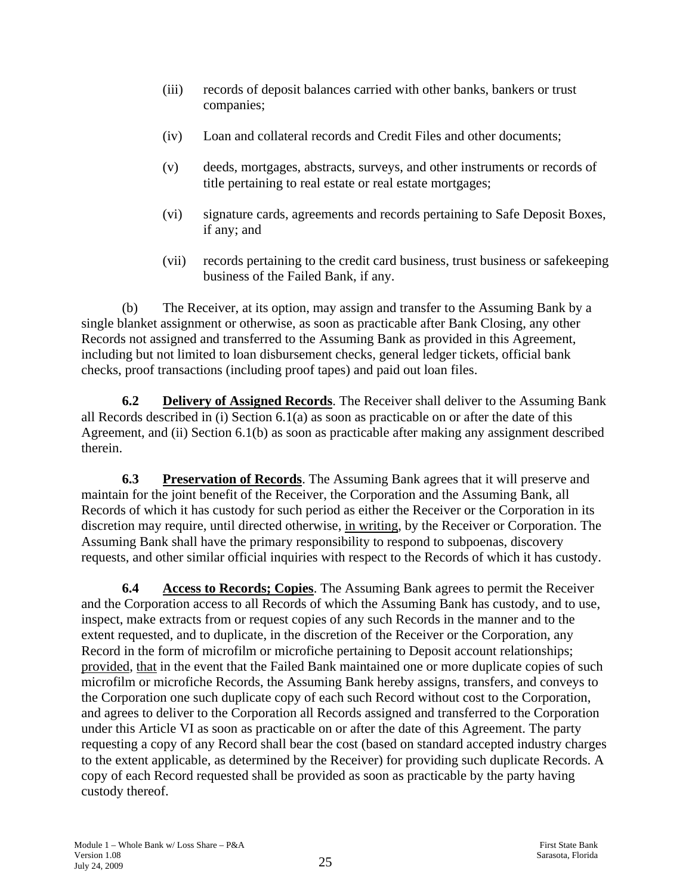- (iii) records of deposit balances carried with other banks, bankers or trust companies;
- $(iv)$ Loan and collateral records and Credit Files and other documents;
- (v) deeds, mortgages, abstracts, surveys, and other instruments or records of title pertaining to real estate or real estate mortgages;
- (vi) signature cards, agreements and records pertaining to Safe Deposit Boxes, if any; and
- (vii) records pertaining to the credit card business, trust business or safekeeping business of the Failed Bank, if any.

(b) The Receiver, at its option, may assign and transfer to the Assuming Bank by a single blanket assignment or otherwise, as soon as practicable after Bank Closing, any other Records not assigned and transferred to the Assuming Bank as provided in this Agreement, including but not limited to loan disbursement checks, general ledger tickets, official bank checks, proof transactions (including proof tapes) and paid out loan files.

**6.2 Delivery of Assigned Records**. The Receiver shall deliver to the Assuming Bank all Records described in (i) Section 6.1(a) as soon as practicable on or after the date of this Agreement, and (ii) Section 6.1(b) as soon as practicable after making any assignment described therein.

**6.3 Preservation of Records**. The Assuming Bank agrees that it will preserve and maintain for the joint benefit of the Receiver, the Corporation and the Assuming Bank, all Records of which it has custody for such period as either the Receiver or the Corporation in its discretion may require, until directed otherwise, in writing, by the Receiver or Corporation. The Assuming Bank shall have the primary responsibility to respond to subpoenas, discovery requests, and other similar official inquiries with respect to the Records of which it has custody.

**6.4 Access to Records; Copies**. The Assuming Bank agrees to permit the Receiver and the Corporation access to all Records of which the Assuming Bank has custody, and to use, inspect, make extracts from or request copies of any such Records in the manner and to the extent requested, and to duplicate, in the discretion of the Receiver or the Corporation, any Record in the form of microfilm or microfiche pertaining to Deposit account relationships; provided, that in the event that the Failed Bank maintained one or more duplicate copies of such microfilm or microfiche Records, the Assuming Bank hereby assigns, transfers, and conveys to the Corporation one such duplicate copy of each such Record without cost to the Corporation, and agrees to deliver to the Corporation all Records assigned and transferred to the Corporation under this Article VI as soon as practicable on or after the date of this Agreement. The party requesting a copy of any Record shall bear the cost (based on standard accepted industry charges to the extent applicable, as determined by the Receiver) for providing such duplicate Records. A copy of each Record requested shall be provided as soon as practicable by the party having custody thereof.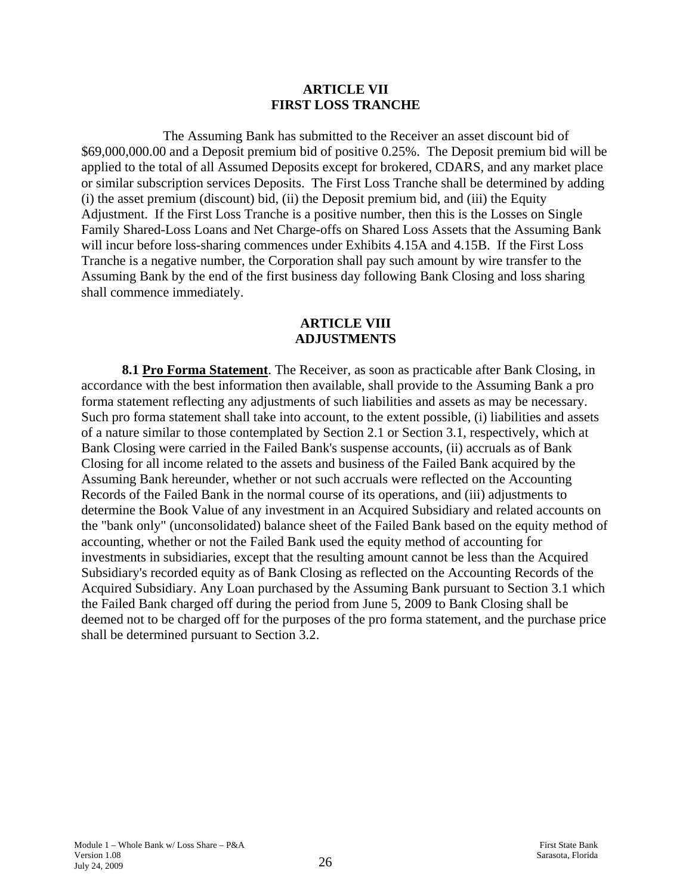#### **ARTICLE VII FIRST LOSS TRANCHE**

 The Assuming Bank has submitted to the Receiver an asset discount bid of \$69,000,000.00 and a Deposit premium bid of positive 0.25%. The Deposit premium bid will be applied to the total of all Assumed Deposits except for brokered, CDARS, and any market place or similar subscription services Deposits. The First Loss Tranche shall be determined by adding (i) the asset premium (discount) bid, (ii) the Deposit premium bid, and (iii) the Equity Adjustment. If the First Loss Tranche is a positive number, then this is the Losses on Single Family Shared-Loss Loans and Net Charge-offs on Shared Loss Assets that the Assuming Bank will incur before loss-sharing commences under Exhibits 4.15A and 4.15B. If the First Loss Tranche is a negative number, the Corporation shall pay such amount by wire transfer to the Assuming Bank by the end of the first business day following Bank Closing and loss sharing shall commence immediately.

#### **ARTICLE VIII ADJUSTMENTS**

**8.1 Pro Forma Statement**. The Receiver, as soon as practicable after Bank Closing, in accordance with the best information then available, shall provide to the Assuming Bank a pro forma statement reflecting any adjustments of such liabilities and assets as may be necessary. Such pro forma statement shall take into account, to the extent possible, (i) liabilities and assets of a nature similar to those contemplated by Section 2.1 or Section 3.1, respectively, which at Bank Closing were carried in the Failed Bank's suspense accounts, (ii) accruals as of Bank Closing for all income related to the assets and business of the Failed Bank acquired by the Assuming Bank hereunder, whether or not such accruals were reflected on the Accounting Records of the Failed Bank in the normal course of its operations, and (iii) adjustments to determine the Book Value of any investment in an Acquired Subsidiary and related accounts on the "bank only" (unconsolidated) balance sheet of the Failed Bank based on the equity method of accounting, whether or not the Failed Bank used the equity method of accounting for investments in subsidiaries, except that the resulting amount cannot be less than the Acquired Subsidiary's recorded equity as of Bank Closing as reflected on the Accounting Records of the Acquired Subsidiary. Any Loan purchased by the Assuming Bank pursuant to Section 3.1 which the Failed Bank charged off during the period from June 5, 2009 to Bank Closing shall be deemed not to be charged off for the purposes of the pro forma statement, and the purchase price shall be determined pursuant to Section 3.2.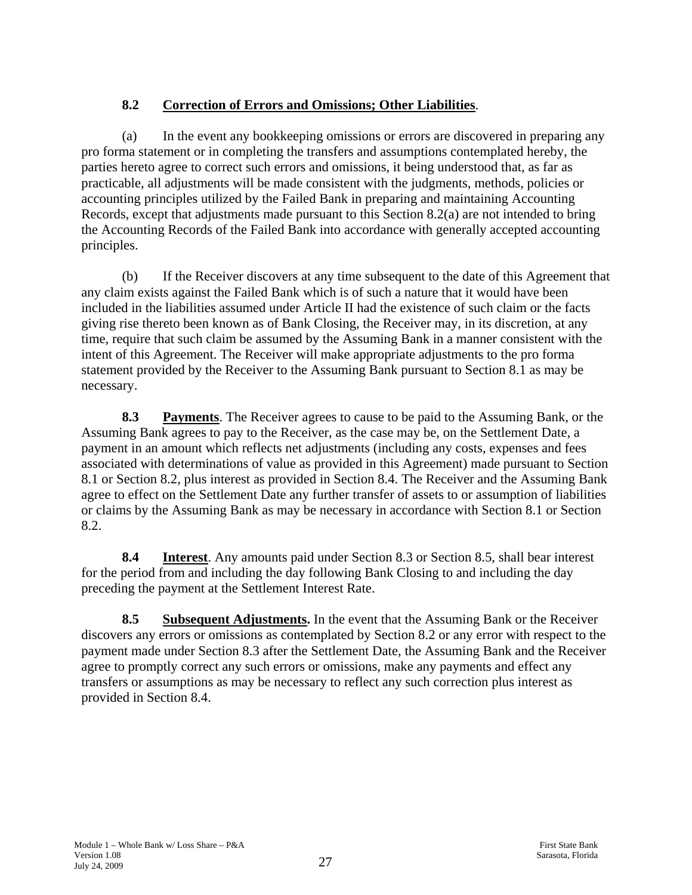# **8.2 Correction of Errors and Omissions; Other Liabilities**.

(a) In the event any bookkeeping omissions or errors are discovered in preparing any pro forma statement or in completing the transfers and assumptions contemplated hereby, the parties hereto agree to correct such errors and omissions, it being understood that, as far as practicable, all adjustments will be made consistent with the judgments, methods, policies or accounting principles utilized by the Failed Bank in preparing and maintaining Accounting Records, except that adjustments made pursuant to this Section 8.2(a) are not intended to bring the Accounting Records of the Failed Bank into accordance with generally accepted accounting principles.

(b) If the Receiver discovers at any time subsequent to the date of this Agreement that any claim exists against the Failed Bank which is of such a nature that it would have been included in the liabilities assumed under Article II had the existence of such claim or the facts giving rise thereto been known as of Bank Closing, the Receiver may, in its discretion, at any time, require that such claim be assumed by the Assuming Bank in a manner consistent with the intent of this Agreement. The Receiver will make appropriate adjustments to the pro forma statement provided by the Receiver to the Assuming Bank pursuant to Section 8.1 as may be necessary.

**8.3 Payments**. The Receiver agrees to cause to be paid to the Assuming Bank, or the Assuming Bank agrees to pay to the Receiver, as the case may be, on the Settlement Date, a payment in an amount which reflects net adjustments (including any costs, expenses and fees associated with determinations of value as provided in this Agreement) made pursuant to Section 8.1 or Section 8.2, plus interest as provided in Section 8.4. The Receiver and the Assuming Bank agree to effect on the Settlement Date any further transfer of assets to or assumption of liabilities or claims by the Assuming Bank as may be necessary in accordance with Section 8.1 or Section 8.2.

**8.4 Interest**. Any amounts paid under Section 8.3 or Section 8.5, shall bear interest for the period from and including the day following Bank Closing to and including the day preceding the payment at the Settlement Interest Rate.

**8.5 Subsequent Adjustments.** In the event that the Assuming Bank or the Receiver discovers any errors or omissions as contemplated by Section 8.2 or any error with respect to the payment made under Section 8.3 after the Settlement Date, the Assuming Bank and the Receiver agree to promptly correct any such errors or omissions, make any payments and effect any transfers or assumptions as may be necessary to reflect any such correction plus interest as provided in Section 8.4.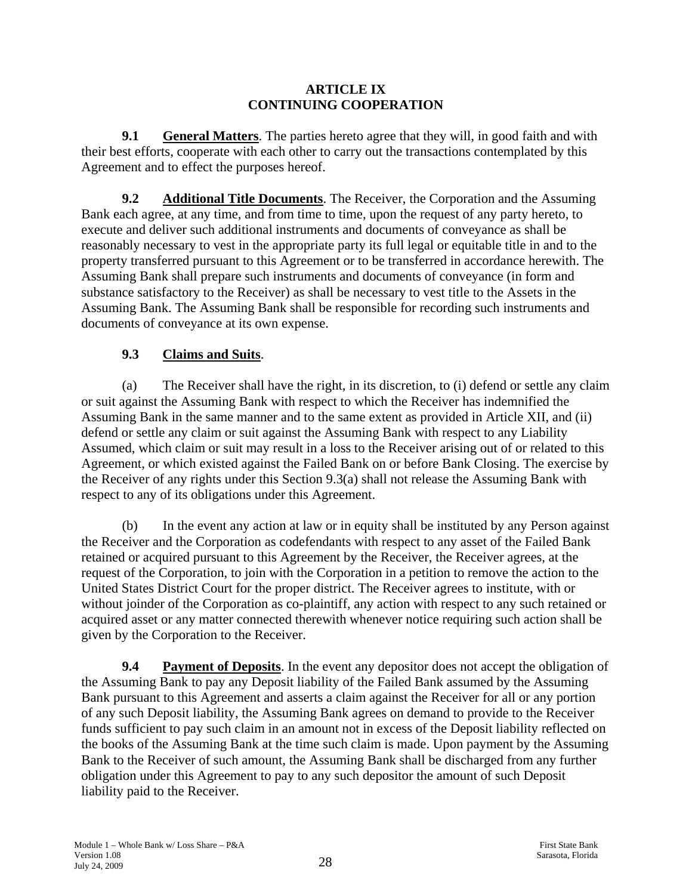## **ARTICLE IX CONTINUING COOPERATION**

**9.1** General Matters. The parties hereto agree that they will, in good faith and with their best efforts, cooperate with each other to carry out the transactions contemplated by this Agreement and to effect the purposes hereof.

**9.2 Additional Title Documents**. The Receiver, the Corporation and the Assuming Bank each agree, at any time, and from time to time, upon the request of any party hereto, to execute and deliver such additional instruments and documents of conveyance as shall be reasonably necessary to vest in the appropriate party its full legal or equitable title in and to the property transferred pursuant to this Agreement or to be transferred in accordance herewith. The Assuming Bank shall prepare such instruments and documents of conveyance (in form and substance satisfactory to the Receiver) as shall be necessary to vest title to the Assets in the Assuming Bank. The Assuming Bank shall be responsible for recording such instruments and documents of conveyance at its own expense.

# **9.3 Claims and Suits**.

(a) The Receiver shall have the right, in its discretion, to (i) defend or settle any claim or suit against the Assuming Bank with respect to which the Receiver has indemnified the Assuming Bank in the same manner and to the same extent as provided in Article XII, and (ii) defend or settle any claim or suit against the Assuming Bank with respect to any Liability Assumed, which claim or suit may result in a loss to the Receiver arising out of or related to this Agreement, or which existed against the Failed Bank on or before Bank Closing. The exercise by the Receiver of any rights under this Section 9.3(a) shall not release the Assuming Bank with respect to any of its obligations under this Agreement.

(b) In the event any action at law or in equity shall be instituted by any Person against the Receiver and the Corporation as codefendants with respect to any asset of the Failed Bank retained or acquired pursuant to this Agreement by the Receiver, the Receiver agrees, at the request of the Corporation, to join with the Corporation in a petition to remove the action to the United States District Court for the proper district. The Receiver agrees to institute, with or without joinder of the Corporation as co-plaintiff, any action with respect to any such retained or acquired asset or any matter connected therewith whenever notice requiring such action shall be given by the Corporation to the Receiver.

**9.4 Payment of Deposits**. In the event any depositor does not accept the obligation of the Assuming Bank to pay any Deposit liability of the Failed Bank assumed by the Assuming Bank pursuant to this Agreement and asserts a claim against the Receiver for all or any portion of any such Deposit liability, the Assuming Bank agrees on demand to provide to the Receiver funds sufficient to pay such claim in an amount not in excess of the Deposit liability reflected on the books of the Assuming Bank at the time such claim is made. Upon payment by the Assuming Bank to the Receiver of such amount, the Assuming Bank shall be discharged from any further obligation under this Agreement to pay to any such depositor the amount of such Deposit liability paid to the Receiver.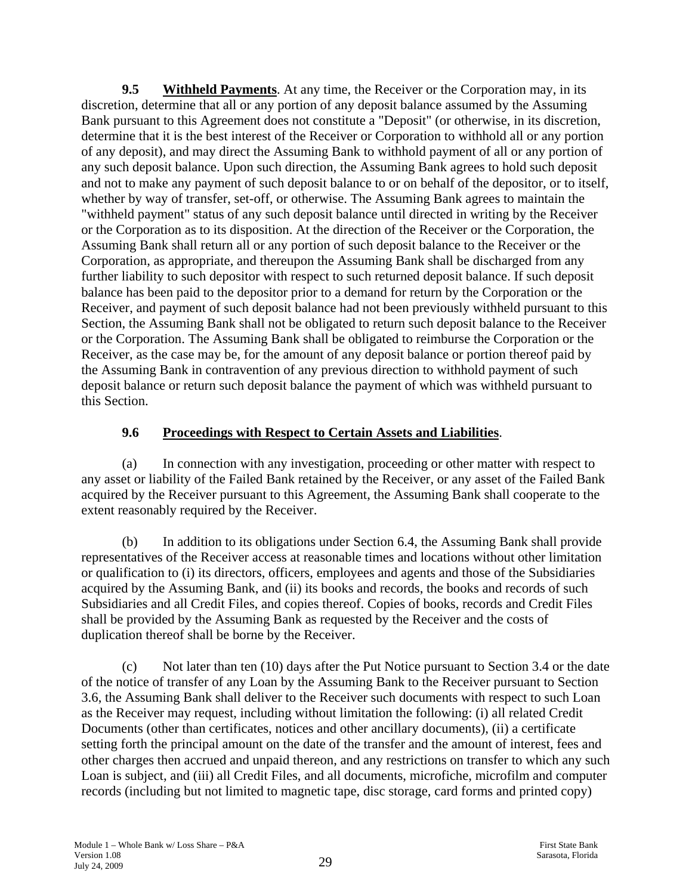**9.5 Withheld Payments**. At any time, the Receiver or the Corporation may, in its discretion, determine that all or any portion of any deposit balance assumed by the Assuming Bank pursuant to this Agreement does not constitute a "Deposit" (or otherwise, in its discretion, determine that it is the best interest of the Receiver or Corporation to withhold all or any portion of any deposit), and may direct the Assuming Bank to withhold payment of all or any portion of any such deposit balance. Upon such direction, the Assuming Bank agrees to hold such deposit and not to make any payment of such deposit balance to or on behalf of the depositor, or to itself, whether by way of transfer, set-off, or otherwise. The Assuming Bank agrees to maintain the "withheld payment" status of any such deposit balance until directed in writing by the Receiver or the Corporation as to its disposition. At the direction of the Receiver or the Corporation, the Assuming Bank shall return all or any portion of such deposit balance to the Receiver or the Corporation, as appropriate, and thereupon the Assuming Bank shall be discharged from any further liability to such depositor with respect to such returned deposit balance. If such deposit balance has been paid to the depositor prior to a demand for return by the Corporation or the Receiver, and payment of such deposit balance had not been previously withheld pursuant to this Section, the Assuming Bank shall not be obligated to return such deposit balance to the Receiver or the Corporation. The Assuming Bank shall be obligated to reimburse the Corporation or the Receiver, as the case may be, for the amount of any deposit balance or portion thereof paid by the Assuming Bank in contravention of any previous direction to withhold payment of such deposit balance or return such deposit balance the payment of which was withheld pursuant to this Section.

# **9.6 Proceedings with Respect to Certain Assets and Liabilities**.

(a) In connection with any investigation, proceeding or other matter with respect to any asset or liability of the Failed Bank retained by the Receiver, or any asset of the Failed Bank acquired by the Receiver pursuant to this Agreement, the Assuming Bank shall cooperate to the extent reasonably required by the Receiver.

(b) In addition to its obligations under Section 6.4, the Assuming Bank shall provide representatives of the Receiver access at reasonable times and locations without other limitation or qualification to (i) its directors, officers, employees and agents and those of the Subsidiaries acquired by the Assuming Bank, and (ii) its books and records, the books and records of such Subsidiaries and all Credit Files, and copies thereof. Copies of books, records and Credit Files shall be provided by the Assuming Bank as requested by the Receiver and the costs of duplication thereof shall be borne by the Receiver.

(c) Not later than ten (10) days after the Put Notice pursuant to Section 3.4 or the date of the notice of transfer of any Loan by the Assuming Bank to the Receiver pursuant to Section 3.6, the Assuming Bank shall deliver to the Receiver such documents with respect to such Loan as the Receiver may request, including without limitation the following: (i) all related Credit Documents (other than certificates, notices and other ancillary documents), (ii) a certificate setting forth the principal amount on the date of the transfer and the amount of interest, fees and other charges then accrued and unpaid thereon, and any restrictions on transfer to which any such Loan is subject, and (iii) all Credit Files, and all documents, microfiche, microfilm and computer records (including but not limited to magnetic tape, disc storage, card forms and printed copy)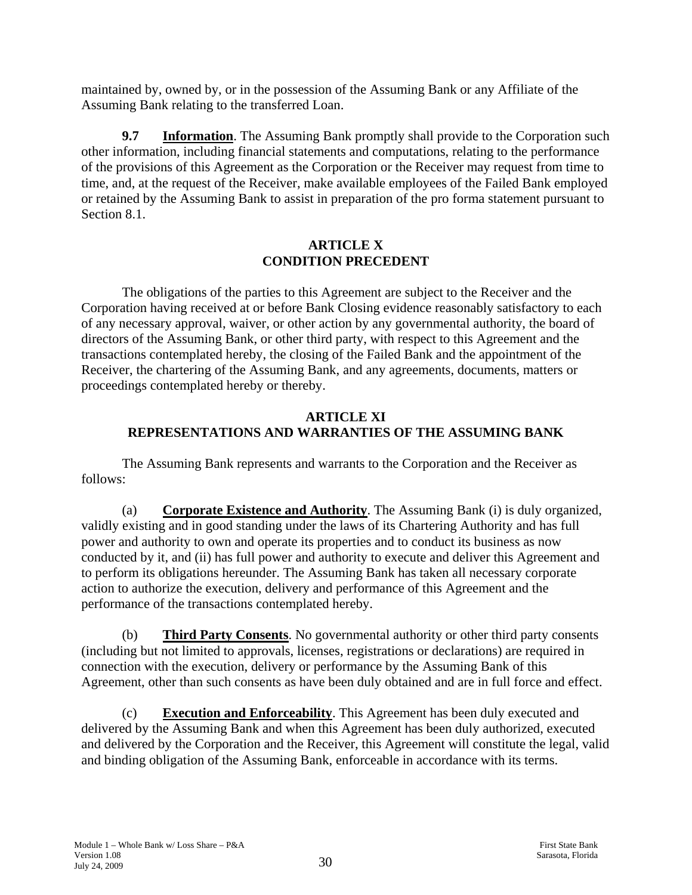maintained by, owned by, or in the possession of the Assuming Bank or any Affiliate of the Assuming Bank relating to the transferred Loan.

**9.7** Information. The Assuming Bank promptly shall provide to the Corporation such other information, including financial statements and computations, relating to the performance of the provisions of this Agreement as the Corporation or the Receiver may request from time to time, and, at the request of the Receiver, make available employees of the Failed Bank employed or retained by the Assuming Bank to assist in preparation of the pro forma statement pursuant to Section 8.1.

## **CONDITION PRECEDENT ARTICLE X**

The obligations of the parties to this Agreement are subject to the Receiver and the Corporation having received at or before Bank Closing evidence reasonably satisfactory to each of any necessary approval, waiver, or other action by any governmental authority, the board of directors of the Assuming Bank, or other third party, with respect to this Agreement and the transactions contemplated hereby, the closing of the Failed Bank and the appointment of the Receiver, the chartering of the Assuming Bank, and any agreements, documents, matters or proceedings contemplated hereby or thereby.

# **ARTICLE XI REPRESENTATIONS AND WARRANTIES OF THE ASSUMING BANK**

The Assuming Bank represents and warrants to the Corporation and the Receiver as follows:

(a) **Corporate Existence and Authority**. The Assuming Bank (i) is duly organized, validly existing and in good standing under the laws of its Chartering Authority and has full power and authority to own and operate its properties and to conduct its business as now conducted by it, and (ii) has full power and authority to execute and deliver this Agreement and to perform its obligations hereunder. The Assuming Bank has taken all necessary corporate action to authorize the execution, delivery and performance of this Agreement and the performance of the transactions contemplated hereby.

(b) **Third Party Consents**. No governmental authority or other third party consents (including but not limited to approvals, licenses, registrations or declarations) are required in connection with the execution, delivery or performance by the Assuming Bank of this Agreement, other than such consents as have been duly obtained and are in full force and effect.

(c) **Execution and Enforceability**. This Agreement has been duly executed and delivered by the Assuming Bank and when this Agreement has been duly authorized, executed and delivered by the Corporation and the Receiver, this Agreement will constitute the legal, valid and binding obligation of the Assuming Bank, enforceable in accordance with its terms.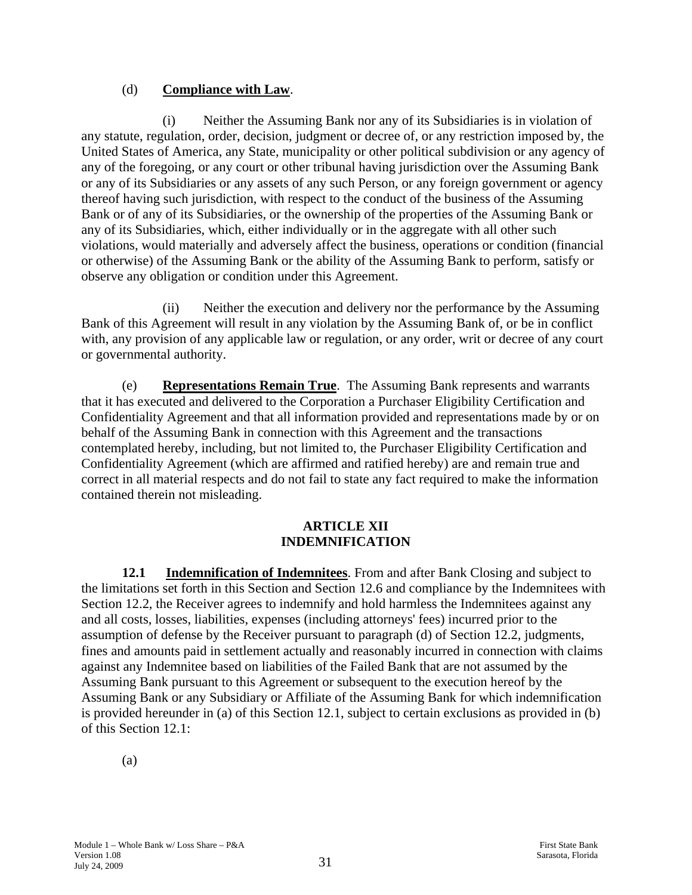## (d) **Compliance with Law**.

(i) Neither the Assuming Bank nor any of its Subsidiaries is in violation of any statute, regulation, order, decision, judgment or decree of, or any restriction imposed by, the United States of America, any State, municipality or other political subdivision or any agency of any of the foregoing, or any court or other tribunal having jurisdiction over the Assuming Bank or any of its Subsidiaries or any assets of any such Person, or any foreign government or agency thereof having such jurisdiction, with respect to the conduct of the business of the Assuming Bank or of any of its Subsidiaries, or the ownership of the properties of the Assuming Bank or any of its Subsidiaries, which, either individually or in the aggregate with all other such violations, would materially and adversely affect the business, operations or condition (financial or otherwise) of the Assuming Bank or the ability of the Assuming Bank to perform, satisfy or observe any obligation or condition under this Agreement.

(ii) Neither the execution and delivery nor the performance by the Assuming Bank of this Agreement will result in any violation by the Assuming Bank of, or be in conflict with, any provision of any applicable law or regulation, or any order, writ or decree of any court or governmental authority.

(e) **Representations Remain True**. The Assuming Bank represents and warrants that it has executed and delivered to the Corporation a Purchaser Eligibility Certification and Confidentiality Agreement and that all information provided and representations made by or on behalf of the Assuming Bank in connection with this Agreement and the transactions contemplated hereby, including, but not limited to, the Purchaser Eligibility Certification and Confidentiality Agreement (which are affirmed and ratified hereby) are and remain true and correct in all material respects and do not fail to state any fact required to make the information contained therein not misleading.

## **ARTICLE XII INDEMNIFICATION**

**12.1 Indemnification of Indemnitees**. From and after Bank Closing and subject to the limitations set forth in this Section and Section 12.6 and compliance by the Indemnitees with Section 12.2, the Receiver agrees to indemnify and hold harmless the Indemnitees against any and all costs, losses, liabilities, expenses (including attorneys' fees) incurred prior to the assumption of defense by the Receiver pursuant to paragraph (d) of Section 12.2, judgments, fines and amounts paid in settlement actually and reasonably incurred in connection with claims against any Indemnitee based on liabilities of the Failed Bank that are not assumed by the Assuming Bank pursuant to this Agreement or subsequent to the execution hereof by the Assuming Bank or any Subsidiary or Affiliate of the Assuming Bank for which indemnification is provided hereunder in (a) of this Section 12.1, subject to certain exclusions as provided in (b) of this Section 12.1:

(a)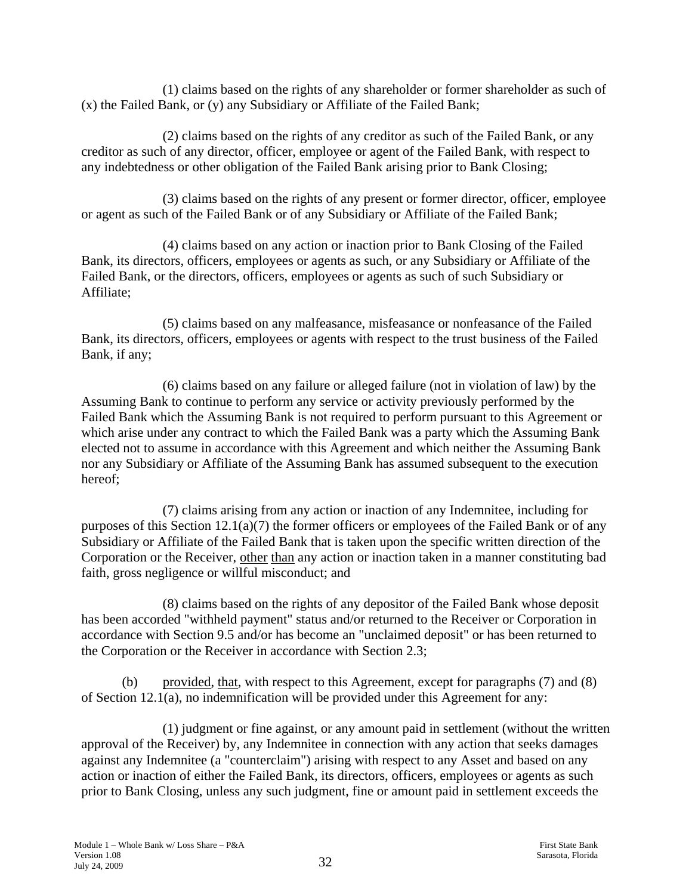(1) claims based on the rights of any shareholder or former shareholder as such of (x) the Failed Bank, or (y) any Subsidiary or Affiliate of the Failed Bank;

(2) claims based on the rights of any creditor as such of the Failed Bank, or any creditor as such of any director, officer, employee or agent of the Failed Bank, with respect to any indebtedness or other obligation of the Failed Bank arising prior to Bank Closing;

(3) claims based on the rights of any present or former director, officer, employee or agent as such of the Failed Bank or of any Subsidiary or Affiliate of the Failed Bank;

(4) claims based on any action or inaction prior to Bank Closing of the Failed Bank, its directors, officers, employees or agents as such, or any Subsidiary or Affiliate of the Failed Bank, or the directors, officers, employees or agents as such of such Subsidiary or Affiliate;

(5) claims based on any malfeasance, misfeasance or nonfeasance of the Failed Bank, its directors, officers, employees or agents with respect to the trust business of the Failed Bank, if any;

(6) claims based on any failure or alleged failure (not in violation of law) by the Assuming Bank to continue to perform any service or activity previously performed by the Failed Bank which the Assuming Bank is not required to perform pursuant to this Agreement or which arise under any contract to which the Failed Bank was a party which the Assuming Bank elected not to assume in accordance with this Agreement and which neither the Assuming Bank nor any Subsidiary or Affiliate of the Assuming Bank has assumed subsequent to the execution hereof;

(7) claims arising from any action or inaction of any Indemnitee, including for purposes of this Section 12.1(a)(7) the former officers or employees of the Failed Bank or of any Subsidiary or Affiliate of the Failed Bank that is taken upon the specific written direction of the Corporation or the Receiver, other than any action or inaction taken in a manner constituting bad faith, gross negligence or willful misconduct; and

(8) claims based on the rights of any depositor of the Failed Bank whose deposit has been accorded "withheld payment" status and/or returned to the Receiver or Corporation in accordance with Section 9.5 and/or has become an "unclaimed deposit" or has been returned to the Corporation or the Receiver in accordance with Section 2.3;

(b) provided, that, with respect to this Agreement, except for paragraphs (7) and (8) of Section 12.1(a), no indemnification will be provided under this Agreement for any:

(1) judgment or fine against, or any amount paid in settlement (without the written approval of the Receiver) by, any Indemnitee in connection with any action that seeks damages against any Indemnitee (a "counterclaim") arising with respect to any Asset and based on any action or inaction of either the Failed Bank, its directors, officers, employees or agents as such prior to Bank Closing, unless any such judgment, fine or amount paid in settlement exceeds the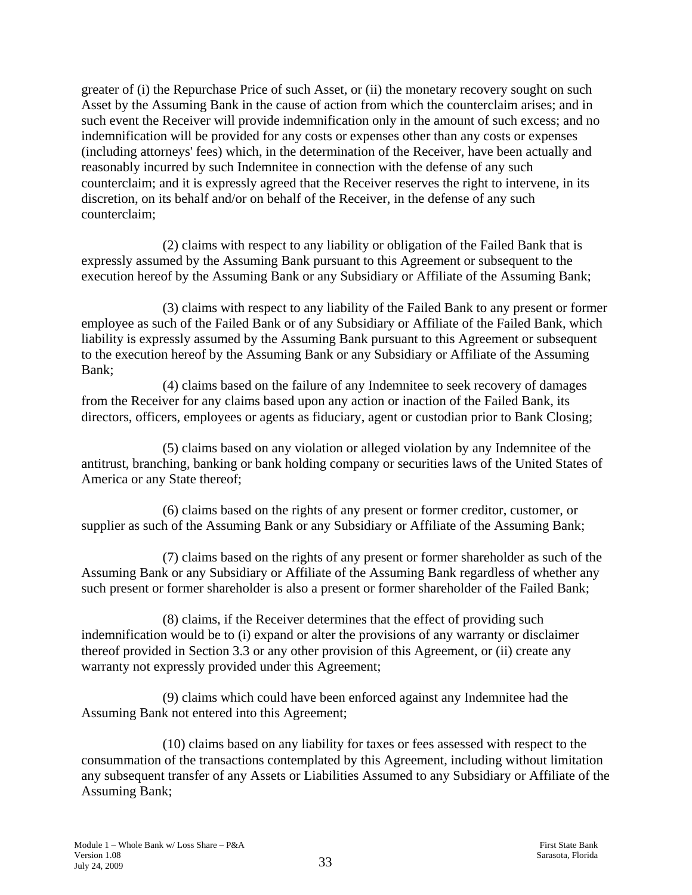greater of (i) the Repurchase Price of such Asset, or (ii) the monetary recovery sought on such Asset by the Assuming Bank in the cause of action from which the counterclaim arises; and in such event the Receiver will provide indemnification only in the amount of such excess; and no indemnification will be provided for any costs or expenses other than any costs or expenses (including attorneys' fees) which, in the determination of the Receiver, have been actually and reasonably incurred by such Indemnitee in connection with the defense of any such counterclaim; and it is expressly agreed that the Receiver reserves the right to intervene, in its discretion, on its behalf and/or on behalf of the Receiver, in the defense of any such counterclaim;

(2) claims with respect to any liability or obligation of the Failed Bank that is expressly assumed by the Assuming Bank pursuant to this Agreement or subsequent to the execution hereof by the Assuming Bank or any Subsidiary or Affiliate of the Assuming Bank;

(3) claims with respect to any liability of the Failed Bank to any present or former employee as such of the Failed Bank or of any Subsidiary or Affiliate of the Failed Bank, which liability is expressly assumed by the Assuming Bank pursuant to this Agreement or subsequent to the execution hereof by the Assuming Bank or any Subsidiary or Affiliate of the Assuming Bank;

(4) claims based on the failure of any Indemnitee to seek recovery of damages from the Receiver for any claims based upon any action or inaction of the Failed Bank, its directors, officers, employees or agents as fiduciary, agent or custodian prior to Bank Closing;

(5) claims based on any violation or alleged violation by any Indemnitee of the antitrust, branching, banking or bank holding company or securities laws of the United States of America or any State thereof;

(6) claims based on the rights of any present or former creditor, customer, or supplier as such of the Assuming Bank or any Subsidiary or Affiliate of the Assuming Bank;

(7) claims based on the rights of any present or former shareholder as such of the Assuming Bank or any Subsidiary or Affiliate of the Assuming Bank regardless of whether any such present or former shareholder is also a present or former shareholder of the Failed Bank;

(8) claims, if the Receiver determines that the effect of providing such indemnification would be to (i) expand or alter the provisions of any warranty or disclaimer thereof provided in Section 3.3 or any other provision of this Agreement, or (ii) create any warranty not expressly provided under this Agreement;

(9) claims which could have been enforced against any Indemnitee had the Assuming Bank not entered into this Agreement;

(10) claims based on any liability for taxes or fees assessed with respect to the consummation of the transactions contemplated by this Agreement, including without limitation any subsequent transfer of any Assets or Liabilities Assumed to any Subsidiary or Affiliate of the Assuming Bank;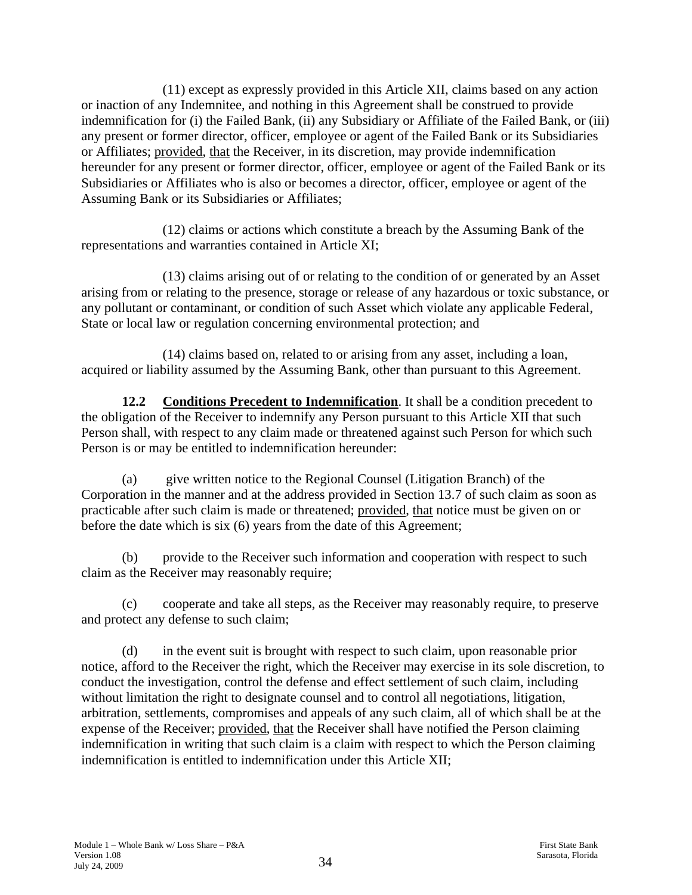(11) except as expressly provided in this Article XII, claims based on any action or inaction of any Indemnitee, and nothing in this Agreement shall be construed to provide indemnification for (i) the Failed Bank, (ii) any Subsidiary or Affiliate of the Failed Bank, or (iii) any present or former director, officer, employee or agent of the Failed Bank or its Subsidiaries or Affiliates; provided, that the Receiver, in its discretion, may provide indemnification hereunder for any present or former director, officer, employee or agent of the Failed Bank or its Subsidiaries or Affiliates who is also or becomes a director, officer, employee or agent of the Assuming Bank or its Subsidiaries or Affiliates;

(12) claims or actions which constitute a breach by the Assuming Bank of the representations and warranties contained in Article XI;

(13) claims arising out of or relating to the condition of or generated by an Asset arising from or relating to the presence, storage or release of any hazardous or toxic substance, or any pollutant or contaminant, or condition of such Asset which violate any applicable Federal, State or local law or regulation concerning environmental protection; and

(14) claims based on, related to or arising from any asset, including a loan, acquired or liability assumed by the Assuming Bank, other than pursuant to this Agreement.

**12.2 Conditions Precedent to Indemnification**. It shall be a condition precedent to the obligation of the Receiver to indemnify any Person pursuant to this Article XII that such Person shall, with respect to any claim made or threatened against such Person for which such Person is or may be entitled to indemnification hereunder:

(a) give written notice to the Regional Counsel (Litigation Branch) of the Corporation in the manner and at the address provided in Section 13.7 of such claim as soon as practicable after such claim is made or threatened; provided, that notice must be given on or before the date which is six (6) years from the date of this Agreement;

(b) provide to the Receiver such information and cooperation with respect to such claim as the Receiver may reasonably require;

(c) cooperate and take all steps, as the Receiver may reasonably require, to preserve and protect any defense to such claim;

(d) in the event suit is brought with respect to such claim, upon reasonable prior notice, afford to the Receiver the right, which the Receiver may exercise in its sole discretion, to conduct the investigation, control the defense and effect settlement of such claim, including without limitation the right to designate counsel and to control all negotiations, litigation, arbitration, settlements, compromises and appeals of any such claim, all of which shall be at the expense of the Receiver; provided, that the Receiver shall have notified the Person claiming indemnification in writing that such claim is a claim with respect to which the Person claiming indemnification is entitled to indemnification under this Article XII;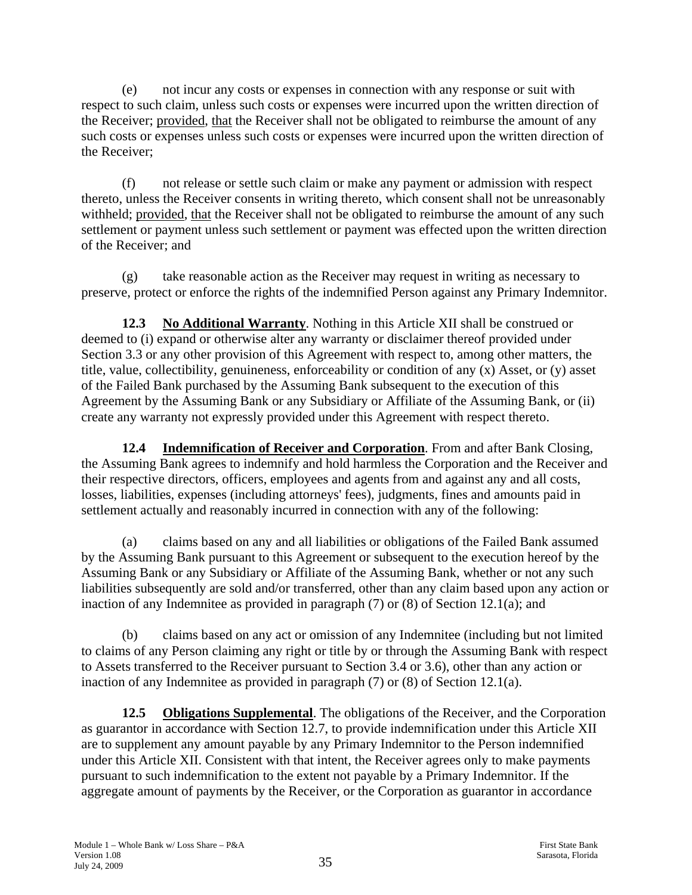(e) not incur any costs or expenses in connection with any response or suit with respect to such claim, unless such costs or expenses were incurred upon the written direction of the Receiver; provided, that the Receiver shall not be obligated to reimburse the amount of any such costs or expenses unless such costs or expenses were incurred upon the written direction of the Receiver;

(f) not release or settle such claim or make any payment or admission with respect thereto, unless the Receiver consents in writing thereto, which consent shall not be unreasonably withheld; provided, that the Receiver shall not be obligated to reimburse the amount of any such settlement or payment unless such settlement or payment was effected upon the written direction of the Receiver; and

(g) take reasonable action as the Receiver may request in writing as necessary to preserve, protect or enforce the rights of the indemnified Person against any Primary Indemnitor.

**12.3 No Additional Warranty**. Nothing in this Article XII shall be construed or deemed to (i) expand or otherwise alter any warranty or disclaimer thereof provided under Section 3.3 or any other provision of this Agreement with respect to, among other matters, the title, value, collectibility, genuineness, enforceability or condition of any (x) Asset, or (y) asset of the Failed Bank purchased by the Assuming Bank subsequent to the execution of this Agreement by the Assuming Bank or any Subsidiary or Affiliate of the Assuming Bank, or (ii) create any warranty not expressly provided under this Agreement with respect thereto.

**12.4 Indemnification of Receiver and Corporation**. From and after Bank Closing, the Assuming Bank agrees to indemnify and hold harmless the Corporation and the Receiver and their respective directors, officers, employees and agents from and against any and all costs, losses, liabilities, expenses (including attorneys' fees), judgments, fines and amounts paid in settlement actually and reasonably incurred in connection with any of the following:

(a) claims based on any and all liabilities or obligations of the Failed Bank assumed by the Assuming Bank pursuant to this Agreement or subsequent to the execution hereof by the Assuming Bank or any Subsidiary or Affiliate of the Assuming Bank, whether or not any such liabilities subsequently are sold and/or transferred, other than any claim based upon any action or inaction of any Indemnitee as provided in paragraph (7) or (8) of Section 12.1(a); and

(b) claims based on any act or omission of any Indemnitee (including but not limited to claims of any Person claiming any right or title by or through the Assuming Bank with respect to Assets transferred to the Receiver pursuant to Section 3.4 or 3.6), other than any action or inaction of any Indemnitee as provided in paragraph (7) or (8) of Section 12.1(a).

**12.5 Obligations Supplemental**. The obligations of the Receiver, and the Corporation as guarantor in accordance with Section 12.7, to provide indemnification under this Article XII are to supplement any amount payable by any Primary Indemnitor to the Person indemnified under this Article XII. Consistent with that intent, the Receiver agrees only to make payments pursuant to such indemnification to the extent not payable by a Primary Indemnitor. If the aggregate amount of payments by the Receiver, or the Corporation as guarantor in accordance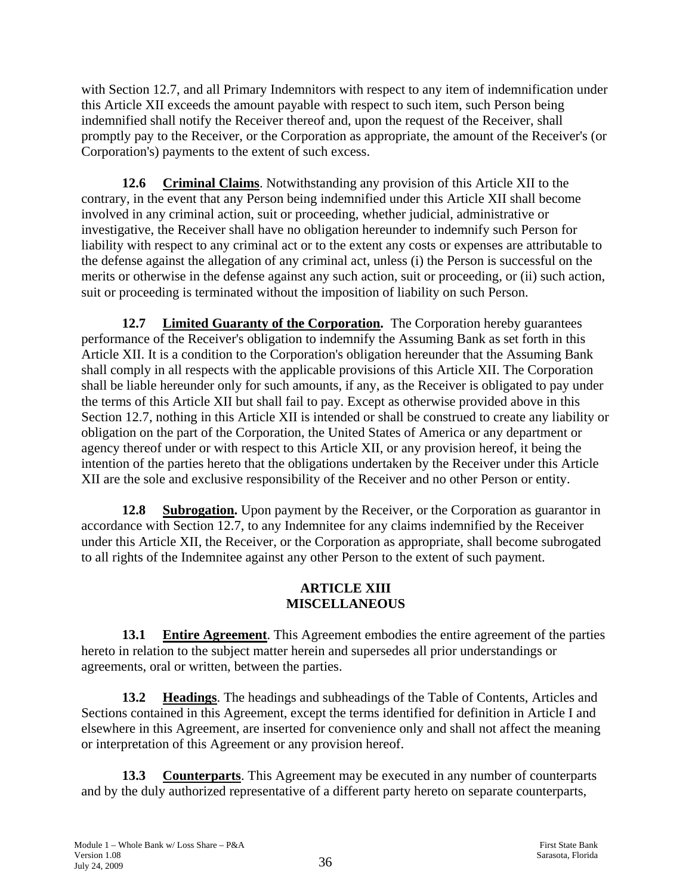with Section 12.7, and all Primary Indemnitors with respect to any item of indemnification under this Article XII exceeds the amount payable with respect to such item, such Person being indemnified shall notify the Receiver thereof and, upon the request of the Receiver, shall promptly pay to the Receiver, or the Corporation as appropriate, the amount of the Receiver's (or Corporation's) payments to the extent of such excess.

**12.6 Criminal Claims**. Notwithstanding any provision of this Article XII to the contrary, in the event that any Person being indemnified under this Article XII shall become involved in any criminal action, suit or proceeding, whether judicial, administrative or investigative, the Receiver shall have no obligation hereunder to indemnify such Person for liability with respect to any criminal act or to the extent any costs or expenses are attributable to the defense against the allegation of any criminal act, unless (i) the Person is successful on the merits or otherwise in the defense against any such action, suit or proceeding, or (ii) such action, suit or proceeding is terminated without the imposition of liability on such Person.

**12.7 Limited Guaranty of the Corporation.** The Corporation hereby guarantees performance of the Receiver's obligation to indemnify the Assuming Bank as set forth in this Article XII. It is a condition to the Corporation's obligation hereunder that the Assuming Bank shall comply in all respects with the applicable provisions of this Article XII. The Corporation shall be liable hereunder only for such amounts, if any, as the Receiver is obligated to pay under the terms of this Article XII but shall fail to pay. Except as otherwise provided above in this Section 12.7, nothing in this Article XII is intended or shall be construed to create any liability or obligation on the part of the Corporation, the United States of America or any department or agency thereof under or with respect to this Article XII, or any provision hereof, it being the intention of the parties hereto that the obligations undertaken by the Receiver under this Article XII are the sole and exclusive responsibility of the Receiver and no other Person or entity.

**12.8 Subrogation.** Upon payment by the Receiver, or the Corporation as guarantor in accordance with Section 12.7, to any Indemnitee for any claims indemnified by the Receiver under this Article XII, the Receiver, or the Corporation as appropriate, shall become subrogated to all rights of the Indemnitee against any other Person to the extent of such payment.

# **ARTICLE XIII MISCELLANEOUS**

**13.1 Entire Agreement**. This Agreement embodies the entire agreement of the parties hereto in relation to the subject matter herein and supersedes all prior understandings or agreements, oral or written, between the parties.

**13.2 Headings**. The headings and subheadings of the Table of Contents, Articles and Sections contained in this Agreement, except the terms identified for definition in Article I and elsewhere in this Agreement, are inserted for convenience only and shall not affect the meaning or interpretation of this Agreement or any provision hereof.

**13.3 Counterparts**. This Agreement may be executed in any number of counterparts and by the duly authorized representative of a different party hereto on separate counterparts,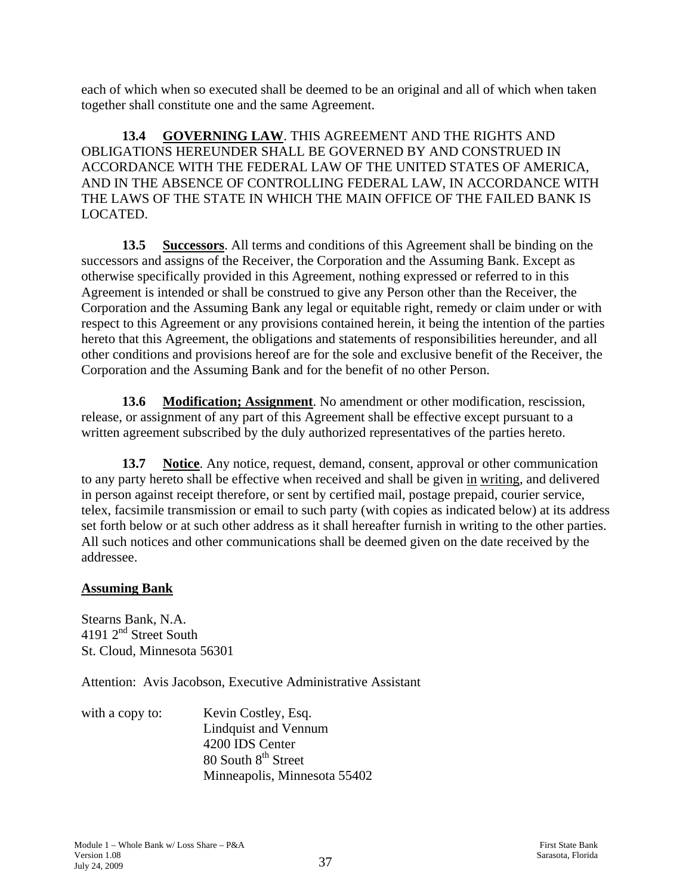each of which when so executed shall be deemed to be an original and all of which when taken together shall constitute one and the same Agreement.

**13.4 GOVERNING LAW**. THIS AGREEMENT AND THE RIGHTS AND OBLIGATIONS HEREUNDER SHALL BE GOVERNED BY AND CONSTRUED IN ACCORDANCE WITH THE FEDERAL LAW OF THE UNITED STATES OF AMERICA, AND IN THE ABSENCE OF CONTROLLING FEDERAL LAW, IN ACCORDANCE WITH THE LAWS OF THE STATE IN WHICH THE MAIN OFFICE OF THE FAILED BANK IS LOCATED.

**13.5 Successors.** All terms and conditions of this Agreement shall be binding on the successors and assigns of the Receiver, the Corporation and the Assuming Bank. Except as otherwise specifically provided in this Agreement, nothing expressed or referred to in this Agreement is intended or shall be construed to give any Person other than the Receiver, the Corporation and the Assuming Bank any legal or equitable right, remedy or claim under or with respect to this Agreement or any provisions contained herein, it being the intention of the parties hereto that this Agreement, the obligations and statements of responsibilities hereunder, and all other conditions and provisions hereof are for the sole and exclusive benefit of the Receiver, the Corporation and the Assuming Bank and for the benefit of no other Person.

**13.6 Modification; Assignment**. No amendment or other modification, rescission, release, or assignment of any part of this Agreement shall be effective except pursuant to a written agreement subscribed by the duly authorized representatives of the parties hereto.

**13.7 Notice**. Any notice, request, demand, consent, approval or other communication to any party hereto shall be effective when received and shall be given in writing, and delivered in person against receipt therefore, or sent by certified mail, postage prepaid, courier service, telex, facsimile transmission or email to such party (with copies as indicated below) at its address set forth below or at such other address as it shall hereafter furnish in writing to the other parties. All such notices and other communications shall be deemed given on the date received by the addressee.

# **Assuming Bank**

Stearns Bank, N.A. 4191 2nd Street South St. Cloud, Minnesota 56301

Attention: Avis Jacobson, Executive Administrative Assistant

with a copy to: Kevin Costley, Esq. Lindquist and Vennum 4200 IDS Center 80 South  $8<sup>th</sup>$  Street Minneapolis, Minnesota 55402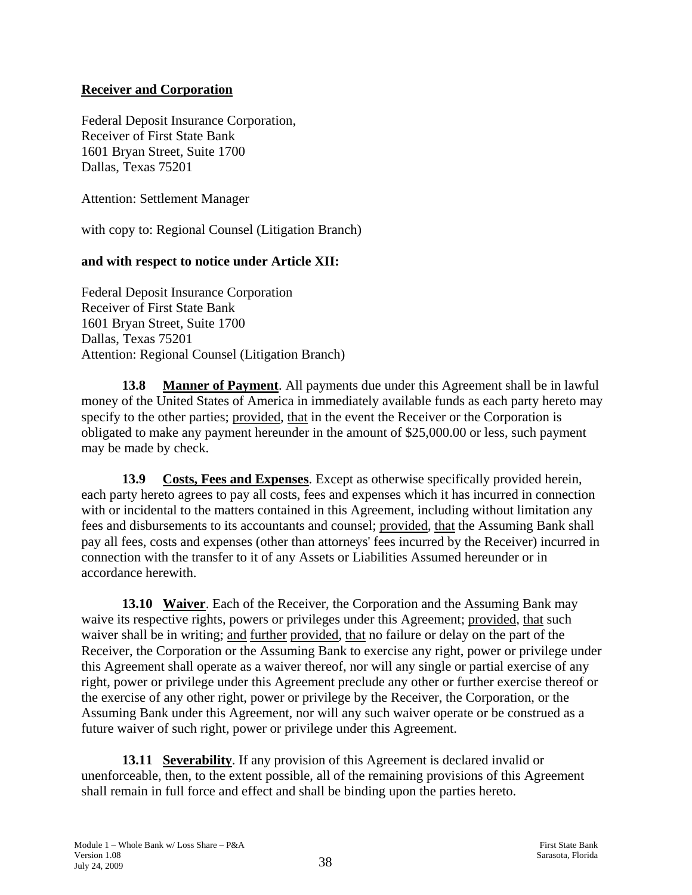# **Receiver and Corporation**

Federal Deposit Insurance Corporation, Receiver of First State Bank 1601 Bryan Street, Suite 1700 Dallas, Texas 75201

Attention: Settlement Manager

with copy to: Regional Counsel (Litigation Branch)

# **and with respect to notice under Article XII:**

Federal Deposit Insurance Corporation Receiver of First State Bank 1601 Bryan Street, Suite 1700 Dallas, Texas 75201 Attention: Regional Counsel (Litigation Branch)

 **13.8 Manner of Payment**. All payments due under this Agreement shall be in lawful money of the United States of America in immediately available funds as each party hereto may specify to the other parties; provided, that in the event the Receiver or the Corporation is obligated to make any payment hereunder in the amount of \$25,000.00 or less, such payment may be made by check.

**13.9 Costs, Fees and Expenses**. Except as otherwise specifically provided herein, each party hereto agrees to pay all costs, fees and expenses which it has incurred in connection with or incidental to the matters contained in this Agreement, including without limitation any fees and disbursements to its accountants and counsel; provided, that the Assuming Bank shall pay all fees, costs and expenses (other than attorneys' fees incurred by the Receiver) incurred in connection with the transfer to it of any Assets or Liabilities Assumed hereunder or in accordance herewith.

**13.10 Waiver**. Each of the Receiver, the Corporation and the Assuming Bank may waive its respective rights, powers or privileges under this Agreement; provided, that such waiver shall be in writing; and further provided, that no failure or delay on the part of the Receiver, the Corporation or the Assuming Bank to exercise any right, power or privilege under this Agreement shall operate as a waiver thereof, nor will any single or partial exercise of any right, power or privilege under this Agreement preclude any other or further exercise thereof or the exercise of any other right, power or privilege by the Receiver, the Corporation, or the Assuming Bank under this Agreement, nor will any such waiver operate or be construed as a future waiver of such right, power or privilege under this Agreement.

**13.11 Severability**. If any provision of this Agreement is declared invalid or unenforceable, then, to the extent possible, all of the remaining provisions of this Agreement shall remain in full force and effect and shall be binding upon the parties hereto.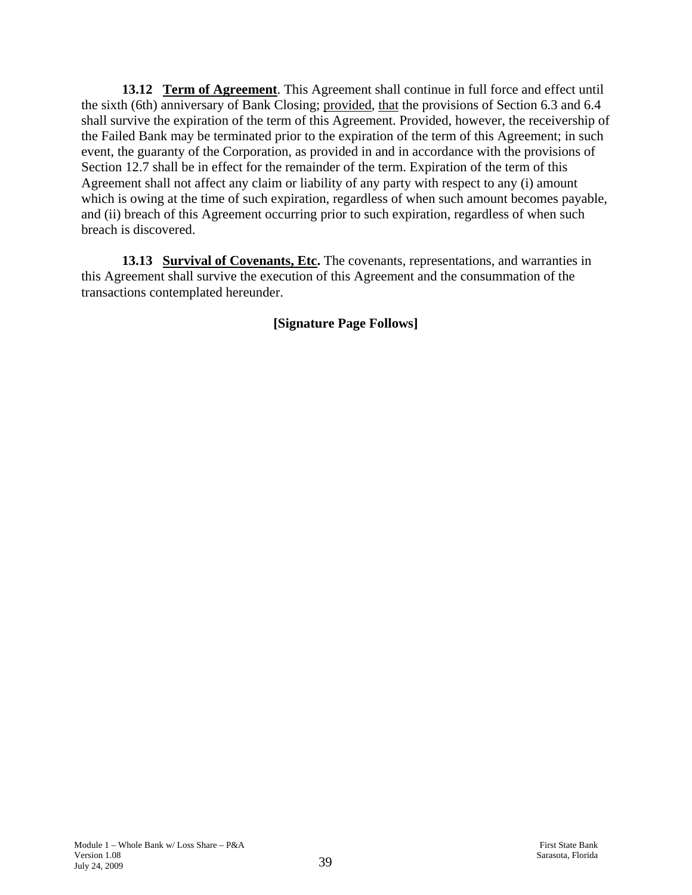**13.12 Term of Agreement**. This Agreement shall continue in full force and effect until the sixth (6th) anniversary of Bank Closing; provided, that the provisions of Section 6.3 and 6.4 shall survive the expiration of the term of this Agreement. Provided, however, the receivership of the Failed Bank may be terminated prior to the expiration of the term of this Agreement; in such event, the guaranty of the Corporation, as provided in and in accordance with the provisions of Section 12.7 shall be in effect for the remainder of the term. Expiration of the term of this Agreement shall not affect any claim or liability of any party with respect to any (i) amount which is owing at the time of such expiration, regardless of when such amount becomes payable, and (ii) breach of this Agreement occurring prior to such expiration, regardless of when such breach is discovered.

**13.13 Survival of Covenants, Etc.** The covenants, representations, and warranties in this Agreement shall survive the execution of this Agreement and the consummation of the transactions contemplated hereunder.

 **[Signature Page Follows]**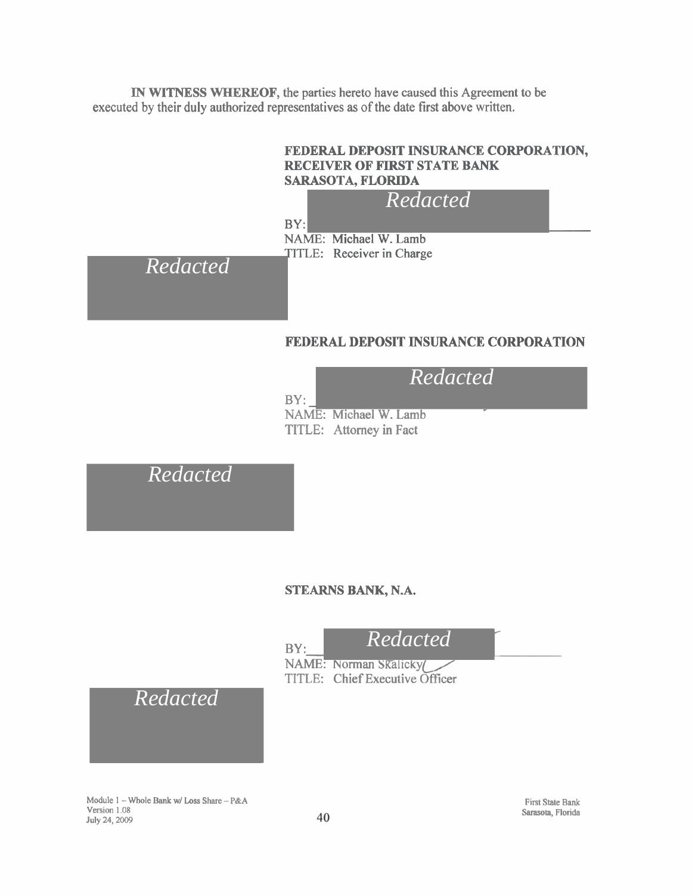**IN WITNESS WHEREOF,** the parties hereto have caused this Agreement to be executed by their duly authorized representatives as of the date first above written.

#### **FEDERAL DEPOSIT INSURANCE CORPORATION, RECEIVER OF FIRST STATE BANK SARASOTA, FLORIDA**

BY: *Redacted* NAME: Michael W. Lamb TITLE: Receiver in Charge

*Redacted*

# **FEDERAL DEPOSIT INSURANCE CORPORATION**

BY: NAME: Michael W. Lamb *Redacted* TITLE: Attorney in Fact

*Redacted*

#### **STEARNS BANK, N.A.**

BY:

*Redacted*

NAME: Norman Skalicky TITLE: Chief Executive Officer



Module 1 -Whole **Bank w/Loss** Share-**P&A** First State**Bank**  July **24,2009**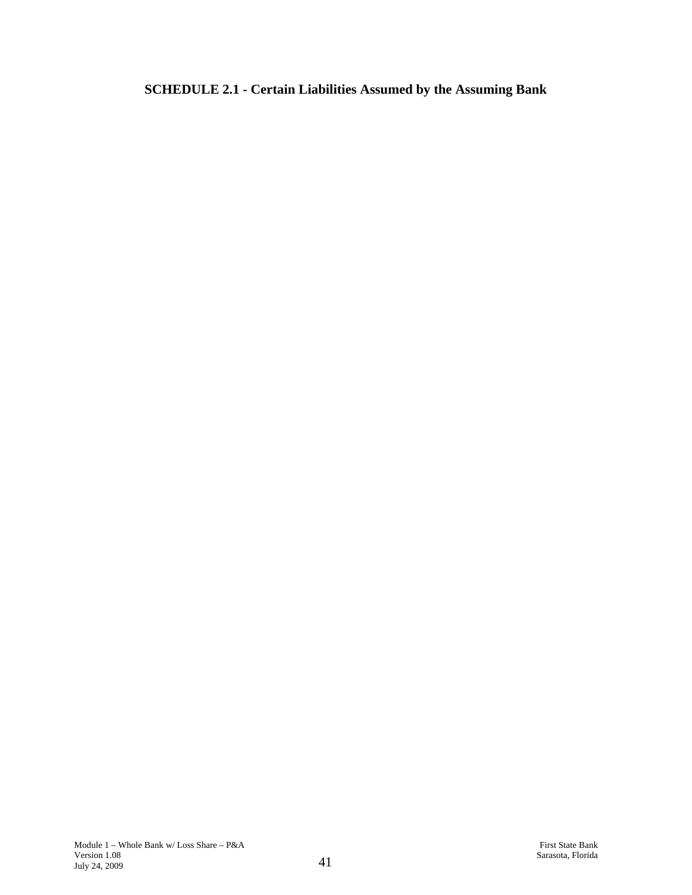**SCHEDULE 2.1 - Certain Liabilities Assumed by the Assuming Bank**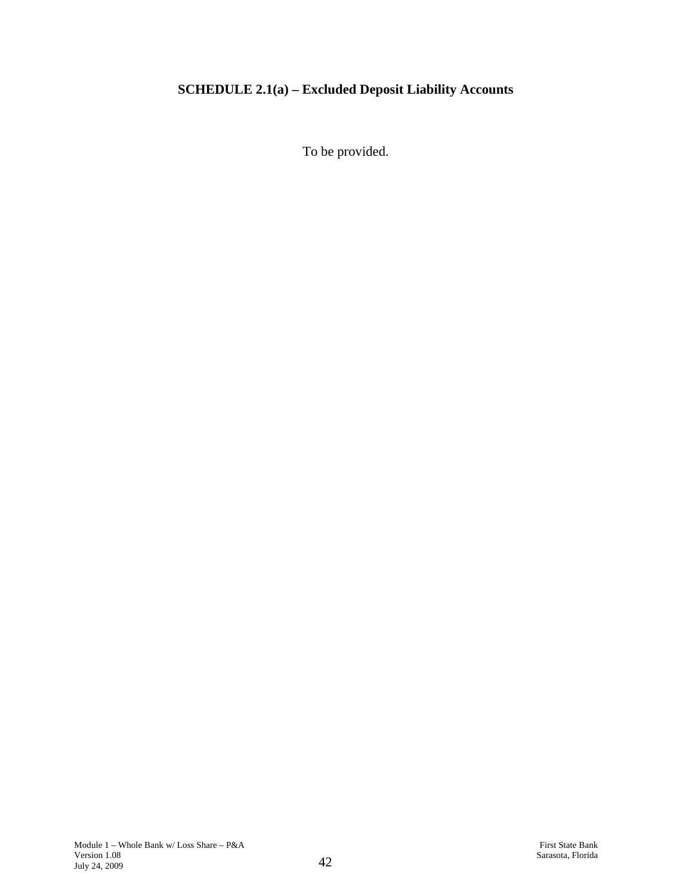# **SCHEDULE 2.1(a) – Excluded Deposit Liability Accounts**

To be provided.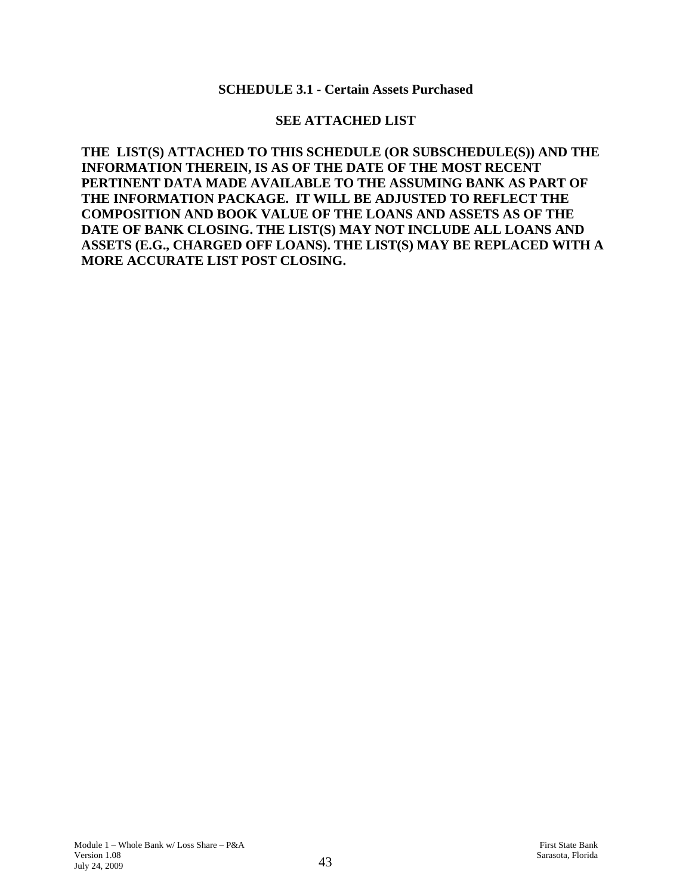#### **SCHEDULE 3.1 - Certain Assets Purchased**

#### **SEE ATTACHED LIST**

THE LIST(S) ATTACHED TO THIS SCHEDULE (OR SUBSCHEDULE(S)) AND THE **INFORMATION THEREIN, IS AS OF THE DATE OF THE MOST RECENT PERTINENT DATA MADE AVAILABLE TO THE ASSUMING BANK AS PART OF THE INFORMATION PACKAGE. IT WILL BE ADJUSTED TO REFLECT THE COMPOSITION AND BOOK VALUE OF THE LOANS AND ASSETS AS OF THE DATE OF BANK CLOSING. THE LIST(S) MAY NOT INCLUDE ALL LOANS AND ASSETS (E.G., CHARGED OFF LOANS). THE LIST(S) MAY BE REPLACED WITH A MORE ACCURATE LIST POST CLOSING.**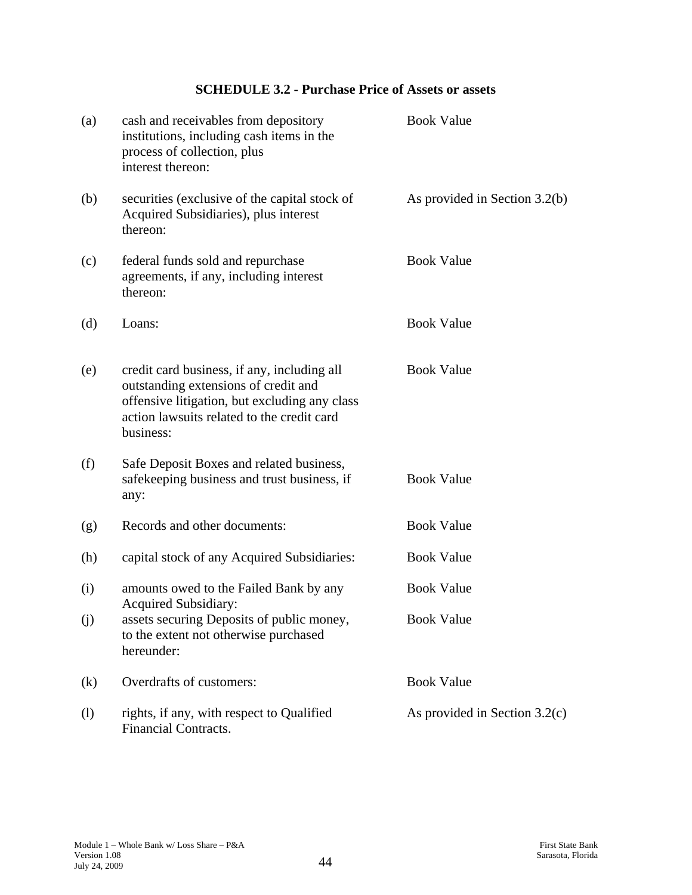# **SCHEDULE 3.2 - Purchase Price of Assets or assets**

| (a) | cash and receivables from depository<br>institutions, including cash items in the<br>process of collection, plus<br>interest thereon:                                                           | <b>Book Value</b>               |
|-----|-------------------------------------------------------------------------------------------------------------------------------------------------------------------------------------------------|---------------------------------|
| (b) | securities (exclusive of the capital stock of<br>Acquired Subsidiaries), plus interest<br>thereon:                                                                                              | As provided in Section $3.2(b)$ |
| (c) | federal funds sold and repurchase<br>agreements, if any, including interest<br>thereon:                                                                                                         | <b>Book Value</b>               |
| (d) | Loans:                                                                                                                                                                                          | <b>Book Value</b>               |
| (e) | credit card business, if any, including all<br>outstanding extensions of credit and<br>offensive litigation, but excluding any class<br>action lawsuits related to the credit card<br>business: | <b>Book Value</b>               |
| (f) | Safe Deposit Boxes and related business,<br>safekeeping business and trust business, if<br>any:                                                                                                 | <b>Book Value</b>               |
| (g) | Records and other documents:                                                                                                                                                                    | <b>Book Value</b>               |
| (h) | capital stock of any Acquired Subsidiaries:                                                                                                                                                     | <b>Book Value</b>               |
| (i) | amounts owed to the Failed Bank by any                                                                                                                                                          | <b>Book Value</b>               |
| (j) | <b>Acquired Subsidiary:</b><br>assets securing Deposits of public money,<br>to the extent not otherwise purchased<br>hereunder:                                                                 | <b>Book Value</b>               |
| (k) | Overdrafts of customers:                                                                                                                                                                        | <b>Book Value</b>               |
| (1) | rights, if any, with respect to Qualified<br>Financial Contracts.                                                                                                                               | As provided in Section $3.2(c)$ |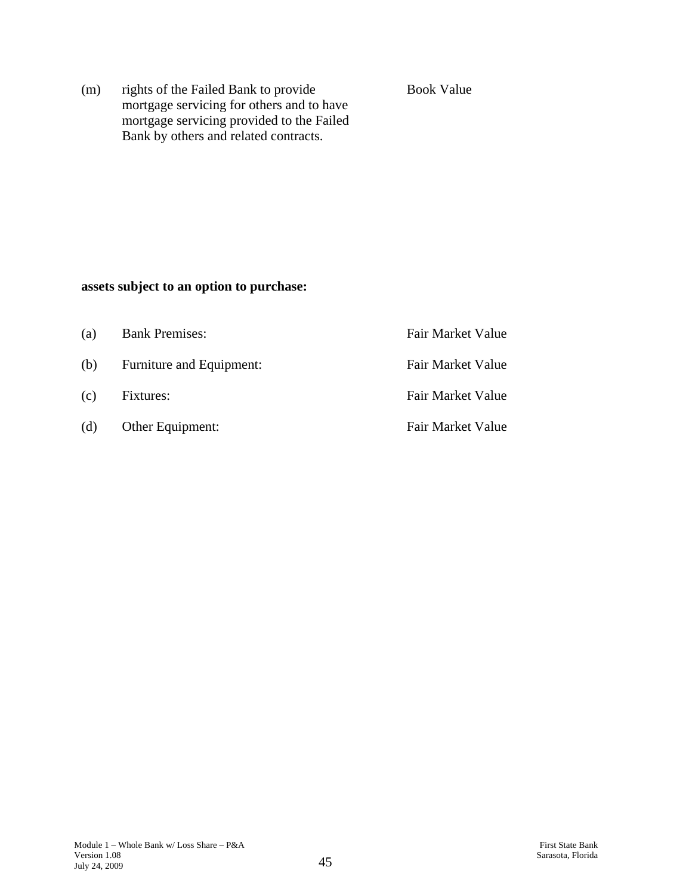(m) rights of the Failed Bank to provide Book Value mortgage servicing for others and to have mortgage servicing provided to the Failed Bank by others and related contracts.

#### **assets subject to an option to purchase:**

(a) Bank Premises: Fair Market Value (b) Furniture and Equipment: Fair Market Value (c) Fixtures: Fair Market Value (d) Other Equipment: Fair Market Value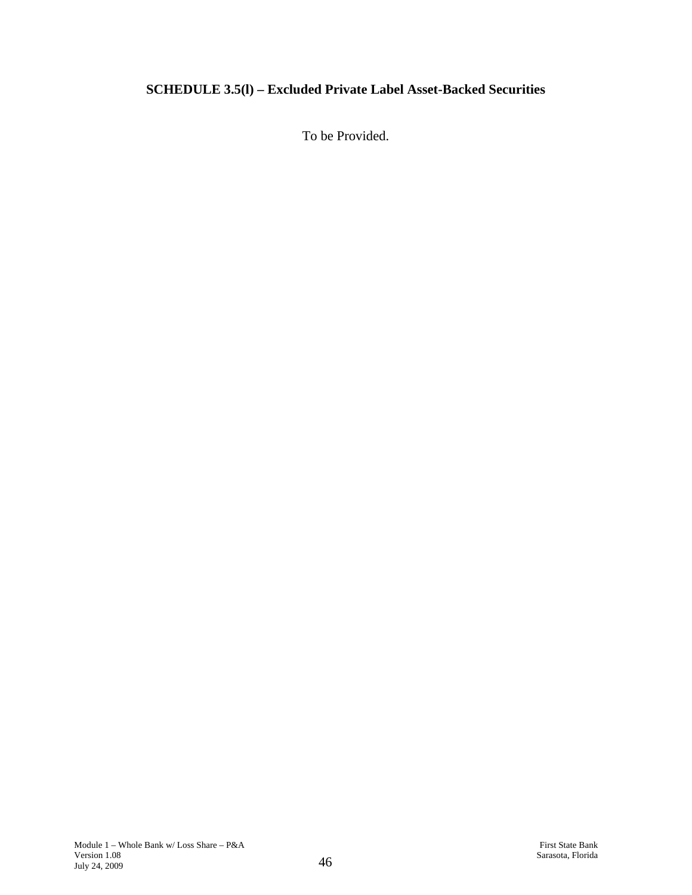# **SCHEDULE 3.5(l) – Excluded Private Label Asset-Backed Securities**

To be Provided.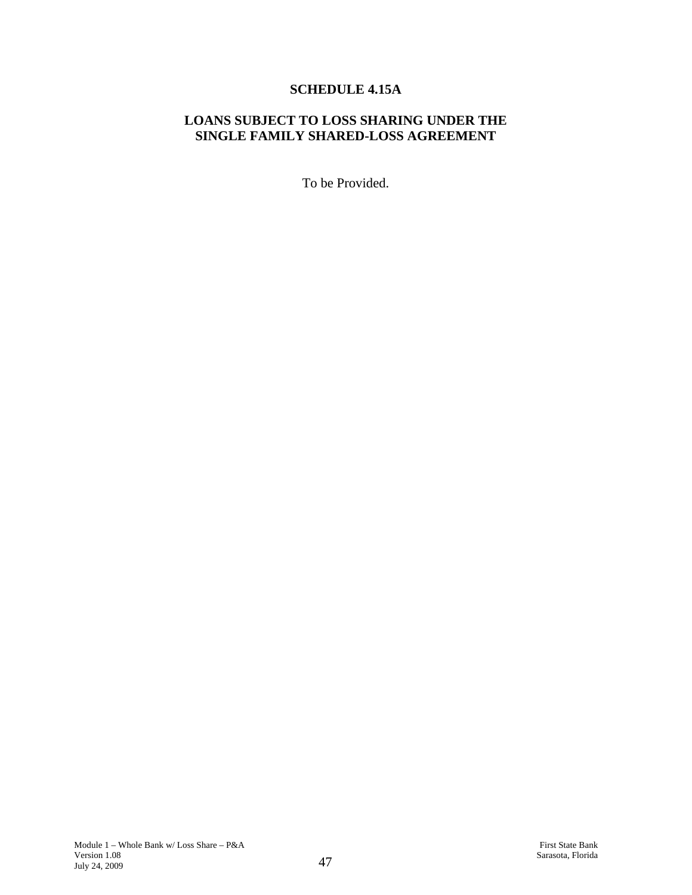# **SCHEDULE 4.15A**

# **LOANS SUBJECT TO LOSS SHARING UNDER THE SINGLE FAMILY SHARED-LOSS AGREEMENT**

To be Provided.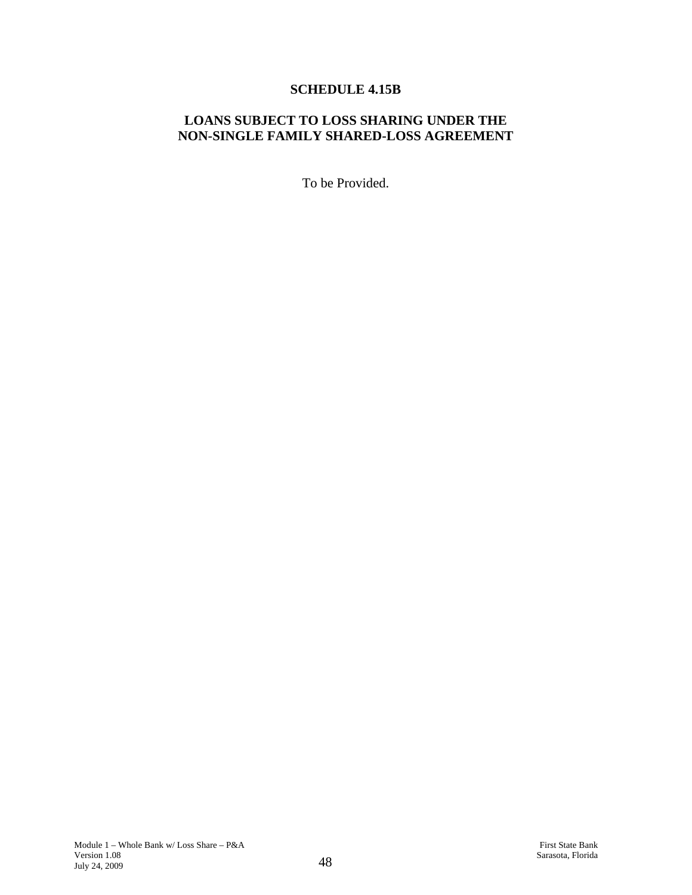# **SCHEDULE 4.15B**

# **LOANS SUBJECT TO LOSS SHARING UNDER THE NON-SINGLE FAMILY SHARED-LOSS AGREEMENT**

To be Provided.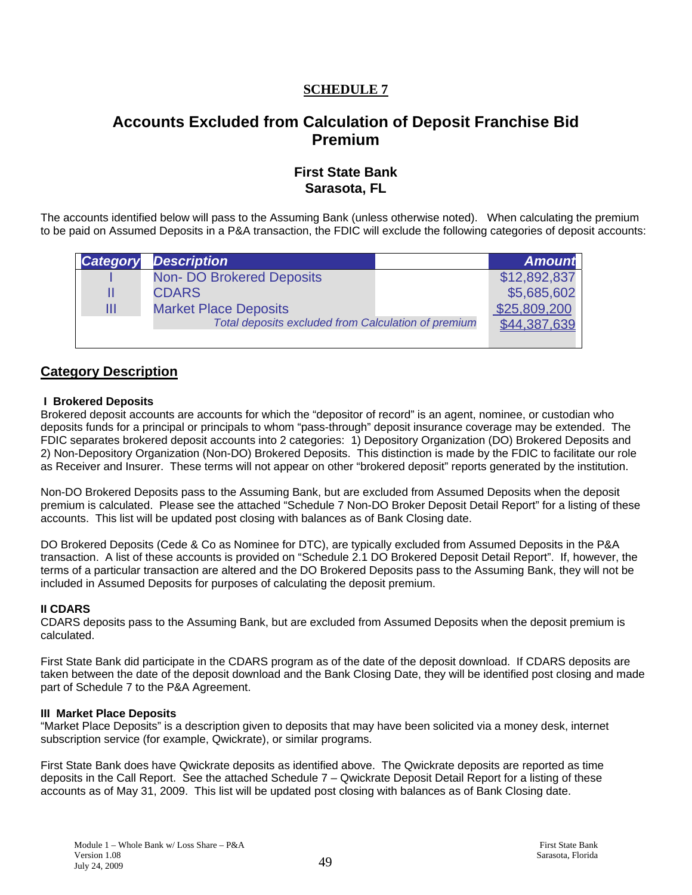# **SCHEDULE 7**

# **Premium Accounts Excluded from Calculation of Deposit Franchise Bid**

# **Premium<br>First State Bank<br>Sarasota, FL**

The accounts identified below will pass to the Assuming Bank (unless otherwise noted). When calculating the premium to be paid on Assumed Deposits in a P&A transaction, the FDIC will exclude the following categories of deposit accounts:

| <b>Category</b> | <b>Description</b>                                  | <b>Amount</b> |
|-----------------|-----------------------------------------------------|---------------|
|                 | <b>Non-DO Brokered Deposits</b>                     | \$12,892,837  |
|                 | <b>CDARS</b>                                        | \$5,685,602   |
| Ш               | <b>Market Place Deposits</b>                        | \$25,809,200  |
|                 | Total deposits excluded from Calculation of premium | \$44,387,639  |
|                 |                                                     |               |

# **Category Description**

#### **I Brokered Deposits**

Brokered deposit accounts are accounts for which the "depositor of record" is an agent, nominee, or custodian who deposits funds for a principal or principals to whom "pass-through" deposit insurance coverage may be extended. The FDIC separates brokered deposit accounts into 2 categories: 1) Depository Organization (DO) Brokered Deposits and 2) Non-Depository Organization (Non-DO) Brokered Deposits. This distinction is made by the FDIC to facilitate our role as Receiver and Insurer. These terms will not appear on other "brokered deposit" reports generated by the institution.

Non-DO Brokered Deposits pass to the Assuming Bank, but are excluded from Assumed Deposits when the deposit premium is calculated. Please see the attached "Schedule 7 Non-DO Broker Deposit Detail Report" for a listing of these accounts. This list will be updated post closing with balances as of Bank Closing date.

DO Brokered Deposits (Cede & Co as Nominee for DTC), are typically excluded from Assumed Deposits in the P&A transaction. A list of these accounts is provided on "Schedule 2.1 DO Brokered Deposit Detail Report". If, however, the terms of a particular transaction are altered and the DO Brokered Deposits pass to the Assuming Bank, they will not be included in Assumed Deposits for purposes of calculating the deposit premium.

#### **II CDARS**

CDARS deposits pass to the Assuming Bank, but are excluded from Assumed Deposits when the deposit premium is calculated.

First State Bank did participate in the CDARS program as of the date of the deposit download. If CDARS deposits are taken between the date of the deposit download and the Bank Closing Date, they will be identified post closing and made part of Schedule 7 to the P&A Agreement.

#### **III Market Place Deposits**

"Market Place Deposits" is a description given to deposits that may have been solicited via a money desk, internet subscription service (for example, Qwickrate), or similar programs.

First State Bank does have Qwickrate deposits as identified above. The Qwickrate deposits are reported as time deposits in the Call Report. See the attached Schedule 7 – Qwickrate Deposit Detail Report for a listing of these accounts as of May 31, 2009. This list will be updated post closing with balances as of Bank Closing date.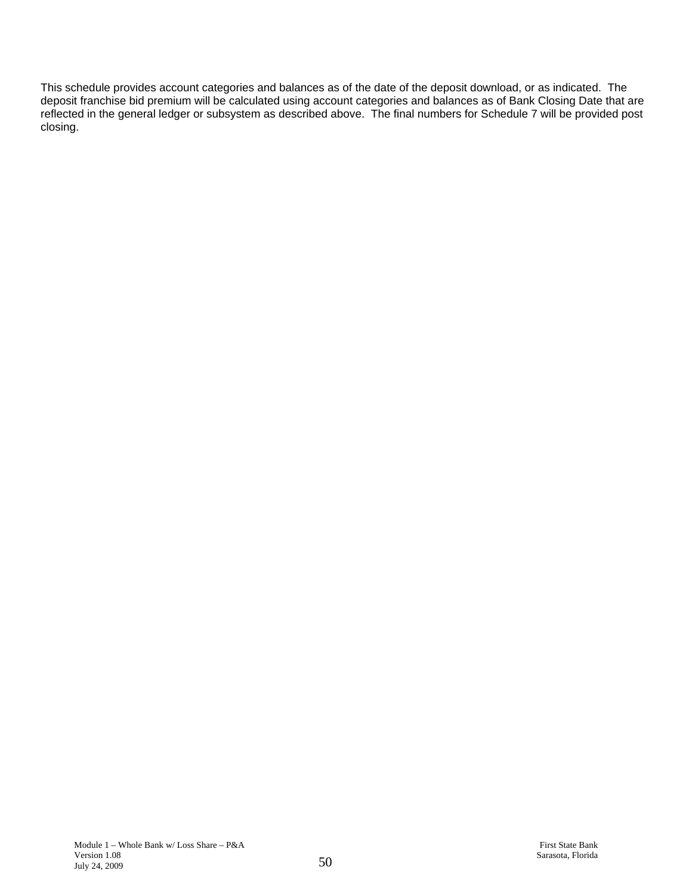This schedule provides account categories and balances as of the date of the deposit download, or as indicated. The deposit franchise bid premium will be calculated using account categories and balances as of Bank Closing Date that are reflected in the general ledger or subsystem as described above. The final numbers for Schedule 7 will be provided post closing.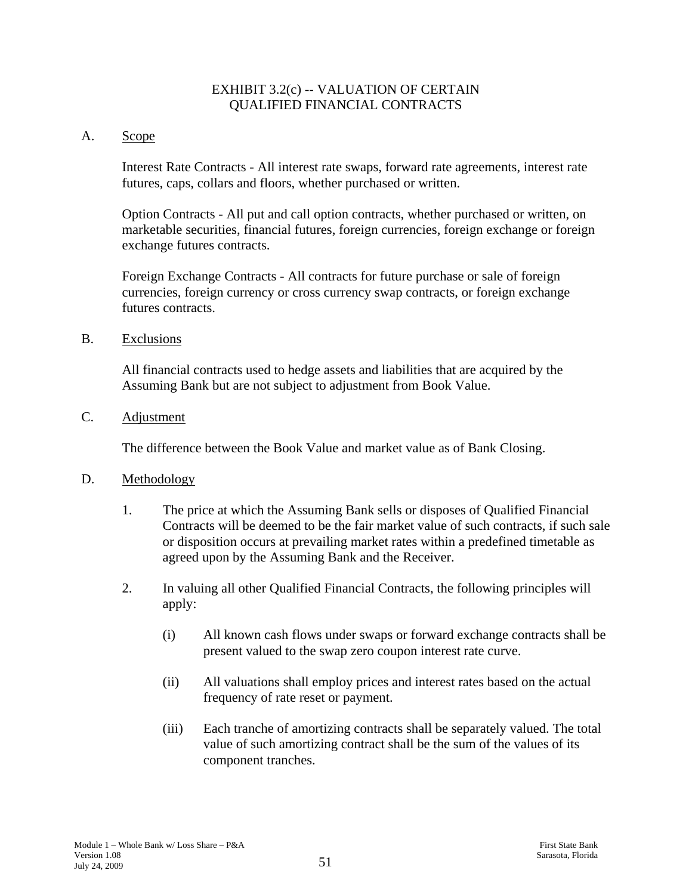#### EXHIBIT 3.2(c) -- VALUATION OF CERTAIN QUALIFIED FINANCIAL CONTRACTS

# A. Scope

Interest Rate Contracts - All interest rate swaps, forward rate agreements, interest rate futures, caps, collars and floors, whether purchased or written.

Option Contracts - All put and call option contracts, whether purchased or written, on marketable securities, financial futures, foreign currencies, foreign exchange or foreign exchange futures contracts.

Foreign Exchange Contracts - All contracts for future purchase or sale of foreign currencies, foreign currency or cross currency swap contracts, or foreign exchange futures contracts.

B. Exclusions

All financial contracts used to hedge assets and liabilities that are acquired by the Assuming Bank but are not subject to adjustment from Book Value.

C. Adjustment

The difference between the Book Value and market value as of Bank Closing.

#### D. Methodology

- 1. The price at which the Assuming Bank sells or disposes of Qualified Financial Contracts will be deemed to be the fair market value of such contracts, if such sale or disposition occurs at prevailing market rates within a predefined timetable as agreed upon by the Assuming Bank and the Receiver.
- 2. In valuing all other Qualified Financial Contracts, the following principles will apply:
	- (i) All known cash flows under swaps or forward exchange contracts shall be present valued to the swap zero coupon interest rate curve.
	- $(ii)$ All valuations shall employ prices and interest rates based on the actual frequency of rate reset or payment.
	- (iii) Each tranche of amortizing contracts shall be separately valued. The total value of such amortizing contract shall be the sum of the values of its component tranches.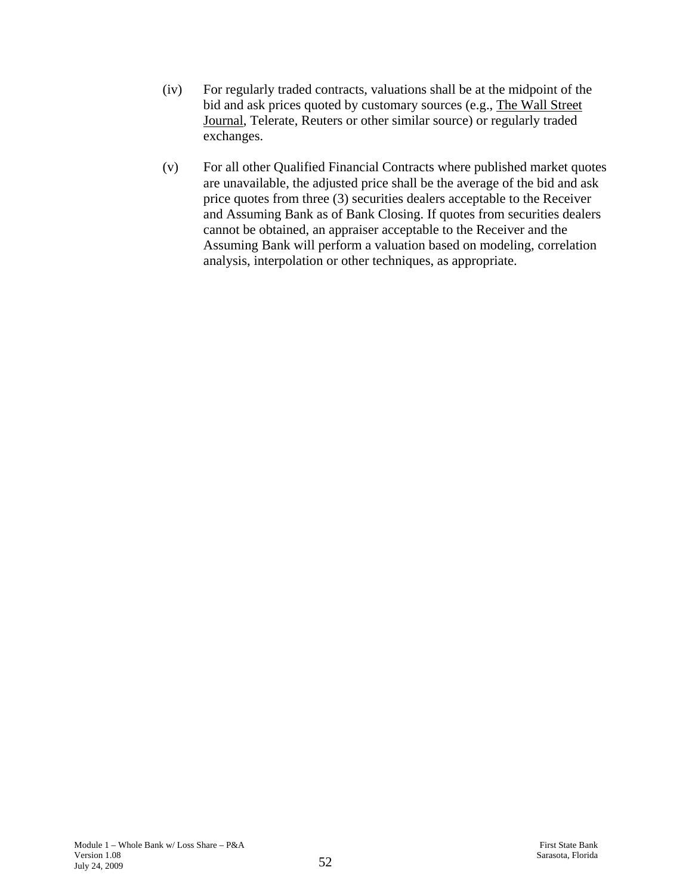- (iv) For regularly traded contracts, valuations shall be at the midpoint of the bid and ask prices quoted by customary sources (e.g., The Wall Street Journal, Telerate, Reuters or other similar source) or regularly traded exchanges.
- $(v)$ For all other Qualified Financial Contracts where published market quotes are unavailable, the adjusted price shall be the average of the bid and ask price quotes from three (3) securities dealers acceptable to the Receiver and Assuming Bank as of Bank Closing. If quotes from securities dealers cannot be obtained, an appraiser acceptable to the Receiver and the Assuming Bank will perform a valuation based on modeling, correlation analysis, interpolation or other techniques, as appropriate.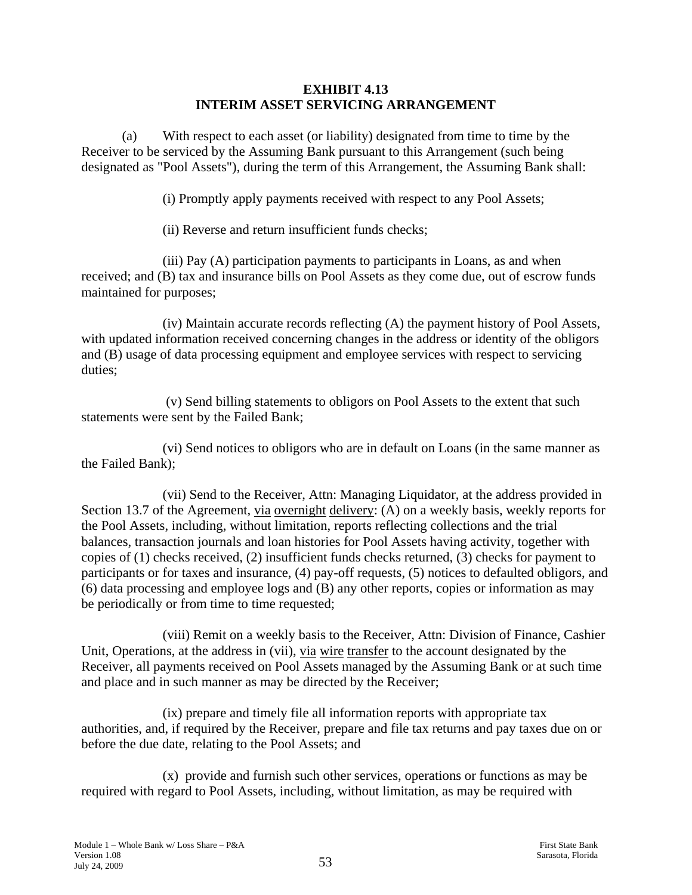# **EXHIBIT 4.13<br>INTERIM ASSET SERVICING ARRANGEMENT**

(a) With respect to each asset (or liability) designated from time to time by the Receiver to be serviced by the Assuming Bank pursuant to this Arrangement (such being designated as "Pool Assets"), during the term of this Arrangement, the Assuming Bank shall:

(i) Promptly apply payments received with respect to any Pool Assets;

(ii) Reverse and return insufficient funds checks;

(iii) Pay (A) participation payments to participants in Loans, as and when received; and (B) tax and insurance bills on Pool Assets as they come due, out of escrow funds maintained for purposes;

(iv) Maintain accurate records reflecting (A) the payment history of Pool Assets, with updated information received concerning changes in the address or identity of the obligors and (B) usage of data processing equipment and employee services with respect to servicing duties;

 (v) Send billing statements to obligors on Pool Assets to the extent that such statements were sent by the Failed Bank;

(vi) Send notices to obligors who are in default on Loans (in the same manner as the Failed Bank);

(vii) Send to the Receiver, Attn: Managing Liquidator, at the address provided in Section 13.7 of the Agreement, via overnight delivery: (A) on a weekly basis, weekly reports for the Pool Assets, including, without limitation, reports reflecting collections and the trial balances, transaction journals and loan histories for Pool Assets having activity, together with copies of (1) checks received, (2) insufficient funds checks returned, (3) checks for payment to participants or for taxes and insurance, (4) pay-off requests, (5) notices to defaulted obligors, and (6) data processing and employee logs and (B) any other reports, copies or information as may be periodically or from time to time requested;

(viii) Remit on a weekly basis to the Receiver, Attn: Division of Finance, Cashier Unit, Operations, at the address in (vii), via wire transfer to the account designated by the Receiver, all payments received on Pool Assets managed by the Assuming Bank or at such time and place and in such manner as may be directed by the Receiver;

(ix) prepare and timely file all information reports with appropriate tax authorities, and, if required by the Receiver, prepare and file tax returns and pay taxes due on or before the due date, relating to the Pool Assets; and

(x) provide and furnish such other services, operations or functions as may be required with regard to Pool Assets, including, without limitation, as may be required with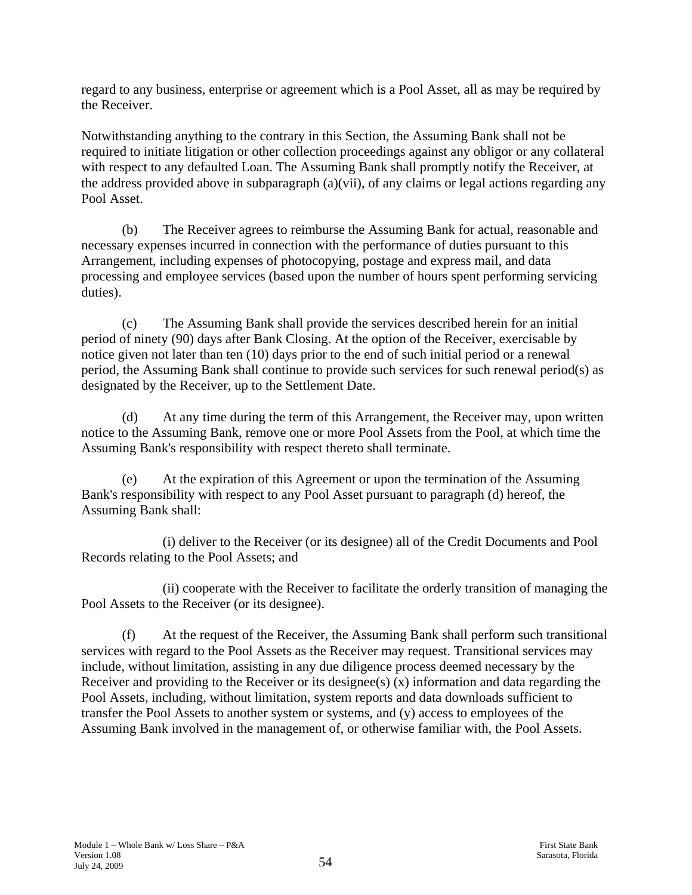regard to any business, enterprise or agreement which is a Pool Asset, all as may be required by the Receiver.

Notwithstanding anything to the contrary in this Section, the Assuming Bank shall not be required to initiate litigation or other collection proceedings against any obligor or any collateral with respect to any defaulted Loan. The Assuming Bank shall promptly notify the Receiver, at the address provided above in subparagraph (a)(vii), of any claims or legal actions regarding any Pool Asset.

(b) The Receiver agrees to reimburse the Assuming Bank for actual, reasonable and necessary expenses incurred in connection with the performance of duties pursuant to this Arrangement, including expenses of photocopying, postage and express mail, and data processing and employee services (based upon the number of hours spent performing servicing duties).

(c) The Assuming Bank shall provide the services described herein for an initial period of ninety (90) days after Bank Closing. At the option of the Receiver, exercisable by notice given not later than ten (10) days prior to the end of such initial period or a renewal period, the Assuming Bank shall continue to provide such services for such renewal period(s) as designated by the Receiver, up to the Settlement Date.

(d) At any time during the term of this Arrangement, the Receiver may, upon written notice to the Assuming Bank, remove one or more Pool Assets from the Pool, at which time the Assuming Bank's responsibility with respect thereto shall terminate.

(e) At the expiration of this Agreement or upon the termination of the Assuming Bank's responsibility with respect to any Pool Asset pursuant to paragraph (d) hereof, the Assuming Bank shall:

(i) deliver to the Receiver (or its designee) all of the Credit Documents and Pool Records relating to the Pool Assets; and

(ii) cooperate with the Receiver to facilitate the orderly transition of managing the Pool Assets to the Receiver (or its designee).

(f) At the request of the Receiver, the Assuming Bank shall perform such transitional services with regard to the Pool Assets as the Receiver may request. Transitional services may include, without limitation, assisting in any due diligence process deemed necessary by the Receiver and providing to the Receiver or its designee(s) (x) information and data regarding the Pool Assets, including, without limitation, system reports and data downloads sufficient to transfer the Pool Assets to another system or systems, and (y) access to employees of the Assuming Bank involved in the management of, or otherwise familiar with, the Pool Assets.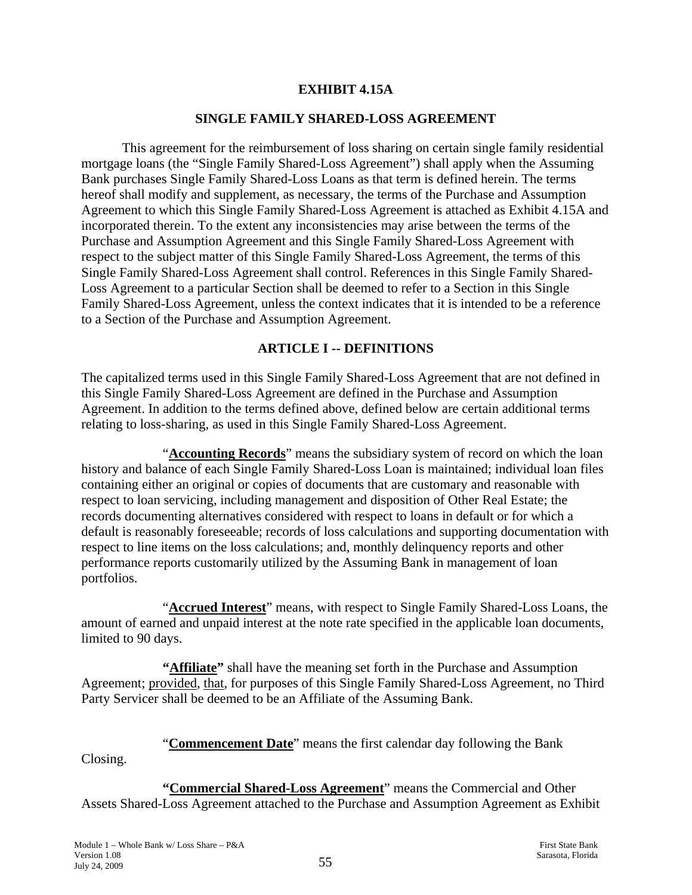#### **EXHIBIT 4.15A**

#### **SINGLE FAMILY SHARED-LOSS AGREEMENT**

This agreement for the reimbursement of loss sharing on certain single family residential mortgage loans (the "Single Family Shared-Loss Agreement") shall apply when the Assuming Bank purchases Single Family Shared-Loss Loans as that term is defined herein. The terms hereof shall modify and supplement, as necessary, the terms of the Purchase and Assumption Agreement to which this Single Family Shared-Loss Agreement is attached as Exhibit 4.15A and incorporated therein. To the extent any inconsistencies may arise between the terms of the Purchase and Assumption Agreement and this Single Family Shared-Loss Agreement with respect to the subject matter of this Single Family Shared-Loss Agreement, the terms of this Single Family Shared-Loss Agreement shall control. References in this Single Family Shared-Loss Agreement to a particular Section shall be deemed to refer to a Section in this Single Family Shared-Loss Agreement, unless the context indicates that it is intended to be a reference to a Section of the Purchase and Assumption Agreement.

#### **ARTICLE I -- DEFINITIONS**

The capitalized terms used in this Single Family Shared-Loss Agreement that are not defined in this Single Family Shared-Loss Agreement are defined in the Purchase and Assumption Agreement. In addition to the terms defined above, defined below are certain additional terms relating to loss-sharing, as used in this Single Family Shared-Loss Agreement.

"**Accounting Records**" means the subsidiary system of record on which the loan history and balance of each Single Family Shared-Loss Loan is maintained; individual loan files containing either an original or copies of documents that are customary and reasonable with respect to loan servicing, including management and disposition of Other Real Estate; the records documenting alternatives considered with respect to loans in default or for which a default is reasonably foreseeable; records of loss calculations and supporting documentation with respect to line items on the loss calculations; and, monthly delinquency reports and other performance reports customarily utilized by the Assuming Bank in management of loan portfolios.

"**Accrued Interest**" means, with respect to Single Family Shared-Loss Loans, the amount of earned and unpaid interest at the note rate specified in the applicable loan documents, limited to 90 days.

**"Affiliate"** shall have the meaning set forth in the Purchase and Assumption Agreement; provided, that, for purposes of this Single Family Shared-Loss Agreement, no Third Party Servicer shall be deemed to be an Affiliate of the Assuming Bank.

"**Commencement Date**" means the first calendar day following the Bank

Closing.

**"Commercial Shared-Loss Agreement**" means the Commercial and Other Assets Shared-Loss Agreement attached to the Purchase and Assumption Agreement as Exhibit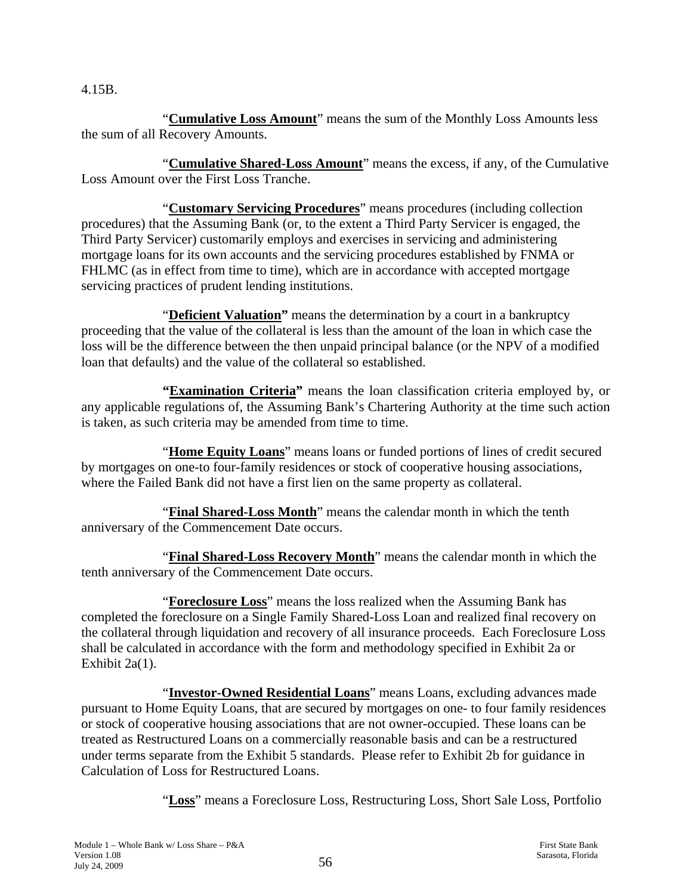4.15B.

"**Cumulative Loss Amount**" means the sum of the Monthly Loss Amounts less the sum of all Recovery Amounts.

"**Cumulative Shared-Loss Amount**" means the excess, if any, of the Cumulative Loss Amount over the First Loss Tranche.

"**Customary Servicing Procedures**" means procedures (including collection procedures) that the Assuming Bank (or, to the extent a Third Party Servicer is engaged, the Third Party Servicer) customarily employs and exercises in servicing and administering mortgage loans for its own accounts and the servicing procedures established by FNMA or FHLMC (as in effect from time to time), which are in accordance with accepted mortgage servicing practices of prudent lending institutions.

"**Deficient Valuation"** means the determination by a court in a bankruptcy proceeding that the value of the collateral is less than the amount of the loan in which case the loss will be the difference between the then unpaid principal balance (or the NPV of a modified loan that defaults) and the value of the collateral so established.

**"Examination Criteria"** means the loan classification criteria employed by, or any applicable regulations of, the Assuming Bank's Chartering Authority at the time such action is taken, as such criteria may be amended from time to time.

"**Home Equity Loans**" means loans or funded portions of lines of credit secured by mortgages on one-to four-family residences or stock of cooperative housing associations, where the Failed Bank did not have a first lien on the same property as collateral.

"**Final Shared-Loss Month**" means the calendar month in which the tenth anniversary of the Commencement Date occurs.

"**Final Shared-Loss Recovery Month**" means the calendar month in which the tenth anniversary of the Commencement Date occurs.

"**Foreclosure Loss**" means the loss realized when the Assuming Bank has completed the foreclosure on a Single Family Shared-Loss Loan and realized final recovery on the collateral through liquidation and recovery of all insurance proceeds. Each Foreclosure Loss shall be calculated in accordance with the form and methodology specified in Exhibit 2a or Exhibit 2a(1).

"**Investor-Owned Residential Loans**" means Loans, excluding advances made pursuant to Home Equity Loans, that are secured by mortgages on one- to four family residences or stock of cooperative housing associations that are not owner-occupied. These loans can be treated as Restructured Loans on a commercially reasonable basis and can be a restructured under terms separate from the Exhibit 5 standards. Please refer to Exhibit 2b for guidance in Calculation of Loss for Restructured Loans.

"**Loss**" means a Foreclosure Loss, Restructuring Loss, Short Sale Loss, Portfolio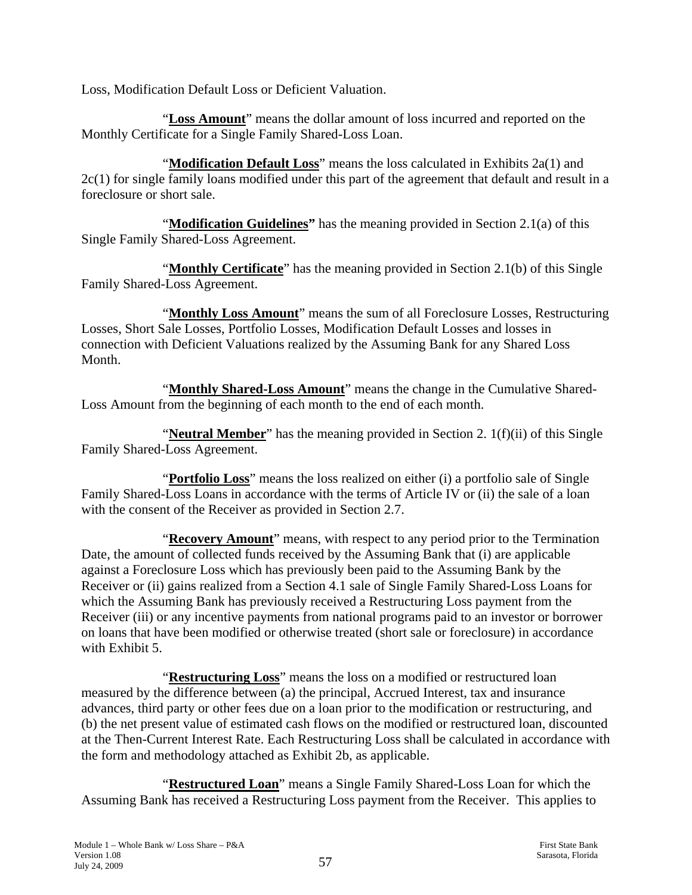Loss, Modification Default Loss or Deficient Valuation.

"**Loss Amount**" means the dollar amount of loss incurred and reported on the Monthly Certificate for a Single Family Shared-Loss Loan.

"**Modification Default Loss**" means the loss calculated in Exhibits 2a(1) and 2c(1) for single family loans modified under this part of the agreement that default and result in a foreclosure or short sale.

"**Modification Guidelines**" has the meaning provided in Section 2.1(a) of this Single Family Shared-Loss Agreement.

"**Monthly Certificate**" has the meaning provided in Section 2.1(b) of this Single Family Shared-Loss Agreement.

"**Monthly Loss Amount**" means the sum of all Foreclosure Losses, Restructuring Losses, Short Sale Losses, Portfolio Losses, Modification Default Losses and losses in connection with Deficient Valuations realized by the Assuming Bank for any Shared Loss Month.

"**Monthly Shared-Loss Amount**" means the change in the Cumulative Shared-Loss Amount from the beginning of each month to the end of each month.

"**Neutral Member**" has the meaning provided in Section 2. 1(f)(ii) of this Single Family Shared-Loss Agreement.

"**Portfolio Loss**" means the loss realized on either (i) a portfolio sale of Single Family Shared-Loss Loans in accordance with the terms of Article IV or (ii) the sale of a loan with the consent of the Receiver as provided in Section 2.7.

"**Recovery Amount**" means, with respect to any period prior to the Termination Date, the amount of collected funds received by the Assuming Bank that (i) are applicable against a Foreclosure Loss which has previously been paid to the Assuming Bank by the Receiver or (ii) gains realized from a Section 4.1 sale of Single Family Shared-Loss Loans for which the Assuming Bank has previously received a Restructuring Loss payment from the Receiver (iii) or any incentive payments from national programs paid to an investor or borrower on loans that have been modified or otherwise treated (short sale or foreclosure) in accordance with Exhibit 5.

"**Restructuring Loss**" means the loss on a modified or restructured loan measured by the difference between (a) the principal, Accrued Interest, tax and insurance advances, third party or other fees due on a loan prior to the modification or restructuring, and (b) the net present value of estimated cash flows on the modified or restructured loan, discounted at the Then-Current Interest Rate. Each Restructuring Loss shall be calculated in accordance with the form and methodology attached as Exhibit 2b, as applicable.

"**Restructured Loan**" means a Single Family Shared-Loss Loan for which the Assuming Bank has received a Restructuring Loss payment from the Receiver. This applies to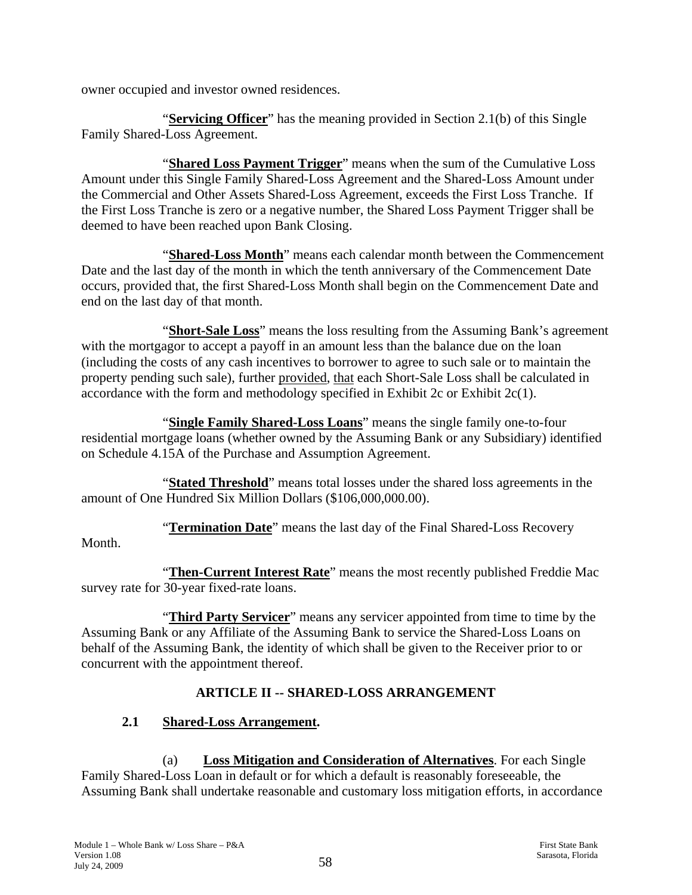owner occupied and investor owned residences.

**"Servicing Officer**" has the meaning provided in Section 2.1(b) of this Single Family Shared-Loss Agreement.

"**Shared Loss Payment Trigger**" means when the sum of the Cumulative Loss Amount under this Single Family Shared-Loss Agreement and the Shared-Loss Amount under the Commercial and Other Assets Shared-Loss Agreement, exceeds the First Loss Tranche. If the First Loss Tranche is zero or a negative number, the Shared Loss Payment Trigger shall be deemed to have been reached upon Bank Closing.

"**Shared-Loss Month**" means each calendar month between the Commencement Date and the last day of the month in which the tenth anniversary of the Commencement Date occurs, provided that, the first Shared-Loss Month shall begin on the Commencement Date and end on the last day of that month.

"**Short-Sale Loss**" means the loss resulting from the Assuming Bank's agreement with the mortgagor to accept a payoff in an amount less than the balance due on the loan (including the costs of any cash incentives to borrower to agree to such sale or to maintain the property pending such sale), further provided, that each Short-Sale Loss shall be calculated in accordance with the form and methodology specified in Exhibit 2c or Exhibit  $2c(1)$ .

"**Single Family Shared-Loss Loans**" means the single family one-to-four residential mortgage loans (whether owned by the Assuming Bank or any Subsidiary) identified on Schedule 4.15A of the Purchase and Assumption Agreement.

"**Stated Threshold**" means total losses under the shared loss agreements in the amount of One Hundred Six Million Dollars (\$106,000,000.00).

"**Termination Date**" means the last day of the Final Shared-Loss Recovery Month.

"**Then-Current Interest Rate**" means the most recently published Freddie Mac survey rate for 30-year fixed-rate loans.

"**Third Party Servicer**" means any servicer appointed from time to time by the Assuming Bank or any Affiliate of the Assuming Bank to service the Shared-Loss Loans on behalf of the Assuming Bank, the identity of which shall be given to the Receiver prior to or concurrent with the appointment thereof.

# **ARTICLE II -- SHARED-LOSS ARRANGEMENT**

# **2.1 Shared-Loss Arrangement.**

(a) **Loss Mitigation and Consideration of Alternatives**. For each Single Family Shared-Loss Loan in default or for which a default is reasonably foreseeable, the Assuming Bank shall undertake reasonable and customary loss mitigation efforts, in accordance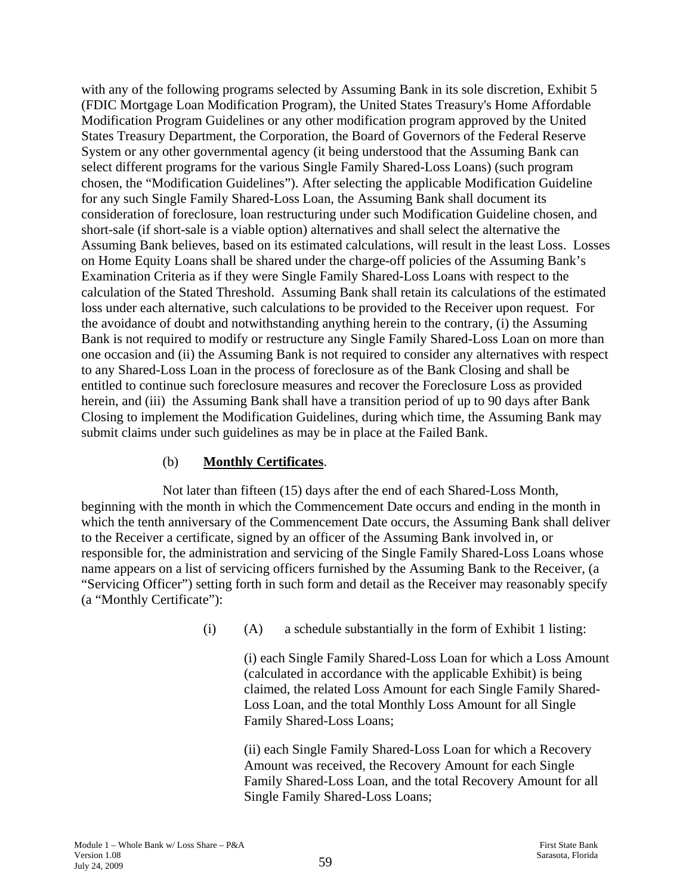with any of the following programs selected by Assuming Bank in its sole discretion, Exhibit 5 (FDIC Mortgage Loan Modification Program), the United States Treasury's Home Affordable Modification Program Guidelines or any other modification program approved by the United States Treasury Department, the Corporation, the Board of Governors of the Federal Reserve System or any other governmental agency (it being understood that the Assuming Bank can select different programs for the various Single Family Shared-Loss Loans) (such program chosen, the "Modification Guidelines"). After selecting the applicable Modification Guideline for any such Single Family Shared-Loss Loan, the Assuming Bank shall document its consideration of foreclosure, loan restructuring under such Modification Guideline chosen, and short-sale (if short-sale is a viable option) alternatives and shall select the alternative the Assuming Bank believes, based on its estimated calculations, will result in the least Loss. Losses on Home Equity Loans shall be shared under the charge-off policies of the Assuming Bank's Examination Criteria as if they were Single Family Shared-Loss Loans with respect to the calculation of the Stated Threshold. Assuming Bank shall retain its calculations of the estimated loss under each alternative, such calculations to be provided to the Receiver upon request. For the avoidance of doubt and notwithstanding anything herein to the contrary, (i) the Assuming Bank is not required to modify or restructure any Single Family Shared-Loss Loan on more than one occasion and (ii) the Assuming Bank is not required to consider any alternatives with respect to any Shared-Loss Loan in the process of foreclosure as of the Bank Closing and shall be entitled to continue such foreclosure measures and recover the Foreclosure Loss as provided herein, and (iii) the Assuming Bank shall have a transition period of up to 90 days after Bank Closing to implement the Modification Guidelines, during which time, the Assuming Bank may submit claims under such guidelines as may be in place at the Failed Bank.

# (b) **Monthly Certificates**.

Not later than fifteen (15) days after the end of each Shared-Loss Month, beginning with the month in which the Commencement Date occurs and ending in the month in which the tenth anniversary of the Commencement Date occurs, the Assuming Bank shall deliver to the Receiver a certificate, signed by an officer of the Assuming Bank involved in, or responsible for, the administration and servicing of the Single Family Shared-Loss Loans whose name appears on a list of servicing officers furnished by the Assuming Bank to the Receiver, (a "Servicing Officer") setting forth in such form and detail as the Receiver may reasonably specify (a "Monthly Certificate"):

(i) (A) a schedule substantially in the form of Exhibit 1 listing:

(i) each Single Family Shared-Loss Loan for which a Loss Amount (calculated in accordance with the applicable Exhibit) is being claimed, the related Loss Amount for each Single Family Shared-Loss Loan, and the total Monthly Loss Amount for all Single Family Shared-Loss Loans;

(ii) each Single Family Shared-Loss Loan for which a Recovery Amount was received, the Recovery Amount for each Single Family Shared-Loss Loan, and the total Recovery Amount for all Single Family Shared-Loss Loans;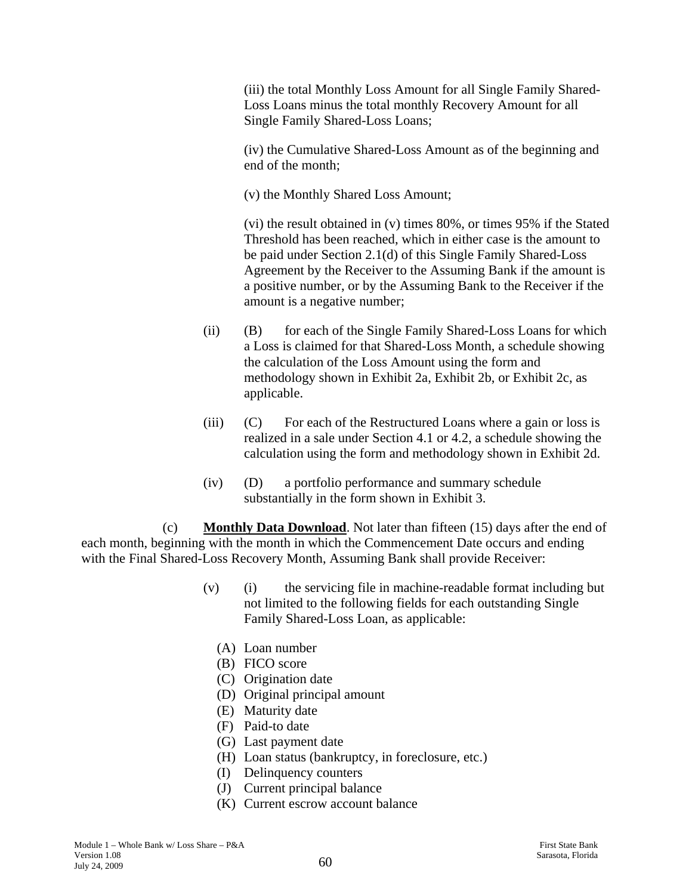(iii) the total Monthly Loss Amount for all Single Family Shared-Loss Loans minus the total monthly Recovery Amount for all Single Family Shared-Loss Loans;

(iv) the Cumulative Shared-Loss Amount as of the beginning and end of the month;

(v) the Monthly Shared Loss Amount;

(vi) the result obtained in (v) times 80%, or times 95% if the Stated Threshold has been reached, which in either case is the amount to be paid under Section 2.1(d) of this Single Family Shared-Loss Agreement by the Receiver to the Assuming Bank if the amount is a positive number, or by the Assuming Bank to the Receiver if the amount is a negative number;

- $(ii)$ (B) for each of the Single Family Shared-Loss Loans for which a Loss is claimed for that Shared-Loss Month, a schedule showing the calculation of the Loss Amount using the form and methodology shown in Exhibit 2a, Exhibit 2b, or Exhibit 2c, as applicable.
- $(iii)$  $(C)$  For each of the Restructured Loans where a gain or loss is realized in a sale under Section 4.1 or 4.2, a schedule showing the calculation using the form and methodology shown in Exhibit 2d.
- $(iv)$  $(D)$  a portfolio performance and summary schedule substantially in the form shown in Exhibit 3.

(c) **Monthly Data Download**. Not later than fifteen (15) days after the end of each month, beginning with the month in which the Commencement Date occurs and ending with the Final Shared-Loss Recovery Month, Assuming Bank shall provide Receiver:

- $(v)$  $(i)$  the servicing file in machine-readable format including but not limited to the following fields for each outstanding Single Family Shared-Loss Loan, as applicable:
	- (A) Loan number
	- (B) FICO score
	- (C) Origination date
	- (D) Original principal amount
	- (E) Maturity date
	- (F) Paid-to date
	- (G) Last payment date
	- (H) Loan status (bankruptcy, in foreclosure, etc.)
	- (I) Delinquency counters
	- (J) Current principal balance
	- (K) Current escrow account balance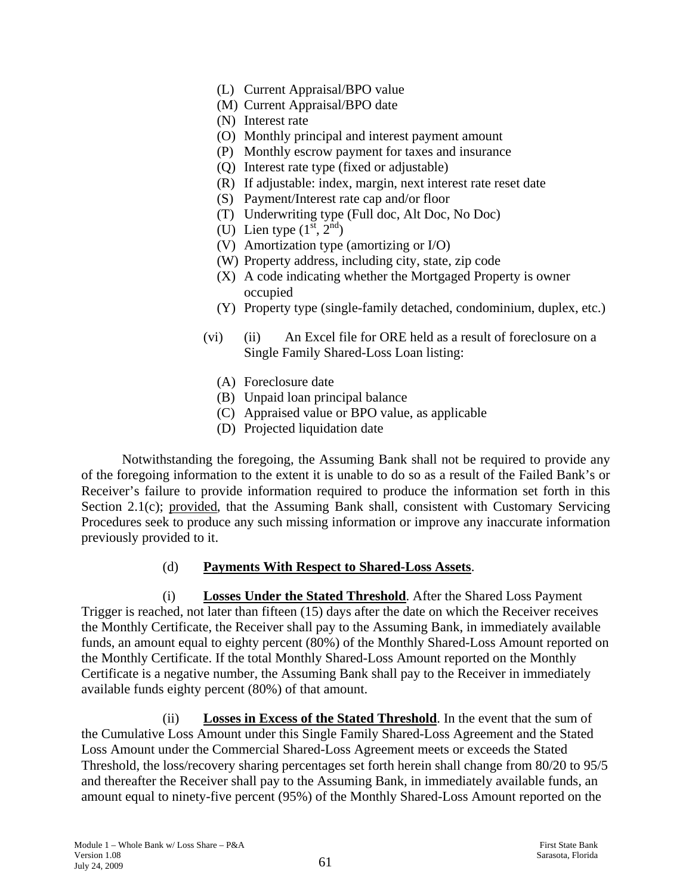- (L) Current Appraisal/BPO value
- (M) Current Appraisal/BPO date
- (N) Interest rate
- (O) Monthly principal and interest payment amount
- (P) Monthly escrow payment for taxes and insurance
- (Q) Interest rate type (fixed or adjustable)
- (R) If adjustable: index, margin, next interest rate reset date
- (S) Payment/Interest rate cap and/or floor
- (T) Underwriting type (Full doc, Alt Doc, No Doc)
- (U) Lien type  $(1<sup>st</sup>, 2<sup>nd</sup>)$
- (V) Amortization type (amortizing or I/O)
- (W) Property address, including city, state, zip code
- (X) A code indicating whether the Mortgaged Property is owner occupied
- (Y) Property type (single-family detached, condominium, duplex, etc.)
- $(vi)$  $(iii)$  An Excel file for ORE held as a result of foreclosure on a Single Family Shared-Loss Loan listing:
	- (A) Foreclosure date
	- (B) Unpaid loan principal balance
	- (C) Appraised value or BPO value, as applicable
	- (D) Projected liquidation date

Notwithstanding the foregoing, the Assuming Bank shall not be required to provide any of the foregoing information to the extent it is unable to do so as a result of the Failed Bank's or Receiver's failure to provide information required to produce the information set forth in this Section 2.1(c); provided, that the Assuming Bank shall, consistent with Customary Servicing Procedures seek to produce any such missing information or improve any inaccurate information previously provided to it.

#### (d) **Payments With Respect to Shared-Loss Assets**.

(i) **Losses Under the Stated Threshold**. After the Shared Loss Payment Trigger is reached, not later than fifteen (15) days after the date on which the Receiver receives the Monthly Certificate, the Receiver shall pay to the Assuming Bank, in immediately available funds, an amount equal to eighty percent (80%) of the Monthly Shared-Loss Amount reported on the Monthly Certificate. If the total Monthly Shared-Loss Amount reported on the Monthly Certificate is a negative number, the Assuming Bank shall pay to the Receiver in immediately available funds eighty percent (80%) of that amount.

(ii) **Losses in Excess of the Stated Threshold**. In the event that the sum of the Cumulative Loss Amount under this Single Family Shared-Loss Agreement and the Stated Loss Amount under the Commercial Shared-Loss Agreement meets or exceeds the Stated Threshold, the loss/recovery sharing percentages set forth herein shall change from 80/20 to 95/5 and thereafter the Receiver shall pay to the Assuming Bank, in immediately available funds, an amount equal to ninety-five percent (95%) of the Monthly Shared-Loss Amount reported on the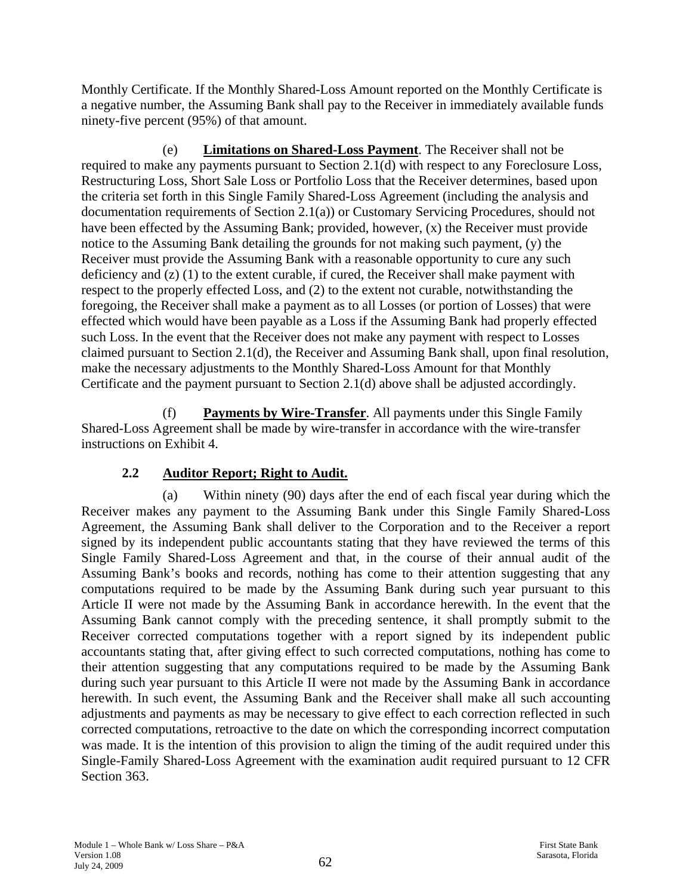Monthly Certificate. If the Monthly Shared-Loss Amount reported on the Monthly Certificate is a negative number, the Assuming Bank shall pay to the Receiver in immediately available funds ninety-five percent (95%) of that amount.

(e) **Limitations on Shared-Loss Payment**. The Receiver shall not be required to make any payments pursuant to Section 2.1(d) with respect to any Foreclosure Loss, Restructuring Loss, Short Sale Loss or Portfolio Loss that the Receiver determines, based upon the criteria set forth in this Single Family Shared-Loss Agreement (including the analysis and documentation requirements of Section 2.1(a)) or Customary Servicing Procedures, should not have been effected by the Assuming Bank; provided, however, (x) the Receiver must provide notice to the Assuming Bank detailing the grounds for not making such payment, (y) the Receiver must provide the Assuming Bank with a reasonable opportunity to cure any such deficiency and (z) (1) to the extent curable, if cured, the Receiver shall make payment with respect to the properly effected Loss, and (2) to the extent not curable, notwithstanding the foregoing, the Receiver shall make a payment as to all Losses (or portion of Losses) that were effected which would have been payable as a Loss if the Assuming Bank had properly effected such Loss. In the event that the Receiver does not make any payment with respect to Losses claimed pursuant to Section 2.1(d), the Receiver and Assuming Bank shall, upon final resolution, make the necessary adjustments to the Monthly Shared-Loss Amount for that Monthly Certificate and the payment pursuant to Section 2.1(d) above shall be adjusted accordingly.

(f) **Payments by Wire-Transfer**. All payments under this Single Family Shared-Loss Agreement shall be made by wire-transfer in accordance with the wire-transfer instructions on Exhibit 4.

# **2.2 Auditor Report; Right to Audit.**

(a) Within ninety (90) days after the end of each fiscal year during which the Receiver makes any payment to the Assuming Bank under this Single Family Shared-Loss Agreement, the Assuming Bank shall deliver to the Corporation and to the Receiver a report signed by its independent public accountants stating that they have reviewed the terms of this Single Family Shared-Loss Agreement and that, in the course of their annual audit of the Assuming Bank's books and records, nothing has come to their attention suggesting that any computations required to be made by the Assuming Bank during such year pursuant to this Article II were not made by the Assuming Bank in accordance herewith. In the event that the Assuming Bank cannot comply with the preceding sentence, it shall promptly submit to the Receiver corrected computations together with a report signed by its independent public accountants stating that, after giving effect to such corrected computations, nothing has come to their attention suggesting that any computations required to be made by the Assuming Bank during such year pursuant to this Article II were not made by the Assuming Bank in accordance herewith. In such event, the Assuming Bank and the Receiver shall make all such accounting adjustments and payments as may be necessary to give effect to each correction reflected in such corrected computations, retroactive to the date on which the corresponding incorrect computation was made. It is the intention of this provision to align the timing of the audit required under this Single-Family Shared-Loss Agreement with the examination audit required pursuant to 12 CFR Section 363.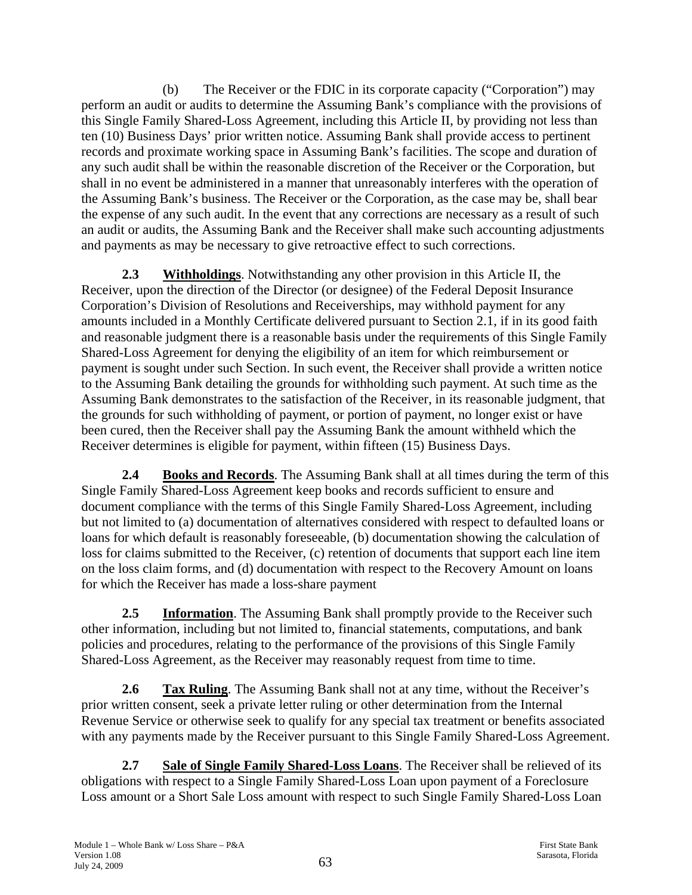(b) The Receiver or the FDIC in its corporate capacity ("Corporation") may perform an audit or audits to determine the Assuming Bank's compliance with the provisions of this Single Family Shared-Loss Agreement, including this Article II, by providing not less than ten (10) Business Days' prior written notice. Assuming Bank shall provide access to pertinent records and proximate working space in Assuming Bank's facilities. The scope and duration of any such audit shall be within the reasonable discretion of the Receiver or the Corporation, but shall in no event be administered in a manner that unreasonably interferes with the operation of the Assuming Bank's business. The Receiver or the Corporation, as the case may be, shall bear the expense of any such audit. In the event that any corrections are necessary as a result of such an audit or audits, the Assuming Bank and the Receiver shall make such accounting adjustments and payments as may be necessary to give retroactive effect to such corrections.

**2.3 Withholdings**. Notwithstanding any other provision in this Article II, the Receiver, upon the direction of the Director (or designee) of the Federal Deposit Insurance Corporation's Division of Resolutions and Receiverships, may withhold payment for any amounts included in a Monthly Certificate delivered pursuant to Section 2.1, if in its good faith and reasonable judgment there is a reasonable basis under the requirements of this Single Family Shared-Loss Agreement for denying the eligibility of an item for which reimbursement or payment is sought under such Section. In such event, the Receiver shall provide a written notice to the Assuming Bank detailing the grounds for withholding such payment. At such time as the Assuming Bank demonstrates to the satisfaction of the Receiver, in its reasonable judgment, that the grounds for such withholding of payment, or portion of payment, no longer exist or have been cured, then the Receiver shall pay the Assuming Bank the amount withheld which the Receiver determines is eligible for payment, within fifteen (15) Business Days.

**2.4 Books and Records**. The Assuming Bank shall at all times during the term of this Single Family Shared-Loss Agreement keep books and records sufficient to ensure and document compliance with the terms of this Single Family Shared-Loss Agreement, including but not limited to (a) documentation of alternatives considered with respect to defaulted loans or loans for which default is reasonably foreseeable, (b) documentation showing the calculation of loss for claims submitted to the Receiver, (c) retention of documents that support each line item on the loss claim forms, and (d) documentation with respect to the Recovery Amount on loans for which the Receiver has made a loss-share payment

**2.5 Information**. The Assuming Bank shall promptly provide to the Receiver such other information, including but not limited to, financial statements, computations, and bank policies and procedures, relating to the performance of the provisions of this Single Family Shared-Loss Agreement, as the Receiver may reasonably request from time to time.

**2.6** Tax Ruling. The Assuming Bank shall not at any time, without the Receiver's prior written consent, seek a private letter ruling or other determination from the Internal Revenue Service or otherwise seek to qualify for any special tax treatment or benefits associated with any payments made by the Receiver pursuant to this Single Family Shared-Loss Agreement.

**2.7 Sale of Single Family Shared-Loss Loans**. The Receiver shall be relieved of its obligations with respect to a Single Family Shared-Loss Loan upon payment of a Foreclosure Loss amount or a Short Sale Loss amount with respect to such Single Family Shared-Loss Loan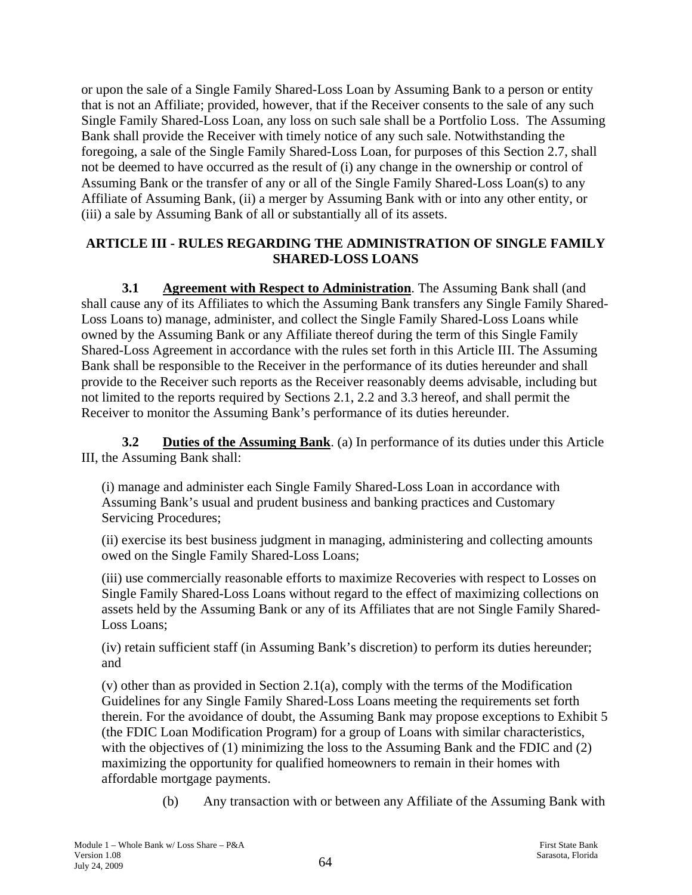or upon the sale of a Single Family Shared-Loss Loan by Assuming Bank to a person or entity that is not an Affiliate; provided, however, that if the Receiver consents to the sale of any such Single Family Shared-Loss Loan, any loss on such sale shall be a Portfolio Loss. The Assuming Bank shall provide the Receiver with timely notice of any such sale. Notwithstanding the foregoing, a sale of the Single Family Shared-Loss Loan, for purposes of this Section 2.7, shall not be deemed to have occurred as the result of (i) any change in the ownership or control of Assuming Bank or the transfer of any or all of the Single Family Shared-Loss Loan(s) to any Affiliate of Assuming Bank, (ii) a merger by Assuming Bank with or into any other entity, or (iii) a sale by Assuming Bank of all or substantially all of its assets.

# **ARTICLE III - RULES REGARDING THE ADMINISTRATION OF SINGLE FAMILY SHARED-LOSS LOANS**

**3.1 Agreement with Respect to Administration**. The Assuming Bank shall (and shall cause any of its Affiliates to which the Assuming Bank transfers any Single Family Shared-Loss Loans to) manage, administer, and collect the Single Family Shared-Loss Loans while owned by the Assuming Bank or any Affiliate thereof during the term of this Single Family Shared-Loss Agreement in accordance with the rules set forth in this Article III. The Assuming Bank shall be responsible to the Receiver in the performance of its duties hereunder and shall provide to the Receiver such reports as the Receiver reasonably deems advisable, including but not limited to the reports required by Sections 2.1, 2.2 and 3.3 hereof, and shall permit the Receiver to monitor the Assuming Bank's performance of its duties hereunder.

**3.2** Duties of the Assuming Bank. (a) In performance of its duties under this Article III, the Assuming Bank shall:

(i) manage and administer each Single Family Shared-Loss Loan in accordance with Assuming Bank's usual and prudent business and banking practices and Customary Servicing Procedures;

(ii) exercise its best business judgment in managing, administering and collecting amounts owed on the Single Family Shared-Loss Loans;

(iii) use commercially reasonable efforts to maximize Recoveries with respect to Losses on Single Family Shared-Loss Loans without regard to the effect of maximizing collections on assets held by the Assuming Bank or any of its Affiliates that are not Single Family Shared-Loss Loans;

(iv) retain sufficient staff (in Assuming Bank's discretion) to perform its duties hereunder; and

(v) other than as provided in Section 2.1(a), comply with the terms of the Modification Guidelines for any Single Family Shared-Loss Loans meeting the requirements set forth therein. For the avoidance of doubt, the Assuming Bank may propose exceptions to Exhibit 5 (the FDIC Loan Modification Program) for a group of Loans with similar characteristics, with the objectives of (1) minimizing the loss to the Assuming Bank and the FDIC and (2) maximizing the opportunity for qualified homeowners to remain in their homes with affordable mortgage payments.

(b) Any transaction with or between any Affiliate of the Assuming Bank with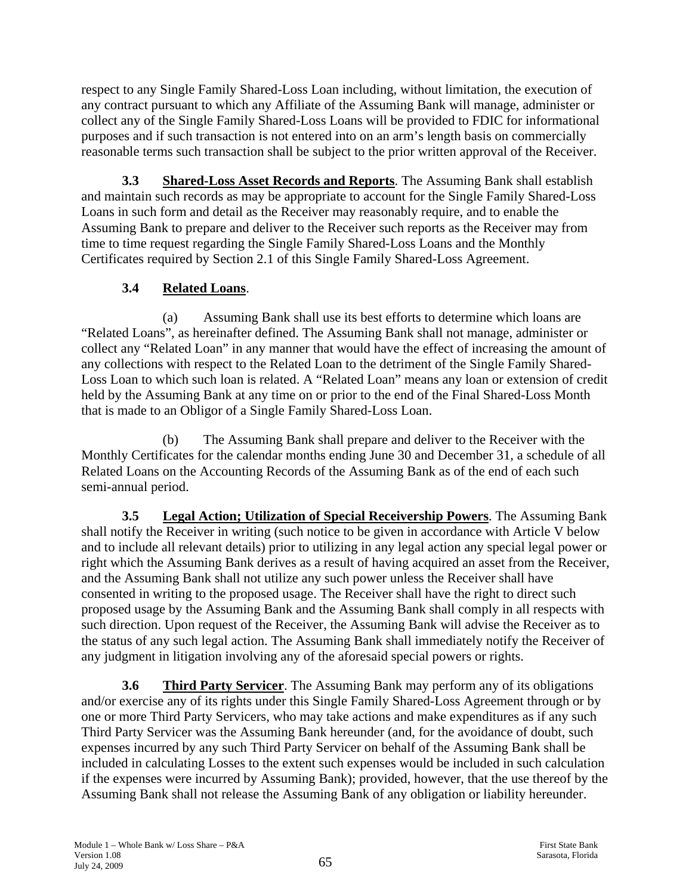respect to any Single Family Shared-Loss Loan including, without limitation, the execution of any contract pursuant to which any Affiliate of the Assuming Bank will manage, administer or collect any of the Single Family Shared-Loss Loans will be provided to FDIC for informational purposes and if such transaction is not entered into on an arm's length basis on commercially reasonable terms such transaction shall be subject to the prior written approval of the Receiver.

**3.3 Shared-Loss Asset Records and Reports**. The Assuming Bank shall establish and maintain such records as may be appropriate to account for the Single Family Shared-Loss Loans in such form and detail as the Receiver may reasonably require, and to enable the Assuming Bank to prepare and deliver to the Receiver such reports as the Receiver may from time to time request regarding the Single Family Shared-Loss Loans and the Monthly Certificates required by Section 2.1 of this Single Family Shared-Loss Agreement.

# **3.4 Related Loans**.

(a) Assuming Bank shall use its best efforts to determine which loans are "Related Loans", as hereinafter defined. The Assuming Bank shall not manage, administer or collect any "Related Loan" in any manner that would have the effect of increasing the amount of any collections with respect to the Related Loan to the detriment of the Single Family Shared-Loss Loan to which such loan is related. A "Related Loan" means any loan or extension of credit held by the Assuming Bank at any time on or prior to the end of the Final Shared-Loss Month that is made to an Obligor of a Single Family Shared-Loss Loan.

(b) The Assuming Bank shall prepare and deliver to the Receiver with the Monthly Certificates for the calendar months ending June 30 and December 31, a schedule of all Related Loans on the Accounting Records of the Assuming Bank as of the end of each such semi-annual period.

**3.5 Legal Action; Utilization of Special Receivership Powers**. The Assuming Bank shall notify the Receiver in writing (such notice to be given in accordance with Article V below and to include all relevant details) prior to utilizing in any legal action any special legal power or right which the Assuming Bank derives as a result of having acquired an asset from the Receiver, and the Assuming Bank shall not utilize any such power unless the Receiver shall have consented in writing to the proposed usage. The Receiver shall have the right to direct such proposed usage by the Assuming Bank and the Assuming Bank shall comply in all respects with such direction. Upon request of the Receiver, the Assuming Bank will advise the Receiver as to the status of any such legal action. The Assuming Bank shall immediately notify the Receiver of any judgment in litigation involving any of the aforesaid special powers or rights.

**3.6 Third Party Servicer**. The Assuming Bank may perform any of its obligations and/or exercise any of its rights under this Single Family Shared-Loss Agreement through or by one or more Third Party Servicers, who may take actions and make expenditures as if any such Third Party Servicer was the Assuming Bank hereunder (and, for the avoidance of doubt, such expenses incurred by any such Third Party Servicer on behalf of the Assuming Bank shall be included in calculating Losses to the extent such expenses would be included in such calculation if the expenses were incurred by Assuming Bank); provided, however, that the use thereof by the Assuming Bank shall not release the Assuming Bank of any obligation or liability hereunder.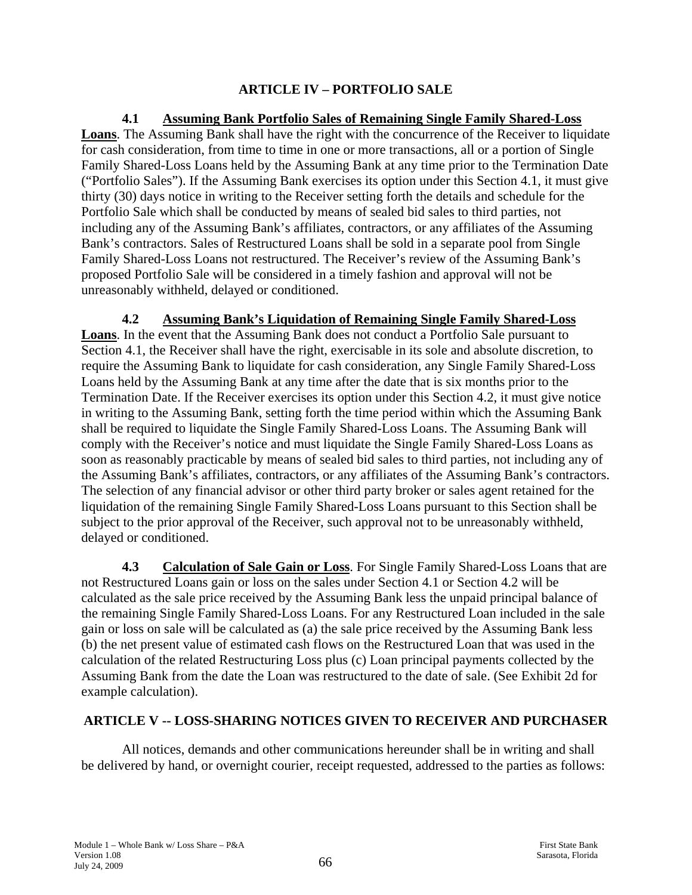# **ARTICLE IV – PORTFOLIO SALE**

# **4.1 Assuming Bank Portfolio Sales of Remaining Single Family Shared-Loss**

**Loans**. The Assuming Bank shall have the right with the concurrence of the Receiver to liquidate for cash consideration, from time to time in one or more transactions, all or a portion of Single Family Shared-Loss Loans held by the Assuming Bank at any time prior to the Termination Date ("Portfolio Sales"). If the Assuming Bank exercises its option under this Section 4.1, it must give thirty (30) days notice in writing to the Receiver setting forth the details and schedule for the Portfolio Sale which shall be conducted by means of sealed bid sales to third parties, not including any of the Assuming Bank's affiliates, contractors, or any affiliates of the Assuming Bank's contractors. Sales of Restructured Loans shall be sold in a separate pool from Single Family Shared-Loss Loans not restructured. The Receiver's review of the Assuming Bank's proposed Portfolio Sale will be considered in a timely fashion and approval will not be unreasonably withheld, delayed or conditioned.

#### **4.2 Assuming Bank's Liquidation of Remaining Single Family Shared-Loss**

**Loans**. In the event that the Assuming Bank does not conduct a Portfolio Sale pursuant to Section 4.1, the Receiver shall have the right, exercisable in its sole and absolute discretion, to require the Assuming Bank to liquidate for cash consideration, any Single Family Shared-Loss Loans held by the Assuming Bank at any time after the date that is six months prior to the Termination Date. If the Receiver exercises its option under this Section 4.2, it must give notice in writing to the Assuming Bank, setting forth the time period within which the Assuming Bank shall be required to liquidate the Single Family Shared-Loss Loans. The Assuming Bank will comply with the Receiver's notice and must liquidate the Single Family Shared-Loss Loans as soon as reasonably practicable by means of sealed bid sales to third parties, not including any of the Assuming Bank's affiliates, contractors, or any affiliates of the Assuming Bank's contractors. The selection of any financial advisor or other third party broker or sales agent retained for the liquidation of the remaining Single Family Shared-Loss Loans pursuant to this Section shall be subject to the prior approval of the Receiver, such approval not to be unreasonably withheld, delayed or conditioned.

**4.3 Calculation of Sale Gain or Loss**. For Single Family Shared-Loss Loans that are not Restructured Loans gain or loss on the sales under Section 4.1 or Section 4.2 will be calculated as the sale price received by the Assuming Bank less the unpaid principal balance of the remaining Single Family Shared-Loss Loans. For any Restructured Loan included in the sale gain or loss on sale will be calculated as (a) the sale price received by the Assuming Bank less (b) the net present value of estimated cash flows on the Restructured Loan that was used in the calculation of the related Restructuring Loss plus (c) Loan principal payments collected by the Assuming Bank from the date the Loan was restructured to the date of sale. (See Exhibit 2d for example calculation).

# **ARTICLE V -- LOSS-SHARING NOTICES GIVEN TO RECEIVER AND PURCHASER**

All notices, demands and other communications hereunder shall be in writing and shall be delivered by hand, or overnight courier, receipt requested, addressed to the parties as follows: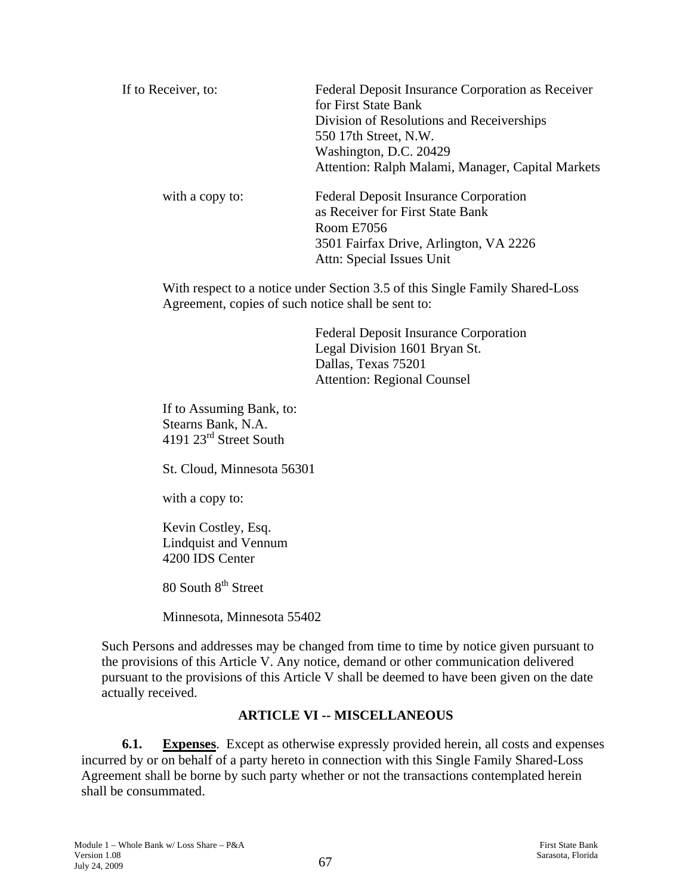| If to Receiver, to: | Federal Deposit Insurance Corporation as Receiver<br>for First State Bank |  |
|---------------------|---------------------------------------------------------------------------|--|
|                     | Division of Resolutions and Receiverships                                 |  |
|                     | 550 17th Street, N.W.                                                     |  |
|                     | Washington, D.C. 20429                                                    |  |
|                     | Attention: Ralph Malami, Manager, Capital Markets                         |  |
| with a copy to:     | <b>Federal Deposit Insurance Corporation</b>                              |  |
|                     | as Receiver for First State Bank                                          |  |
|                     | Room E7056                                                                |  |
|                     | 3501 Fairfax Drive, Arlington, VA 2226                                    |  |

With respect to a notice under Section 3.5 of this Single Family Shared-Loss Agreement, copies of such notice shall be sent to:

Attn: Special Issues Unit

Federal Deposit Insurance Corporation Legal Division 1601 Bryan St. Dallas, Texas 75201 Attention: Regional Counsel

If to Assuming Bank, to: Stearns Bank, N.A. 4191 23rd Street South

St. Cloud, Minnesota 56301

with a copy to:

Lindquist and Vennum<br>4200 IDS Center Kevin Costley, Esq.

 $80$  South  $8<sup>th</sup>$  Street

Minnesota, Minnesota 55402

Such Persons and addresses may be changed from time to time by notice given pursuant to the provisions of this Article V. Any notice, demand or other communication delivered pursuant to the provisions of this Article V shall be deemed to have been given on the date actually received.

# **ARTICLE VI -- MISCELLANEOUS**

**6.1. Expenses**. Except as otherwise expressly provided herein, all costs and expenses incurred by or on behalf of a party hereto in connection with this Single Family Shared-Loss Agreement shall be borne by such party whether or not the transactions contemplated herein shall be consummated.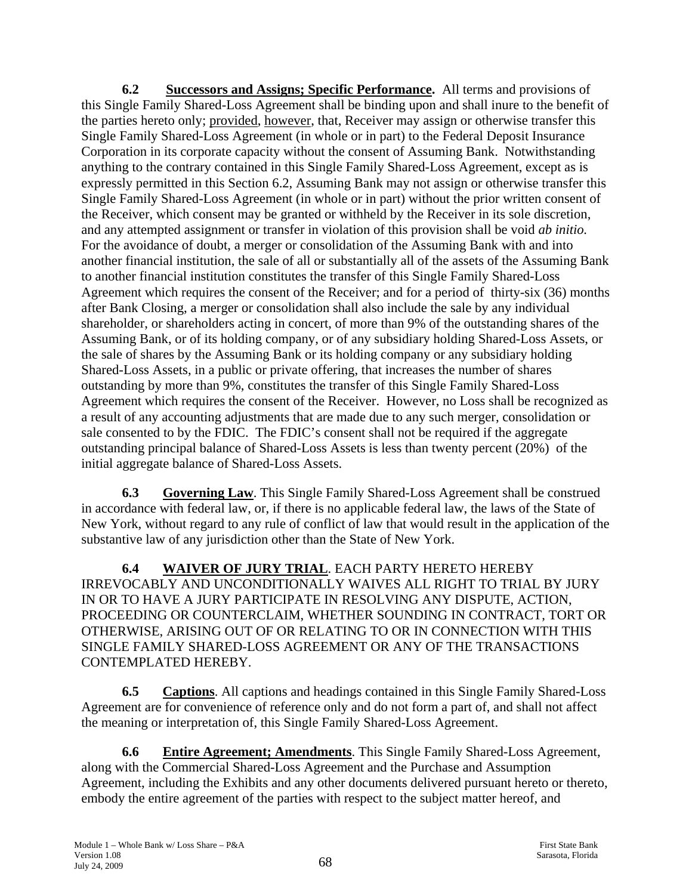**6.2 Successors and Assigns; Specific Performance.** All terms and provisions of this Single Family Shared-Loss Agreement shall be binding upon and shall inure to the benefit of the parties hereto only; provided, however, that, Receiver may assign or otherwise transfer this Single Family Shared-Loss Agreement (in whole or in part) to the Federal Deposit Insurance Corporation in its corporate capacity without the consent of Assuming Bank. Notwithstanding anything to the contrary contained in this Single Family Shared-Loss Agreement, except as is expressly permitted in this Section 6.2, Assuming Bank may not assign or otherwise transfer this Single Family Shared-Loss Agreement (in whole or in part) without the prior written consent of the Receiver, which consent may be granted or withheld by the Receiver in its sole discretion, and any attempted assignment or transfer in violation of this provision shall be void *ab initio.*  For the avoidance of doubt, a merger or consolidation of the Assuming Bank with and into another financial institution, the sale of all or substantially all of the assets of the Assuming Bank to another financial institution constitutes the transfer of this Single Family Shared-Loss Agreement which requires the consent of the Receiver; and for a period of thirty-six (36) months after Bank Closing, a merger or consolidation shall also include the sale by any individual shareholder, or shareholders acting in concert, of more than 9% of the outstanding shares of the Assuming Bank, or of its holding company, or of any subsidiary holding Shared-Loss Assets, or the sale of shares by the Assuming Bank or its holding company or any subsidiary holding Shared-Loss Assets, in a public or private offering, that increases the number of shares outstanding by more than 9%, constitutes the transfer of this Single Family Shared-Loss Agreement which requires the consent of the Receiver. However, no Loss shall be recognized as a result of any accounting adjustments that are made due to any such merger, consolidation or sale consented to by the FDIC. The FDIC's consent shall not be required if the aggregate outstanding principal balance of Shared-Loss Assets is less than twenty percent (20%) of the initial aggregate balance of Shared-Loss Assets.

**6.3 Governing Law**. This Single Family Shared-Loss Agreement shall be construed in accordance with federal law, or, if there is no applicable federal law, the laws of the State of New York, without regard to any rule of conflict of law that would result in the application of the substantive law of any jurisdiction other than the State of New York.

**6.4 WAIVER OF JURY TRIAL**. EACH PARTY HERETO HEREBY IRREVOCABLY AND UNCONDITIONALLY WAIVES ALL RIGHT TO TRIAL BY JURY IN OR TO HAVE A JURY PARTICIPATE IN RESOLVING ANY DISPUTE, ACTION, PROCEEDING OR COUNTERCLAIM, WHETHER SOUNDING IN CONTRACT, TORT OR OTHERWISE, ARISING OUT OF OR RELATING TO OR IN CONNECTION WITH THIS SINGLE FAMILY SHARED-LOSS AGREEMENT OR ANY OF THE TRANSACTIONS CONTEMPLATED HEREBY.

**6.5 Captions**. All captions and headings contained in this Single Family Shared-Loss Agreement are for convenience of reference only and do not form a part of, and shall not affect the meaning or interpretation of, this Single Family Shared-Loss Agreement.

**6.6 Entire Agreement; Amendments**. This Single Family Shared-Loss Agreement, along with the Commercial Shared-Loss Agreement and the Purchase and Assumption Agreement, including the Exhibits and any other documents delivered pursuant hereto or thereto, embody the entire agreement of the parties with respect to the subject matter hereof, and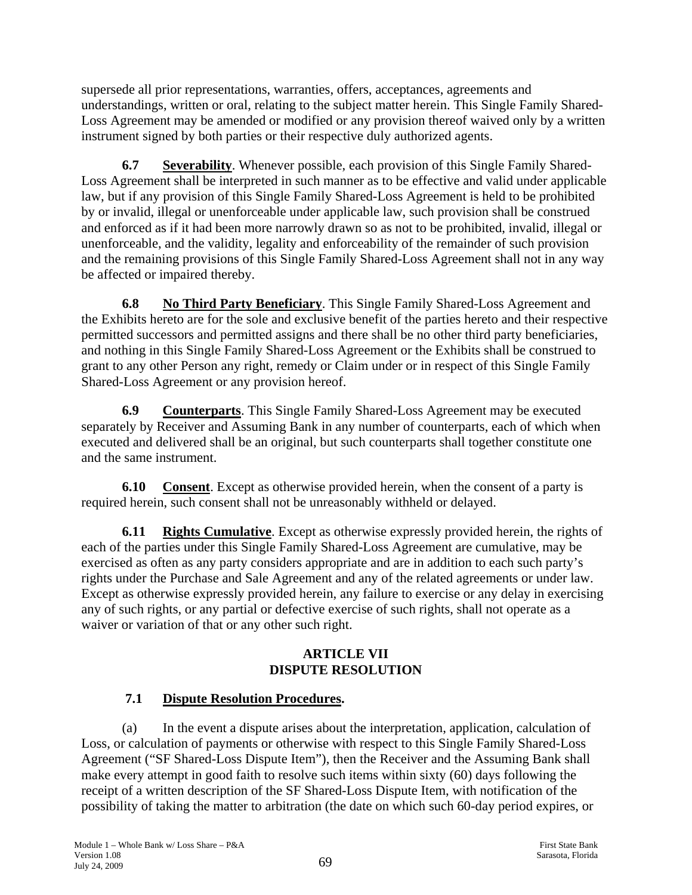supersede all prior representations, warranties, offers, acceptances, agreements and understandings, written or oral, relating to the subject matter herein. This Single Family Shared-Loss Agreement may be amended or modified or any provision thereof waived only by a written instrument signed by both parties or their respective duly authorized agents.

**6.7 Severability**. Whenever possible, each provision of this Single Family Shared-Loss Agreement shall be interpreted in such manner as to be effective and valid under applicable law, but if any provision of this Single Family Shared-Loss Agreement is held to be prohibited by or invalid, illegal or unenforceable under applicable law, such provision shall be construed and enforced as if it had been more narrowly drawn so as not to be prohibited, invalid, illegal or unenforceable, and the validity, legality and enforceability of the remainder of such provision and the remaining provisions of this Single Family Shared-Loss Agreement shall not in any way be affected or impaired thereby.

**6.8 No Third Party Beneficiary.** This Single Family Shared-Loss Agreement and the Exhibits hereto are for the sole and exclusive benefit of the parties hereto and their respective permitted successors and permitted assigns and there shall be no other third party beneficiaries, and nothing in this Single Family Shared-Loss Agreement or the Exhibits shall be construed to grant to any other Person any right, remedy or Claim under or in respect of this Single Family Shared-Loss Agreement or any provision hereof.

**6.9 Counterparts**. This Single Family Shared-Loss Agreement may be executed separately by Receiver and Assuming Bank in any number of counterparts, each of which when executed and delivered shall be an original, but such counterparts shall together constitute one and the same instrument.

**6.10** Consent. Except as otherwise provided herein, when the consent of a party is required herein, such consent shall not be unreasonably withheld or delayed.

**6.11 Rights Cumulative**. Except as otherwise expressly provided herein, the rights of each of the parties under this Single Family Shared-Loss Agreement are cumulative, may be exercised as often as any party considers appropriate and are in addition to each such party's rights under the Purchase and Sale Agreement and any of the related agreements or under law. Except as otherwise expressly provided herein, any failure to exercise or any delay in exercising any of such rights, or any partial or defective exercise of such rights, shall not operate as a waiver or variation of that or any other such right.

## **ARTICLE VII DISPUTE RESOLUTION**

# **7.1 Dispute Resolution Procedures.**

(a) In the event a dispute arises about the interpretation, application, calculation of Loss, or calculation of payments or otherwise with respect to this Single Family Shared-Loss Agreement ("SF Shared-Loss Dispute Item"), then the Receiver and the Assuming Bank shall make every attempt in good faith to resolve such items within sixty (60) days following the receipt of a written description of the SF Shared-Loss Dispute Item, with notification of the possibility of taking the matter to arbitration (the date on which such 60-day period expires, or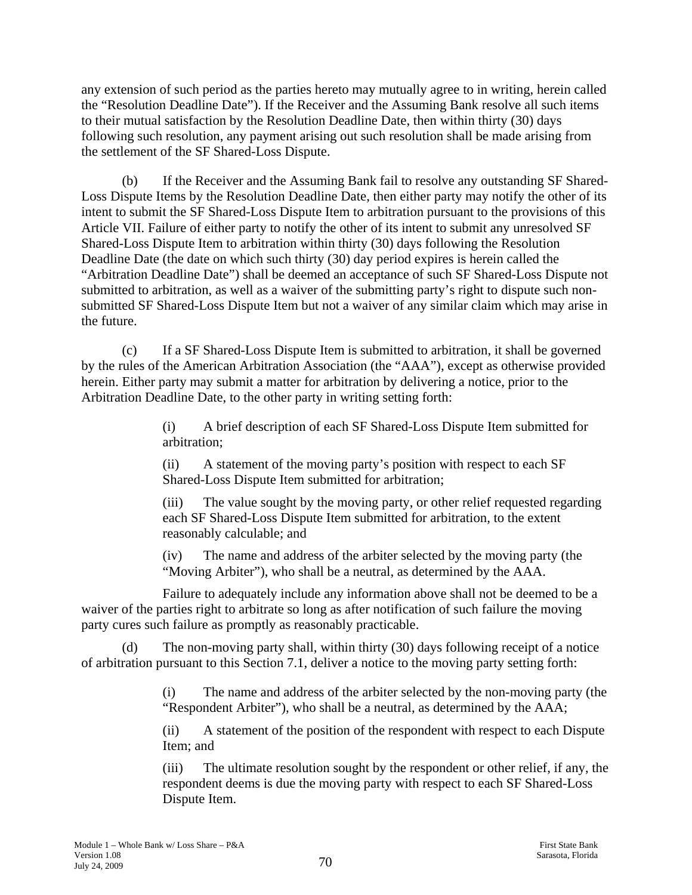any extension of such period as the parties hereto may mutually agree to in writing, herein called the "Resolution Deadline Date"). If the Receiver and the Assuming Bank resolve all such items to their mutual satisfaction by the Resolution Deadline Date, then within thirty (30) days following such resolution, any payment arising out such resolution shall be made arising from the settlement of the SF Shared-Loss Dispute.

(b) If the Receiver and the Assuming Bank fail to resolve any outstanding SF Shared-Loss Dispute Items by the Resolution Deadline Date, then either party may notify the other of its intent to submit the SF Shared-Loss Dispute Item to arbitration pursuant to the provisions of this Article VII. Failure of either party to notify the other of its intent to submit any unresolved SF Shared-Loss Dispute Item to arbitration within thirty (30) days following the Resolution Deadline Date (the date on which such thirty (30) day period expires is herein called the "Arbitration Deadline Date") shall be deemed an acceptance of such SF Shared-Loss Dispute not submitted to arbitration, as well as a waiver of the submitting party's right to dispute such nonsubmitted SF Shared-Loss Dispute Item but not a waiver of any similar claim which may arise in the future.

(c) If a SF Shared-Loss Dispute Item is submitted to arbitration, it shall be governed by the rules of the American Arbitration Association (the "AAA"), except as otherwise provided herein. Either party may submit a matter for arbitration by delivering a notice, prior to the Arbitration Deadline Date, to the other party in writing setting forth:

> (i) A brief description of each SF Shared-Loss Dispute Item submitted for arbitration;

(ii) A statement of the moving party's position with respect to each SF Shared-Loss Dispute Item submitted for arbitration;

(iii) The value sought by the moving party, or other relief requested regarding each SF Shared-Loss Dispute Item submitted for arbitration, to the extent reasonably calculable; and

(iv) The name and address of the arbiter selected by the moving party (the "Moving Arbiter"), who shall be a neutral, as determined by the AAA.

Failure to adequately include any information above shall not be deemed to be a waiver of the parties right to arbitrate so long as after notification of such failure the moving party cures such failure as promptly as reasonably practicable.

(d) The non-moving party shall, within thirty (30) days following receipt of a notice of arbitration pursuant to this Section 7.1, deliver a notice to the moving party setting forth:

> (i) The name and address of the arbiter selected by the non-moving party (the "Respondent Arbiter"), who shall be a neutral, as determined by the AAA;

> (ii) A statement of the position of the respondent with respect to each Dispute Item; and

> (iii) The ultimate resolution sought by the respondent or other relief, if any, the respondent deems is due the moving party with respect to each SF Shared-Loss Dispute Item.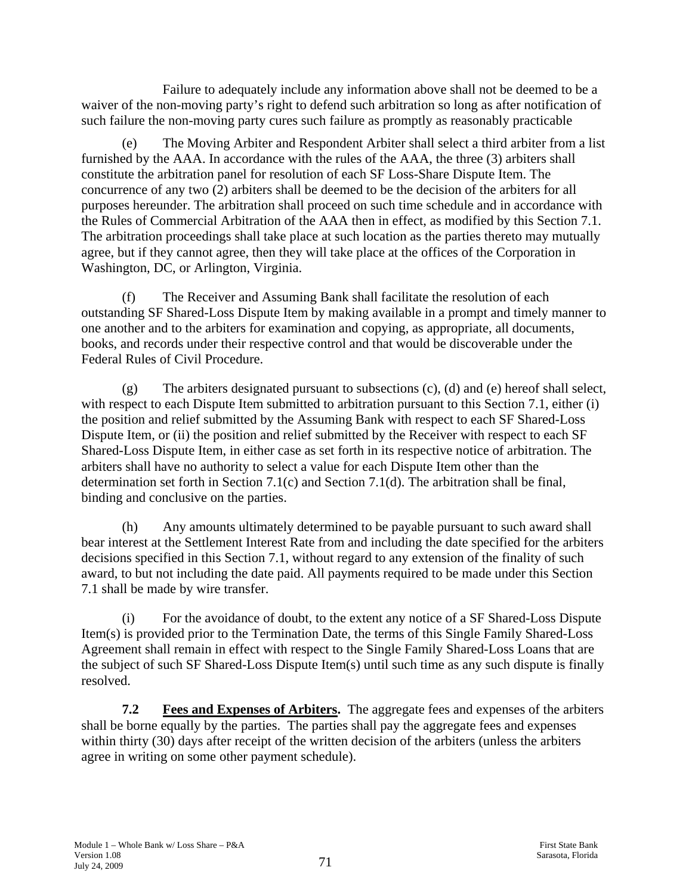Failure to adequately include any information above shall not be deemed to be a waiver of the non-moving party's right to defend such arbitration so long as after notification of such failure the non-moving party cures such failure as promptly as reasonably practicable

(e) The Moving Arbiter and Respondent Arbiter shall select a third arbiter from a list furnished by the AAA. In accordance with the rules of the AAA, the three (3) arbiters shall constitute the arbitration panel for resolution of each SF Loss-Share Dispute Item. The concurrence of any two (2) arbiters shall be deemed to be the decision of the arbiters for all purposes hereunder. The arbitration shall proceed on such time schedule and in accordance with the Rules of Commercial Arbitration of the AAA then in effect, as modified by this Section 7.1. The arbitration proceedings shall take place at such location as the parties thereto may mutually agree, but if they cannot agree, then they will take place at the offices of the Corporation in Washington, DC, or Arlington, Virginia.

(f) The Receiver and Assuming Bank shall facilitate the resolution of each outstanding SF Shared-Loss Dispute Item by making available in a prompt and timely manner to one another and to the arbiters for examination and copying, as appropriate, all documents, books, and records under their respective control and that would be discoverable under the Federal Rules of Civil Procedure.

 $(g)$  The arbiters designated pursuant to subsections  $(c)$ ,  $(d)$  and  $(e)$  hereof shall select, with respect to each Dispute Item submitted to arbitration pursuant to this Section 7.1, either (i) the position and relief submitted by the Assuming Bank with respect to each SF Shared-Loss Dispute Item, or (ii) the position and relief submitted by the Receiver with respect to each SF Shared-Loss Dispute Item, in either case as set forth in its respective notice of arbitration. The arbiters shall have no authority to select a value for each Dispute Item other than the determination set forth in Section 7.1(c) and Section 7.1(d). The arbitration shall be final, binding and conclusive on the parties.

(h) Any amounts ultimately determined to be payable pursuant to such award shall bear interest at the Settlement Interest Rate from and including the date specified for the arbiters decisions specified in this Section 7.1, without regard to any extension of the finality of such award, to but not including the date paid. All payments required to be made under this Section 7.1 shall be made by wire transfer.

(i) For the avoidance of doubt, to the extent any notice of a SF Shared-Loss Dispute Item(s) is provided prior to the Termination Date, the terms of this Single Family Shared-Loss Agreement shall remain in effect with respect to the Single Family Shared-Loss Loans that are the subject of such SF Shared-Loss Dispute Item(s) until such time as any such dispute is finally resolved.

**7.2 Fees and Expenses of Arbiters.** The aggregate fees and expenses of the arbiters shall be borne equally by the parties. The parties shall pay the aggregate fees and expenses within thirty (30) days after receipt of the written decision of the arbiters (unless the arbiters agree in writing on some other payment schedule).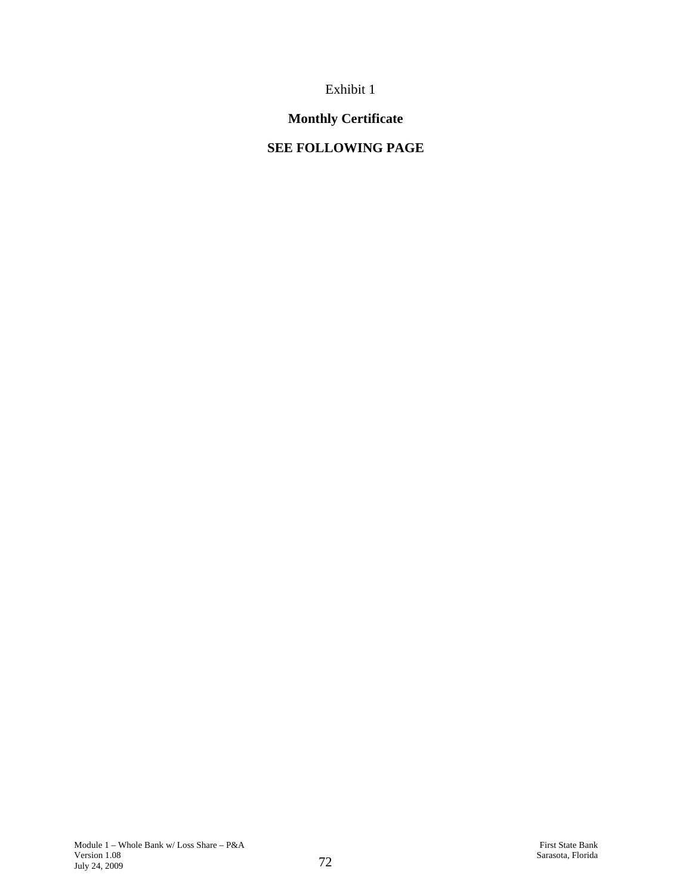Exhibit 1

# **Monthly Certificate**

## **SEE FOLLOWING PAGE**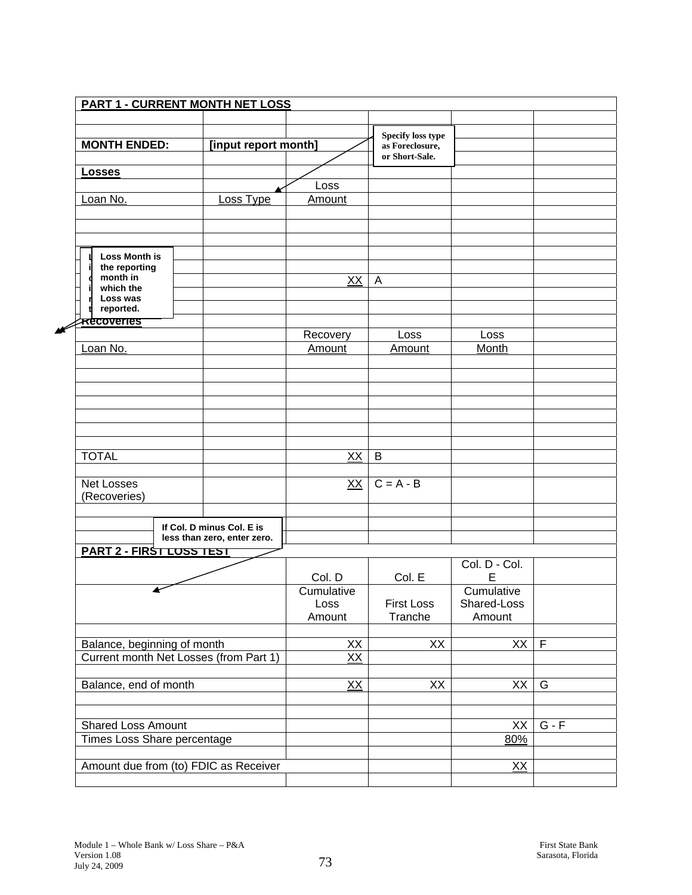|                                       | <b>PART 1 - CURRENT MONTH NET LOSS</b> |            |                                   |               |                |
|---------------------------------------|----------------------------------------|------------|-----------------------------------|---------------|----------------|
|                                       |                                        |            |                                   |               |                |
| <b>MONTH ENDED:</b>                   | [input report month]                   |            | Specify loss type                 |               |                |
|                                       |                                        |            | as Foreclosure,<br>or Short-Sale. |               |                |
| <b>Losses</b>                         |                                        |            |                                   |               |                |
|                                       |                                        | Loss       |                                   |               |                |
| Loan No.                              | Loss Type                              | Amount     |                                   |               |                |
|                                       |                                        |            |                                   |               |                |
|                                       |                                        |            |                                   |               |                |
|                                       |                                        |            |                                   |               |                |
|                                       |                                        |            |                                   |               |                |
| <b>Loss Month is</b><br>the reporting |                                        |            |                                   |               |                |
| month in                              |                                        | XX         | A                                 |               |                |
| which the                             |                                        |            |                                   |               |                |
| Loss was<br>reported.                 |                                        |            |                                   |               |                |
| <b>Recoveries</b>                     |                                        |            |                                   |               |                |
|                                       |                                        | Recovery   | Loss                              | Loss          |                |
| Loan No.                              |                                        | Amount     | Amount                            | Month         |                |
|                                       |                                        |            |                                   |               |                |
|                                       |                                        |            |                                   |               |                |
|                                       |                                        |            |                                   |               |                |
|                                       |                                        |            |                                   |               |                |
|                                       |                                        |            |                                   |               |                |
|                                       |                                        |            |                                   |               |                |
|                                       |                                        |            |                                   |               |                |
| <b>TOTAL</b>                          |                                        | XX         | B                                 |               |                |
|                                       |                                        |            |                                   |               |                |
| <b>Net Losses</b>                     |                                        | XX         | $C = A - B$                       |               |                |
| (Recoveries)                          |                                        |            |                                   |               |                |
|                                       |                                        |            |                                   |               |                |
|                                       | If Col. D minus Col. E is              |            |                                   |               |                |
| <b>PART 2 - FIRST LOSS TEST</b>       | less than zero, enter zero.            |            |                                   |               |                |
|                                       |                                        |            |                                   | Col. D - Col. |                |
|                                       |                                        | Col. D     | Col. E                            | E             |                |
|                                       |                                        | Cumulative |                                   | Cumulative    |                |
|                                       |                                        | Loss       | <b>First Loss</b>                 | Shared-Loss   |                |
|                                       |                                        | Amount     | Tranche                           | Amount        |                |
|                                       |                                        |            |                                   |               |                |
| Balance, beginning of month           |                                        | XX         | XX                                | XX            | $\overline{F}$ |
|                                       | Current month Net Losses (from Part 1) | XX         |                                   |               |                |
|                                       |                                        |            |                                   |               |                |
| Balance, end of month                 |                                        | XX         | XX                                | XX            | G              |
|                                       |                                        |            |                                   |               |                |
|                                       |                                        |            |                                   |               |                |
| <b>Shared Loss Amount</b>             |                                        |            |                                   | XX            | $G - F$        |
| Times Loss Share percentage           |                                        |            |                                   | 80%           |                |
|                                       |                                        |            |                                   |               |                |
|                                       | Amount due from (to) FDIC as Receiver  |            |                                   | <u>XX</u>     |                |
|                                       |                                        |            |                                   |               |                |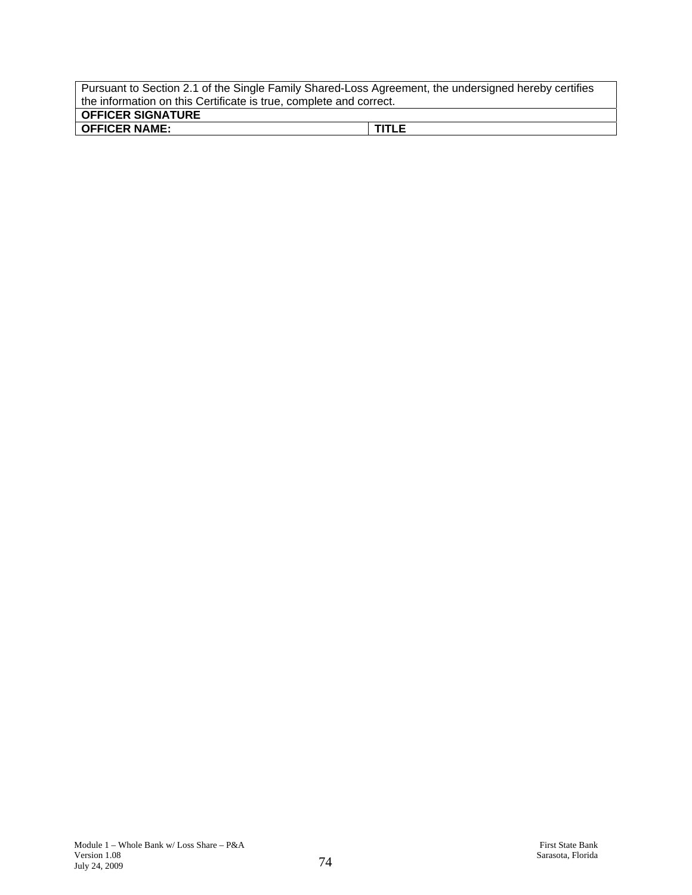| Pursuant to Section 2.1 of the Single Family Shared-Loss Agreement, the undersigned hereby certifies |  |  |  |
|------------------------------------------------------------------------------------------------------|--|--|--|
| the information on this Certificate is true, complete and correct.                                   |  |  |  |
| <b>OFFICER SIGNATURE</b>                                                                             |  |  |  |
| <b>TITLE</b><br><b>OFFICER NAME:</b>                                                                 |  |  |  |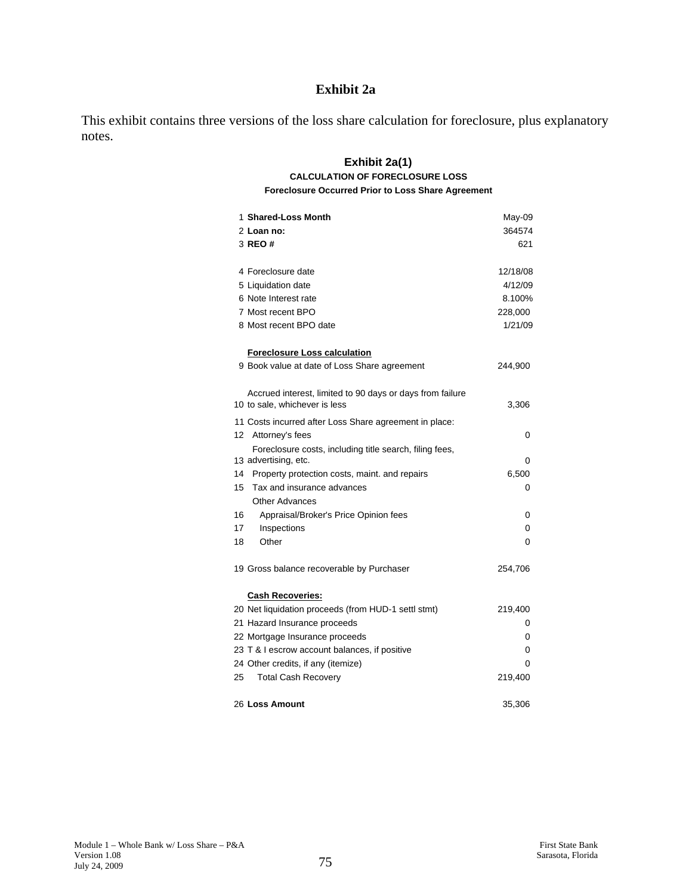#### **Exhibit 2a**

This exhibit contains three versions of the loss share calculation for foreclosure, plus explanatory notes.

#### **Exhibit 2a(1) CALCULATION OF FORECLOSURE LOSS Foreclosure Occurred Prior to Loss Share Agreement**

|    | 1 Shared-Loss Month                                       | May-09   |
|----|-----------------------------------------------------------|----------|
|    | 2 Loan no:                                                | 364574   |
|    | 3 REO #                                                   | 621      |
|    | 4 Foreclosure date                                        | 12/18/08 |
|    | 5 Liquidation date                                        | 4/12/09  |
|    | 6 Note Interest rate                                      | 8.100%   |
|    | 7 Most recent BPO                                         | 228,000  |
|    | 8 Most recent BPO date                                    | 1/21/09  |
|    | <b>Foreclosure Loss calculation</b>                       |          |
|    |                                                           |          |
|    | 9 Book value at date of Loss Share agreement              | 244,900  |
|    | Accrued interest, limited to 90 days or days from failure |          |
|    | 10 to sale, whichever is less                             | 3,306    |
|    | 11 Costs incurred after Loss Share agreement in place:    |          |
| 12 | Attorney's fees                                           | 0        |
|    | Foreclosure costs, including title search, filing fees,   |          |
|    | 13 advertising, etc.                                      | 0        |
| 14 | Property protection costs, maint. and repairs             | 6,500    |
| 15 | Tax and insurance advances                                | 0        |
|    | <b>Other Advances</b>                                     |          |
| 16 | Appraisal/Broker's Price Opinion fees                     | 0        |
| 17 | Inspections                                               | 0        |
| 18 | Other                                                     | 0        |
|    | 19 Gross balance recoverable by Purchaser                 | 254,706  |
|    | <b>Cash Recoveries:</b>                                   |          |
|    | 20 Net liquidation proceeds (from HUD-1 settl stmt)       | 219,400  |
|    | 21 Hazard Insurance proceeds                              | 0        |
|    | 22 Mortgage Insurance proceeds                            | 0        |
|    | 23 T & I escrow account balances, if positive             | 0        |
|    | 24 Other credits, if any (itemize)                        | 0        |
| 25 | <b>Total Cash Recovery</b>                                | 219,400  |
|    |                                                           |          |
|    | 26 Loss Amount                                            | 35,306   |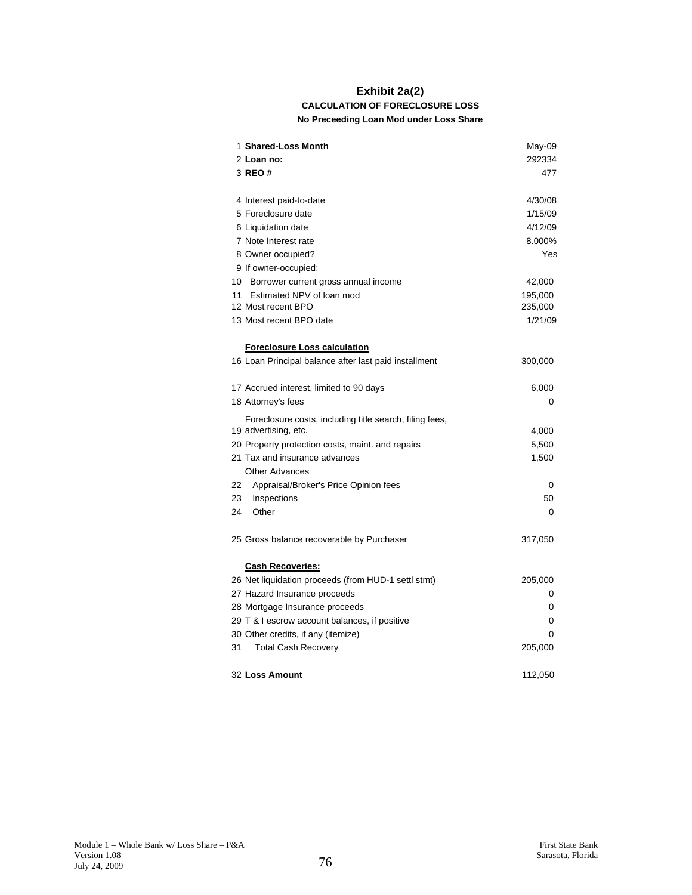#### **Exhibit 2a(2)**

#### **CALCULATION OF FORECLOSURE LOSS**

#### **No Preceeding Loan Mod under Loss Share**

| 1 Shared-Loss Month                                                             | May-09         |
|---------------------------------------------------------------------------------|----------------|
| 2 Loan no:                                                                      | 292334         |
| 3 REO #                                                                         | 477            |
| 4 Interest paid-to-date                                                         | 4/30/08        |
| 5 Foreclosure date                                                              | 1/15/09        |
| 6 Liquidation date                                                              | 4/12/09        |
| 7 Note Interest rate                                                            | 8.000%         |
| 8 Owner occupied?                                                               | Yes            |
| 9 If owner-occupied:                                                            |                |
| 10<br>Borrower current gross annual income                                      | 42,000         |
| Estimated NPV of loan mod<br>11                                                 | 195,000        |
| 12 Most recent BPO                                                              | 235,000        |
| 13 Most recent BPO date                                                         | 1/21/09        |
| <b>Foreclosure Loss calculation</b>                                             |                |
| 16 Loan Principal balance after last paid installment                           | 300,000        |
| 17 Accrued interest, limited to 90 days                                         | 6,000          |
| 18 Attorney's fees                                                              | 0              |
| Foreclosure costs, including title search, filing fees,<br>19 advertising, etc. |                |
| 20 Property protection costs, maint. and repairs                                | 4,000<br>5,500 |
| 21 Tax and insurance advances                                                   | 1,500          |
| <b>Other Advances</b>                                                           |                |
| 22<br>Appraisal/Broker's Price Opinion fees                                     | 0              |
| 23<br>Inspections                                                               | 50             |
| 24<br>Other                                                                     | 0              |
| 25 Gross balance recoverable by Purchaser                                       | 317,050        |
| <b>Cash Recoveries:</b>                                                         |                |
| 26 Net liquidation proceeds (from HUD-1 settl stmt)                             | 205,000        |
| 27 Hazard Insurance proceeds                                                    | 0              |
| 28 Mortgage Insurance proceeds                                                  | 0              |
| 29 T & I escrow account balances, if positive                                   | 0              |
| 30 Other credits, if any (itemize)                                              | 0              |
| 31<br><b>Total Cash Recovery</b>                                                | 205,000        |
| 32 Loss Amount                                                                  | 112,050        |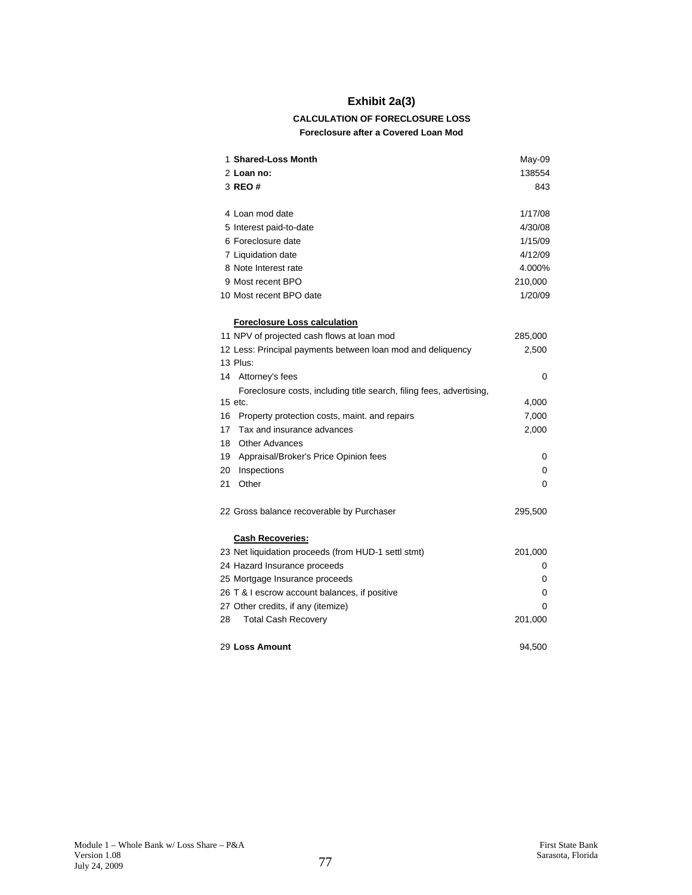## **Exhibit 2a(3)**

#### **CALCULATION OF FORECLOSURE LOSS Foreclosure after a Covered Loan Mod**

| 1 Shared-Loss Month                                                  | May-09   |
|----------------------------------------------------------------------|----------|
| 2 Loan no:                                                           | 138554   |
| 3 REO #                                                              | 843      |
|                                                                      |          |
| 4 Loan mod date                                                      | 1/17/08  |
| 5 Interest paid-to-date                                              | 4/30/08  |
| 6 Foreclosure date                                                   | 1/15/09  |
| 7 Liquidation date                                                   | 4/12/09  |
| 8 Note Interest rate                                                 | 4.000%   |
| 9 Most recent BPO                                                    | 210,000  |
| 10 Most recent BPO date                                              | 1/20/09  |
|                                                                      |          |
| <b>Foreclosure Loss calculation</b>                                  |          |
| 11 NPV of projected cash flows at loan mod                           | 285,000  |
| 12 Less: Principal payments between loan mod and deliquency          | 2,500    |
| 13 Plus:                                                             |          |
| 14<br>Attorney's fees                                                | 0        |
| Foreclosure costs, including title search, filing fees, advertising, |          |
| 15 etc.                                                              | 4,000    |
| 16<br>Property protection costs, maint. and repairs                  | 7,000    |
| 17<br>Tax and insurance advances                                     | 2,000    |
| <b>Other Advances</b><br>18                                          |          |
| 19 Appraisal/Broker's Price Opinion fees                             | 0        |
| 20<br>Inspections                                                    | 0        |
| 21<br>Other                                                          | $\Omega$ |
|                                                                      |          |
| 22 Gross balance recoverable by Purchaser                            | 295,500  |
| <b>Cash Recoveries:</b>                                              |          |
| 23 Net liquidation proceeds (from HUD-1 settl stmt)                  | 201,000  |
| 24 Hazard Insurance proceeds                                         | 0        |
| 25 Mortgage Insurance proceeds                                       | 0        |
| 26 T & I escrow account balances, if positive                        | 0        |
| 27 Other credits, if any (itemize)                                   | 0        |
| 28<br><b>Total Cash Recovery</b>                                     | 201,000  |
|                                                                      |          |
| 29 Loss Amount                                                       | 94,500   |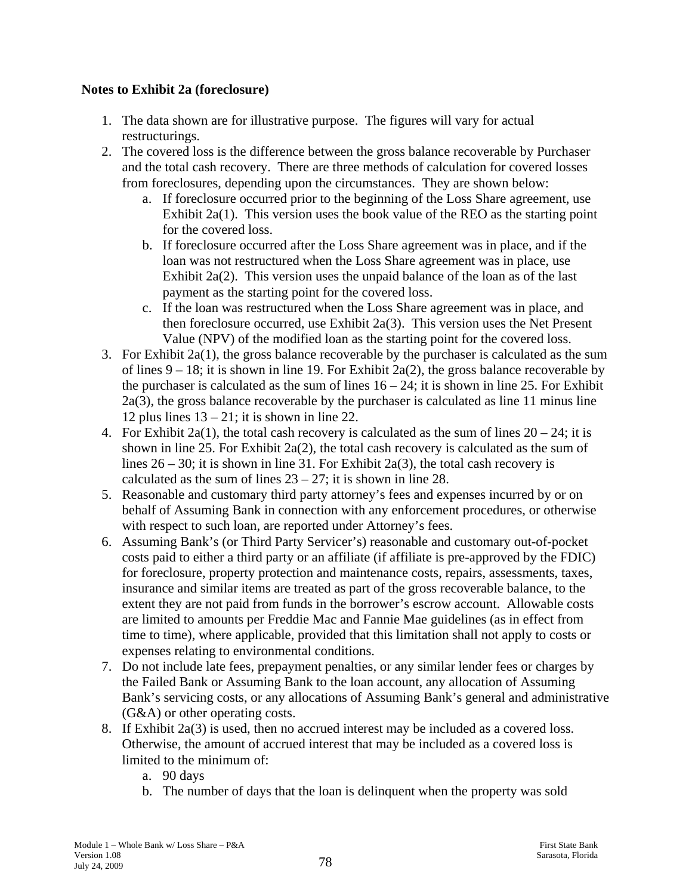## **Notes to Exhibit 2a (foreclosure)**

- 1.The data shown are for illustrative purpose. The figures will vary for actual restructurings.
- 2.The covered loss is the difference between the gross balance recoverable by Purchaser and the total cash recovery. There are three methods of calculation for covered losses from foreclosures, depending upon the circumstances. They are shown below:
	- a. If foreclosure occurred prior to the beginning of the Loss Share agreement, use Exhibit 2a(1). This version uses the book value of the REO as the starting point for the covered loss.
	- b.If foreclosure occurred after the Loss Share agreement was in place, and if the loan was not restructured when the Loss Share agreement was in place, use Exhibit 2a(2). This version uses the unpaid balance of the loan as of the last payment as the starting point for the covered loss.
	- c. If the loan was restructured when the Loss Share agreement was in place, and then foreclosure occurred, use Exhibit 2a(3). This version uses the Net Present Value (NPV) of the modified loan as the starting point for the covered loss.
- 3. For Exhibit  $2a(1)$ , the gross balance recoverable by the purchaser is calculated as the sum of lines  $9 - 18$ ; it is shown in line 19. For Exhibit 2a(2), the gross balance recoverable by the purchaser is calculated as the sum of lines  $16 - 24$ ; it is shown in line 25. For Exhibit 2a(3), the gross balance recoverable by the purchaser is calculated as line 11 minus line 12 plus lines  $13 - 21$ ; it is shown in line 22.
- 4. For Exhibit 2a(1), the total cash recovery is calculated as the sum of lines  $20 24$ ; it is shown in line 25. For Exhibit 2a(2), the total cash recovery is calculated as the sum of lines  $26 - 30$ ; it is shown in line 31. For Exhibit 2a(3), the total cash recovery is calculated as the sum of lines  $23 - 27$ ; it is shown in line 28.
- 5. Reasonable and customary third party attorney's fees and expenses incurred by or on behalf of Assuming Bank in connection with any enforcement procedures, or otherwise with respect to such loan, are reported under Attorney's fees.
- 6.Assuming Bank's (or Third Party Servicer's) reasonable and customary out-of-pocket costs paid to either a third party or an affiliate (if affiliate is pre-approved by the FDIC) for foreclosure, property protection and maintenance costs, repairs, assessments, taxes, insurance and similar items are treated as part of the gross recoverable balance, to the extent they are not paid from funds in the borrower's escrow account. Allowable costs are limited to amounts per Freddie Mac and Fannie Mae guidelines (as in effect from time to time), where applicable, provided that this limitation shall not apply to costs or expenses relating to environmental conditions.
- 7.Do not include late fees, prepayment penalties, or any similar lender fees or charges by the Failed Bank or Assuming Bank to the loan account, any allocation of Assuming Bank's servicing costs, or any allocations of Assuming Bank's general and administrative (G&A) or other operating costs.
- 8. If Exhibit  $2a(3)$  is used, then no accrued interest may be included as a covered loss. Otherwise, the amount of accrued interest that may be included as a covered loss is limited to the minimum of:
	- a.90 days
	- b.The number of days that the loan is delinquent when the property was sold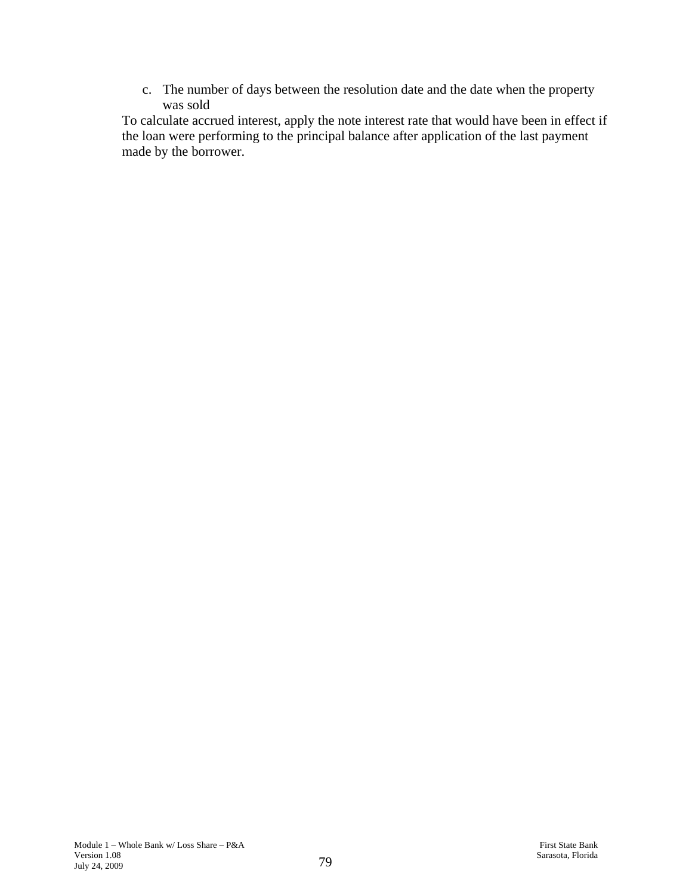c. The number of days between the resolution date and the date when the property was sold

To calculate accrued interest, apply the note interest rate that would have been in effect if the loan were performing to the principal balance after application of the last payment made by the borrower.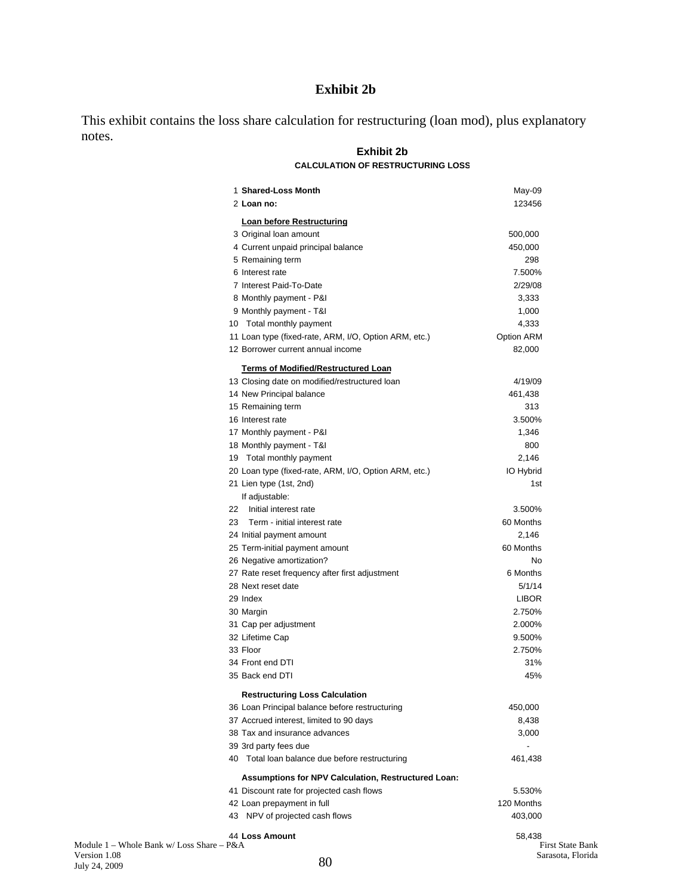# **Exhibit 2b**

This exhibit contains the loss share calculation for restructuring (loan mod), plus explanatory notes.

#### **Exhibit 2b CALCULATION OF RESTRUCTURING LOSS**

|       | 1 Shared-Loss Month                                   | May-09                  |  |
|-------|-------------------------------------------------------|-------------------------|--|
|       | 2 Loan no:                                            | 123456                  |  |
|       | <b>Loan before Restructuring</b>                      |                         |  |
|       | 3 Original loan amount                                | 500,000                 |  |
|       | 4 Current unpaid principal balance                    | 450,000                 |  |
|       | 5 Remaining term                                      | 298                     |  |
|       | 6 Interest rate                                       | 7.500%                  |  |
|       | 7 Interest Paid-To-Date                               | 2/29/08                 |  |
|       | 8 Monthly payment - P&I                               | 3,333                   |  |
|       | 9 Monthly payment - T&I                               | 1,000                   |  |
|       | 10 Total monthly payment                              | 4,333                   |  |
|       | 11 Loan type (fixed-rate, ARM, I/O, Option ARM, etc.) | <b>Option ARM</b>       |  |
|       | 12 Borrower current annual income                     | 82,000                  |  |
|       |                                                       |                         |  |
|       | <u>Terms of Modified/Restructured Loan</u>            |                         |  |
|       | 13 Closing date on modified/restructured loan         | 4/19/09                 |  |
|       | 14 New Principal balance                              | 461,438                 |  |
|       | 15 Remaining term                                     | 313                     |  |
|       | 16 Interest rate                                      | 3.500%                  |  |
|       | 17 Monthly payment - P&I                              | 1,346                   |  |
|       | 18 Monthly payment - T&I                              | 800                     |  |
| 19    | Total monthly payment                                 | 2,146                   |  |
|       | 20 Loan type (fixed-rate, ARM, I/O, Option ARM, etc.) | IO Hybrid               |  |
|       | 21 Lien type (1st, 2nd)                               | 1st                     |  |
|       | If adjustable:                                        |                         |  |
| 22    | Initial interest rate                                 | 3.500%                  |  |
| 23    | Term - initial interest rate                          | 60 Months               |  |
|       | 24 Initial payment amount                             | 2,146                   |  |
|       | 25 Term-initial payment amount                        | 60 Months               |  |
|       | 26 Negative amortization?                             | No                      |  |
|       | 27 Rate reset frequency after first adjustment        | 6 Months                |  |
|       | 28 Next reset date                                    | 5/1/14                  |  |
|       | 29 Index                                              | <b>LIBOR</b>            |  |
|       | 30 Margin                                             | 2.750%                  |  |
|       | 31 Cap per adjustment                                 | 2.000%                  |  |
|       | 32 Lifetime Cap                                       | 9.500%                  |  |
|       | 33 Floor                                              | 2.750%                  |  |
|       | 34 Front end DTI                                      | 31%                     |  |
|       | 35 Back end DTI                                       | 45%                     |  |
|       | <b>Restructuring Loss Calculation</b>                 |                         |  |
|       | 36 Loan Principal balance before restructuring        | 450,000                 |  |
|       | 37 Accrued interest, limited to 90 days               | 8,438                   |  |
|       | 38 Tax and insurance advances                         | 3,000                   |  |
|       | 39 3rd party fees due                                 |                         |  |
|       | 40 Total loan balance due before restructuring        | 461,438                 |  |
|       |                                                       |                         |  |
|       | Assumptions for NPV Calculation, Restructured Loan:   |                         |  |
|       | 41 Discount rate for projected cash flows             | 5.530%                  |  |
|       | 42 Loan prepayment in full                            | 120 Months              |  |
|       | 43 NPV of projected cash flows                        | 403,000                 |  |
|       | 44 Loss Amount                                        | 58,438                  |  |
| - P&A |                                                       | <b>First State Bank</b> |  |
|       |                                                       | Sarasota, Florida       |  |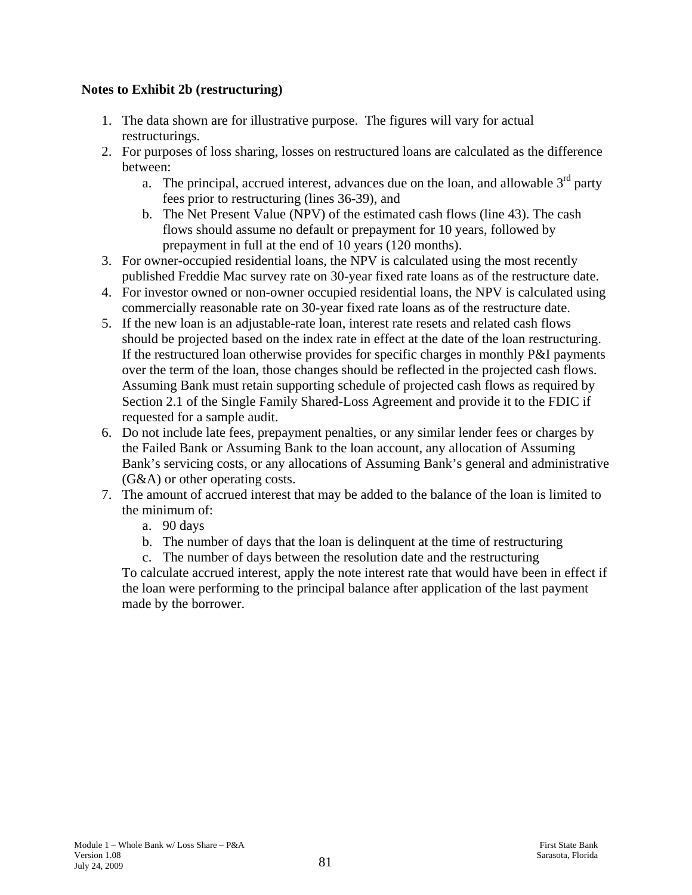## **Notes to Exhibit 2b (restructuring)**

- 1.The data shown are for illustrative purpose. The figures will vary for actual restructurings.
- 2.For purposes of loss sharing, losses on restructured loans are calculated as the difference between:
	- a. The principal, accrued interest, advances due on the loan, and allowable  $3<sup>rd</sup>$  party fees prior to restructuring (lines 36-39), and
	- b.The Net Present Value (NPV) of the estimated cash flows (line 43). The cash flows should assume no default or prepayment for 10 years, followed by prepayment in full at the end of 10 years (120 months).
- 3.For owner-occupied residential loans, the NPV is calculated using the most recently published Freddie Mac survey rate on 30-year fixed rate loans as of the restructure date.
- 4.For investor owned or non-owner occupied residential loans, the NPV is calculated using commercially reasonable rate on 30-year fixed rate loans as of the restructure date.
- 5.If the new loan is an adjustable-rate loan, interest rate resets and related cash flows should be projected based on the index rate in effect at the date of the loan restructuring. If the restructured loan otherwise provides for specific charges in monthly P&I payments over the term of the loan, those changes should be reflected in the projected cash flows. Assuming Bank must retain supporting schedule of projected cash flows as required by Section 2.1 of the Single Family Shared-Loss Agreement and provide it to the FDIC if requested for a sample audit.
- 6.Do not include late fees, prepayment penalties, or any similar lender fees or charges by the Failed Bank or Assuming Bank to the loan account, any allocation of Assuming Bank's servicing costs, or any allocations of Assuming Bank's general and administrative (G&A) or other operating costs.
- 7.The amount of accrued interest that may be added to the balance of the loan is limited to the minimum of:
	- a.90 days
	- b.The number of days that the loan is delinquent at the time of restructuring

c. The number of days between the resolution date and the restructuring To calculate accrued interest, apply the note interest rate that would have been in effect if the loan were performing to the principal balance after application of the last payment made by the borrower.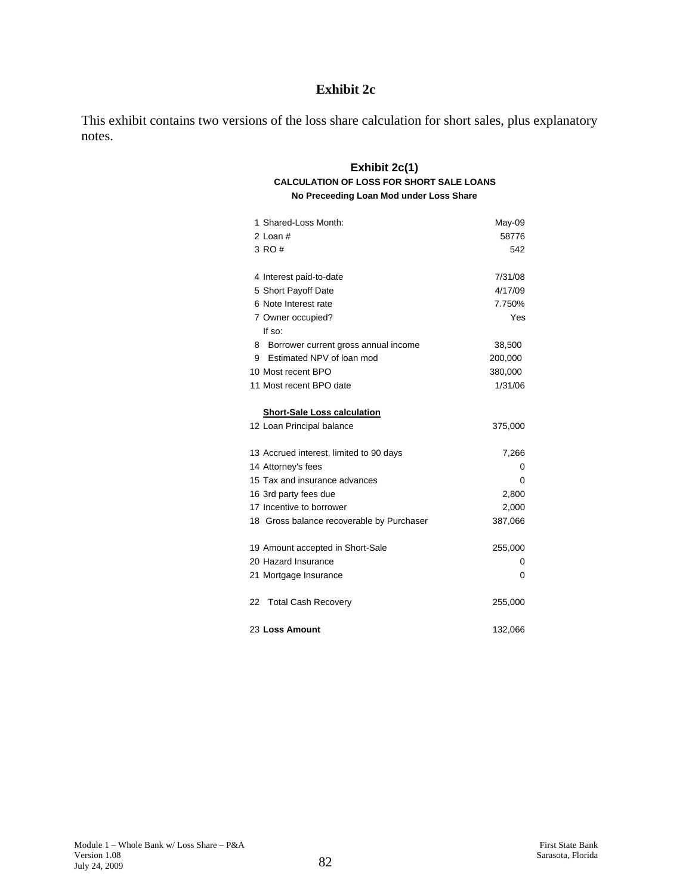#### **Exhibit 2c**

This exhibit contains two versions of the loss share calculation for short sales, plus explanatory notes.

#### **Exhibit 2c(1) CALCULATION OF LOSS FOR SHORT SALE LOANS No Preceeding Loan Mod under Loss Share**

| 1 Shared-Loss Month:<br>2 Loan #<br>3 RO #                                                                                                                                                       | May-09<br>58776<br>542                       |
|--------------------------------------------------------------------------------------------------------------------------------------------------------------------------------------------------|----------------------------------------------|
| 4 Interest paid-to-date<br>5 Short Payoff Date                                                                                                                                                   | 7/31/08<br>4/17/09                           |
| 6 Note Interest rate<br>7 Owner occupied?<br>If so:                                                                                                                                              | 7.750%<br>Yes                                |
| Borrower current gross annual income<br>8<br>Estimated NPV of loan mod<br>9<br>10 Most recent BPO<br>11 Most recent BPO date                                                                     | 38,500<br>200,000<br>380,000<br>1/31/06      |
| <b>Short-Sale Loss calculation</b><br>12 Loan Principal balance                                                                                                                                  | 375,000                                      |
| 13 Accrued interest, limited to 90 days<br>14 Attorney's fees<br>15 Tax and insurance advances<br>16 3rd party fees due<br>17 Incentive to borrower<br>18 Gross balance recoverable by Purchaser | 7,266<br>0<br>0<br>2,800<br>2,000<br>387,066 |
| 19 Amount accepted in Short-Sale<br>20 Hazard Insurance<br>21 Mortgage Insurance                                                                                                                 | 255,000<br>0<br>0                            |
| 22 Total Cash Recovery                                                                                                                                                                           | 255,000                                      |
| 23 Loss Amount                                                                                                                                                                                   | 132,066                                      |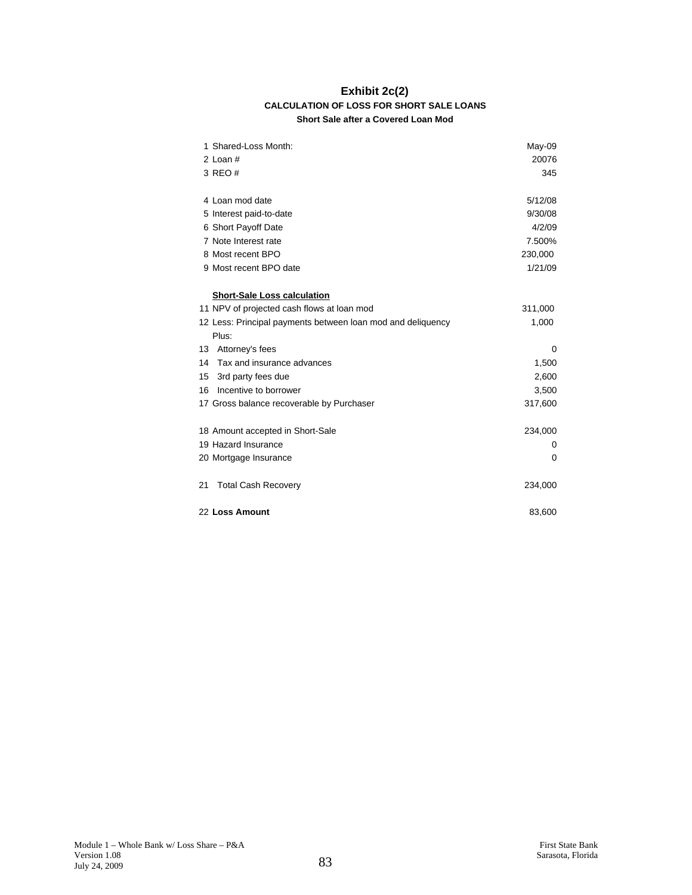#### **Exhibit 2c(2) CALCULATION OF LOSS FOR SHORT SALE LOANS Short Sale after a Covered Loan Mod**

| 1 Shared-Loss Month:                                        | May-09  |
|-------------------------------------------------------------|---------|
| 2 Loan $#$                                                  | 20076   |
| 3 REO #                                                     | 345     |
|                                                             |         |
| 4 Loan mod date                                             | 5/12/08 |
| 5 Interest paid-to-date                                     | 9/30/08 |
| 6 Short Payoff Date                                         | 4/2/09  |
| 7 Note Interest rate                                        | 7.500%  |
| 8 Most recent BPO                                           | 230,000 |
| 9 Most recent BPO date                                      | 1/21/09 |
|                                                             |         |
| <b>Short-Sale Loss calculation</b>                          |         |
| 11 NPV of projected cash flows at loan mod                  | 311,000 |
| 12 Less: Principal payments between loan mod and deliquency | 1,000   |
| Plus:                                                       |         |
| 13<br>Attorney's fees                                       | 0       |
| Tax and insurance advances<br>14                            | 1,500   |
| 15<br>3rd party fees due                                    | 2,600   |
| Incentive to borrower<br>16                                 | 3,500   |
| 17 Gross balance recoverable by Purchaser                   | 317,600 |
|                                                             |         |
| 18 Amount accepted in Short-Sale                            | 234,000 |
| 19 Hazard Insurance                                         | 0       |
| 20 Mortgage Insurance                                       | 0       |
|                                                             |         |
| <b>Total Cash Recovery</b><br>21                            | 234,000 |
|                                                             |         |
| 22 Loss Amount                                              | 83,600  |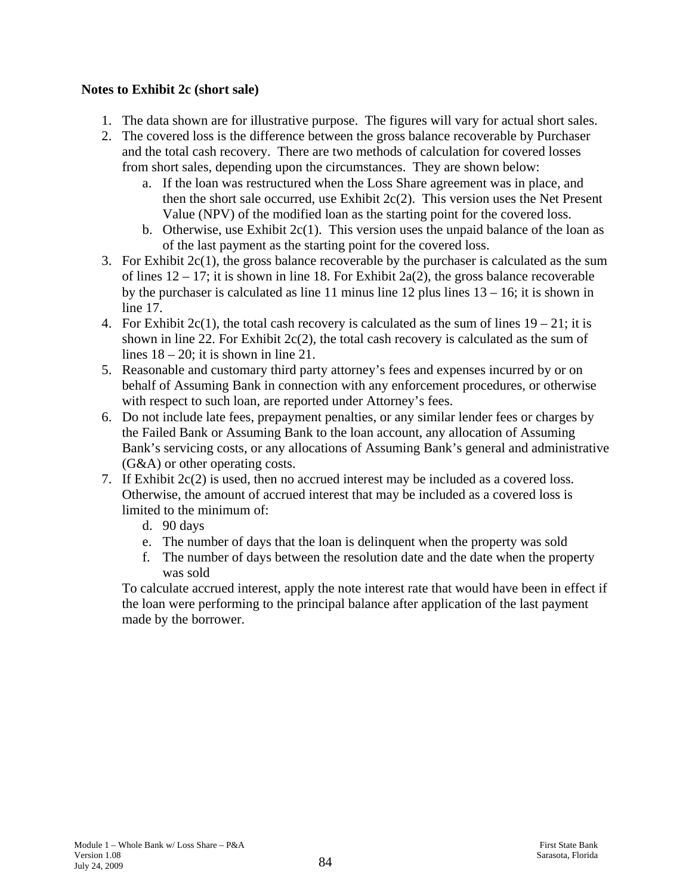## **Notes to Exhibit 2c (short sale)**

- 1.The data shown are for illustrative purpose. The figures will vary for actual short sales.
- 2.The covered loss is the difference between the gross balance recoverable by Purchaser and the total cash recovery. There are two methods of calculation for covered losses from short sales, depending upon the circumstances. They are shown below:
	- a. If the loan was restructured when the Loss Share agreement was in place, and then the short sale occurred, use Exhibit  $2c(2)$ . This version uses the Net Present Value (NPV) of the modified loan as the starting point for the covered loss.
	- b. Otherwise, use Exhibit  $2c(1)$ . This version uses the unpaid balance of the loan as of the last payment as the starting point for the covered loss.
- 3. For Exhibit  $2c(1)$ , the gross balance recoverable by the purchaser is calculated as the sum of lines  $12 - 17$ ; it is shown in line 18. For Exhibit 2a(2), the gross balance recoverable by the purchaser is calculated as line 11 minus line 12 plus lines 13 – 16; it is shown in line 17.
- 4. For Exhibit  $2c(1)$ , the total cash recovery is calculated as the sum of lines  $19 21$ ; it is shown in line 22. For Exhibit  $2c(2)$ , the total cash recovery is calculated as the sum of lines  $18 - 20$ ; it is shown in line 21.
- 5. Reasonable and customary third party attorney's fees and expenses incurred by or on behalf of Assuming Bank in connection with any enforcement procedures, or otherwise with respect to such loan, are reported under Attorney's fees.
- 6.Do not include late fees, prepayment penalties, or any similar lender fees or charges by the Failed Bank or Assuming Bank to the loan account, any allocation of Assuming Bank's servicing costs, or any allocations of Assuming Bank's general and administrative (G&A) or other operating costs.
- 7. If Exhibit  $2c(2)$  is used, then no accrued interest may be included as a covered loss. Otherwise, the amount of accrued interest that may be included as a covered loss is limited to the minimum of:
	- d. 90 days
	- e.The number of days that the loan is delinquent when the property was sold
	- f.The number of days between the resolution date and the date when the property was sold

To calculate accrued interest, apply the note interest rate that would have been in effect if the loan were performing to the principal balance after application of the last payment made by the borrower.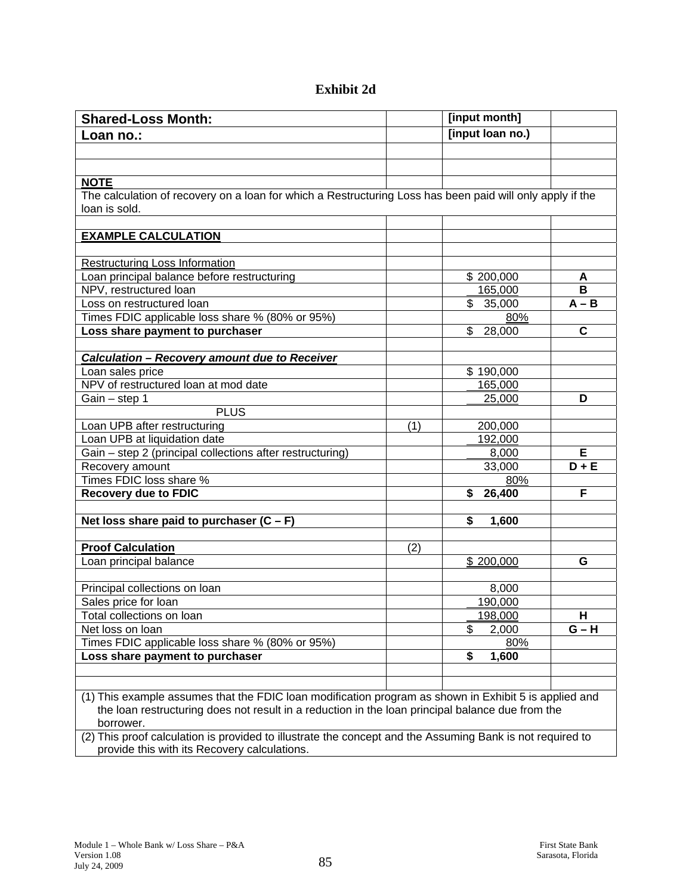# **Exhibit 2d**

| <b>Shared-Loss Month:</b>                                                                                     |     |                  |         |
|---------------------------------------------------------------------------------------------------------------|-----|------------------|---------|
| Loan no.:                                                                                                     |     | [input loan no.) |         |
|                                                                                                               |     |                  |         |
|                                                                                                               |     |                  |         |
| <b>NOTE</b>                                                                                                   |     |                  |         |
| The calculation of recovery on a loan for which a Restructuring Loss has been paid will only apply if the     |     |                  |         |
| loan is sold.                                                                                                 |     |                  |         |
|                                                                                                               |     |                  |         |
| <b>EXAMPLE CALCULATION</b>                                                                                    |     |                  |         |
|                                                                                                               |     |                  |         |
| <b>Restructuring Loss Information</b>                                                                         |     |                  |         |
| Loan principal balance before restructuring                                                                   |     | \$200,000        | A       |
| NPV, restructured loan                                                                                        |     | 165,000          | B       |
| Loss on restructured loan                                                                                     |     | \$35,000         | $A - B$ |
| Times FDIC applicable loss share % (80% or 95%)                                                               |     | 80%              |         |
| Loss share payment to purchaser                                                                               |     | \$28,000         | C       |
|                                                                                                               |     |                  |         |
| <b>Calculation - Recovery amount due to Receiver</b>                                                          |     |                  |         |
| Loan sales price                                                                                              |     | \$190,000        |         |
| NPV of restructured loan at mod date                                                                          |     | 165,000          |         |
| Gain - step 1                                                                                                 |     | 25,000           | D       |
| <b>PLUS</b>                                                                                                   |     |                  |         |
| Loan UPB after restructuring                                                                                  | (1) | 200,000          |         |
| Loan UPB at liquidation date<br>Gain - step 2 (principal collections after restructuring)                     |     | 192,000<br>8,000 | Е       |
| Recovery amount                                                                                               |     | 33,000           | $D + E$ |
| Times FDIC loss share %                                                                                       |     | 80%              |         |
| <b>Recovery due to FDIC</b>                                                                                   |     | \$26,400         | F       |
|                                                                                                               |     |                  |         |
| Net loss share paid to purchaser $(C - F)$                                                                    |     | \$<br>1,600      |         |
|                                                                                                               |     |                  |         |
| <b>Proof Calculation</b>                                                                                      | (2) |                  |         |
| Loan principal balance                                                                                        |     | \$200,000        | G       |
|                                                                                                               |     |                  |         |
| Principal collections on loan                                                                                 |     | 8,000            |         |
| Sales price for loan                                                                                          |     | 190,000          |         |
| Total collections on loan                                                                                     |     | 198,000          | H       |
| Net loss on loan                                                                                              |     | \$<br>2,000      | G – H   |
| Times FDIC applicable loss share % (80% or 95%)                                                               |     | 80%              |         |
| Loss share payment to purchaser                                                                               |     | 1,600<br>\$      |         |
|                                                                                                               |     |                  |         |
|                                                                                                               |     |                  |         |
| (1) This example assumes that the FDIC loan modification program as shown in Exhibit 5 is applied and         |     |                  |         |
| the loan restructuring does not result in a reduction in the loan principal balance due from the<br>borrower. |     |                  |         |
| (2) This proof calculation is provided to illustrate the concept and the Assuming Bank is not required to     |     |                  |         |
| provide this with its Recovery calculations.                                                                  |     |                  |         |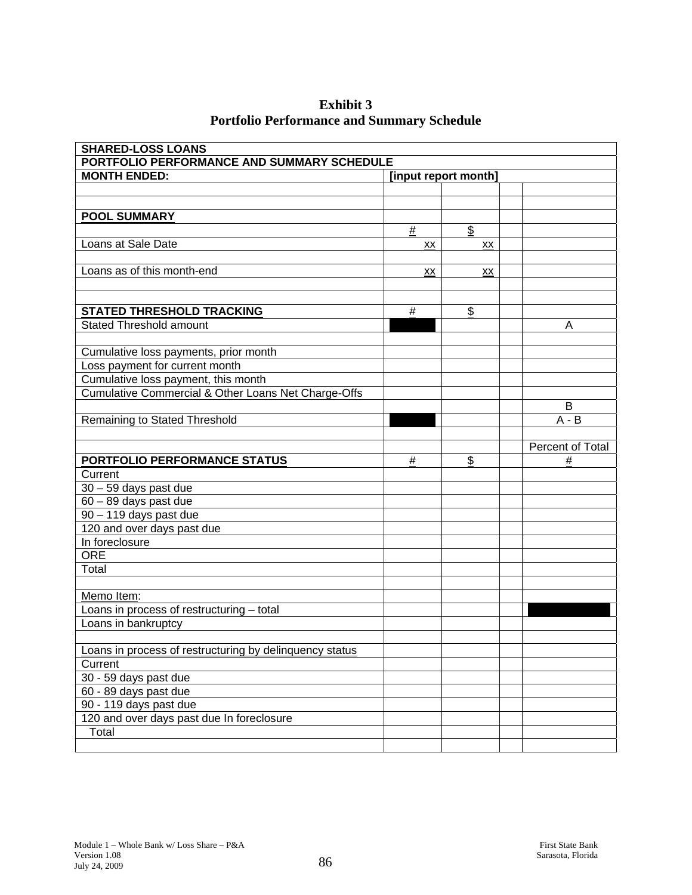| <b>SHARED-LOSS LOANS</b><br>PORTFOLIO PERFORMANCE AND SUMMARY SCHEDULE |                      |    |                  |
|------------------------------------------------------------------------|----------------------|----|------------------|
| <b>MONTH ENDED:</b>                                                    | [input report month] |    |                  |
|                                                                        |                      |    |                  |
|                                                                        |                      |    |                  |
| <b>POOL SUMMARY</b>                                                    |                      |    |                  |
|                                                                        | $\#$                 | \$ |                  |
| Loans at Sale Date                                                     | XX                   | XX |                  |
|                                                                        |                      |    |                  |
| Loans as of this month-end                                             | XX                   | XX |                  |
| <b>STATED THRESHOLD TRACKING</b>                                       | $\#$                 | \$ |                  |
| <b>Stated Threshold amount</b>                                         |                      |    | A                |
|                                                                        |                      |    |                  |
| Cumulative loss payments, prior month                                  |                      |    |                  |
| Loss payment for current month                                         |                      |    |                  |
| Cumulative loss payment, this month                                    |                      |    |                  |
| Cumulative Commercial & Other Loans Net Charge-Offs                    |                      |    |                  |
|                                                                        |                      |    | B                |
| Remaining to Stated Threshold                                          |                      |    | $A - B$          |
|                                                                        |                      |    |                  |
|                                                                        |                      |    | Percent of Total |
| <b>PORTFOLIO PERFORMANCE STATUS</b>                                    | $\#$                 | \$ | $\#$             |
| Current                                                                |                      |    |                  |
| $30 - 59$ days past due                                                |                      |    |                  |
| $60 - 89$ days past due                                                |                      |    |                  |
| $90 - 119$ days past due                                               |                      |    |                  |
| 120 and over days past due                                             |                      |    |                  |
| In foreclosure                                                         |                      |    |                  |
| <b>ORE</b>                                                             |                      |    |                  |
| Total                                                                  |                      |    |                  |
|                                                                        |                      |    |                  |
| Memo Item:                                                             |                      |    |                  |
| Loans in process of restructuring - total                              |                      |    |                  |
| Loans in bankruptcy                                                    |                      |    |                  |
|                                                                        |                      |    |                  |
| Loans in process of restructuring by delinguency status                |                      |    |                  |
| Current                                                                |                      |    |                  |
| 30 - 59 days past due                                                  |                      |    |                  |
| 60 - 89 days past due                                                  |                      |    |                  |
| 90 - 119 days past due                                                 |                      |    |                  |
| 120 and over days past due In foreclosure                              |                      |    |                  |
| Total                                                                  |                      |    |                  |
|                                                                        |                      |    |                  |

# **Exhibit 3 Portfolio Performance and Summary Schedule**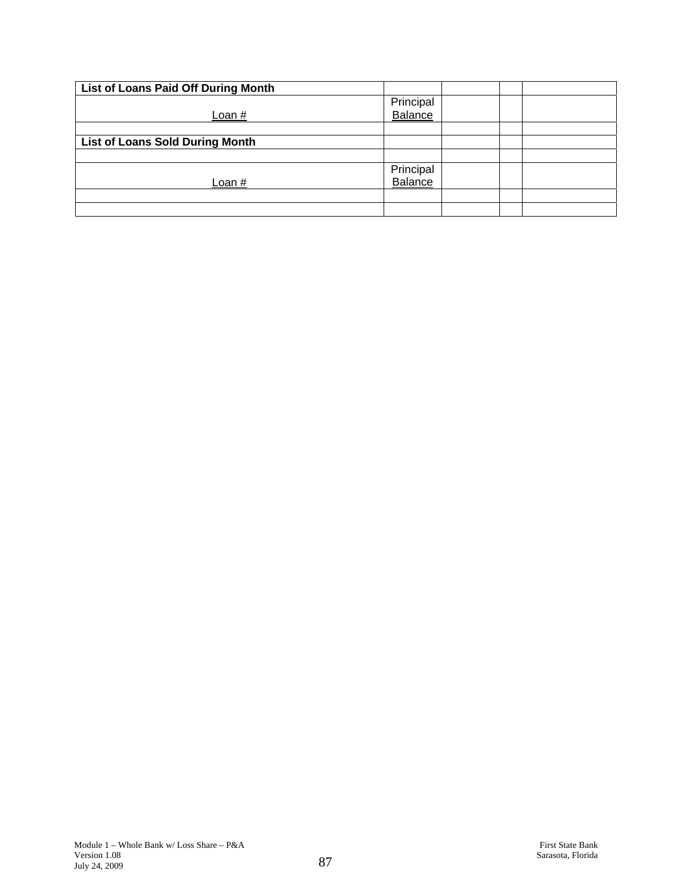| List of Loans Paid Off During Month    |                      |  |  |
|----------------------------------------|----------------------|--|--|
|                                        | Principal            |  |  |
| Loan #                                 | Balance              |  |  |
|                                        |                      |  |  |
| <b>List of Loans Sold During Month</b> |                      |  |  |
|                                        |                      |  |  |
|                                        | Principal<br>Balance |  |  |
| Loan #                                 |                      |  |  |
|                                        |                      |  |  |
|                                        |                      |  |  |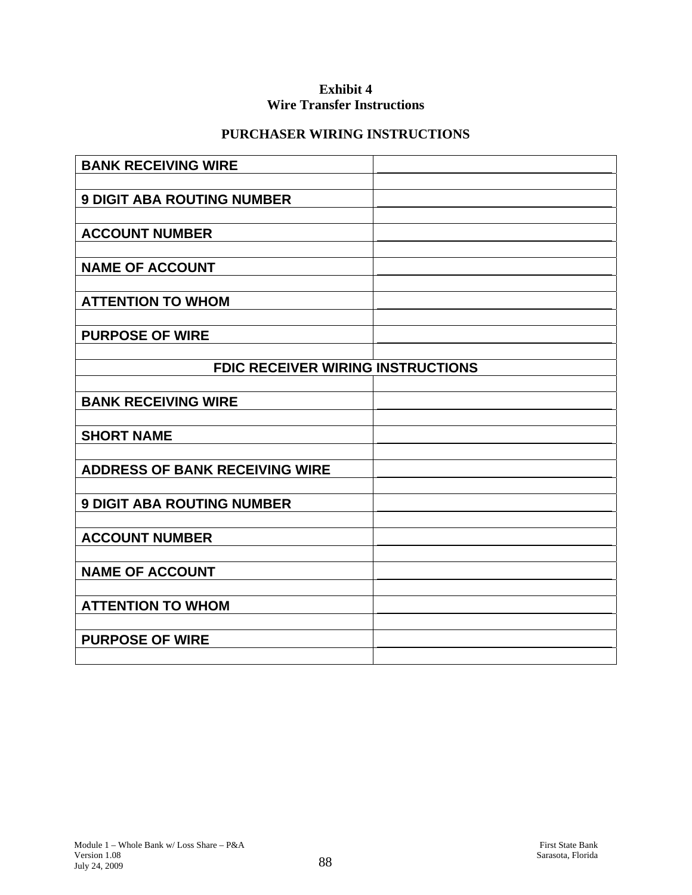## **Exhibit 4 Wire Transfer Instructions**

# **PURCHASER WIRING INSTRUCTIONS**

| <b>BANK RECEIVING WIRE</b>            |  |
|---------------------------------------|--|
|                                       |  |
| <b>9 DIGIT ABA ROUTING NUMBER</b>     |  |
|                                       |  |
| <b>ACCOUNT NUMBER</b>                 |  |
|                                       |  |
| <b>NAME OF ACCOUNT</b>                |  |
|                                       |  |
| <b>ATTENTION TO WHOM</b>              |  |
| <b>PURPOSE OF WIRE</b>                |  |
|                                       |  |
| FDIC RECEIVER WIRING INSTRUCTIONS     |  |
|                                       |  |
| <b>BANK RECEIVING WIRE</b>            |  |
|                                       |  |
| <b>SHORT NAME</b>                     |  |
|                                       |  |
| <b>ADDRESS OF BANK RECEIVING WIRE</b> |  |
|                                       |  |
| <b>9 DIGIT ABA ROUTING NUMBER</b>     |  |
|                                       |  |
| <b>ACCOUNT NUMBER</b>                 |  |
|                                       |  |
| <b>NAME OF ACCOUNT</b>                |  |
| <b>ATTENTION TO WHOM</b>              |  |
|                                       |  |
| <b>PURPOSE OF WIRE</b>                |  |
|                                       |  |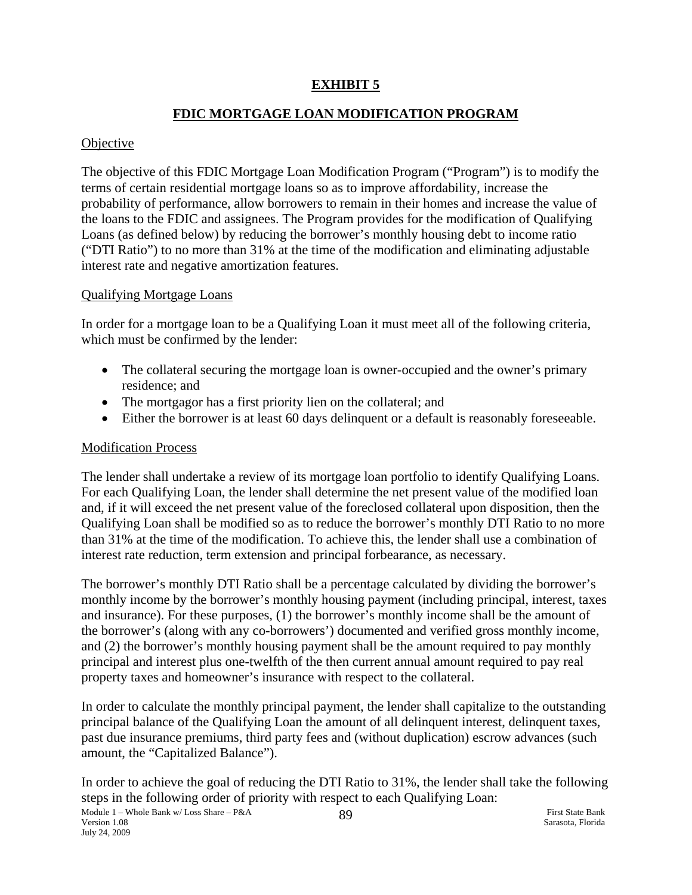# **EXHIBIT 5**

# EXHIBIT 5<br>FDIC MORTGAGE LOAN MODIFICATION PROGRAM

### **Objective**

The objective of this FDIC Mortgage Loan Modification Program ("Program") is to modify the terms of certain residential mortgage loans so as to improve affordability, increase the probability of performance, allow borrowers to remain in their homes and increase the value of the loans to the FDIC and assignees. The Program provides for the modification of Qualifying Loans (as defined below) by reducing the borrower's monthly housing debt to income ratio ("DTI Ratio") to no more than 31% at the time of the modification and eliminating adjustable interest rate and negative amortization features.

#### Qualifying Mortgage Loans

In order for a mortgage loan to be a Qualifying Loan it must meet all of the following criteria, which must be confirmed by the lender:

- •The collateral securing the mortgage loan is owner-occupied and the owner's primary residence; and
- •The mortgagor has a first priority lien on the collateral; and
- •Either the borrower is at least 60 days delinquent or a default is reasonably foreseeable.

## Modification Process

The lender shall undertake a review of its mortgage loan portfolio to identify Qualifying Loans. For each Qualifying Loan, the lender shall determine the net present value of the modified loan and, if it will exceed the net present value of the foreclosed collateral upon disposition, then the Qualifying Loan shall be modified so as to reduce the borrower's monthly DTI Ratio to no more than 31% at the time of the modification. To achieve this, the lender shall use a combination of interest rate reduction, term extension and principal forbearance, as necessary.

The borrower's monthly DTI Ratio shall be a percentage calculated by dividing the borrower's monthly income by the borrower's monthly housing payment (including principal, interest, taxes and insurance). For these purposes, (1) the borrower's monthly income shall be the amount of the borrower's (along with any co-borrowers') documented and verified gross monthly income, and (2) the borrower's monthly housing payment shall be the amount required to pay monthly principal and interest plus one-twelfth of the then current annual amount required to pay real property taxes and homeowner's insurance with respect to the collateral.

In order to calculate the monthly principal payment, the lender shall capitalize to the outstanding principal balance of the Qualifying Loan the amount of all delinquent interest, delinquent taxes, past due insurance premiums, third party fees and (without duplication) escrow advances (such amount, the "Capitalized Balance").

In order to achieve the goal of reducing the DTI Ratio to 31%, the lender shall take the following steps in the following order of priority with respect to each Qualifying Loan: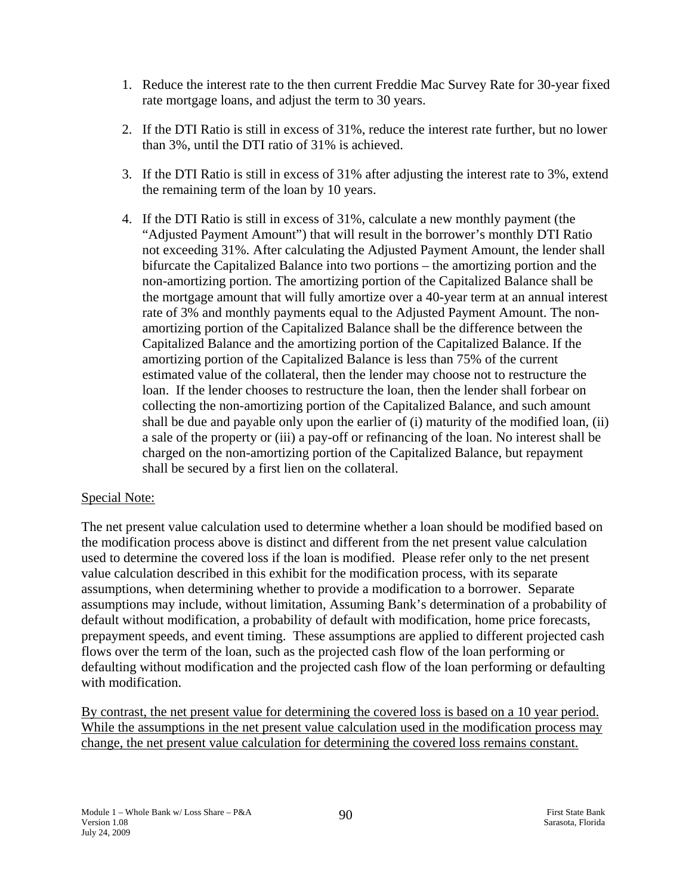- 1. Reduce the interest rate to the then current Freddie Mac Survey Rate for 30-year fixed rate mortgage loans, and adjust the term to 30 years.
- 2. If the DTI Ratio is still in excess of 31%, reduce the interest rate further, but no lower than 3%, until the DTI ratio of 31% is achieved.
- 3.If the DTI Ratio is still in excess of 31% after adjusting the interest rate to 3%, extend the remaining term of the loan by 10 years.
- 4.If the DTI Ratio is still in excess of 31%, calculate a new monthly payment (the "Adjusted Payment Amount") that will result in the borrower's monthly DTI Ratio not exceeding 31%. After calculating the Adjusted Payment Amount, the lender shall bifurcate the Capitalized Balance into two portions – the amortizing portion and the non-amortizing portion. The amortizing portion of the Capitalized Balance shall be the mortgage amount that will fully amortize over a 40-year term at an annual interest rate of 3% and monthly payments equal to the Adjusted Payment Amount. The nonamortizing portion of the Capitalized Balance shall be the difference between the Capitalized Balance and the amortizing portion of the Capitalized Balance. If the amortizing portion of the Capitalized Balance is less than 75% of the current estimated value of the collateral, then the lender may choose not to restructure the loan. If the lender chooses to restructure the loan, then the lender shall forbear on collecting the non-amortizing portion of the Capitalized Balance, and such amount shall be due and payable only upon the earlier of (i) maturity of the modified loan, (ii) a sale of the property or (iii) a pay-off or refinancing of the loan. No interest shall be charged on the non-amortizing portion of the Capitalized Balance, but repayment shall be secured by a first lien on the collateral.

# Special Note:

The net present value calculation used to determine whether a loan should be modified based on the modification process above is distinct and different from the net present value calculation used to determine the covered loss if the loan is modified. Please refer only to the net present value calculation described in this exhibit for the modification process, with its separate assumptions, when determining whether to provide a modification to a borrower. Separate assumptions may include, without limitation, Assuming Bank's determination of a probability of default without modification, a probability of default with modification, home price forecasts, prepayment speeds, and event timing. These assumptions are applied to different projected cash flows over the term of the loan, such as the projected cash flow of the loan performing or defaulting without modification and the projected cash flow of the loan performing or defaulting with modification.

change, the net present value calculation for determining the covered loss remains constant.<br>
Module 1 – Whole Bank w/ Loss Share – P&A First State Bank Sarasota, Florida<br>
Sarasota, Florida By contrast, the net present value for determining the covered loss is based on a 10 year period. While the assumptions in the net present value calculation used in the modification process may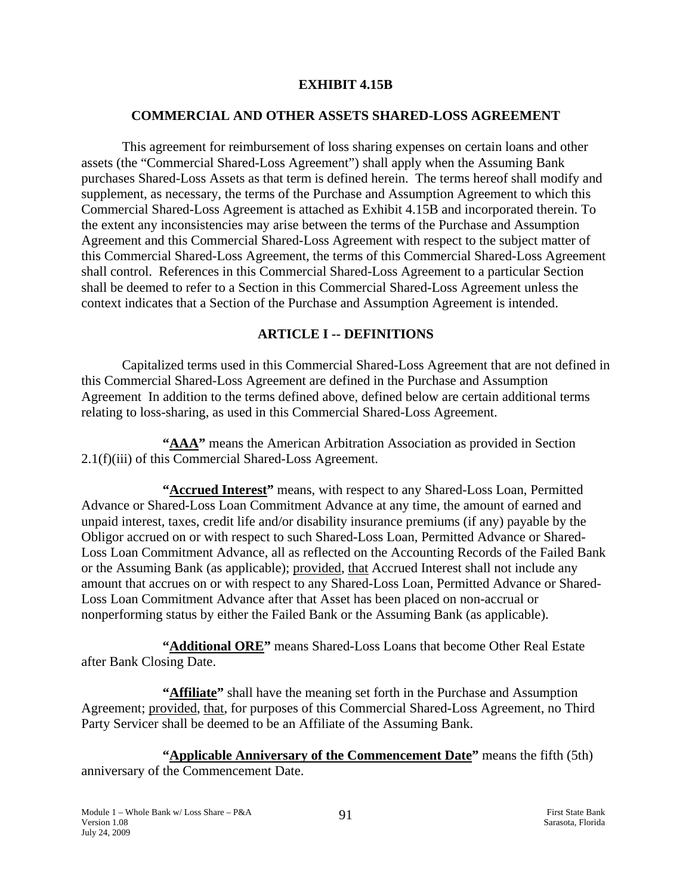#### **EXHIBIT 4.15B**

#### **COMMERCIAL AND OTHER ASSETS SHARED-LOSS AGREEMENT**

This agreement for reimbursement of loss sharing expenses on certain loans and other assets (the "Commercial Shared-Loss Agreement") shall apply when the Assuming Bank purchases Shared-Loss Assets as that term is defined herein. The terms hereof shall modify and supplement, as necessary, the terms of the Purchase and Assumption Agreement to which this Commercial Shared-Loss Agreement is attached as Exhibit 4.15B and incorporated therein. To the extent any inconsistencies may arise between the terms of the Purchase and Assumption Agreement and this Commercial Shared-Loss Agreement with respect to the subject matter of this Commercial Shared-Loss Agreement, the terms of this Commercial Shared-Loss Agreement shall control. References in this Commercial Shared-Loss Agreement to a particular Section shall be deemed to refer to a Section in this Commercial Shared-Loss Agreement unless the context indicates that a Section of the Purchase and Assumption Agreement is intended.

#### **ARTICLE I -- DEFINITIONS**

Capitalized terms used in this Commercial Shared-Loss Agreement that are not defined in this Commercial Shared-Loss Agreement are defined in the Purchase and Assumption Agreement In addition to the terms defined above, defined below are certain additional terms relating to loss-sharing, as used in this Commercial Shared-Loss Agreement.

**"AAA"** means the American Arbitration Association as provided in Section 2.1(f)(iii) of this Commercial Shared-Loss Agreement.

**"Accrued Interest"** means, with respect to any Shared-Loss Loan, Permitted Advance or Shared-Loss Loan Commitment Advance at any time, the amount of earned and unpaid interest, taxes, credit life and/or disability insurance premiums (if any) payable by the Obligor accrued on or with respect to such Shared-Loss Loan, Permitted Advance or Shared-Loss Loan Commitment Advance, all as reflected on the Accounting Records of the Failed Bank or the Assuming Bank (as applicable); provided, that Accrued Interest shall not include any amount that accrues on or with respect to any Shared-Loss Loan, Permitted Advance or Shared-Loss Loan Commitment Advance after that Asset has been placed on non-accrual or nonperforming status by either the Failed Bank or the Assuming Bank (as applicable).

**"Additional ORE"** means Shared-Loss Loans that become Other Real Estate after Bank Closing Date.

**"Affiliate"** shall have the meaning set forth in the Purchase and Assumption Agreement; provided, that, for purposes of this Commercial Shared-Loss Agreement, no Third Party Servicer shall be deemed to be an Affiliate of the Assuming Bank.

**Examplicable Anniversary of the Commencement Date"** means the fifth (5th) anniversary of the Commencement Date.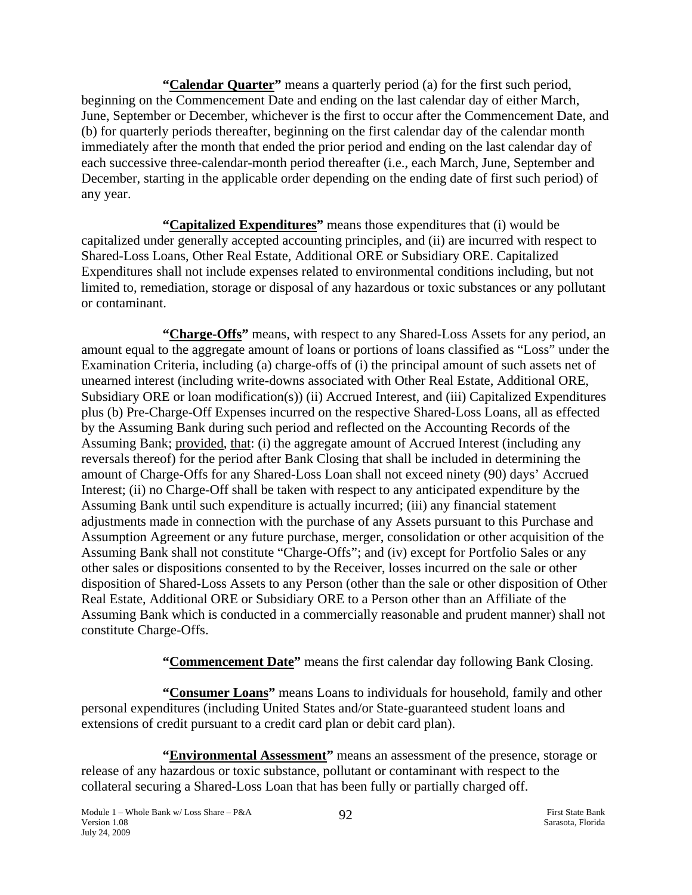**"Calendar Quarter"** means a quarterly period (a) for the first such period, beginning on the Commencement Date and ending on the last calendar day of either March, June, September or December, whichever is the first to occur after the Commencement Date, and (b) for quarterly periods thereafter, beginning on the first calendar day of the calendar month immediately after the month that ended the prior period and ending on the last calendar day of each successive three-calendar-month period thereafter (i.e., each March, June, September and December, starting in the applicable order depending on the ending date of first such period) of any year.

**"Capitalized Expenditures"** means those expenditures that (i) would be capitalized under generally accepted accounting principles, and (ii) are incurred with respect to Shared-Loss Loans, Other Real Estate, Additional ORE or Subsidiary ORE. Capitalized Expenditures shall not include expenses related to environmental conditions including, but not limited to, remediation, storage or disposal of any hazardous or toxic substances or any pollutant or contaminant.

**"Charge-Offs"** means, with respect to any Shared-Loss Assets for any period, an amount equal to the aggregate amount of loans or portions of loans classified as "Loss" under the Examination Criteria, including (a) charge-offs of (i) the principal amount of such assets net of unearned interest (including write-downs associated with Other Real Estate, Additional ORE, Subsidiary ORE or loan modification(s)) (ii) Accrued Interest, and (iii) Capitalized Expenditures plus (b) Pre-Charge-Off Expenses incurred on the respective Shared-Loss Loans, all as effected by the Assuming Bank during such period and reflected on the Accounting Records of the Assuming Bank; provided, that: (i) the aggregate amount of Accrued Interest (including any reversals thereof) for the period after Bank Closing that shall be included in determining the amount of Charge-Offs for any Shared-Loss Loan shall not exceed ninety (90) days' Accrued Interest; (ii) no Charge-Off shall be taken with respect to any anticipated expenditure by the Assuming Bank until such expenditure is actually incurred; (iii) any financial statement adjustments made in connection with the purchase of any Assets pursuant to this Purchase and Assumption Agreement or any future purchase, merger, consolidation or other acquisition of the Assuming Bank shall not constitute "Charge-Offs"; and (iv) except for Portfolio Sales or any other sales or dispositions consented to by the Receiver, losses incurred on the sale or other disposition of Shared-Loss Assets to any Person (other than the sale or other disposition of Other Real Estate, Additional ORE or Subsidiary ORE to a Person other than an Affiliate of the Assuming Bank which is conducted in a commercially reasonable and prudent manner) shall not constitute Charge-Offs.

**"Commencement Date"** means the first calendar day following Bank Closing.

**"Consumer Loans"** means Loans to individuals for household, family and other personal expenditures (including United States and/or State-guaranteed student loans and extensions of credit pursuant to a credit card plan or debit card plan).

**"Environmental Assessment"** means an assessment of the presence, storage or release of any hazardous or toxic substance, pollutant or contaminant with respect to the collateral securing a Shared-Loss Loan that has been fully or partially charged off.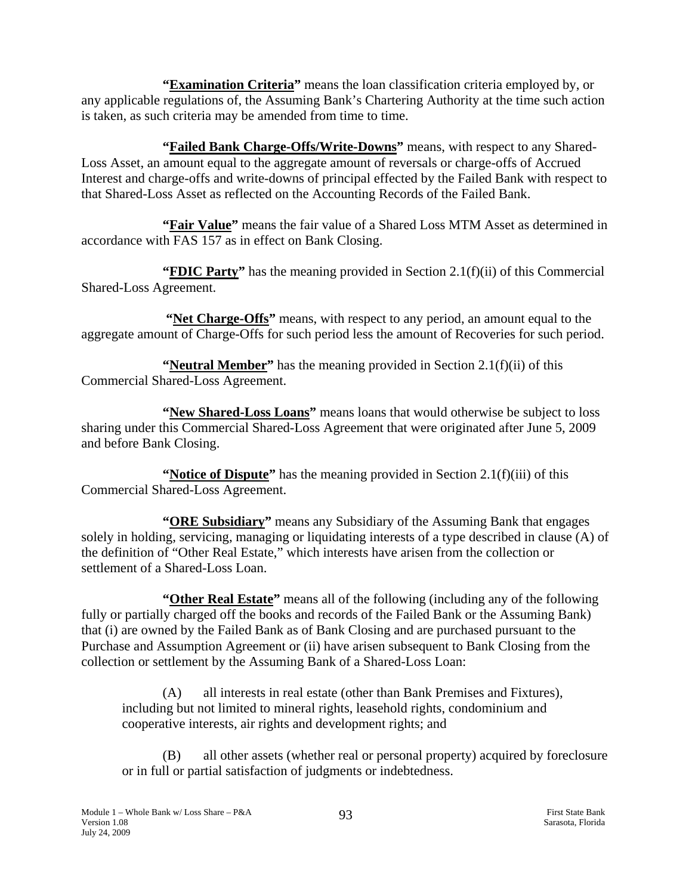**"Examination Criteria"** means the loan classification criteria employed by, or any applicable regulations of, the Assuming Bank's Chartering Authority at the time such action is taken, as such criteria may be amended from time to time.

**"Failed Bank Charge-Offs/Write-Downs"** means, with respect to any Shared-Loss Asset, an amount equal to the aggregate amount of reversals or charge-offs of Accrued Interest and charge-offs and write-downs of principal effected by the Failed Bank with respect to that Shared-Loss Asset as reflected on the Accounting Records of the Failed Bank.

**"Fair Value"** means the fair value of a Shared Loss MTM Asset as determined in accordance with FAS 157 as in effect on Bank Closing.

**"FDIC Party"** has the meaning provided in Section 2.1(f)(ii) of this Commercial Shared-Loss Agreement.

**"Net Charge-Offs"** means, with respect to any period, an amount equal to the aggregate amount of Charge-Offs for such period less the amount of Recoveries for such period.

 Commercial Shared-Loss Agreement. **"Neutral Member"** has the meaning provided in Section 2.1(f)(ii) of this

"New Shared-Loss Loans" means loans that would otherwise be subject to loss sharing under this Commercial Shared-Loss Agreement that were originated after June 5, 2009 and before Bank Closing.

**"Notice of Dispute"** has the meaning provided in Section 2.1(f)(iii) of this Commercial Shared-Loss Agreement.

**"ORE Subsidiary"** means any Subsidiary of the Assuming Bank that engages solely in holding, servicing, managing or liquidating interests of a type described in clause (A) of the definition of "Other Real Estate," which interests have arisen from the collection or settlement of a Shared-Loss Loan.

**"Other Real Estate"** means all of the following (including any of the following fully or partially charged off the books and records of the Failed Bank or the Assuming Bank) that (i) are owned by the Failed Bank as of Bank Closing and are purchased pursuant to the Purchase and Assumption Agreement or (ii) have arisen subsequent to Bank Closing from the collection or settlement by the Assuming Bank of a Shared-Loss Loan:

(A) all interests in real estate (other than Bank Premises and Fixtures), including but not limited to mineral rights, leasehold rights, condominium and cooperative interests, air rights and development rights; and

(B) all other assets (whether real or personal property) acquired by foreclosure or in full or partial satisfaction of judgments or indebtedness.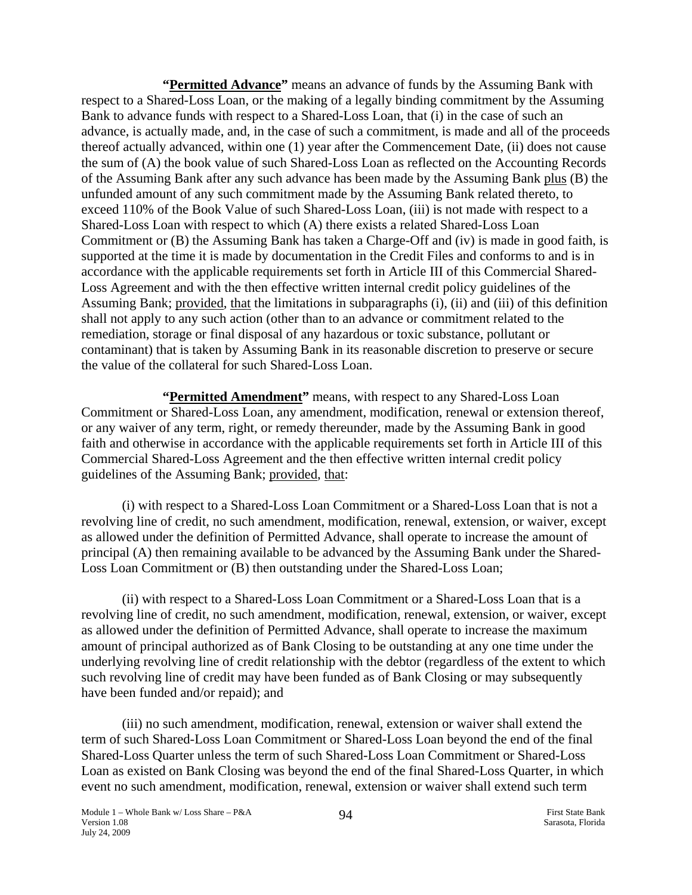**"Permitted Advance"** means an advance of funds by the Assuming Bank with respect to a Shared-Loss Loan, or the making of a legally binding commitment by the Assuming Bank to advance funds with respect to a Shared-Loss Loan, that (i) in the case of such an advance, is actually made, and, in the case of such a commitment, is made and all of the proceeds thereof actually advanced, within one (1) year after the Commencement Date, (ii) does not cause the sum of (A) the book value of such Shared-Loss Loan as reflected on the Accounting Records of the Assuming Bank after any such advance has been made by the Assuming Bank plus (B) the unfunded amount of any such commitment made by the Assuming Bank related thereto, to exceed 110% of the Book Value of such Shared-Loss Loan, (iii) is not made with respect to a Shared-Loss Loan with respect to which (A) there exists a related Shared-Loss Loan Commitment or (B) the Assuming Bank has taken a Charge-Off and (iv) is made in good faith, is supported at the time it is made by documentation in the Credit Files and conforms to and is in accordance with the applicable requirements set forth in Article III of this Commercial Shared-Loss Agreement and with the then effective written internal credit policy guidelines of the Assuming Bank; provided, that the limitations in subparagraphs (i), (ii) and (iii) of this definition shall not apply to any such action (other than to an advance or commitment related to the remediation, storage or final disposal of any hazardous or toxic substance, pollutant or contaminant) that is taken by Assuming Bank in its reasonable discretion to preserve or secure the value of the collateral for such Shared-Loss Loan.

**"Permitted Amendment"** means, with respect to any Shared-Loss Loan Commitment or Shared-Loss Loan, any amendment, modification, renewal or extension thereof, or any waiver of any term, right, or remedy thereunder, made by the Assuming Bank in good faith and otherwise in accordance with the applicable requirements set forth in Article III of this Commercial Shared-Loss Agreement and the then effective written internal credit policy guidelines of the Assuming Bank; provided, that:

(i) with respect to a Shared-Loss Loan Commitment or a Shared-Loss Loan that is not a revolving line of credit, no such amendment, modification, renewal, extension, or waiver, except as allowed under the definition of Permitted Advance, shall operate to increase the amount of principal (A) then remaining available to be advanced by the Assuming Bank under the Shared-Loss Loan Commitment or (B) then outstanding under the Shared-Loss Loan;

(ii) with respect to a Shared-Loss Loan Commitment or a Shared-Loss Loan that is a revolving line of credit, no such amendment, modification, renewal, extension, or waiver, except as allowed under the definition of Permitted Advance, shall operate to increase the maximum amount of principal authorized as of Bank Closing to be outstanding at any one time under the underlying revolving line of credit relationship with the debtor (regardless of the extent to which such revolving line of credit may have been funded as of Bank Closing or may subsequently have been funded and/or repaid); and

(iii) no such amendment, modification, renewal, extension or waiver shall extend the term of such Shared-Loss Loan Commitment or Shared-Loss Loan beyond the end of the final Shared-Loss Quarter unless the term of such Shared-Loss Loan Commitment or Shared-Loss Loan as existed on Bank Closing was beyond the end of the final Shared-Loss Quarter, in which event no such amendment, modification, renewal, extension or waiver shall extend such term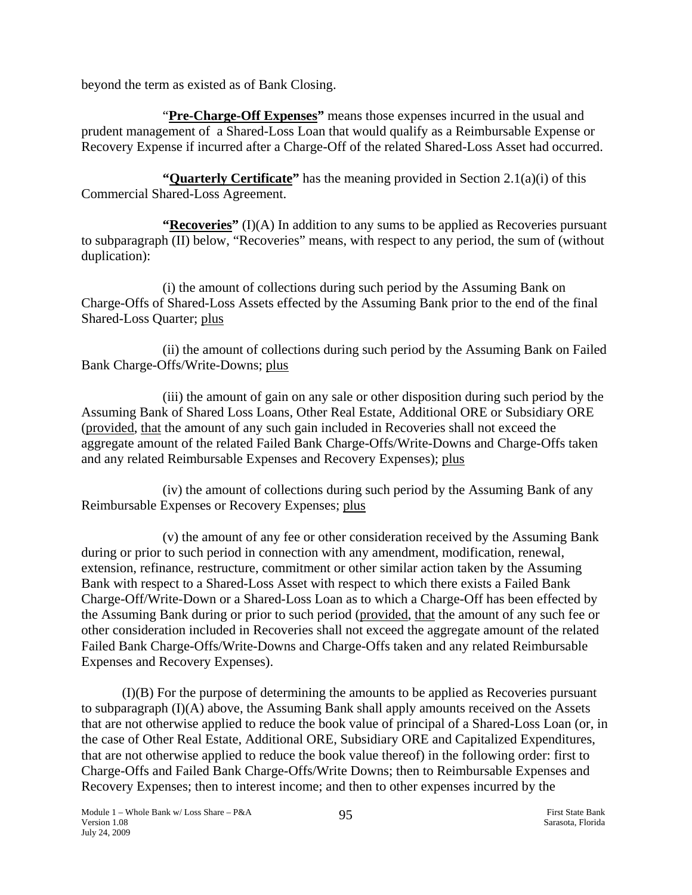beyond the term as existed as of Bank Closing.

"**Pre-Charge-Off Expenses"** means those expenses incurred in the usual and prudent management of a Shared-Loss Loan that would qualify as a Reimbursable Expense or Recovery Expense if incurred after a Charge-Off of the related Shared-Loss Asset had occurred.

**"Quarterly Certificate"** has the meaning provided in Section 2.1(a)(i) of this Commercial Shared-Loss Agreement.

**"Recoveries"** (I)(A) In addition to any sums to be applied as Recoveries pursuant to subparagraph (II) below, "Recoveries" means, with respect to any period, the sum of (without duplication):

**Shared-Loss Quarter; plus** (i) the amount of collections during such period by the Assuming Bank on Charge-Offs of Shared-Loss Assets effected by the Assuming Bank prior to the end of the final

(ii) the amount of collections during such period by the Assuming Bank on Failed Bank Charge-Offs/Write-Downs; plus

(iii) the amount of gain on any sale or other disposition during such period by the Assuming Bank of Shared Loss Loans, Other Real Estate, Additional ORE or Subsidiary ORE (provided, that the amount of any such gain included in Recoveries shall not exceed the aggregate amount of the related Failed Bank Charge-Offs/Write-Downs and Charge-Offs taken and any related Reimbursable Expenses and Recovery Expenses); plus

(iv) the amount of collections during such period by the Assuming Bank of any Reimbursable Expenses or Recovery Expenses; plus

(v) the amount of any fee or other consideration received by the Assuming Bank during or prior to such period in connection with any amendment, modification, renewal, extension, refinance, restructure, commitment or other similar action taken by the Assuming Bank with respect to a Shared-Loss Asset with respect to which there exists a Failed Bank Charge-Off/Write-Down or a Shared-Loss Loan as to which a Charge-Off has been effected by the Assuming Bank during or prior to such period (provided, that the amount of any such fee or other consideration included in Recoveries shall not exceed the aggregate amount of the related Failed Bank Charge-Offs/Write-Downs and Charge-Offs taken and any related Reimbursable Expenses and Recovery Expenses).

(I)(B) For the purpose of determining the amounts to be applied as Recoveries pursuant to subparagraph (I)(A) above, the Assuming Bank shall apply amounts received on the Assets that are not otherwise applied to reduce the book value of principal of a Shared-Loss Loan (or, in the case of Other Real Estate, Additional ORE, Subsidiary ORE and Capitalized Expenditures, that are not otherwise applied to reduce the book value thereof) in the following order: first to Charge-Offs and Failed Bank Charge-Offs/Write Downs; then to Reimbursable Expenses and Recovery Expenses; then to interest income; and then to other expenses incurred by the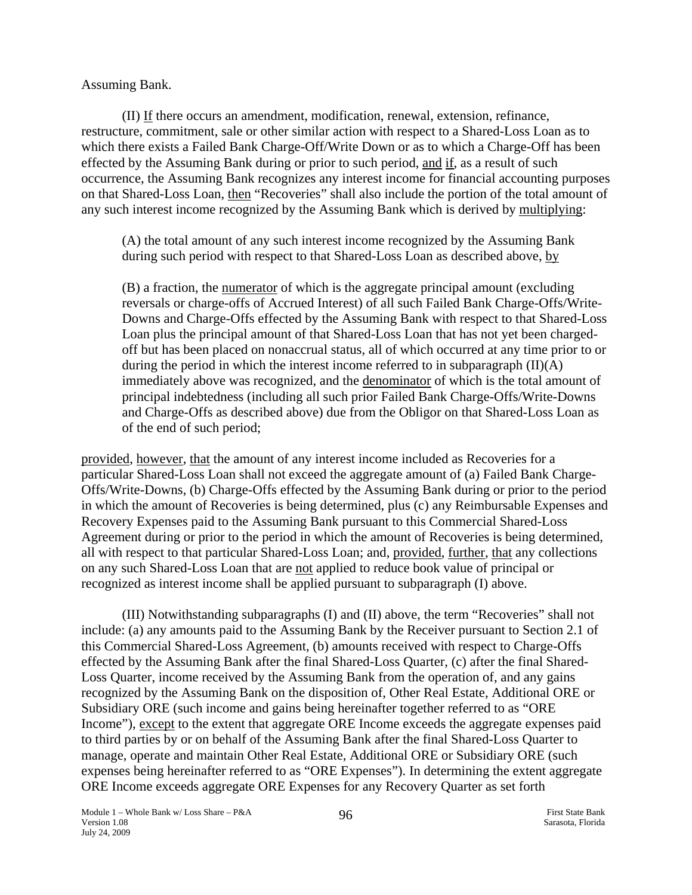Assuming Bank.

(II) If there occurs an amendment, modification, renewal, extension, refinance, restructure, commitment, sale or other similar action with respect to a Shared-Loss Loan as to which there exists a Failed Bank Charge-Off/Write Down or as to which a Charge-Off has been effected by the Assuming Bank during or prior to such period, and if, as a result of such occurrence, the Assuming Bank recognizes any interest income for financial accounting purposes on that Shared-Loss Loan, then "Recoveries" shall also include the portion of the total amount of any such interest income recognized by the Assuming Bank which is derived by multiplying:

(A) the total amount of any such interest income recognized by the Assuming Bank during such period with respect to that Shared-Loss Loan as described above, by

(B) a fraction, the numerator of which is the aggregate principal amount (excluding reversals or charge-offs of Accrued Interest) of all such Failed Bank Charge-Offs/Write-Downs and Charge-Offs effected by the Assuming Bank with respect to that Shared-Loss Loan plus the principal amount of that Shared-Loss Loan that has not yet been chargedoff but has been placed on nonaccrual status, all of which occurred at any time prior to or during the period in which the interest income referred to in subparagraph (II)(A) immediately above was recognized, and the denominator of which is the total amount of principal indebtedness (including all such prior Failed Bank Charge-Offs/Write-Downs and Charge-Offs as described above) due from the Obligor on that Shared-Loss Loan as of the end of such period;

provided, however, that the amount of any interest income included as Recoveries for a particular Shared-Loss Loan shall not exceed the aggregate amount of (a) Failed Bank Charge-Offs/Write-Downs, (b) Charge-Offs effected by the Assuming Bank during or prior to the period in which the amount of Recoveries is being determined, plus (c) any Reimbursable Expenses and Recovery Expenses paid to the Assuming Bank pursuant to this Commercial Shared-Loss Agreement during or prior to the period in which the amount of Recoveries is being determined, all with respect to that particular Shared-Loss Loan; and, provided, further, that any collections on any such Shared-Loss Loan that are not applied to reduce book value of principal or recognized as interest income shall be applied pursuant to subparagraph (I) above.

(III) Notwithstanding subparagraphs (I) and (II) above, the term "Recoveries" shall not include: (a) any amounts paid to the Assuming Bank by the Receiver pursuant to Section 2.1 of this Commercial Shared-Loss Agreement, (b) amounts received with respect to Charge-Offs effected by the Assuming Bank after the final Shared-Loss Quarter, (c) after the final Shared-Loss Quarter, income received by the Assuming Bank from the operation of, and any gains recognized by the Assuming Bank on the disposition of, Other Real Estate, Additional ORE or Subsidiary ORE (such income and gains being hereinafter together referred to as "ORE Income"), except to the extent that aggregate ORE Income exceeds the aggregate expenses paid to third parties by or on behalf of the Assuming Bank after the final Shared-Loss Quarter to manage, operate and maintain Other Real Estate, Additional ORE or Subsidiary ORE (such expenses being hereinafter referred to as "ORE Expenses"). In determining the extent aggregate ORE Income exceeds aggregate ORE Expenses for any Recovery Quarter as set forth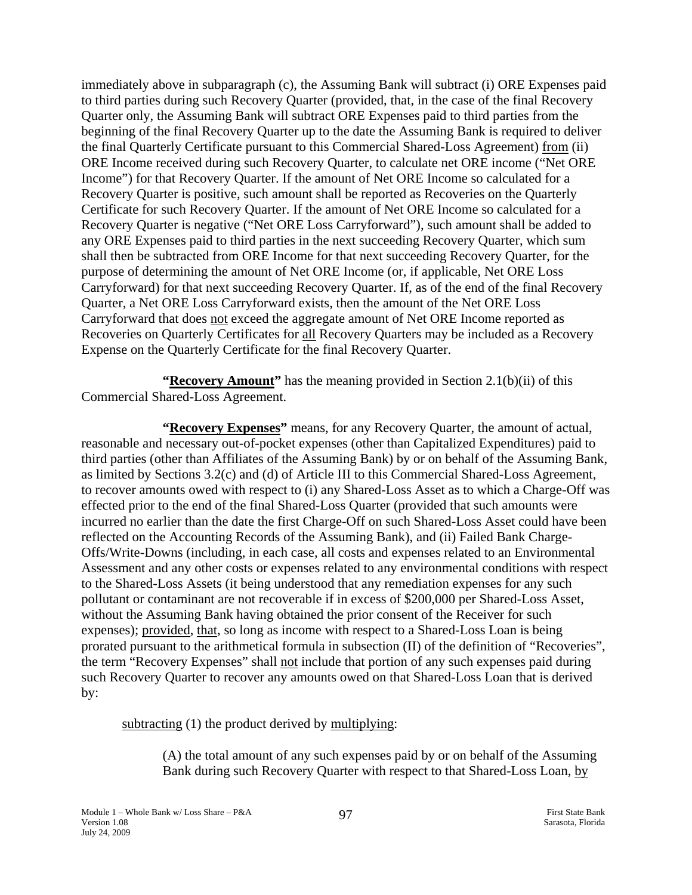immediately above in subparagraph (c), the Assuming Bank will subtract (i) ORE Expenses paid to third parties during such Recovery Quarter (provided, that, in the case of the final Recovery Quarter only, the Assuming Bank will subtract ORE Expenses paid to third parties from the beginning of the final Recovery Quarter up to the date the Assuming Bank is required to deliver the final Quarterly Certificate pursuant to this Commercial Shared-Loss Agreement) from (ii) ORE Income received during such Recovery Quarter, to calculate net ORE income ("Net ORE Income") for that Recovery Quarter. If the amount of Net ORE Income so calculated for a Recovery Quarter is positive, such amount shall be reported as Recoveries on the Quarterly Certificate for such Recovery Quarter. If the amount of Net ORE Income so calculated for a Recovery Quarter is negative ("Net ORE Loss Carryforward"), such amount shall be added to any ORE Expenses paid to third parties in the next succeeding Recovery Quarter, which sum shall then be subtracted from ORE Income for that next succeeding Recovery Quarter, for the purpose of determining the amount of Net ORE Income (or, if applicable, Net ORE Loss Carryforward) for that next succeeding Recovery Quarter. If, as of the end of the final Recovery Quarter, a Net ORE Loss Carryforward exists, then the amount of the Net ORE Loss Carryforward that does not exceed the aggregate amount of Net ORE Income reported as Recoveries on Quarterly Certificates for all Recovery Quarters may be included as a Recovery Expense on the Quarterly Certificate for the final Recovery Quarter.

**"Recovery Amount"** has the meaning provided in Section 2.1(b)(ii) of this Commercial Shared-Loss Agreement.

**"Recovery Expenses"** means, for any Recovery Quarter, the amount of actual, reasonable and necessary out-of-pocket expenses (other than Capitalized Expenditures) paid to third parties (other than Affiliates of the Assuming Bank) by or on behalf of the Assuming Bank, as limited by Sections 3.2(c) and (d) of Article III to this Commercial Shared-Loss Agreement, to recover amounts owed with respect to (i) any Shared-Loss Asset as to which a Charge-Off was effected prior to the end of the final Shared-Loss Quarter (provided that such amounts were incurred no earlier than the date the first Charge-Off on such Shared-Loss Asset could have been reflected on the Accounting Records of the Assuming Bank), and (ii) Failed Bank Charge-Offs/Write-Downs (including, in each case, all costs and expenses related to an Environmental Assessment and any other costs or expenses related to any environmental conditions with respect to the Shared-Loss Assets (it being understood that any remediation expenses for any such pollutant or contaminant are not recoverable if in excess of \$200,000 per Shared-Loss Asset, without the Assuming Bank having obtained the prior consent of the Receiver for such expenses); provided, that, so long as income with respect to a Shared-Loss Loan is being prorated pursuant to the arithmetical formula in subsection (II) of the definition of "Recoveries", the term "Recovery Expenses" shall not include that portion of any such expenses paid during such Recovery Quarter to recover any amounts owed on that Shared-Loss Loan that is derived by:

subtracting (1) the product derived by multiplying:

(A) the total amount of any such expenses paid by or on behalf of the Assuming Bank during such Recovery Quarter with respect to that Shared-Loss Loan, by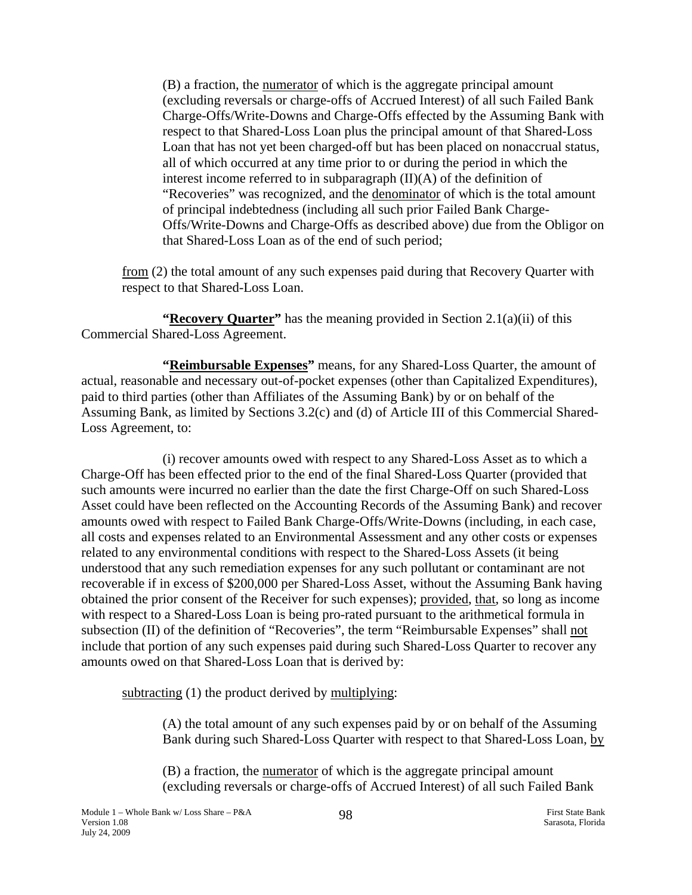(B) a fraction, the numerator of which is the aggregate principal amount (excluding reversals or charge-offs of Accrued Interest) of all such Failed Bank Charge-Offs/Write-Downs and Charge-Offs effected by the Assuming Bank with respect to that Shared-Loss Loan plus the principal amount of that Shared-Loss Loan that has not yet been charged-off but has been placed on nonaccrual status, all of which occurred at any time prior to or during the period in which the interest income referred to in subparagraph  $(II)(A)$  of the definition of "Recoveries" was recognized, and the denominator of which is the total amount of principal indebtedness (including all such prior Failed Bank Charge-Offs/Write-Downs and Charge-Offs as described above) due from the Obligor on that Shared-Loss Loan as of the end of such period;

from (2) the total amount of any such expenses paid during that Recovery Quarter with respect to that Shared-Loss Loan.

**"Recovery Quarter"** has the meaning provided in Section 2.1(a)(ii) of this Commercial Shared-Loss Agreement.

**"Reimbursable Expenses"** means, for any Shared-Loss Quarter, the amount of actual, reasonable and necessary out-of-pocket expenses (other than Capitalized Expenditures), paid to third parties (other than Affiliates of the Assuming Bank) by or on behalf of the Assuming Bank, as limited by Sections 3.2(c) and (d) of Article III of this Commercial Shared-Loss Agreement, to:

(i) recover amounts owed with respect to any Shared-Loss Asset as to which a Charge-Off has been effected prior to the end of the final Shared-Loss Quarter (provided that such amounts were incurred no earlier than the date the first Charge-Off on such Shared-Loss Asset could have been reflected on the Accounting Records of the Assuming Bank) and recover amounts owed with respect to Failed Bank Charge-Offs/Write-Downs (including, in each case, all costs and expenses related to an Environmental Assessment and any other costs or expenses related to any environmental conditions with respect to the Shared-Loss Assets (it being understood that any such remediation expenses for any such pollutant or contaminant are not recoverable if in excess of \$200,000 per Shared-Loss Asset, without the Assuming Bank having obtained the prior consent of the Receiver for such expenses); provided, that, so long as income with respect to a Shared-Loss Loan is being pro-rated pursuant to the arithmetical formula in subsection (II) of the definition of "Recoveries", the term "Reimbursable Expenses" shall not include that portion of any such expenses paid during such Shared-Loss Quarter to recover any amounts owed on that Shared-Loss Loan that is derived by:

subtracting (1) the product derived by multiplying:

(A) the total amount of any such expenses paid by or on behalf of the Assuming Bank during such Shared-Loss Quarter with respect to that Shared-Loss Loan, by

(B) a fraction, the numerator of which is the aggregate principal amount (excluding reversals or charge-offs of Accrued Interest) of all such Failed Bank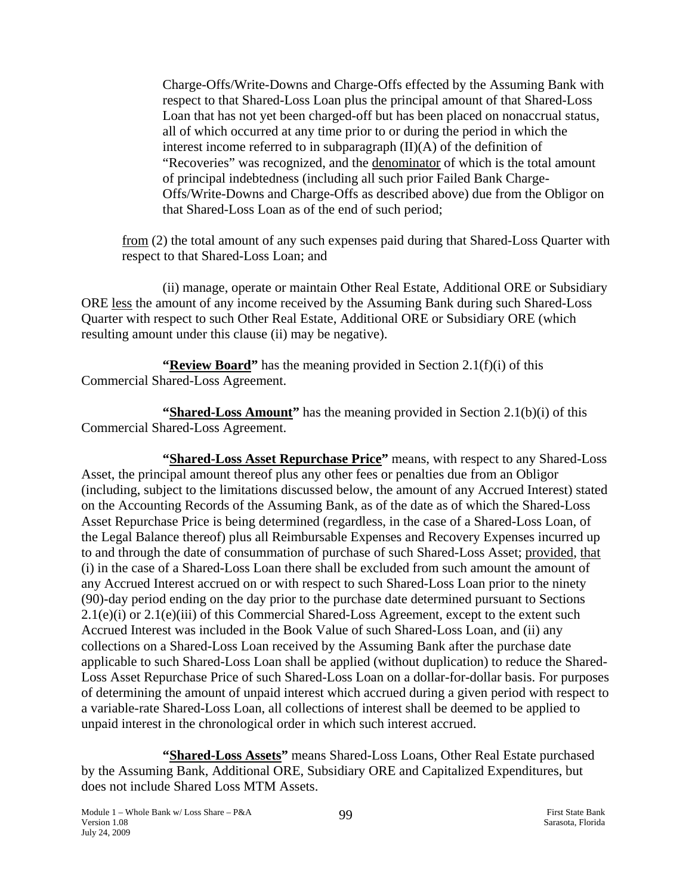Charge-Offs/Write-Downs and Charge-Offs effected by the Assuming Bank with respect to that Shared-Loss Loan plus the principal amount of that Shared-Loss Loan that has not yet been charged-off but has been placed on nonaccrual status, all of which occurred at any time prior to or during the period in which the interest income referred to in subparagraph  $(II)(A)$  of the definition of "Recoveries" was recognized, and the denominator of which is the total amount of principal indebtedness (including all such prior Failed Bank Charge-Offs/Write-Downs and Charge-Offs as described above) due from the Obligor on that Shared-Loss Loan as of the end of such period;

from (2) the total amount of any such expenses paid during that Shared-Loss Quarter with respect to that Shared-Loss Loan; and

(ii) manage, operate or maintain Other Real Estate, Additional ORE or Subsidiary ORE less the amount of any income received by the Assuming Bank during such Shared-Loss Quarter with respect to such Other Real Estate, Additional ORE or Subsidiary ORE (which resulting amount under this clause (ii) may be negative).

**"Review Board"** has the meaning provided in Section 2.1(f)(i) of this Commercial Shared-Loss Agreement.

**"Shared-Loss Amount"** has the meaning provided in Section 2.1(b)(i) of this Commercial Shared-Loss Agreement.

**"Shared-Loss Asset Repurchase Price"** means, with respect to any Shared-Loss Asset, the principal amount thereof plus any other fees or penalties due from an Obligor (including, subject to the limitations discussed below, the amount of any Accrued Interest) stated on the Accounting Records of the Assuming Bank, as of the date as of which the Shared-Loss Asset Repurchase Price is being determined (regardless, in the case of a Shared-Loss Loan, of the Legal Balance thereof) plus all Reimbursable Expenses and Recovery Expenses incurred up to and through the date of consummation of purchase of such Shared-Loss Asset; provided, that (i) in the case of a Shared-Loss Loan there shall be excluded from such amount the amount of any Accrued Interest accrued on or with respect to such Shared-Loss Loan prior to the ninety (90)-day period ending on the day prior to the purchase date determined pursuant to Sections 2.1(e)(i) or 2.1(e)(iii) of this Commercial Shared-Loss Agreement, except to the extent such Accrued Interest was included in the Book Value of such Shared-Loss Loan, and (ii) any collections on a Shared-Loss Loan received by the Assuming Bank after the purchase date applicable to such Shared-Loss Loan shall be applied (without duplication) to reduce the Shared-Loss Asset Repurchase Price of such Shared-Loss Loan on a dollar-for-dollar basis. For purposes of determining the amount of unpaid interest which accrued during a given period with respect to a variable-rate Shared-Loss Loan, all collections of interest shall be deemed to be applied to unpaid interest in the chronological order in which such interest accrued.

**"Shared-Loss Assets"** means Shared-Loss Loans, Other Real Estate purchased by the Assuming Bank, Additional ORE, Subsidiary ORE and Capitalized Expenditures, but does not include Shared Loss MTM Assets.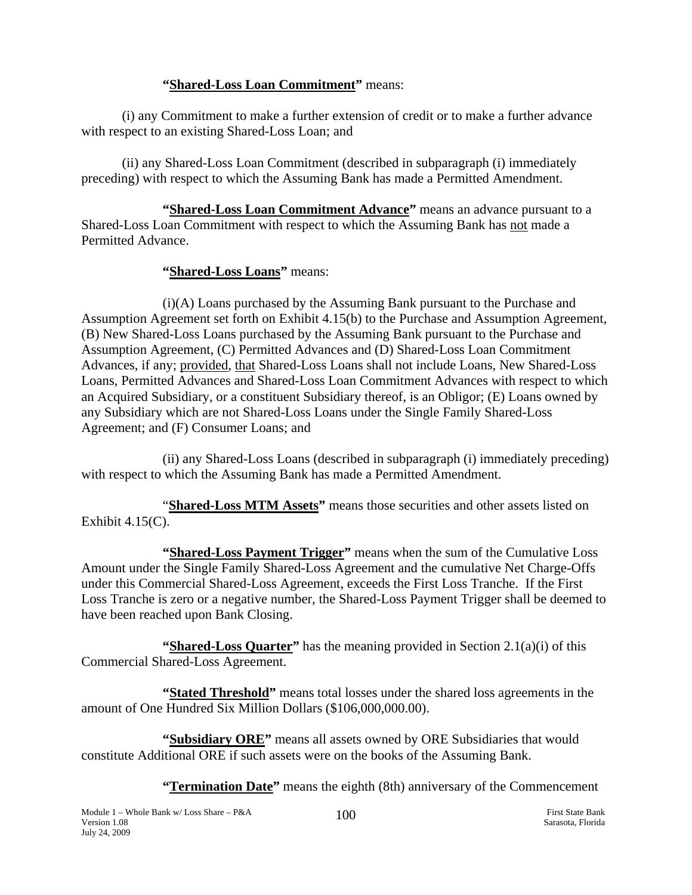## **"Shared-Loss Loan Commitment"** means:

(i) any Commitment to make a further extension of credit or to make a further advance with respect to an existing Shared-Loss Loan; and

(ii) any Shared-Loss Loan Commitment (described in subparagraph (i) immediately preceding) with respect to which the Assuming Bank has made a Permitted Amendment.

**"Shared-Loss Loan Commitment Advance"** means an advance pursuant to a Shared-Loss Loan Commitment with respect to which the Assuming Bank has not made a Permitted Advance.

# **"Shared-Loss Loans"** means:

(i)(A) Loans purchased by the Assuming Bank pursuant to the Purchase and Assumption Agreement set forth on Exhibit 4.15(b) to the Purchase and Assumption Agreement, (B) New Shared-Loss Loans purchased by the Assuming Bank pursuant to the Purchase and Assumption Agreement, (C) Permitted Advances and (D) Shared-Loss Loan Commitment Advances, if any; provided, that Shared-Loss Loans shall not include Loans, New Shared-Loss Loans, Permitted Advances and Shared-Loss Loan Commitment Advances with respect to which an Acquired Subsidiary, or a constituent Subsidiary thereof, is an Obligor; (E) Loans owned by any Subsidiary which are not Shared-Loss Loans under the Single Family Shared-Loss Agreement; and (F) Consumer Loans; and

(ii) any Shared-Loss Loans (described in subparagraph (i) immediately preceding) with respect to which the Assuming Bank has made a Permitted Amendment.

"**Shared-Loss MTM Assets"** means those securities and other assets listed on Exhibit  $4.15(C)$ .

**"Shared-Loss Payment Trigger"** means when the sum of the Cumulative Loss Amount under the Single Family Shared-Loss Agreement and the cumulative Net Charge-Offs under this Commercial Shared-Loss Agreement, exceeds the First Loss Tranche. If the First Loss Tranche is zero or a negative number, the Shared-Loss Payment Trigger shall be deemed to have been reached upon Bank Closing.

**"Shared-Loss Quarter"** has the meaning provided in Section 2.1(a)(i) of this Commercial Shared-Loss Agreement.

**"Stated Threshold"** means total losses under the shared loss agreements in the amount of One Hundred Six Million Dollars (\$106,000,000.00).

**"Subsidiary ORE"** means all assets owned by ORE Subsidiaries that would constitute Additional ORE if such assets were on the books of the Assuming Bank.

**"Termination Date"** means the eighth (8th) anniversary of the Commencement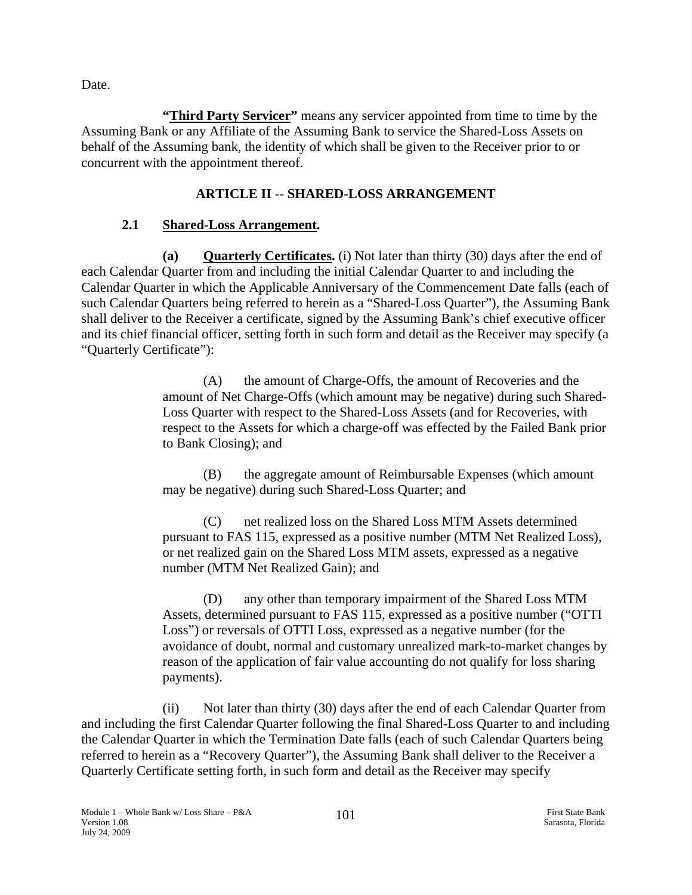Date.

**"Third Party Servicer"** means any servicer appointed from time to time by the Assuming Bank or any Affiliate of the Assuming Bank to service the Shared-Loss Assets on behalf of the Assuming bank, the identity of which shall be given to the Receiver prior to or concurrent with the appointment thereof.

# **ARTICLE II** -- **SHARED-LOSS ARRANGEMENT**

# **2.1 Shared-Loss Arrangement.**

**(a) Quarterly Certificates.** (i) Not later than thirty (30) days after the end of each Calendar Quarter from and including the initial Calendar Quarter to and including the Calendar Quarter in which the Applicable Anniversary of the Commencement Date falls (each of such Calendar Quarters being referred to herein as a "Shared-Loss Quarter"), the Assuming Bank shall deliver to the Receiver a certificate, signed by the Assuming Bank's chief executive officer and its chief financial officer, setting forth in such form and detail as the Receiver may specify (a "Quarterly Certificate"):

> (A) the amount of Charge-Offs, the amount of Recoveries and the amount of Net Charge-Offs (which amount may be negative) during such Shared-Loss Quarter with respect to the Shared-Loss Assets (and for Recoveries, with respect to the Assets for which a charge-off was effected by the Failed Bank prior to Bank Closing); and

(B) the aggregate amount of Reimbursable Expenses (which amount may be negative) during such Shared-Loss Quarter; and

(C) net realized loss on the Shared Loss MTM Assets determined pursuant to FAS 115, expressed as a positive number (MTM Net Realized Loss), or net realized gain on the Shared Loss MTM assets, expressed as a negative number (MTM Net Realized Gain); and

(D) any other than temporary impairment of the Shared Loss MTM Assets, determined pursuant to FAS 115, expressed as a positive number ("OTTI Loss") or reversals of OTTI Loss, expressed as a negative number (for the avoidance of doubt, normal and customary unrealized mark-to-market changes by reason of the application of fair value accounting do not qualify for loss sharing payments).

(ii) Not later than thirty (30) days after the end of each Calendar Quarter from and including the first Calendar Quarter following the final Shared-Loss Quarter to and including the Calendar Quarter in which the Termination Date falls (each of such Calendar Quarters being referred to herein as a "Recovery Quarter"), the Assuming Bank shall deliver to the Receiver a Quarterly Certificate setting forth, in such form and detail as the Receiver may specify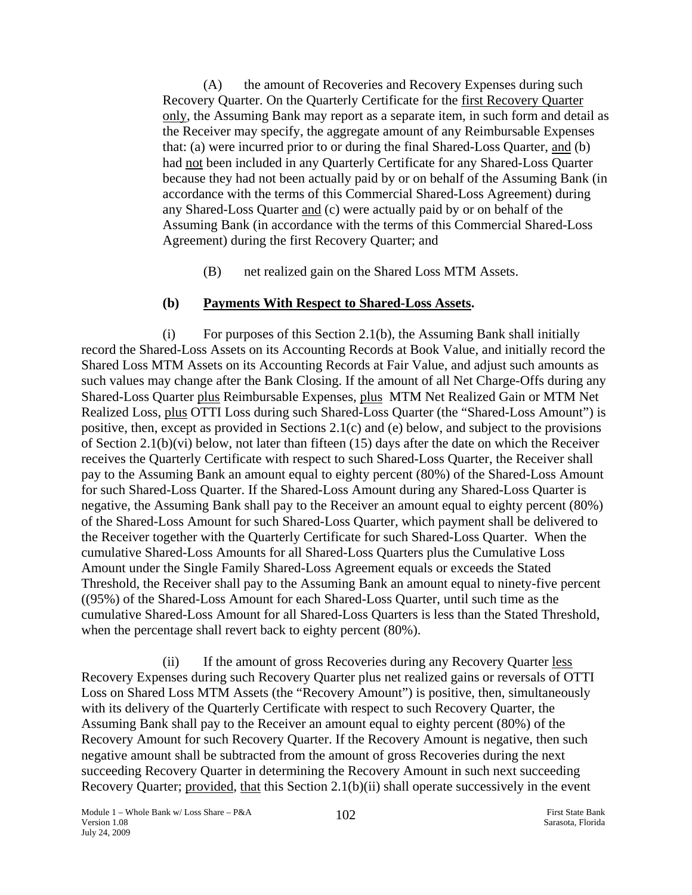(A) the amount of Recoveries and Recovery Expenses during such Recovery Quarter. On the Quarterly Certificate for the first Recovery Quarter only, the Assuming Bank may report as a separate item, in such form and detail as the Receiver may specify, the aggregate amount of any Reimbursable Expenses that: (a) were incurred prior to or during the final Shared-Loss Quarter, and (b) had not been included in any Quarterly Certificate for any Shared-Loss Quarter because they had not been actually paid by or on behalf of the Assuming Bank (in accordance with the terms of this Commercial Shared-Loss Agreement) during any Shared-Loss Quarter and (c) were actually paid by or on behalf of the Assuming Bank (in accordance with the terms of this Commercial Shared-Loss Agreement) during the first Recovery Quarter; and

(B) net realized gain on the Shared Loss MTM Assets.

## **(b) Payments With Respect to Shared-Loss Assets.**

(i) For purposes of this Section 2.1(b), the Assuming Bank shall initially record the Shared-Loss Assets on its Accounting Records at Book Value, and initially record the Shared Loss MTM Assets on its Accounting Records at Fair Value, and adjust such amounts as such values may change after the Bank Closing. If the amount of all Net Charge-Offs during any Shared-Loss Quarter plus Reimbursable Expenses, plus MTM Net Realized Gain or MTM Net Realized Loss, plus OTTI Loss during such Shared-Loss Quarter (the "Shared-Loss Amount") is positive, then, except as provided in Sections 2.1(c) and (e) below, and subject to the provisions of Section 2.1(b)(vi) below, not later than fifteen (15) days after the date on which the Receiver receives the Quarterly Certificate with respect to such Shared-Loss Quarter, the Receiver shall pay to the Assuming Bank an amount equal to eighty percent (80%) of the Shared-Loss Amount for such Shared-Loss Quarter. If the Shared-Loss Amount during any Shared-Loss Quarter is negative, the Assuming Bank shall pay to the Receiver an amount equal to eighty percent (80%) of the Shared-Loss Amount for such Shared-Loss Quarter, which payment shall be delivered to the Receiver together with the Quarterly Certificate for such Shared-Loss Quarter. When the cumulative Shared-Loss Amounts for all Shared-Loss Quarters plus the Cumulative Loss Amount under the Single Family Shared-Loss Agreement equals or exceeds the Stated Threshold, the Receiver shall pay to the Assuming Bank an amount equal to ninety-five percent ((95%) of the Shared-Loss Amount for each Shared-Loss Quarter, until such time as the cumulative Shared-Loss Amount for all Shared-Loss Quarters is less than the Stated Threshold, when the percentage shall revert back to eighty percent (80%).

(ii) If the amount of gross Recoveries during any Recovery Quarter less Recovery Expenses during such Recovery Quarter plus net realized gains or reversals of OTTI Loss on Shared Loss MTM Assets (the "Recovery Amount") is positive, then, simultaneously with its delivery of the Quarterly Certificate with respect to such Recovery Quarter, the Assuming Bank shall pay to the Receiver an amount equal to eighty percent (80%) of the Recovery Amount for such Recovery Quarter. If the Recovery Amount is negative, then such negative amount shall be subtracted from the amount of gross Recoveries during the next succeeding Recovery Quarter in determining the Recovery Amount in such next succeeding Recovery Quarter; provided, that this Section 2.1(b)(ii) shall operate successively in the event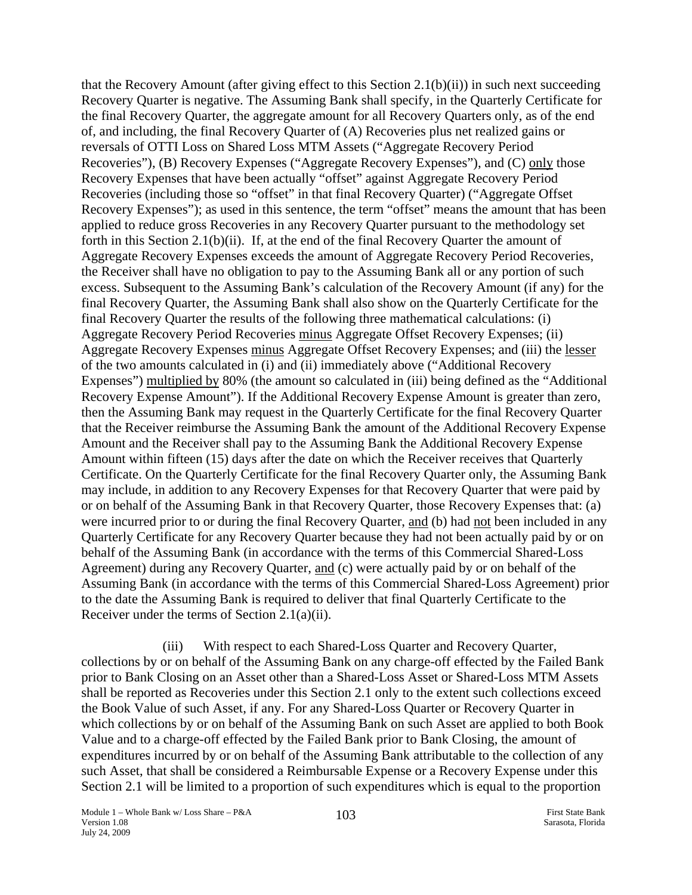that the Recovery Amount (after giving effect to this Section 2.1(b)(ii)) in such next succeeding Recovery Quarter is negative. The Assuming Bank shall specify, in the Quarterly Certificate for the final Recovery Quarter, the aggregate amount for all Recovery Quarters only, as of the end of, and including, the final Recovery Quarter of (A) Recoveries plus net realized gains or reversals of OTTI Loss on Shared Loss MTM Assets ("Aggregate Recovery Period Recoveries"), (B) Recovery Expenses ("Aggregate Recovery Expenses"), and (C) only those Recovery Expenses that have been actually "offset" against Aggregate Recovery Period Recoveries (including those so "offset" in that final Recovery Quarter) ("Aggregate Offset Recovery Expenses"); as used in this sentence, the term "offset" means the amount that has been applied to reduce gross Recoveries in any Recovery Quarter pursuant to the methodology set forth in this Section 2.1(b)(ii). If, at the end of the final Recovery Quarter the amount of Aggregate Recovery Expenses exceeds the amount of Aggregate Recovery Period Recoveries, the Receiver shall have no obligation to pay to the Assuming Bank all or any portion of such excess. Subsequent to the Assuming Bank's calculation of the Recovery Amount (if any) for the final Recovery Quarter, the Assuming Bank shall also show on the Quarterly Certificate for the final Recovery Quarter the results of the following three mathematical calculations: (i) Aggregate Recovery Period Recoveries minus Aggregate Offset Recovery Expenses; (ii) Aggregate Recovery Expenses minus Aggregate Offset Recovery Expenses; and (iii) the lesser of the two amounts calculated in (i) and (ii) immediately above ("Additional Recovery Expenses") multiplied by 80% (the amount so calculated in (iii) being defined as the "Additional Recovery Expense Amount"). If the Additional Recovery Expense Amount is greater than zero, then the Assuming Bank may request in the Quarterly Certificate for the final Recovery Quarter that the Receiver reimburse the Assuming Bank the amount of the Additional Recovery Expense Amount and the Receiver shall pay to the Assuming Bank the Additional Recovery Expense Amount within fifteen (15) days after the date on which the Receiver receives that Quarterly Certificate. On the Quarterly Certificate for the final Recovery Quarter only, the Assuming Bank may include, in addition to any Recovery Expenses for that Recovery Quarter that were paid by or on behalf of the Assuming Bank in that Recovery Quarter, those Recovery Expenses that: (a) were incurred prior to or during the final Recovery Quarter, and (b) had not been included in any Quarterly Certificate for any Recovery Quarter because they had not been actually paid by or on behalf of the Assuming Bank (in accordance with the terms of this Commercial Shared-Loss Agreement) during any Recovery Quarter, and (c) were actually paid by or on behalf of the Assuming Bank (in accordance with the terms of this Commercial Shared-Loss Agreement) prior to the date the Assuming Bank is required to deliver that final Quarterly Certificate to the Receiver under the terms of Section 2.1(a)(ii).

(iii) With respect to each Shared-Loss Quarter and Recovery Quarter, collections by or on behalf of the Assuming Bank on any charge-off effected by the Failed Bank prior to Bank Closing on an Asset other than a Shared-Loss Asset or Shared-Loss MTM Assets shall be reported as Recoveries under this Section 2.1 only to the extent such collections exceed the Book Value of such Asset, if any. For any Shared-Loss Quarter or Recovery Quarter in which collections by or on behalf of the Assuming Bank on such Asset are applied to both Book Value and to a charge-off effected by the Failed Bank prior to Bank Closing, the amount of expenditures incurred by or on behalf of the Assuming Bank attributable to the collection of any such Asset, that shall be considered a Reimbursable Expense or a Recovery Expense under this Section 2.1 will be limited to a proportion of such expenditures which is equal to the proportion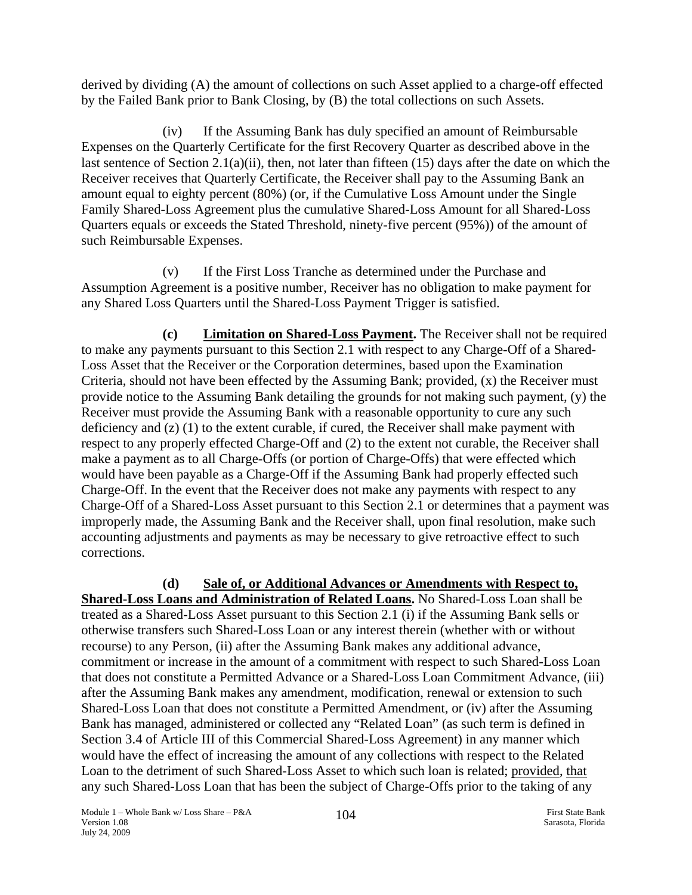derived by dividing (A) the amount of collections on such Asset applied to a charge-off effected by the Failed Bank prior to Bank Closing, by (B) the total collections on such Assets.

(iv) If the Assuming Bank has duly specified an amount of Reimbursable Expenses on the Quarterly Certificate for the first Recovery Quarter as described above in the last sentence of Section 2.1(a)(ii), then, not later than fifteen (15) days after the date on which the Receiver receives that Quarterly Certificate, the Receiver shall pay to the Assuming Bank an amount equal to eighty percent (80%) (or, if the Cumulative Loss Amount under the Single Family Shared-Loss Agreement plus the cumulative Shared-Loss Amount for all Shared-Loss Quarters equals or exceeds the Stated Threshold, ninety-five percent (95%)) of the amount of such Reimbursable Expenses.

(v) If the First Loss Tranche as determined under the Purchase and Assumption Agreement is a positive number, Receiver has no obligation to make payment for any Shared Loss Quarters until the Shared-Loss Payment Trigger is satisfied.

**(c) Limitation on Shared-Loss Payment.** The Receiver shall not be required to make any payments pursuant to this Section 2.1 with respect to any Charge-Off of a Shared-Loss Asset that the Receiver or the Corporation determines, based upon the Examination Criteria, should not have been effected by the Assuming Bank; provided, (x) the Receiver must provide notice to the Assuming Bank detailing the grounds for not making such payment, (y) the Receiver must provide the Assuming Bank with a reasonable opportunity to cure any such deficiency and (z) (1) to the extent curable, if cured, the Receiver shall make payment with respect to any properly effected Charge-Off and (2) to the extent not curable, the Receiver shall make a payment as to all Charge-Offs (or portion of Charge-Offs) that were effected which would have been payable as a Charge-Off if the Assuming Bank had properly effected such Charge-Off. In the event that the Receiver does not make any payments with respect to any Charge-Off of a Shared-Loss Asset pursuant to this Section 2.1 or determines that a payment was improperly made, the Assuming Bank and the Receiver shall, upon final resolution, make such accounting adjustments and payments as may be necessary to give retroactive effect to such corrections.

Loan to the detriment of such Shared-Loss Asset to which such loan is related; provided, that **(d) Sale of, or Additional Advances or Amendments with Respect to, Shared-Loss Loans and Administration of Related Loans.** No Shared-Loss Loan shall be treated as a Shared-Loss Asset pursuant to this Section 2.1 (i) if the Assuming Bank sells or otherwise transfers such Shared-Loss Loan or any interest therein (whether with or without recourse) to any Person, (ii) after the Assuming Bank makes any additional advance, commitment or increase in the amount of a commitment with respect to such Shared-Loss Loan that does not constitute a Permitted Advance or a Shared-Loss Loan Commitment Advance, (iii) after the Assuming Bank makes any amendment, modification, renewal or extension to such Shared-Loss Loan that does not constitute a Permitted Amendment, or (iv) after the Assuming Bank has managed, administered or collected any "Related Loan" (as such term is defined in Section 3.4 of Article III of this Commercial Shared-Loss Agreement) in any manner which would have the effect of increasing the amount of any collections with respect to the Related any such Shared-Loss Loan that has been the subject of Charge-Offs prior to the taking of any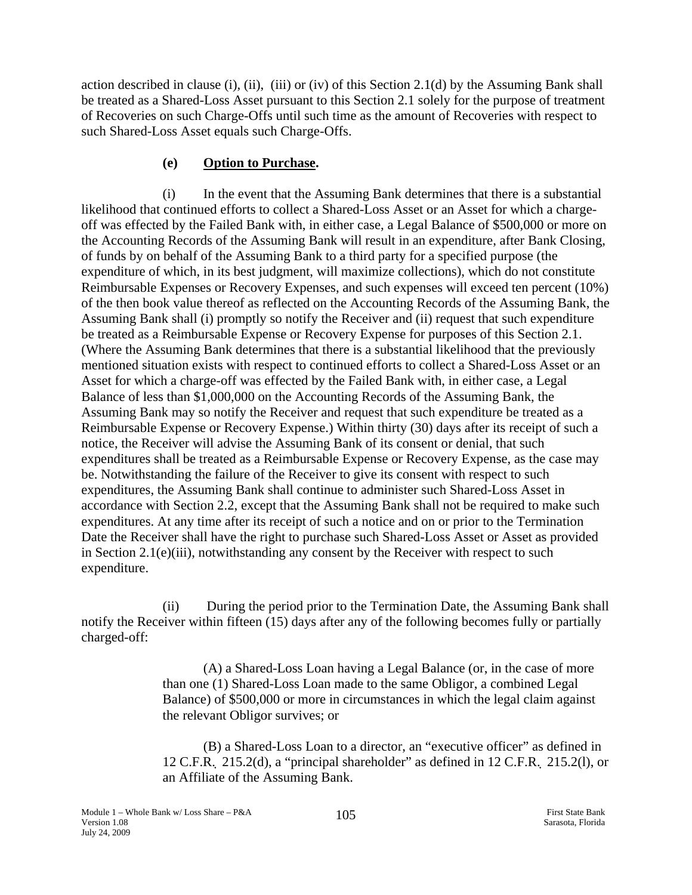action described in clause (i), (ii), (iii) or (iv) of this Section 2.1(d) by the Assuming Bank shall be treated as a Shared-Loss Asset pursuant to this Section 2.1 solely for the purpose of treatment of Recoveries on such Charge-Offs until such time as the amount of Recoveries with respect to such Shared-Loss Asset equals such Charge-Offs.

### **(e) Option to Purchase.**

(i) In the event that the Assuming Bank determines that there is a substantial likelihood that continued efforts to collect a Shared-Loss Asset or an Asset for which a chargeoff was effected by the Failed Bank with, in either case, a Legal Balance of \$500,000 or more on the Accounting Records of the Assuming Bank will result in an expenditure, after Bank Closing, of funds by on behalf of the Assuming Bank to a third party for a specified purpose (the expenditure of which, in its best judgment, will maximize collections), which do not constitute Reimbursable Expenses or Recovery Expenses, and such expenses will exceed ten percent (10%) of the then book value thereof as reflected on the Accounting Records of the Assuming Bank, the Assuming Bank shall (i) promptly so notify the Receiver and (ii) request that such expenditure be treated as a Reimbursable Expense or Recovery Expense for purposes of this Section 2.1. (Where the Assuming Bank determines that there is a substantial likelihood that the previously mentioned situation exists with respect to continued efforts to collect a Shared-Loss Asset or an Asset for which a charge-off was effected by the Failed Bank with, in either case, a Legal Balance of less than \$1,000,000 on the Accounting Records of the Assuming Bank, the Assuming Bank may so notify the Receiver and request that such expenditure be treated as a Reimbursable Expense or Recovery Expense.) Within thirty (30) days after its receipt of such a notice, the Receiver will advise the Assuming Bank of its consent or denial, that such expenditures shall be treated as a Reimbursable Expense or Recovery Expense, as the case may be. Notwithstanding the failure of the Receiver to give its consent with respect to such expenditures, the Assuming Bank shall continue to administer such Shared-Loss Asset in accordance with Section 2.2, except that the Assuming Bank shall not be required to make such expenditures. At any time after its receipt of such a notice and on or prior to the Termination Date the Receiver shall have the right to purchase such Shared-Loss Asset or Asset as provided in Section 2.1(e)(iii), notwithstanding any consent by the Receiver with respect to such expenditure.

(ii) During the period prior to the Termination Date, the Assuming Bank shall notify the Receiver within fifteen (15) days after any of the following becomes fully or partially charged-off:

> (A) a Shared-Loss Loan having a Legal Balance (or, in the case of more than one (1) Shared-Loss Loan made to the same Obligor, a combined Legal Balance) of \$500,000 or more in circumstances in which the legal claim against the relevant Obligor survives; or

(B) a Shared-Loss Loan to a director, an "executive officer" as defined in 12 C.F.R. 215.2(d), a "principal shareholder" as defined in 12 C.F.R. 215.2(l), or an Affiliate of the Assuming Bank.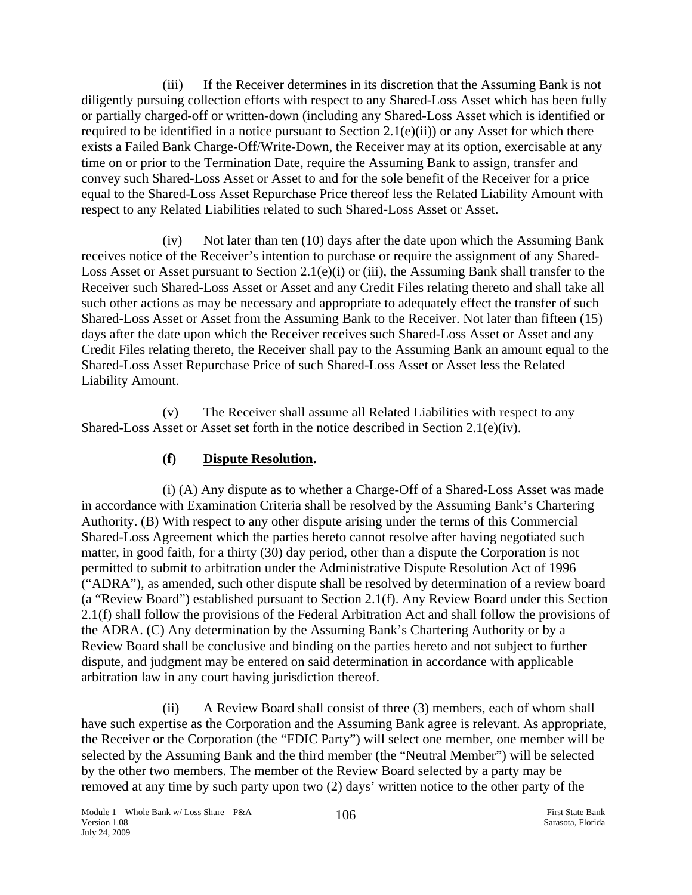(iii) If the Receiver determines in its discretion that the Assuming Bank is not diligently pursuing collection efforts with respect to any Shared-Loss Asset which has been fully or partially charged-off or written-down (including any Shared-Loss Asset which is identified or required to be identified in a notice pursuant to Section 2.1(e)(ii)) or any Asset for which there exists a Failed Bank Charge-Off/Write-Down, the Receiver may at its option, exercisable at any time on or prior to the Termination Date, require the Assuming Bank to assign, transfer and convey such Shared-Loss Asset or Asset to and for the sole benefit of the Receiver for a price equal to the Shared-Loss Asset Repurchase Price thereof less the Related Liability Amount with respect to any Related Liabilities related to such Shared-Loss Asset or Asset.

(iv) Not later than ten (10) days after the date upon which the Assuming Bank receives notice of the Receiver's intention to purchase or require the assignment of any Shared-Loss Asset or Asset pursuant to Section 2.1(e)(i) or (iii), the Assuming Bank shall transfer to the Receiver such Shared-Loss Asset or Asset and any Credit Files relating thereto and shall take all such other actions as may be necessary and appropriate to adequately effect the transfer of such Shared-Loss Asset or Asset from the Assuming Bank to the Receiver. Not later than fifteen (15) days after the date upon which the Receiver receives such Shared-Loss Asset or Asset and any Credit Files relating thereto, the Receiver shall pay to the Assuming Bank an amount equal to the Shared-Loss Asset Repurchase Price of such Shared-Loss Asset or Asset less the Related Liability Amount.

(v) The Receiver shall assume all Related Liabilities with respect to any Shared-Loss Asset or Asset set forth in the notice described in Section 2.1(e)(iv).

## **(f) Dispute Resolution.**

(i) (A) Any dispute as to whether a Charge-Off of a Shared-Loss Asset was made in accordance with Examination Criteria shall be resolved by the Assuming Bank's Chartering Authority. (B) With respect to any other dispute arising under the terms of this Commercial Shared-Loss Agreement which the parties hereto cannot resolve after having negotiated such matter, in good faith, for a thirty (30) day period, other than a dispute the Corporation is not permitted to submit to arbitration under the Administrative Dispute Resolution Act of 1996 ("ADRA"), as amended, such other dispute shall be resolved by determination of a review board (a "Review Board") established pursuant to Section 2.1(f). Any Review Board under this Section 2.1(f) shall follow the provisions of the Federal Arbitration Act and shall follow the provisions of the ADRA. (C) Any determination by the Assuming Bank's Chartering Authority or by a Review Board shall be conclusive and binding on the parties hereto and not subject to further dispute, and judgment may be entered on said determination in accordance with applicable arbitration law in any court having jurisdiction thereof.

(ii) A Review Board shall consist of three (3) members, each of whom shall have such expertise as the Corporation and the Assuming Bank agree is relevant. As appropriate, the Receiver or the Corporation (the "FDIC Party") will select one member, one member will be selected by the Assuming Bank and the third member (the "Neutral Member") will be selected by the other two members. The member of the Review Board selected by a party may be removed at any time by such party upon two (2) days' written notice to the other party of the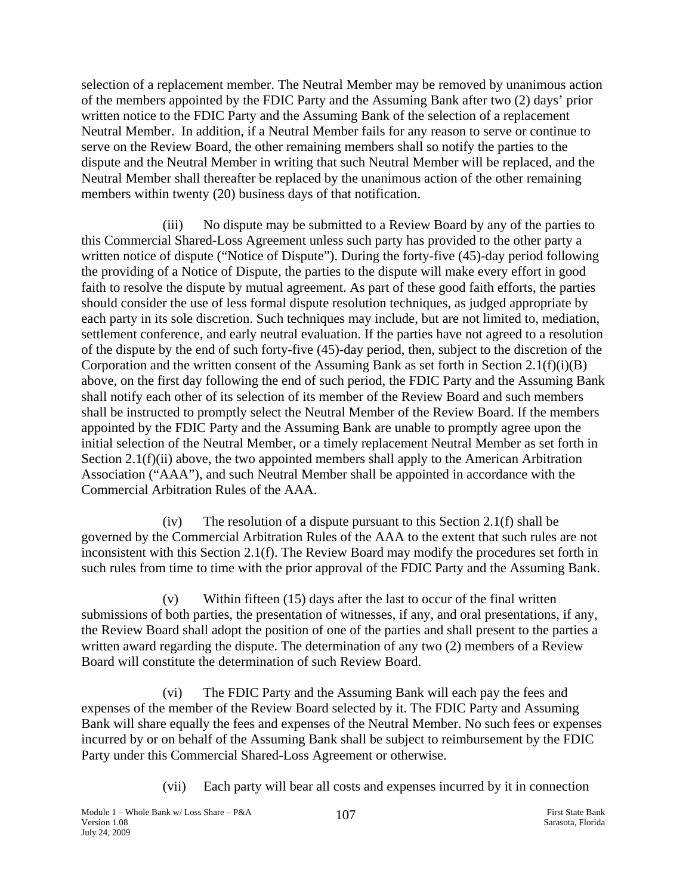selection of a replacement member. The Neutral Member may be removed by unanimous action of the members appointed by the FDIC Party and the Assuming Bank after two (2) days' prior written notice to the FDIC Party and the Assuming Bank of the selection of a replacement Neutral Member. In addition, if a Neutral Member fails for any reason to serve or continue to serve on the Review Board, the other remaining members shall so notify the parties to the dispute and the Neutral Member in writing that such Neutral Member will be replaced, and the Neutral Member shall thereafter be replaced by the unanimous action of the other remaining members within twenty (20) business days of that notification.

(iii) No dispute may be submitted to a Review Board by any of the parties to this Commercial Shared-Loss Agreement unless such party has provided to the other party a written notice of dispute ("Notice of Dispute"). During the forty-five (45)-day period following the providing of a Notice of Dispute, the parties to the dispute will make every effort in good faith to resolve the dispute by mutual agreement. As part of these good faith efforts, the parties should consider the use of less formal dispute resolution techniques, as judged appropriate by each party in its sole discretion. Such techniques may include, but are not limited to, mediation, settlement conference, and early neutral evaluation. If the parties have not agreed to a resolution of the dispute by the end of such forty-five (45)-day period, then, subject to the discretion of the Corporation and the written consent of the Assuming Bank as set forth in Section  $2.1(f)(i)(B)$ above, on the first day following the end of such period, the FDIC Party and the Assuming Bank shall notify each other of its selection of its member of the Review Board and such members shall be instructed to promptly select the Neutral Member of the Review Board. If the members appointed by the FDIC Party and the Assuming Bank are unable to promptly agree upon the initial selection of the Neutral Member, or a timely replacement Neutral Member as set forth in Section 2.1(f)(ii) above, the two appointed members shall apply to the American Arbitration Association ("AAA"), and such Neutral Member shall be appointed in accordance with the Commercial Arbitration Rules of the AAA.

(iv) The resolution of a dispute pursuant to this Section 2.1(f) shall be governed by the Commercial Arbitration Rules of the AAA to the extent that such rules are not inconsistent with this Section 2.1(f). The Review Board may modify the procedures set forth in such rules from time to time with the prior approval of the FDIC Party and the Assuming Bank.

(v) Within fifteen (15) days after the last to occur of the final written submissions of both parties, the presentation of witnesses, if any, and oral presentations, if any, the Review Board shall adopt the position of one of the parties and shall present to the parties a written award regarding the dispute. The determination of any two (2) members of a Review Board will constitute the determination of such Review Board.

(vi) The FDIC Party and the Assuming Bank will each pay the fees and expenses of the member of the Review Board selected by it. The FDIC Party and Assuming Bank will share equally the fees and expenses of the Neutral Member. No such fees or expenses incurred by or on behalf of the Assuming Bank shall be subject to reimbursement by the FDIC Party under this Commercial Shared-Loss Agreement or otherwise.

(vii) Each party will bear all costs and expenses incurred by it in connection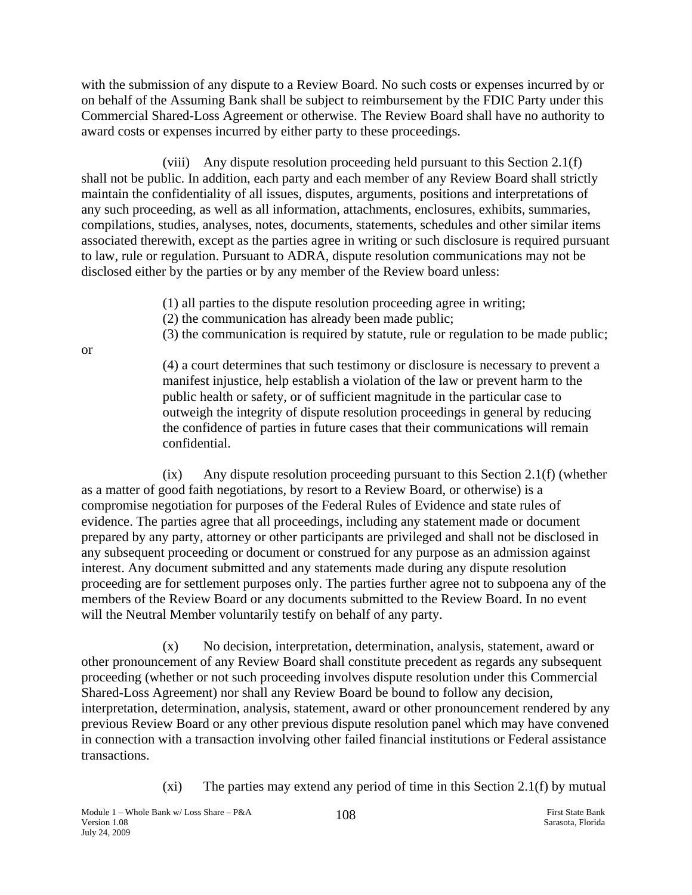with the submission of any dispute to a Review Board. No such costs or expenses incurred by or on behalf of the Assuming Bank shall be subject to reimbursement by the FDIC Party under this Commercial Shared-Loss Agreement or otherwise. The Review Board shall have no authority to award costs or expenses incurred by either party to these proceedings.

(viii) Any dispute resolution proceeding held pursuant to this Section 2.1(f) shall not be public. In addition, each party and each member of any Review Board shall strictly maintain the confidentiality of all issues, disputes, arguments, positions and interpretations of any such proceeding, as well as all information, attachments, enclosures, exhibits, summaries, compilations, studies, analyses, notes, documents, statements, schedules and other similar items associated therewith, except as the parties agree in writing or such disclosure is required pursuant to law, rule or regulation. Pursuant to ADRA, dispute resolution communications may not be disclosed either by the parties or by any member of the Review board unless:

(1) all parties to the dispute resolution proceeding agree in writing;

(2) the communication has already been made public;

(3) the communication is required by statute, rule or regulation to be made public;

(4) a court determines that such testimony or disclosure is necessary to prevent a manifest injustice, help establish a violation of the law or prevent harm to the public health or safety, or of sufficient magnitude in the particular case to outweigh the integrity of dispute resolution proceedings in general by reducing the confidence of parties in future cases that their communications will remain confidential.

 $(ix)$  Any dispute resolution proceeding pursuant to this Section 2.1(f) (whether as a matter of good faith negotiations, by resort to a Review Board, or otherwise) is a compromise negotiation for purposes of the Federal Rules of Evidence and state rules of evidence. The parties agree that all proceedings, including any statement made or document prepared by any party, attorney or other participants are privileged and shall not be disclosed in any subsequent proceeding or document or construed for any purpose as an admission against interest. Any document submitted and any statements made during any dispute resolution proceeding are for settlement purposes only. The parties further agree not to subpoena any of the members of the Review Board or any documents submitted to the Review Board. In no event will the Neutral Member voluntarily testify on behalf of any party.

(x) No decision, interpretation, determination, analysis, statement, award or other pronouncement of any Review Board shall constitute precedent as regards any subsequent proceeding (whether or not such proceeding involves dispute resolution under this Commercial Shared-Loss Agreement) nor shall any Review Board be bound to follow any decision, interpretation, determination, analysis, statement, award or other pronouncement rendered by any previous Review Board or any other previous dispute resolution panel which may have convened in connection with a transaction involving other failed financial institutions or Federal assistance transactions.

(xi) The parties may extend any period of time in this Section 2.1(f) by mutual

or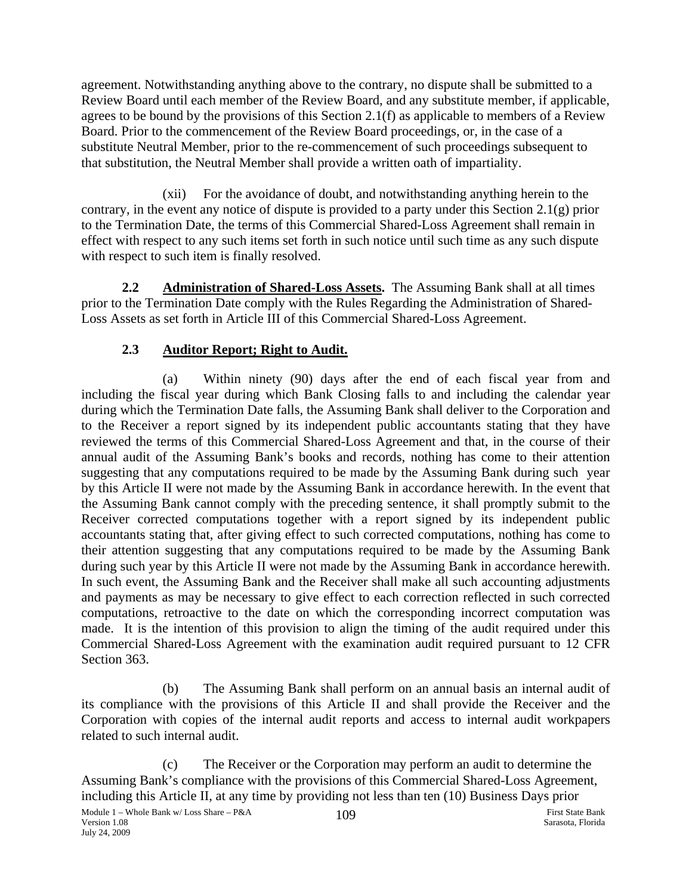agreement. Notwithstanding anything above to the contrary, no dispute shall be submitted to a Review Board until each member of the Review Board, and any substitute member, if applicable, agrees to be bound by the provisions of this Section 2.1(f) as applicable to members of a Review Board. Prior to the commencement of the Review Board proceedings, or, in the case of a substitute Neutral Member, prior to the re-commencement of such proceedings subsequent to that substitution, the Neutral Member shall provide a written oath of impartiality.

(xii) For the avoidance of doubt, and notwithstanding anything herein to the contrary, in the event any notice of dispute is provided to a party under this Section 2.1(g) prior to the Termination Date, the terms of this Commercial Shared-Loss Agreement shall remain in effect with respect to any such items set forth in such notice until such time as any such dispute with respect to such item is finally resolved.

**2.2 Administration of Shared-Loss Assets.** The Assuming Bank shall at all times prior to the Termination Date comply with the Rules Regarding the Administration of Shared-Loss Assets as set forth in Article III of this Commercial Shared-Loss Agreement.

# **2.3 Auditor Report; Right to Audit.**

(a) Within ninety (90) days after the end of each fiscal year from and including the fiscal year during which Bank Closing falls to and including the calendar year during which the Termination Date falls, the Assuming Bank shall deliver to the Corporation and to the Receiver a report signed by its independent public accountants stating that they have reviewed the terms of this Commercial Shared-Loss Agreement and that, in the course of their annual audit of the Assuming Bank's books and records, nothing has come to their attention suggesting that any computations required to be made by the Assuming Bank during such year by this Article II were not made by the Assuming Bank in accordance herewith. In the event that the Assuming Bank cannot comply with the preceding sentence, it shall promptly submit to the Receiver corrected computations together with a report signed by its independent public accountants stating that, after giving effect to such corrected computations, nothing has come to their attention suggesting that any computations required to be made by the Assuming Bank during such year by this Article II were not made by the Assuming Bank in accordance herewith. In such event, the Assuming Bank and the Receiver shall make all such accounting adjustments and payments as may be necessary to give effect to each correction reflected in such corrected computations, retroactive to the date on which the corresponding incorrect computation was made. It is the intention of this provision to align the timing of the audit required under this Commercial Shared-Loss Agreement with the examination audit required pursuant to 12 CFR Section 363.

(b) The Assuming Bank shall perform on an annual basis an internal audit of its compliance with the provisions of this Article II and shall provide the Receiver and the Corporation with copies of the internal audit reports and access to internal audit workpapers related to such internal audit.

(c) The Receiver or the Corporation may perform an audit to determine the Assuming Bank's compliance with the provisions of this Commercial Shared-Loss Agreement, including this Article II, at any time by providing not less than ten (10) Business Days prior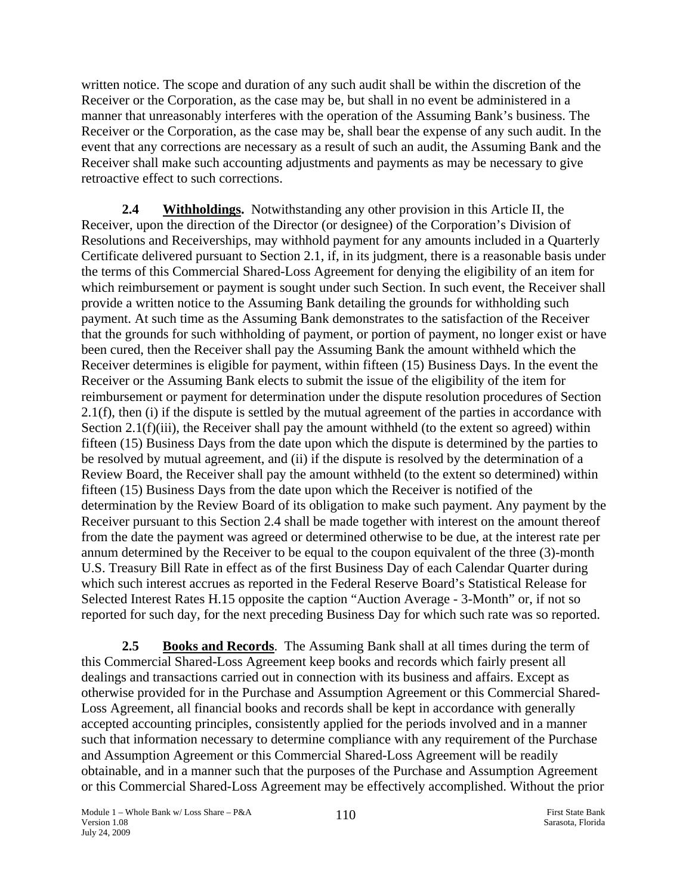written notice. The scope and duration of any such audit shall be within the discretion of the Receiver or the Corporation, as the case may be, but shall in no event be administered in a manner that unreasonably interferes with the operation of the Assuming Bank's business. The Receiver or the Corporation, as the case may be, shall bear the expense of any such audit. In the event that any corrections are necessary as a result of such an audit, the Assuming Bank and the Receiver shall make such accounting adjustments and payments as may be necessary to give retroactive effect to such corrections.

**2.4 Withholdings.** Notwithstanding any other provision in this Article II, the Receiver, upon the direction of the Director (or designee) of the Corporation's Division of Resolutions and Receiverships, may withhold payment for any amounts included in a Quarterly Certificate delivered pursuant to Section 2.1, if, in its judgment, there is a reasonable basis under the terms of this Commercial Shared-Loss Agreement for denying the eligibility of an item for which reimbursement or payment is sought under such Section. In such event, the Receiver shall provide a written notice to the Assuming Bank detailing the grounds for withholding such payment. At such time as the Assuming Bank demonstrates to the satisfaction of the Receiver that the grounds for such withholding of payment, or portion of payment, no longer exist or have been cured, then the Receiver shall pay the Assuming Bank the amount withheld which the Receiver determines is eligible for payment, within fifteen (15) Business Days. In the event the Receiver or the Assuming Bank elects to submit the issue of the eligibility of the item for reimbursement or payment for determination under the dispute resolution procedures of Section 2.1(f), then (i) if the dispute is settled by the mutual agreement of the parties in accordance with Section 2.1(f)(iii), the Receiver shall pay the amount withheld (to the extent so agreed) within fifteen (15) Business Days from the date upon which the dispute is determined by the parties to be resolved by mutual agreement, and (ii) if the dispute is resolved by the determination of a Review Board, the Receiver shall pay the amount withheld (to the extent so determined) within fifteen (15) Business Days from the date upon which the Receiver is notified of the determination by the Review Board of its obligation to make such payment. Any payment by the Receiver pursuant to this Section 2.4 shall be made together with interest on the amount thereof from the date the payment was agreed or determined otherwise to be due, at the interest rate per annum determined by the Receiver to be equal to the coupon equivalent of the three (3)-month U.S. Treasury Bill Rate in effect as of the first Business Day of each Calendar Quarter during which such interest accrues as reported in the Federal Reserve Board's Statistical Release for Selected Interest Rates H.15 opposite the caption "Auction Average - 3-Month" or, if not so reported for such day, for the next preceding Business Day for which such rate was so reported.

**2.5 Books and Records**. The Assuming Bank shall at all times during the term of this Commercial Shared-Loss Agreement keep books and records which fairly present all dealings and transactions carried out in connection with its business and affairs. Except as otherwise provided for in the Purchase and Assumption Agreement or this Commercial Shared-Loss Agreement, all financial books and records shall be kept in accordance with generally accepted accounting principles, consistently applied for the periods involved and in a manner such that information necessary to determine compliance with any requirement of the Purchase and Assumption Agreement or this Commercial Shared-Loss Agreement will be readily obtainable, and in a manner such that the purposes of the Purchase and Assumption Agreement or this Commercial Shared-Loss Agreement may be effectively accomplished. Without the prior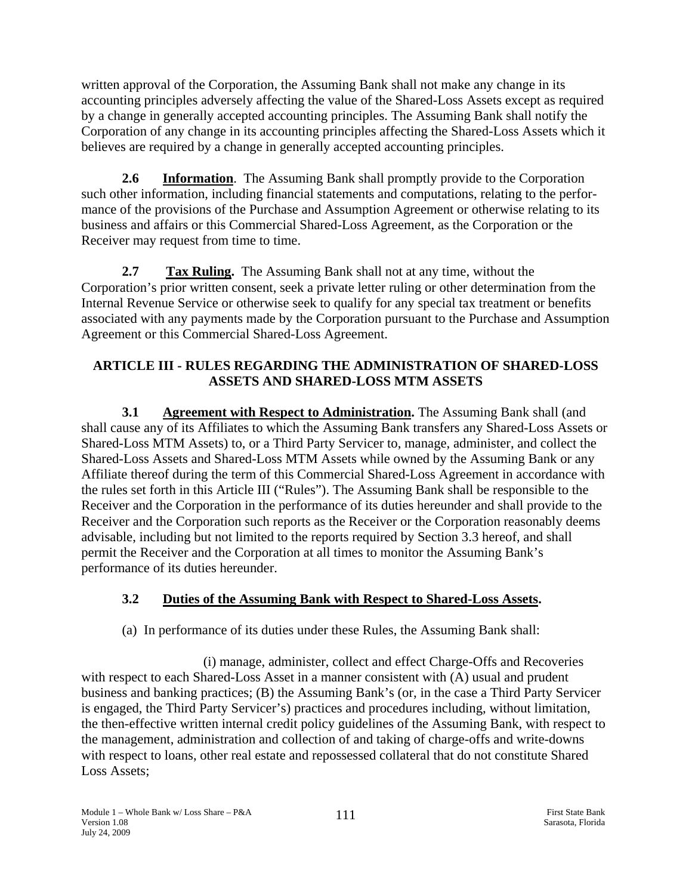written approval of the Corporation, the Assuming Bank shall not make any change in its accounting principles adversely affecting the value of the Shared-Loss Assets except as required by a change in generally accepted accounting principles. The Assuming Bank shall notify the Corporation of any change in its accounting principles affecting the Shared-Loss Assets which it believes are required by a change in generally accepted accounting principles.

**2.6 Information.** The Assuming Bank shall promptly provide to the Corporation such other information, including financial statements and computations, relating to the performance of the provisions of the Purchase and Assumption Agreement or otherwise relating to its business and affairs or this Commercial Shared-Loss Agreement, as the Corporation or the Receiver may request from time to time.

**2.7 Tax Ruling.** The Assuming Bank shall not at any time, without the Corporation's prior written consent, seek a private letter ruling or other determination from the Internal Revenue Service or otherwise seek to qualify for any special tax treatment or benefits associated with any payments made by the Corporation pursuant to the Purchase and Assumption Agreement or this Commercial Shared-Loss Agreement.

## **ASSETS AND SHARED-LOSS MTM ASSETS ARTICLE III - RULES REGARDING THE ADMINISTRATION OF SHARED-LOSS**

**3.1** Agreement with Respect to Administration. The Assuming Bank shall (and shall cause any of its Affiliates to which the Assuming Bank transfers any Shared-Loss Assets or Shared-Loss MTM Assets) to, or a Third Party Servicer to, manage, administer, and collect the Shared-Loss Assets and Shared-Loss MTM Assets while owned by the Assuming Bank or any Affiliate thereof during the term of this Commercial Shared-Loss Agreement in accordance with the rules set forth in this Article III ("Rules"). The Assuming Bank shall be responsible to the Receiver and the Corporation in the performance of its duties hereunder and shall provide to the Receiver and the Corporation such reports as the Receiver or the Corporation reasonably deems advisable, including but not limited to the reports required by Section 3.3 hereof, and shall permit the Receiver and the Corporation at all times to monitor the Assuming Bank's performance of its duties hereunder.

# **3.2 Duties of the Assuming Bank with Respect to Shared-Loss Assets.**

(a) In performance of its duties under these Rules, the Assuming Bank shall:

(i) manage, administer, collect and effect Charge-Offs and Recoveries with respect to each Shared-Loss Asset in a manner consistent with (A) usual and prudent business and banking practices; (B) the Assuming Bank's (or, in the case a Third Party Servicer is engaged, the Third Party Servicer's) practices and procedures including, without limitation, the then-effective written internal credit policy guidelines of the Assuming Bank, with respect to the management, administration and collection of and taking of charge-offs and write-downs with respect to loans, other real estate and repossessed collateral that do not constitute Shared Loss Assets;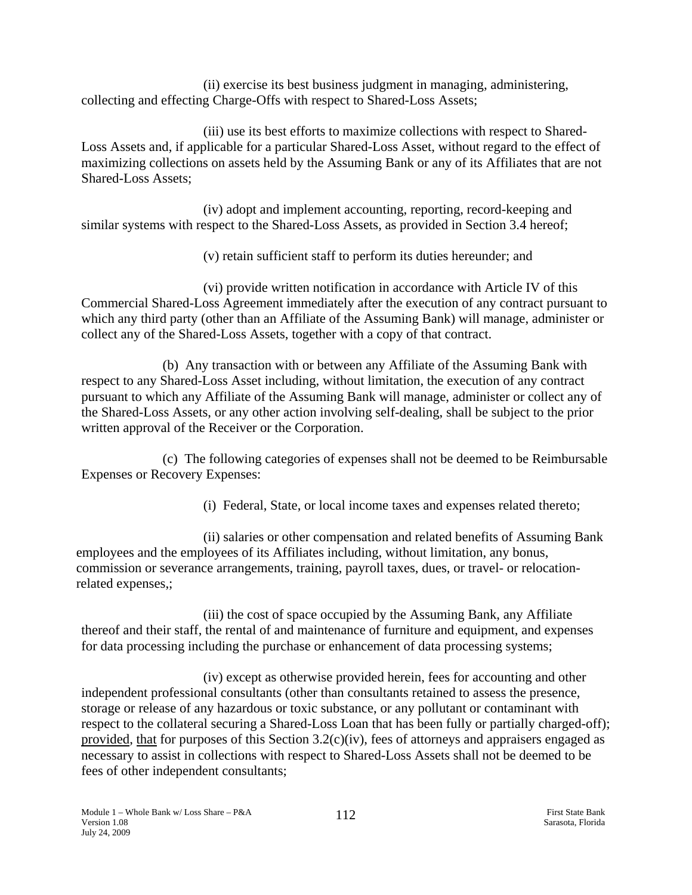(ii) exercise its best business judgment in managing, administering, collecting and effecting Charge-Offs with respect to Shared-Loss Assets;

(iii) use its best efforts to maximize collections with respect to Shared-Loss Assets and, if applicable for a particular Shared-Loss Asset, without regard to the effect of maximizing collections on assets held by the Assuming Bank or any of its Affiliates that are not Shared-Loss Assets;

(iv) adopt and implement accounting, reporting, record-keeping and similar systems with respect to the Shared-Loss Assets, as provided in Section 3.4 hereof;

(v) retain sufficient staff to perform its duties hereunder; and

(vi) provide written notification in accordance with Article IV of this Commercial Shared-Loss Agreement immediately after the execution of any contract pursuant to which any third party (other than an Affiliate of the Assuming Bank) will manage, administer or collect any of the Shared-Loss Assets, together with a copy of that contract.

(b) Any transaction with or between any Affiliate of the Assuming Bank with respect to any Shared-Loss Asset including, without limitation, the execution of any contract pursuant to which any Affiliate of the Assuming Bank will manage, administer or collect any of the Shared-Loss Assets, or any other action involving self-dealing, shall be subject to the prior written approval of the Receiver or the Corporation.

(c) The following categories of expenses shall not be deemed to be Reimbursable Expenses or Recovery Expenses:

(i) Federal, State, or local income taxes and expenses related thereto;

(ii) salaries or other compensation and related benefits of Assuming Bank employees and the employees of its Affiliates including, without limitation, any bonus, commission or severance arrangements, training, payroll taxes, dues, or travel- or relocationrelated expenses,;

(iii) the cost of space occupied by the Assuming Bank, any Affiliate thereof and their staff, the rental of and maintenance of furniture and equipment, and expenses

for data processing including the purchase or enhancement of data processing systems;<br>(iv) except as otherwise provided herein, fees for accounting and other independent professional consultants (other than consultants retained to assess the presence, storage or release of any hazardous or toxic substance, or any pollutant or contaminant with respect to the collateral securing a Shared-Loss Loan that has been fully or partially charged-off); provided, that for purposes of this Section 3.2(c)(iv), fees of attorneys and appraisers engaged as necessary to assist in collections with respect to Shared-Loss Assets shall not be deemed to be fees of other independent consultants;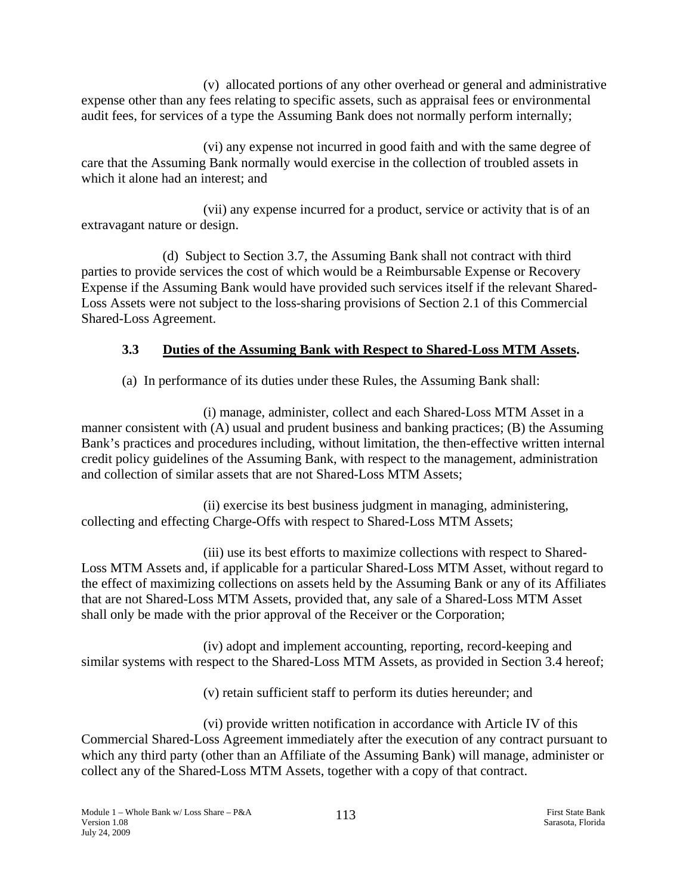(v) allocated portions of any other overhead or general and administrative expense other than any fees relating to specific assets, such as appraisal fees or environmental audit fees, for services of a type the Assuming Bank does not normally perform internally;

(vi) any expense not incurred in good faith and with the same degree of care that the Assuming Bank normally would exercise in the collection of troubled assets in which it alone had an interest; and

(vii) any expense incurred for a product, service or activity that is of an extravagant nature or design.

(d) Subject to Section 3.7, the Assuming Bank shall not contract with third parties to provide services the cost of which would be a Reimbursable Expense or Recovery Expense if the Assuming Bank would have provided such services itself if the relevant Shared-Loss Assets were not subject to the loss-sharing provisions of Section 2.1 of this Commercial Shared-Loss Agreement.

## **3.3 Duties of the Assuming Bank with Respect to Shared-Loss MTM Assets.**

(a) In performance of its duties under these Rules, the Assuming Bank shall:

(i) manage, administer, collect and each Shared-Loss MTM Asset in a manner consistent with (A) usual and prudent business and banking practices; (B) the Assuming Bank's practices and procedures including, without limitation, the then-effective written internal credit policy guidelines of the Assuming Bank, with respect to the management, administration and collection of similar assets that are not Shared-Loss MTM Assets;

(ii) exercise its best business judgment in managing, administering, collecting and effecting Charge-Offs with respect to Shared-Loss MTM Assets;

(iii) use its best efforts to maximize collections with respect to Shared-Loss MTM Assets and, if applicable for a particular Shared-Loss MTM Asset, without regard to the effect of maximizing collections on assets held by the Assuming Bank or any of its Affiliates that are not Shared-Loss MTM Assets, provided that, any sale of a Shared-Loss MTM Asset shall only be made with the prior approval of the Receiver or the Corporation;

(iv) adopt and implement accounting, reporting, record-keeping and similar systems with respect to the Shared-Loss MTM Assets, as provided in Section 3.4 hereof;

(v) retain sufficient staff to perform its duties hereunder; and

(vi) provide written notification in accordance with Article IV of this Commercial Shared-Loss Agreement immediately after the execution of any contract pursuant to which any third party (other than an Affiliate of the Assuming Bank) will manage, administer or collect any of the Shared-Loss MTM Assets, together with a copy of that contract.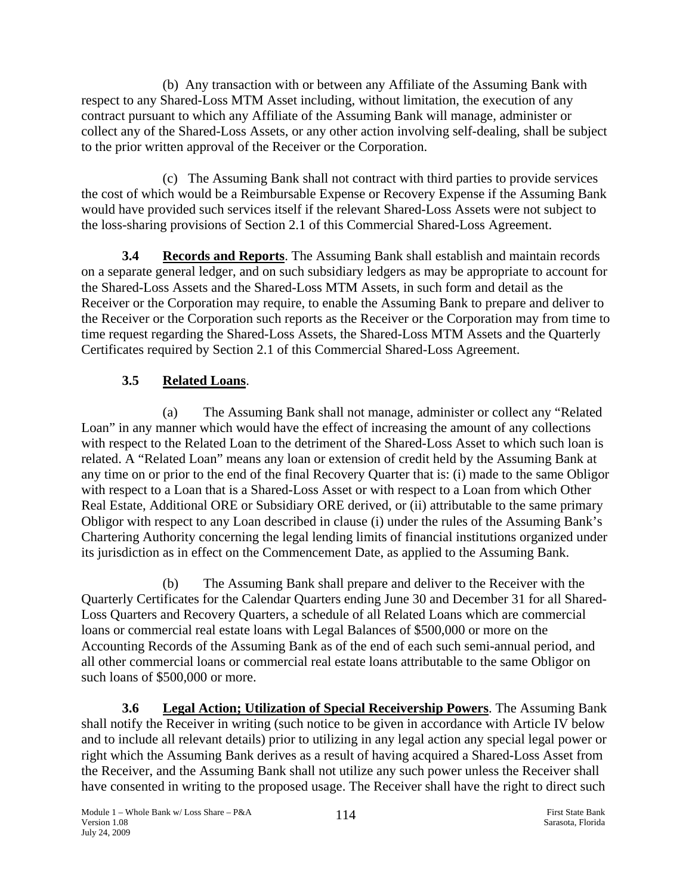(b) Any transaction with or between any Affiliate of the Assuming Bank with respect to any Shared-Loss MTM Asset including, without limitation, the execution of any contract pursuant to which any Affiliate of the Assuming Bank will manage, administer or collect any of the Shared-Loss Assets, or any other action involving self-dealing, shall be subject to the prior written approval of the Receiver or the Corporation.

(c) The Assuming Bank shall not contract with third parties to provide services the cost of which would be a Reimbursable Expense or Recovery Expense if the Assuming Bank would have provided such services itself if the relevant Shared-Loss Assets were not subject to the loss-sharing provisions of Section 2.1 of this Commercial Shared-Loss Agreement.

**3.4 Records and Reports**. The Assuming Bank shall establish and maintain records on a separate general ledger, and on such subsidiary ledgers as may be appropriate to account for the Shared-Loss Assets and the Shared-Loss MTM Assets, in such form and detail as the Receiver or the Corporation may require, to enable the Assuming Bank to prepare and deliver to the Receiver or the Corporation such reports as the Receiver or the Corporation may from time to time request regarding the Shared-Loss Assets, the Shared-Loss MTM Assets and the Quarterly Certificates required by Section 2.1 of this Commercial Shared-Loss Agreement.

# **3.5 Related Loans**.

(a) The Assuming Bank shall not manage, administer or collect any "Related Loan" in any manner which would have the effect of increasing the amount of any collections with respect to the Related Loan to the detriment of the Shared-Loss Asset to which such loan is related. A "Related Loan" means any loan or extension of credit held by the Assuming Bank at any time on or prior to the end of the final Recovery Quarter that is: (i) made to the same Obligor with respect to a Loan that is a Shared-Loss Asset or with respect to a Loan from which Other Real Estate, Additional ORE or Subsidiary ORE derived, or (ii) attributable to the same primary Obligor with respect to any Loan described in clause (i) under the rules of the Assuming Bank's Chartering Authority concerning the legal lending limits of financial institutions organized under its jurisdiction as in effect on the Commencement Date, as applied to the Assuming Bank.

(b) The Assuming Bank shall prepare and deliver to the Receiver with the Quarterly Certificates for the Calendar Quarters ending June 30 and December 31 for all Shared-Loss Quarters and Recovery Quarters, a schedule of all Related Loans which are commercial loans or commercial real estate loans with Legal Balances of \$500,000 or more on the Accounting Records of the Assuming Bank as of the end of each such semi-annual period, and all other commercial loans or commercial real estate loans attributable to the same Obligor on such loans of \$500,000 or more.

**3.6 Legal Action; Utilization of Special Receivership Powers**. The Assuming Bank shall notify the Receiver in writing (such notice to be given in accordance with Article IV below and to include all relevant details) prior to utilizing in any legal action any special legal power or right which the Assuming Bank derives as a result of having acquired a Shared-Loss Asset from the Receiver, and the Assuming Bank shall not utilize any such power unless the Receiver shall have consented in writing to the proposed usage. The Receiver shall have the right to direct such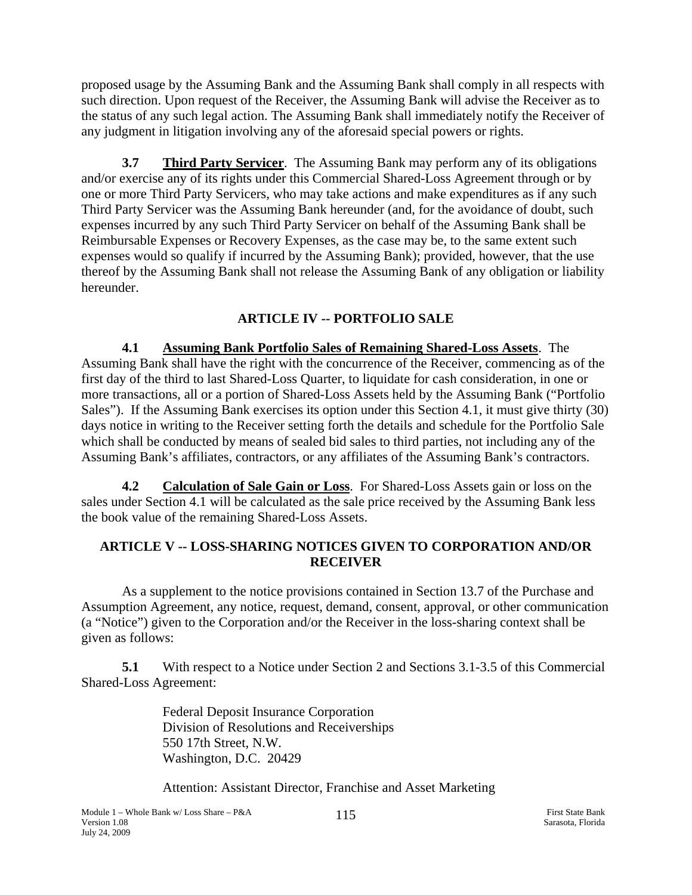proposed usage by the Assuming Bank and the Assuming Bank shall comply in all respects with such direction. Upon request of the Receiver, the Assuming Bank will advise the Receiver as to the status of any such legal action. The Assuming Bank shall immediately notify the Receiver of any judgment in litigation involving any of the aforesaid special powers or rights.

**3.7 Third Party Servicer**. The Assuming Bank may perform any of its obligations and/or exercise any of its rights under this Commercial Shared-Loss Agreement through or by one or more Third Party Servicers, who may take actions and make expenditures as if any such Third Party Servicer was the Assuming Bank hereunder (and, for the avoidance of doubt, such expenses incurred by any such Third Party Servicer on behalf of the Assuming Bank shall be Reimbursable Expenses or Recovery Expenses, as the case may be, to the same extent such expenses would so qualify if incurred by the Assuming Bank); provided, however, that the use thereof by the Assuming Bank shall not release the Assuming Bank of any obligation or liability hereunder.

## **ARTICLE IV -- PORTFOLIO SALE**

**4.1 Assuming Bank Portfolio Sales of Remaining Shared-Loss Assets**. The Assuming Bank shall have the right with the concurrence of the Receiver, commencing as of the first day of the third to last Shared-Loss Quarter, to liquidate for cash consideration, in one or more transactions, all or a portion of Shared-Loss Assets held by the Assuming Bank ("Portfolio Sales"). If the Assuming Bank exercises its option under this Section 4.1, it must give thirty (30) days notice in writing to the Receiver setting forth the details and schedule for the Portfolio Sale which shall be conducted by means of sealed bid sales to third parties, not including any of the Assuming Bank's affiliates, contractors, or any affiliates of the Assuming Bank's contractors.

**4.2 Calculation of Sale Gain or Loss**. For Shared-Loss Assets gain or loss on the sales under Section 4.1 will be calculated as the sale price received by the Assuming Bank less the book value of the remaining Shared-Loss Assets.

### **RECEIVERARTICLE V -- LOSS-SHARING NOTICES GIVEN TO CORPORATION AND/OR**

As a supplement to the notice provisions contained in Section 13.7 of the Purchase and Assumption Agreement, any notice, request, demand, consent, approval, or other communication (a "Notice") given to the Corporation and/or the Receiver in the loss-sharing context shall be given as follows:

**5.1** With respect to a Notice under Section 2 and Sections 3.1-3.5 of this Commercial Shared-Loss Agreement:

> 550 17th Street, N.W. Federal Deposit Insurance Corporation Division of Resolutions and Receiverships Washington, D.C. 20429

### Attention: Assistant Director, Franchise and Asset Marketing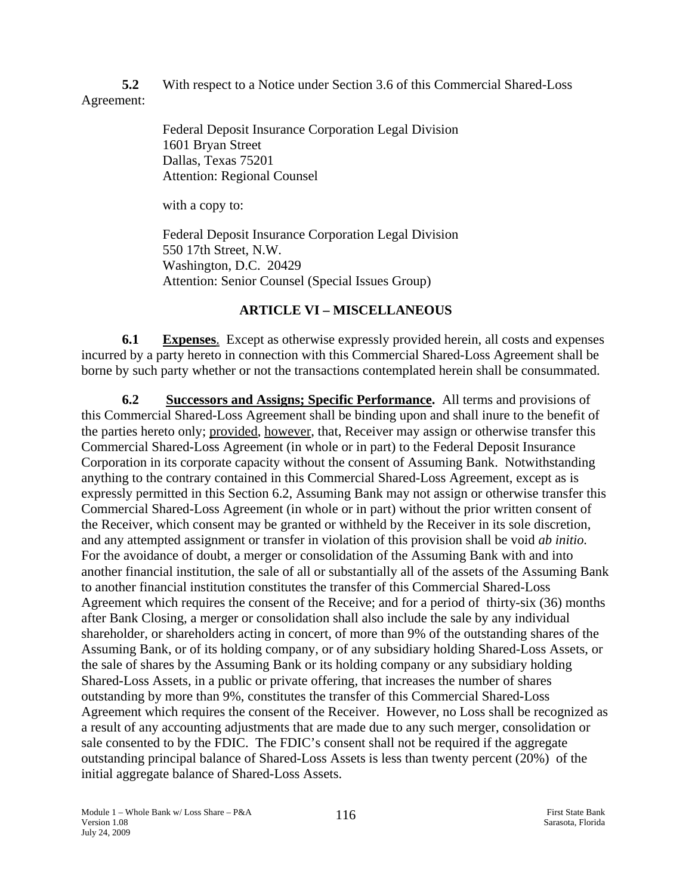**5.2** With respect to a Notice under Section 3.6 of this Commercial Shared-Loss Agreement:

> Federal Deposit Insurance Corporation Legal Division 1601 Bryan Street Dallas, Texas 75201 Attention: Regional Counsel

with a copy to:

550 17th Street, N.W. Federal Deposit Insurance Corporation Legal Division Washington, D.C. 20429 Attention: Senior Counsel (Special Issues Group)

## **ARTICLE VI – MISCELLANEOUS**

**6.1 Expenses**. Except as otherwise expressly provided herein, all costs and expenses incurred by a party hereto in connection with this Commercial Shared-Loss Agreement shall be borne by such party whether or not the transactions contemplated herein shall be consummated.

**6.2** Successors and Assigns; Specific Performance. All terms and provisions of this Commercial Shared-Loss Agreement shall be binding upon and shall inure to the benefit of the parties hereto only; provided, however, that, Receiver may assign or otherwise transfer this Commercial Shared-Loss Agreement (in whole or in part) to the Federal Deposit Insurance Corporation in its corporate capacity without the consent of Assuming Bank. Notwithstanding anything to the contrary contained in this Commercial Shared-Loss Agreement, except as is expressly permitted in this Section 6.2, Assuming Bank may not assign or otherwise transfer this Commercial Shared-Loss Agreement (in whole or in part) without the prior written consent of the Receiver, which consent may be granted or withheld by the Receiver in its sole discretion, and any attempted assignment or transfer in violation of this provision shall be void *ab initio.*  For the avoidance of doubt, a merger or consolidation of the Assuming Bank with and into another financial institution, the sale of all or substantially all of the assets of the Assuming Bank to another financial institution constitutes the transfer of this Commercial Shared-Loss Agreement which requires the consent of the Receive; and for a period of thirty-six (36) months after Bank Closing, a merger or consolidation shall also include the sale by any individual shareholder, or shareholders acting in concert, of more than 9% of the outstanding shares of the Assuming Bank, or of its holding company, or of any subsidiary holding Shared-Loss Assets, or the sale of shares by the Assuming Bank or its holding company or any subsidiary holding Shared-Loss Assets, in a public or private offering, that increases the number of shares outstanding by more than 9%, constitutes the transfer of this Commercial Shared-Loss Agreement which requires the consent of the Receiver. However, no Loss shall be recognized as a result of any accounting adjustments that are made due to any such merger, consolidation or sale consented to by the FDIC. The FDIC's consent shall not be required if the aggregate outstanding principal balance of Shared-Loss Assets is less than twenty percent (20%) of the initial aggregate balance of Shared-Loss Assets.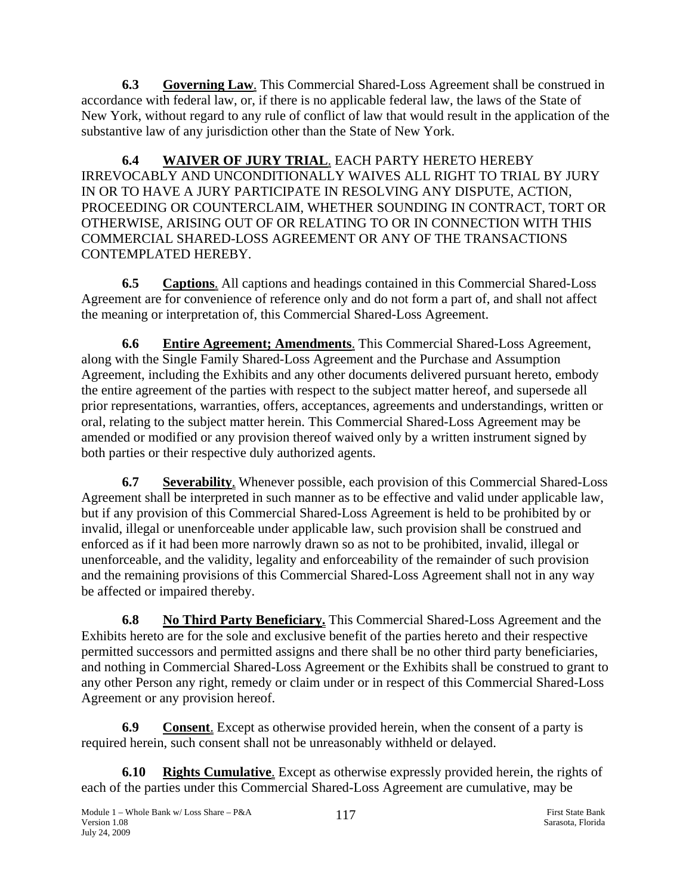**6.3** Governing Law. This Commercial Shared-Loss Agreement shall be construed in accordance with federal law, or, if there is no applicable federal law, the laws of the State of New York, without regard to any rule of conflict of law that would result in the application of the substantive law of any jurisdiction other than the State of New York.

**6.4 WAIVER OF JURY TRIAL**. EACH PARTY HERETO HEREBY IRREVOCABLY AND UNCONDITIONALLY WAIVES ALL RIGHT TO TRIAL BY JURY IN OR TO HAVE A JURY PARTICIPATE IN RESOLVING ANY DISPUTE, ACTION, PROCEEDING OR COUNTERCLAIM, WHETHER SOUNDING IN CONTRACT, TORT OR OTHERWISE, ARISING OUT OF OR RELATING TO OR IN CONNECTION WITH THIS COMMERCIAL SHARED-LOSS AGREEMENT OR ANY OF THE TRANSACTIONS CONTEMPLATED HEREBY.

**6.5 Captions**. All captions and headings contained in this Commercial Shared-Loss Agreement are for convenience of reference only and do not form a part of, and shall not affect the meaning or interpretation of, this Commercial Shared-Loss Agreement.

**6.6 Entire Agreement; Amendments**. This Commercial Shared-Loss Agreement, along with the Single Family Shared-Loss Agreement and the Purchase and Assumption Agreement, including the Exhibits and any other documents delivered pursuant hereto, embody the entire agreement of the parties with respect to the subject matter hereof, and supersede all prior representations, warranties, offers, acceptances, agreements and understandings, written or oral, relating to the subject matter herein. This Commercial Shared-Loss Agreement may be amended or modified or any provision thereof waived only by a written instrument signed by both parties or their respective duly authorized agents.

**6.7 Severability**. Whenever possible, each provision of this Commercial Shared-Loss Agreement shall be interpreted in such manner as to be effective and valid under applicable law, but if any provision of this Commercial Shared-Loss Agreement is held to be prohibited by or invalid, illegal or unenforceable under applicable law, such provision shall be construed and enforced as if it had been more narrowly drawn so as not to be prohibited, invalid, illegal or unenforceable, and the validity, legality and enforceability of the remainder of such provision and the remaining provisions of this Commercial Shared-Loss Agreement shall not in any way be affected or impaired thereby.

**6.8 No Third Party Beneficiary.** This Commercial Shared-Loss Agreement and the Exhibits hereto are for the sole and exclusive benefit of the parties hereto and their respective permitted successors and permitted assigns and there shall be no other third party beneficiaries, and nothing in Commercial Shared-Loss Agreement or the Exhibits shall be construed to grant to any other Person any right, remedy or claim under or in respect of this Commercial Shared-Loss Agreement or any provision hereof.

**6.9 Consent**. Except as otherwise provided herein, when the consent of a party is required herein, such consent shall not be unreasonably withheld or delayed.

**6.10 Rights Cumulative**. Except as otherwise expressly provided herein, the rights of each of the parties under this Commercial Shared-Loss Agreement are cumulative, may be